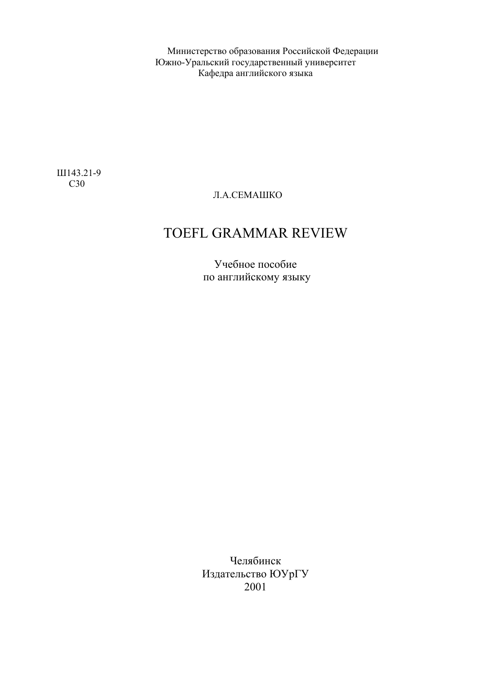Министерство образования Российской Федерации Южно-Уральский государственный университет Кафедра английского языка

Ш143.21-9 С30

#### Л.А.СЕМАШКО

# TOEFL GRAMMAR REVIEW

Учебное пособие по английскому языку

Челябинск Издательство ЮУрГУ 2001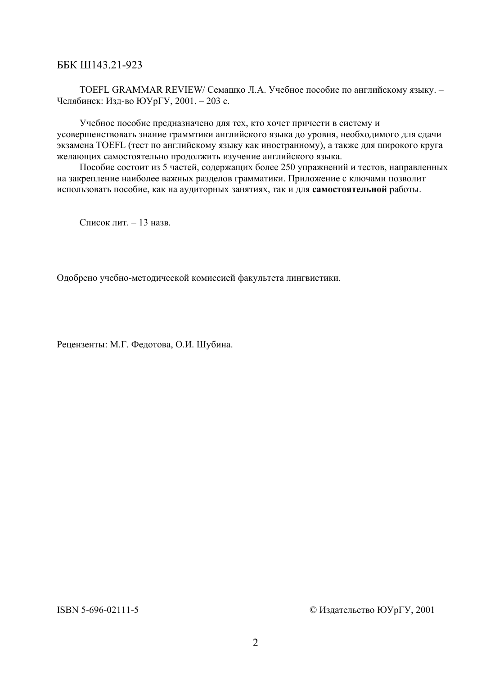#### ББК Ш143.21-923

TOEFL GRAMMAR REVIEW/ Семашко Л.А. Учебное пособие по английскому языку. – Челябинск: Изд-во ЮУрГУ, 2001. – 203 с.

Учебное пособие предназначено для тех, кто хочет причести в систему и усовершенствовать знание граммтики английского языка до уровня, необходимого для сдачи экзамена TOEFL (тест по английскому языку как иностранному), а также для широкого круга желающих самостоятельно продолжить изучение английского языка.

Пособие состоит из 5 частей, содержащих более 250 упражнений и тестов, направленных на закрепление наиболее важных разделов грамматики. Приложение с ключами позволит использовать пособие, как на аудиторных занятиях, так и для **самостоятельной** работы.

Список лит. – 13 назв.

Одобрено учебно-методической комиссией факультета лингвистики.

Рецензенты: М.Г. Федотова, О.И. Шубина.

ISBN 5-696-02111-5 © Издательство ЮУрГУ, 2001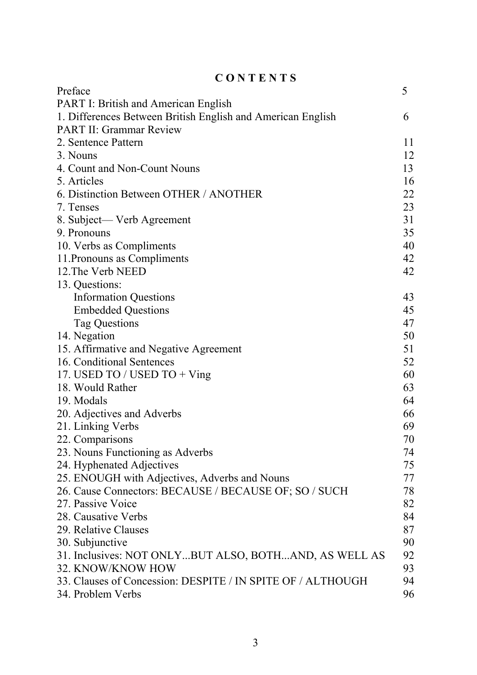| CONTENTS                                                    |    |  |  |
|-------------------------------------------------------------|----|--|--|
| Preface                                                     | 5  |  |  |
| <b>PART I: British and American English</b>                 |    |  |  |
| 1. Differences Between British English and American English | 6  |  |  |
| <b>PART II: Grammar Review</b>                              |    |  |  |
| 2. Sentence Pattern                                         | 11 |  |  |
| 3. Nouns                                                    | 12 |  |  |
| 4. Count and Non-Count Nouns                                | 13 |  |  |
| 5. Articles                                                 | 16 |  |  |
| 6. Distinction Between OTHER / ANOTHER                      | 22 |  |  |
| 7. Tenses                                                   | 23 |  |  |
| 8. Subject— Verb Agreement                                  | 31 |  |  |
| 9. Pronouns                                                 | 35 |  |  |
| 10. Verbs as Compliments                                    | 40 |  |  |
| 11. Pronouns as Compliments                                 | 42 |  |  |
| 12. The Verb NEED                                           | 42 |  |  |
| 13. Questions:                                              |    |  |  |
| <b>Information Questions</b>                                | 43 |  |  |
| <b>Embedded Questions</b>                                   | 45 |  |  |
| <b>Tag Questions</b>                                        | 47 |  |  |
| 14. Negation                                                | 50 |  |  |
| 15. Affirmative and Negative Agreement                      | 51 |  |  |
| 16. Conditional Sentences                                   | 52 |  |  |
| 17. USED TO / USED TO + Ving                                | 60 |  |  |
| 18. Would Rather                                            | 63 |  |  |
| 19. Modals                                                  | 64 |  |  |
| 20. Adjectives and Adverbs                                  | 66 |  |  |
| 21. Linking Verbs                                           | 69 |  |  |
| 22. Comparisons                                             | 70 |  |  |
| 23. Nouns Functioning as Adverbs                            | 74 |  |  |
| 24. Hyphenated Adjectives                                   | 75 |  |  |
| 25. ENOUGH with Adjectives, Adverbs and Nouns               | 77 |  |  |
| 26. Cause Connectors: BECAUSE / BECAUSE OF; SO / SUCH       | 78 |  |  |
| 27. Passive Voice                                           | 82 |  |  |
| 28. Causative Verbs                                         | 84 |  |  |
| 29. Relative Clauses                                        | 87 |  |  |
| 30. Subjunctive                                             | 90 |  |  |
| 31. Inclusives: NOT ONLYBUT ALSO, BOTHAND, AS WELL AS       | 92 |  |  |
| 32. KNOW/KNOW HOW                                           | 93 |  |  |
| 33. Clauses of Concession: DESPITE / IN SPITE OF / ALTHOUGH | 94 |  |  |
| 34. Problem Verbs                                           | 96 |  |  |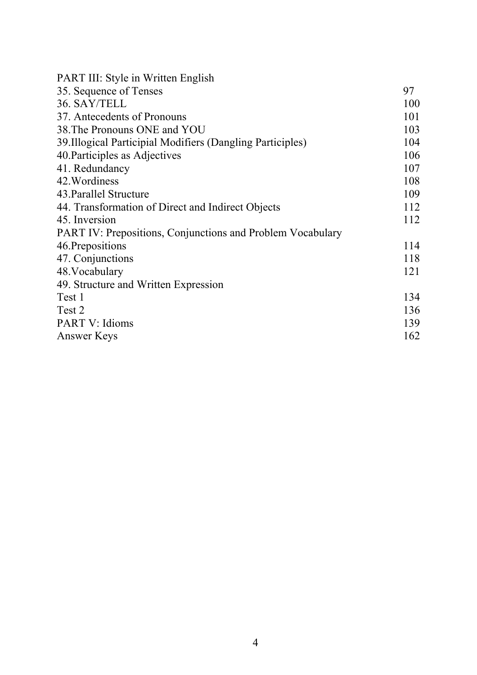| <b>PART III: Style in Written English</b>                  |     |
|------------------------------------------------------------|-----|
| 35. Sequence of Tenses                                     | 97  |
| 36. SAY/TELL                                               | 100 |
| 37. Antecedents of Pronouns                                | 101 |
| 38. The Pronouns ONE and YOU                               | 103 |
| 39. Illogical Participial Modifiers (Dangling Participles) | 104 |
| 40. Participles as Adjectives                              | 106 |
| 41. Redundancy                                             | 107 |
| 42. Wordiness                                              | 108 |
| 43. Parallel Structure                                     | 109 |
| 44. Transformation of Direct and Indirect Objects          | 112 |
| 45. Inversion                                              | 112 |
| PART IV: Prepositions, Conjunctions and Problem Vocabulary |     |
| 46. Prepositions                                           | 114 |
| 47. Conjunctions                                           | 118 |
| 48. Vocabulary                                             | 121 |
| 49. Structure and Written Expression                       |     |
| Test 1                                                     | 134 |
| Test 2                                                     | 136 |
| PART V: Idioms                                             | 139 |
| Answer Keys                                                | 162 |
|                                                            |     |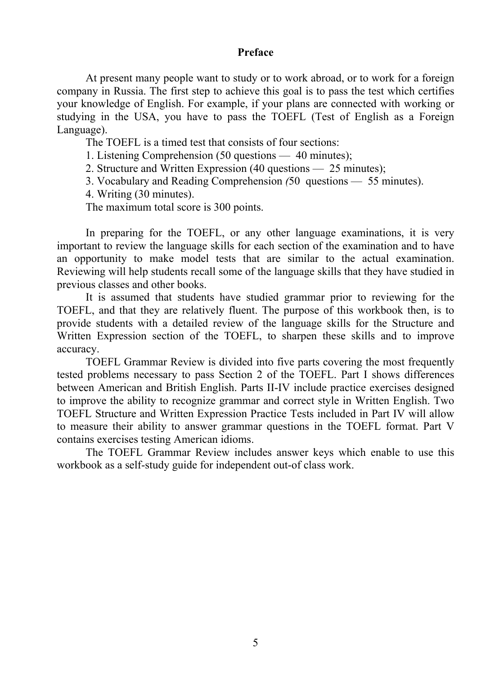#### **Preface**

At present many people want to study or to work abroad, or to work for a foreign company in Russia. The first step to achieve this goal is to pass the test which certifies your knowledge of English. For example, if your plans are connected with working or studying in the USA, you have to pass the TOEFL (Test of English as a Foreign Language).

The TOEFL is a timed test that consists of four sections:

1. Listening Comprehension (50 questions — 40 minutes);

2. Structure and Written Expression (40 questions — 25 minutes);

3. Vocabulary and Reading Comprehension *(*50 questions — 55 minutes).

4. Writing (30 minutes).

The maximum total score is 300 points.

In preparing for the TOEFL, or any other language examinations, it is very important to review the language skills for each section of the examination and to have an opportunity to make model tests that are similar to the actual examination. Reviewing will help students recall some of the language skills that they have studied in previous classes and other books.

It is assumed that students have studied grammar prior to reviewing for the TOEFL, and that they are relatively fluent. The purpose of this workbook then, is to provide students with a detailed review of the language skills for the Structure and Written Expression section of the TOEFL, to sharpen these skills and to improve accuracy.

TOEFL Grammar Review is divided into five parts covering the most frequently tested problems necessary to pass Section 2 of the TOEFL. Part I shows differences between American and British English. Parts II-IV include practice exercises designed to improve the ability to recognize grammar and correct style in Written English. Two TOEFL Structure and Written Expression Practice Tests included in Part IV will allow to measure their ability to answer grammar questions in the TOEFL format. Part V contains exercises testing American idioms.

The TOEFL Grammar Review includes answer keys which enable to use this workbook as a self-study guide for independent out-of class work.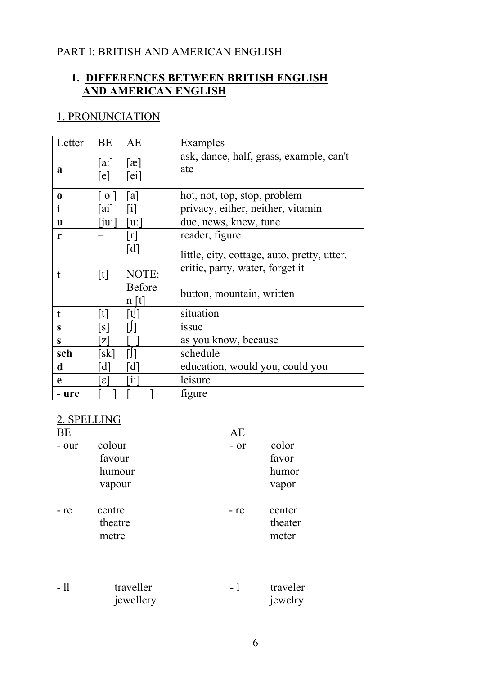# PART I: BRITISH AND AMERICAN ENGLISH

# **1. DIFFERENCES BETWEEN BRITISH ENGLISH AND AMERICAN ENGLISH**

# 1. PRONUNCIATION

| Letter   | <b>BE</b>             | AE                                                  | Examples                                                                                                    |
|----------|-----------------------|-----------------------------------------------------|-------------------------------------------------------------------------------------------------------------|
| a        | [a:]<br>[e]           | $\lceil x \rceil$<br>[ei]                           | ask, dance, half, grass, example, can't<br>ate                                                              |
| $\bf{0}$ | $\mathbf{O}$          | <sub>a</sub>                                        | hot, not, top, stop, problem                                                                                |
| 1        | a1                    | $\mathbf{1}$                                        | privacy, either, neither, vitamin                                                                           |
| <b>u</b> | $\lceil$ ju: $\lceil$ | [u:                                                 | due, news, knew, tune                                                                                       |
| r        |                       | r                                                   | reader, figure                                                                                              |
| t        | [t]                   | $\lceil d \rceil$<br>NOTE:<br><b>Before</b><br>n[t] | little, city, cottage, auto, pretty, utter,<br>critic, party, water, forget it<br>button, mountain, written |
| t        | 「t]                   | [t]                                                 | situation                                                                                                   |
| S        | $\lceil s \rceil$     |                                                     | issue                                                                                                       |
| S        | Z                     |                                                     | as you know, because                                                                                        |
| sch      | [sk]                  |                                                     | schedule                                                                                                    |
| d        | $\overline{d}$        | $\lceil d \rceil$                                   | education, would you, could you                                                                             |
| e        | $\epsilon$            | $\left\lceil i\right\rceil$                         | leisure                                                                                                     |
| - ure    |                       |                                                     | figure                                                                                                      |

# 2. SPELLING

| BE    |                            | AE   |                            |
|-------|----------------------------|------|----------------------------|
| - our | colour                     | - or | color                      |
|       | favour                     |      | favor                      |
|       | humour                     |      | humor                      |
|       | vapour                     |      | vapor                      |
| - re  | centre<br>theatre<br>metre | - re | center<br>theater<br>meter |
| - 11  | traveller<br>jewellery     | $-1$ | traveler<br>jewelry        |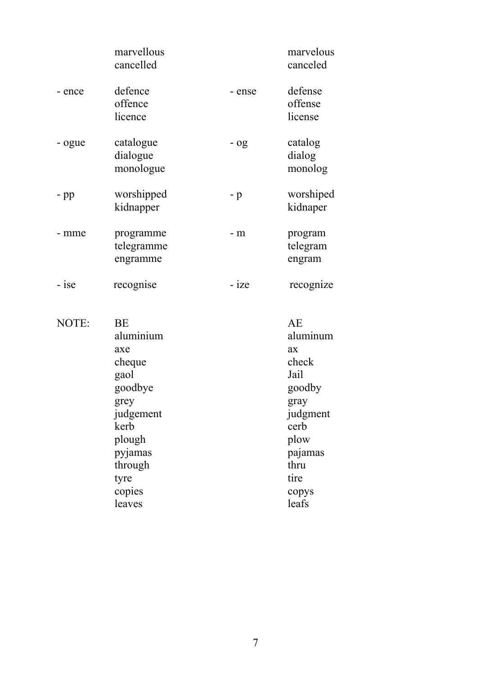|        | marvellous<br>cancelled                                                                                                  |         | marvelous<br>canceled                                                                                          |
|--------|--------------------------------------------------------------------------------------------------------------------------|---------|----------------------------------------------------------------------------------------------------------------|
| - ence | defence<br>offence<br>licence                                                                                            | - ense  | defense<br>offense<br>license                                                                                  |
| - ogue | catalogue<br>dialogue<br>monologue                                                                                       | $-$ 0g  | catalog<br>dialog<br>monolog                                                                                   |
| $-pp$  | worshipped<br>kidnapper                                                                                                  | $-p$    | worshiped<br>kidnaper                                                                                          |
| - mme  | programme<br>telegramme<br>engramme                                                                                      | $- m$   | program<br>telegram<br>engram                                                                                  |
| - ise  | recognise                                                                                                                | $-$ ize | recognize                                                                                                      |
| NOTE:  | BE<br>aluminium<br>axe<br>cheque<br>gaol<br>goodbye<br>grey<br>judgement<br>kerb<br>plough<br>pyjamas<br>through<br>tyre |         | AE<br>aluminum<br>ax<br>check<br>Jail<br>goodby<br>gray<br>judgment<br>cerb<br>plow<br>pajamas<br>thru<br>tire |

tyre

copies<br>leaves

copys<br>leafs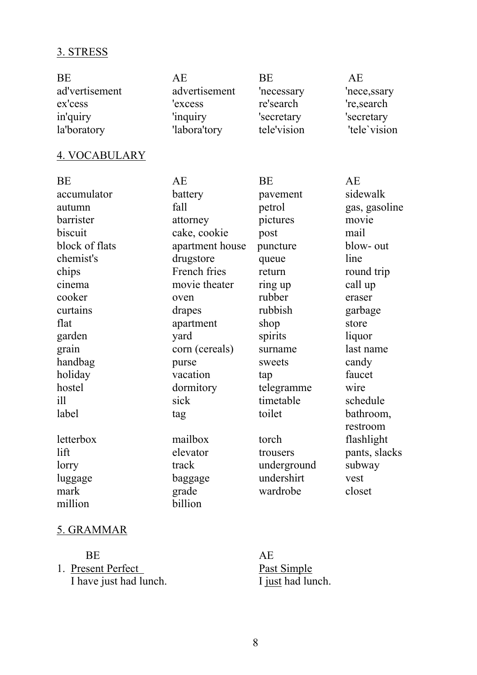# 3. STRESS

| <b>BE</b>      | АE            | <b>BE</b>   | АE           |
|----------------|---------------|-------------|--------------|
| ad'vertisement | advertisement | 'necessary  | 'nece, ssary |
| ex'cess        | 'excess       | re'search   | 're, search  |
| in'quiry       | 'inquiry      | 'secretary  | 'secretary   |
| la'boratory    | 'labora'tory  | tele'vision | 'tele'vision |

# 4. VOCABULARY

| BE              | AE              | BE          | AE            |
|-----------------|-----------------|-------------|---------------|
| accumulator     | battery         | pavement    | sidewalk      |
| autumn          | fall            | petrol      | gas, gasoline |
| barrister       | attorney        | pictures    | movie         |
| biscuit         | cake, cookie    | post        | mail          |
| block of flats  | apartment house | puncture    | blow- out     |
| chemist's       | drugstore       | queue       | line          |
| chips           | French fries    | return      | round trip    |
| cinema          | movie theater   | ring up     | call up       |
| cooker          | oven            | rubber      | eraser        |
| curtains        | drapes          | rubbish     | garbage       |
| flat            | apartment       | shop        | store         |
| garden          | yard            | spirits     | liquor        |
| grain           | corn (cereals)  | surname     | last name     |
| handbag         | purse           | sweets      | candy         |
| holiday         | vacation        | tap         | faucet        |
| hostel          | dormitory       | telegramme  | wire          |
| i <sup>11</sup> | sick            | timetable   | schedule      |
| label           | tag             | toilet      | bathroom,     |
|                 |                 |             | restroom      |
| letterbox       | mailbox         | torch       | flashlight    |
| lift            | elevator        | trousers    | pants, slacks |
| lorry           | track           | underground | subway        |
| luggage         | baggage         | undershirt  | vest          |
| mark            | grade           | wardrobe    | closet        |
| million         | billion         |             |               |

# 5. GRAMMAR

BE AE 1. Present Perfect Past Simple I have just had lunch. I just had lunch.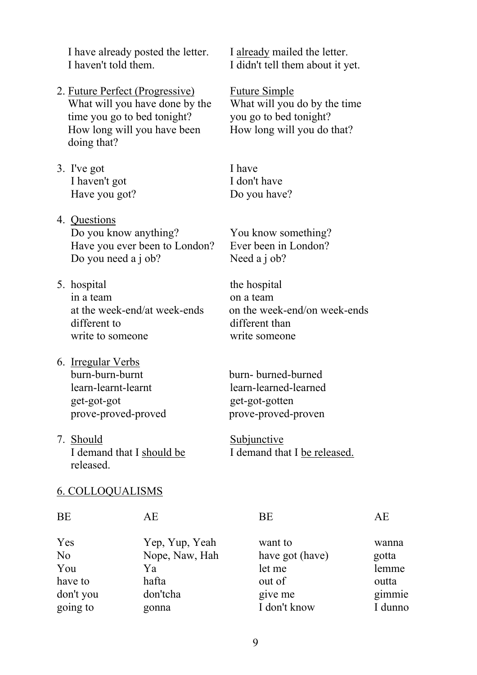I have already posted the letter. I already mailed the letter. I haven't told them. I didn't tell them about it yet.

- 2. Future Perfect (Progressive) Future Simple What will you have done by the What will you do by the time time you go to bed tonight? you go to bed tonight? How long will you have been How long will you do that? doing that?
- 3. I've got I have I haven't got I don't have Have you got? Do you have?
- 4. Questions Do you know anything? You know something? Have you ever been to London? Ever been in London? Do you need a j ob? Need a j ob?
- 5. hospital the hospital in a team on a team different to different than write to someone write someone
- 6. Irregular Verbs burn-burn-burnt burn- burned-burned learn-learnt-learnt learn-learned-learned get-got-got get-got-gotten prove-proved-proved prove-proved-proven
- 7. Should Subjunctive released.

at the week-end/at week-ends on the week-end/on week-ends

I demand that I should be I demand that I be released.

#### 6. COLLOQUALISMS

| BE             | АE             | BE              | AЕ      |
|----------------|----------------|-----------------|---------|
| Yes            | Yep, Yup, Yeah | want to         | wanna   |
| N <sub>o</sub> | Nope, Naw, Hah | have got (have) | gotta   |
| You            | Ya             | let me          | lemme   |
| have to        | hafta          | out of          | outta   |
| don't you      | don'tcha       | give me         | gimmie  |
| going to       | gonna          | I don't know    | I dunno |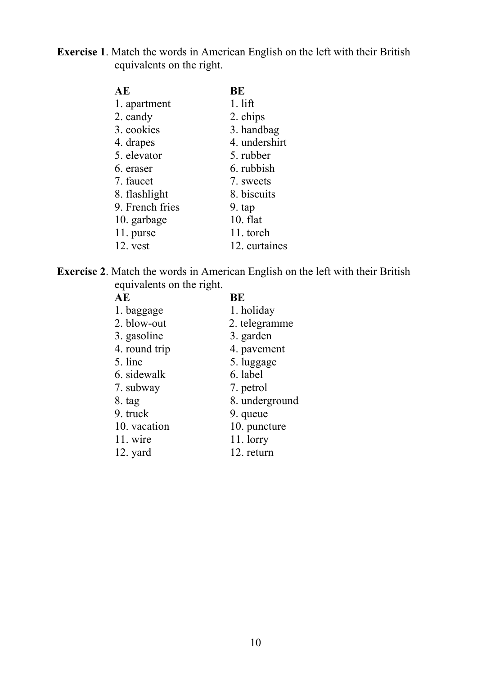**Exercise 1**. Match the words in American English on the left with their British equivalents on the right.

| AE              | BE            |
|-----------------|---------------|
| 1. apartment    | $1.$ lift     |
| 2. candy        | 2. chips      |
| 3. cookies      | 3. handbag    |
| 4. drapes       | 4. undershirt |
| 5. elevator     | 5. rubber     |
| 6. eraser       | 6. rubbish    |
| 7. faucet       | 7. sweets     |
| 8. flashlight   | 8. biscuits   |
| 9. French fries | 9. tap        |
| 10. garbage     | $10.$ flat    |
| 11. purse       | 11. torch     |
| $12.$ vest      | 12. curtaines |

**Exercise 2**. Match the words in American English on the left with their British equivalents on the right.

| AE            | BE             |
|---------------|----------------|
| 1. baggage    | 1. holiday     |
| 2. blow-out   | 2. telegramme  |
| 3. gasoline   | 3. garden      |
| 4. round trip | 4. pavement    |
| 5. line       | 5. luggage     |
| 6. sidewalk   | 6. label       |
| 7. subway     | 7. petrol      |
| 8. tag        | 8. underground |
| 9. truck      | 9. queue       |
| 10. vacation  | 10. puncture   |
| 11. wire      | $11.$ lorry    |
| 12. yard      | 12. return     |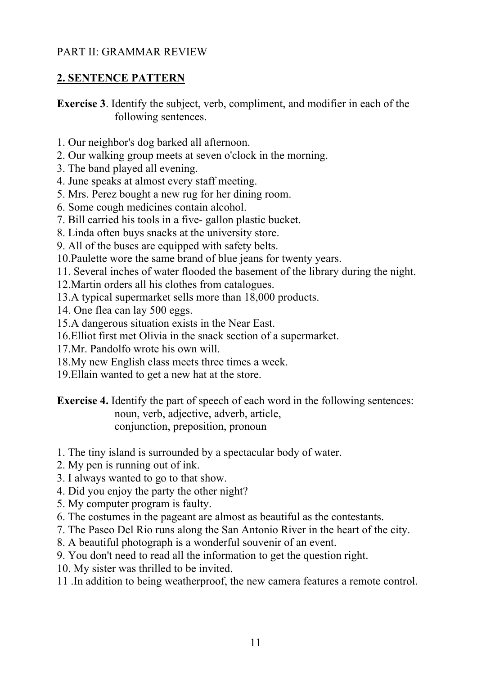# PART II: GRAMMAR REVIEW

# **2. SENTENCE PATTERN**

**Exercise 3**. Identify the subject, verb, compliment, and modifier in each of the following sentences.

- 1. Our neighbor's dog barked all afternoon.
- 2. Our walking group meets at seven o'clock in the morning.
- 3. The band played all evening.
- 4. June speaks at almost every staff meeting.
- 5. Mrs. Perez bought a new rug for her dining room.
- 6. Some cough medicines contain alcohol.
- 7. Bill carried his tools in a five- gallon plastic bucket.
- 8. Linda often buys snacks at the university store.
- 9. All of the buses are equipped with safety belts.
- 10.Paulette wore the same brand of blue jeans for twenty years.
- 11. Several inches of water flooded the basement of the library during the night.
- 12.Martin orders all his clothes from catalogues.
- 13.A typical supermarket sells more than 18,000 products.
- 14. One flea can lay 500 eggs.
- 15.A dangerous situation exists in the Near East.
- 16.Elliot first met Olivia in the snack section of a supermarket.
- 17.Mr. Pandolfo wrote his own will.
- 18.My new English class meets three times a week.
- 19.Ellain wanted to get a new hat at the store.

**Exercise 4.** Identify the part of speech of each word in the following sentences: noun, verb, adjective, adverb, article, conjunction, preposition, pronoun

- 1. The tiny island is surrounded by a spectacular body of water.
- 2. My pen is running out of ink.
- 3. I always wanted to go to that show.
- 4. Did you enjoy the party the other night?
- 5. My computer program is faulty.
- 6. The costumes in the pageant are almost as beautiful as the contestants.
- 7. The Paseo Del Rio runs along the San Antonio River in the heart of the city.
- 8. A beautiful photograph is a wonderful souvenir of an event.
- 9. You don't need to read all the information to get the question right.
- 10. My sister was thrilled to be invited.
- 11 .In addition to being weatherproof, the new camera features a remote control.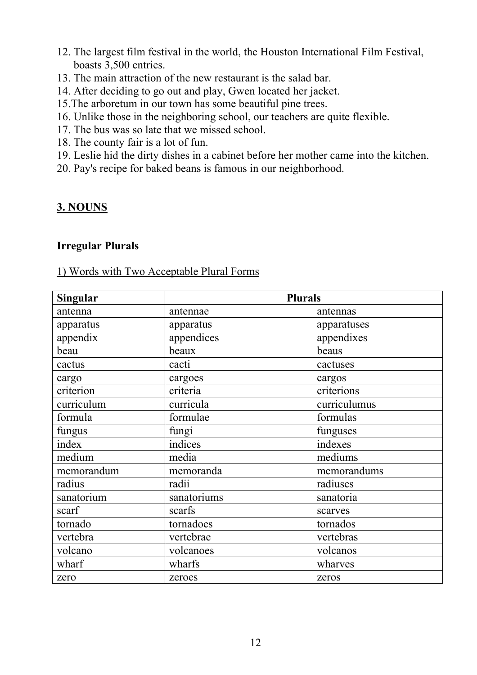- 12. The largest film festival in the world, the Houston International Film Festival, boasts 3,500 entries.
- 13. The main attraction of the new restaurant is the salad bar.
- 14. After deciding to go out and play, Gwen located her jacket.
- 15.The arboretum in our town has some beautiful pine trees.
- 16. Unlike those in the neighboring school, our teachers are quite flexible.
- 17. The bus was so late that we missed school.
- 18. The county fair is a lot of fun.
- 19. Leslie hid the dirty dishes in a cabinet before her mother came into the kitchen.
- 20. Pay's recipe for baked beans is famous in our neighborhood.

# **3. NOUNS**

### **Irregular Plurals**

### 1) Words with Two Acceptable Plural Forms

| <b>Singular</b> | <b>Plurals</b> |              |  |
|-----------------|----------------|--------------|--|
| antenna         | antennae       | antennas     |  |
| apparatus       | apparatus      | apparatuses  |  |
| appendix        | appendices     | appendixes   |  |
| beau            | beaux          | beaus        |  |
| cactus          | cacti          | cactuses     |  |
| cargo           | cargoes        | cargos       |  |
| criterion       | criteria       | criterions   |  |
| curriculum      | curricula      | curriculumus |  |
| formula         | formulae       | formulas     |  |
| fungus          | fungi          | funguses     |  |
| index           | indices        | indexes      |  |
| medium          | media          | mediums      |  |
| memorandum      | memoranda      | memorandums  |  |
| radius          | radii          | radiuses     |  |
| sanatorium      | sanatoriums    | sanatoria    |  |
| scarf           | scarfs         | scarves      |  |
| tornado         | tornadoes      | tornados     |  |
| vertebra        | vertebrae      | vertebras    |  |
| volcano         | volcanoes      | volcanos     |  |
| wharf           | wharfs         | wharves      |  |
| zero            | zeroes         | zeros        |  |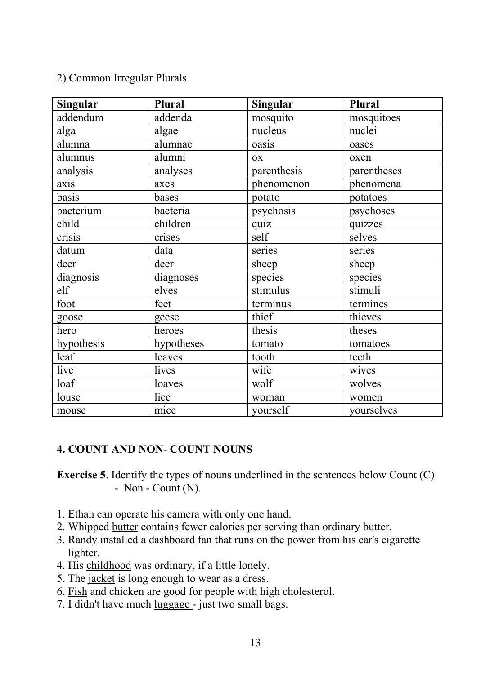### 2) Common Irregular Plurals

| <b>Singular</b> | Plural     | <b>Singular</b> | Plural      |
|-----------------|------------|-----------------|-------------|
| addendum        | addenda    | mosquito        | mosquitoes  |
| alga            | algae      | nucleus         | nuclei      |
| alumna          | alumnae    | oasis           | oases       |
| alumnus         | alumni     | <b>OX</b>       | oxen        |
| analysis        | analyses   | parenthesis     | parentheses |
| axis            | axes       | phenomenon      | phenomena   |
| basis           | bases      | potato          | potatoes    |
| bacterium       | bacteria   | psychosis       | psychoses   |
| child           | children   | quiz            | quizzes     |
| crisis          | crises     | self            | selves      |
| datum           | data       | series          | series      |
| deer            | deer       | sheep           | sheep       |
| diagnosis       | diagnoses  | species         | species     |
| elf             | elves      | stimulus        | stimuli     |
| foot            | feet       | terminus        | termines    |
| goose           | geese      | thief           | thieves     |
| hero            | heroes     | thesis          | theses      |
| hypothesis      | hypotheses | tomato          | tomatoes    |
| leaf            | leaves     | tooth           | teeth       |
| live            | lives      | wife            | wives       |
| loaf            | loaves     | wolf            | wolves      |
| louse           | lice       | woman           | women       |
| mouse           | mice       | yourself        | yourselves  |

# **4. COUNT AND NON- COUNT NOUNS**

**Exercise 5**. Identify the types of nouns underlined in the sentences below Count (C)  $-$  Non  $-$  Count (N).

- 1. Ethan can operate his camera with only one hand.
- 2. Whipped butter contains fewer calories per serving than ordinary butter.
- 3. Randy installed a dashboard fan that runs on the power from his car's cigarette lighter.
- 4. His childhood was ordinary, if a little lonely.
- 5. The jacket is long enough to wear as a dress.
- 6. Fish and chicken are good for people with high cholesterol.
- 7. I didn't have much luggage just two small bags.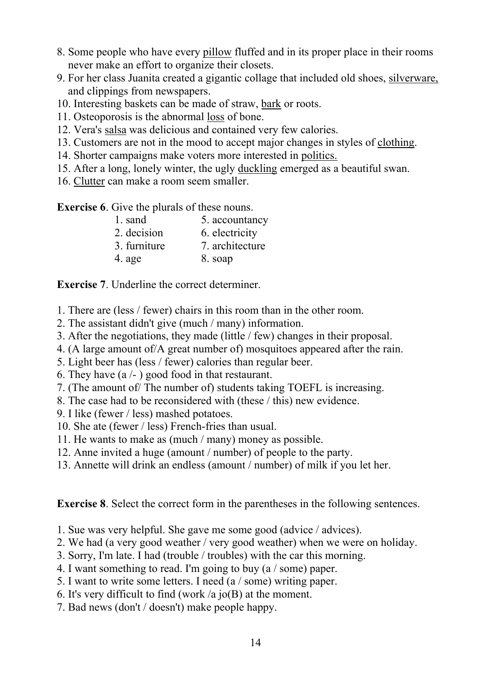- 8. Some people who have every pillow fluffed and in its proper place in their rooms never make an effort to organize their closets.
- 9. For her class Juanita created a gigantic collage that included old shoes, silverware, and clippings from newspapers.
- 10. Interesting baskets can be made of straw, bark or roots.
- 11. Osteoporosis is the abnormal loss of bone.
- 12. Vera's salsa was delicious and contained very few calories.
- 13. Customers are not in the mood to accept major changes in styles of clothing.
- 14. Shorter campaigns make voters more interested in politics.
- 15. After a long, lonely winter, the ugly duckling emerged as a beautiful swan.
- 16. Clutter can make a room seem smaller.

**Exercise 6**. Give the plurals of these nouns.

| 1. sand      | 5. accountancy  |
|--------------|-----------------|
| 2. decision  | 6. electricity  |
| 3. furniture | 7. architecture |
| 4. age       | 8. soap         |

**Exercise 7**. Underline the correct determiner.

- 1. There are (less / fewer) chairs in this room than in the other room.
- 2. The assistant didn't give (much / many) information.
- 3. After the negotiations, they made (little / few) changes in their proposal.
- 4. (A large amount of/A great number of) mosquitoes appeared after the rain.
- 5. Light beer has (less / fewer) calories than regular beer.
- 6. They have  $(a/-)$  good food in that restaurant.
- 7. (The amount of/ The number of) students taking TOEFL is increasing.
- 8. The case had to be reconsidered with (these / this) new evidence.
- 9. I like (fewer / less) mashed potatoes.
- 10. She ate (fewer / less) French-fries than usual.
- 11. He wants to make as (much / many) money as possible.
- 12. Anne invited a huge (amount / number) of people to the party.
- 13. Annette will drink an endless (amount / number) of milk if you let her.

**Exercise 8**. Select the correct form in the parentheses in the following sentences.

- 1. Sue was very helpful. She gave me some good (advice / advices).
- 2. We had (a very good weather / very good weather) when we were on holiday.
- 3. Sorry, I'm late. I had (trouble / troubles) with the car this morning.
- 4. I want something to read. I'm going to buy (a / some) paper.
- 5. I want to write some letters. I need (a / some) writing paper.
- 6. It's very difficult to find (work /a jo(B) at the moment.
- 7. Bad news (don't / doesn't) make people happy.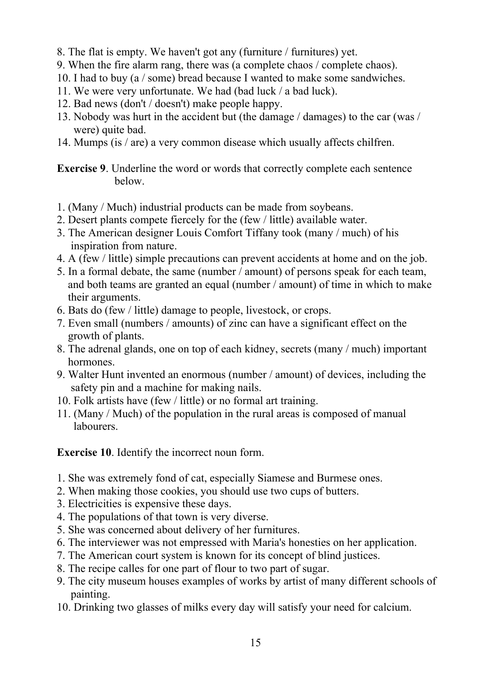- 8. The flat is empty. We haven't got any (furniture / furnitures) yet.
- 9. When the fire alarm rang, there was (a complete chaos / complete chaos).
- 10. I had to buy (a / some) bread because I wanted to make some sandwiches.
- 11. We were very unfortunate. We had (bad luck / a bad luck).
- 12. Bad news (don't / doesn't) make people happy.
- 13. Nobody was hurt in the accident but (the damage / damages) to the car (was / were) quite bad.
- 14. Mumps (is / are) a very common disease which usually affects chilfren.

**Exercise 9**. Underline the word or words that correctly complete each sentence below.

- 1. (Many / Much) industrial products can be made from soybeans.
- 2. Desert plants compete fiercely for the (few / little) available water.
- 3. The American designer Louis Comfort Tiffany took (many / much) of his inspiration from nature.
- 4. A (few / little) simple precautions can prevent accidents at home and on the job.
- 5. In a formal debate, the same (number / amount) of persons speak for each team, and both teams are granted an equal (number / amount) of time in which to make their arguments.
- 6. Bats do (few / little) damage to people, livestock, or crops.
- 7. Even small (numbers / amounts) of zinc can have a significant effect on the growth of plants.
- 8. The adrenal glands, one on top of each kidney, secrets (many / much) important hormones.
- 9. Walter Hunt invented an enormous (number / amount) of devices, including the safety pin and a machine for making nails.
- 10. Folk artists have (few / little) or no formal art training.
- 11. (Many / Much) of the population in the rural areas is composed of manual **labourers**

**Exercise 10**. Identify the incorrect noun form.

- 1. She was extremely fond of cat, especially Siamese and Burmese ones.
- 2. When making those cookies, you should use two cups of butters.
- 3. Electricities is expensive these days.
- 4. The populations of that town is very diverse.
- 5. She was concerned about delivery of her furnitures.
- 6. The interviewer was not empressed with Maria's honesties on her application.
- 7. The American court system is known for its concept of blind justices.
- 8. The recipe calles for one part of flour to two part of sugar.
- 9. The city museum houses examples of works by artist of many different schools of painting.
- 10. Drinking two glasses of milks every day will satisfy your need for calcium.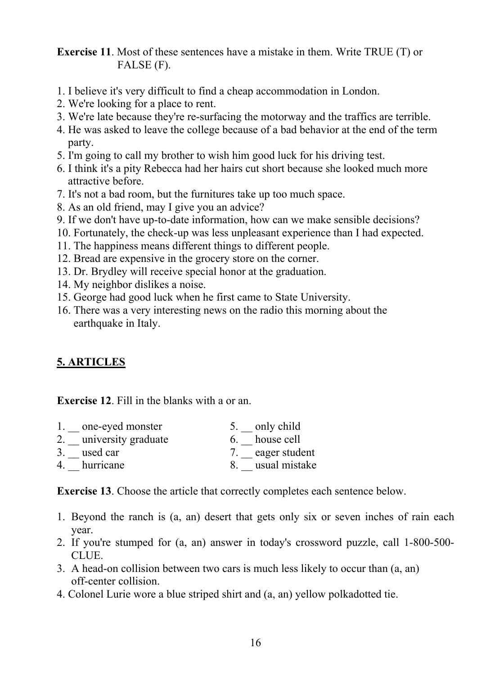**Exercise 11**. Most of these sentences have a mistake in them. Write TRUE (T) or FALSE (F).

- 1. I believe it's very difficult to find a cheap accommodation in London.
- 2. We're looking for a place to rent.
- 3. We're late because they're re-surfacing the motorway and the traffics are terrible.
- 4. He was asked to leave the college because of a bad behavior at the end of the term party.
- 5. I'm going to call my brother to wish him good luck for his driving test.
- 6. I think it's a pity Rebecca had her hairs cut short because she looked much more attractive before.
- 7. It's not a bad room, but the furnitures take up too much space.
- 8. As an old friend, may I give you an advice?
- 9. If we don't have up-to-date information, how can we make sensible decisions?
- 10. Fortunately, the check-up was less unpleasant experience than I had expected.
- 11. The happiness means different things to different people.
- 12. Bread are expensive in the grocery store on the corner.
- 13. Dr. Brydley will receive special honor at the graduation.
- 14. My neighbor dislikes a noise.
- 15. George had good luck when he first came to State University.
- 16. There was a very interesting news on the radio this morning about the earthquake in Italy.

# **5. ARTICLES**

**Exercise 12**. Fill in the blanks with a or an.

| 1. one-eyed monster    | 5. only child    |
|------------------------|------------------|
| 2. university graduate | house cell       |
| 3. used car            | 7. eager student |
| hurricane              | usual mistake    |

**Exercise 13**. Choose the article that correctly completes each sentence below.

- 1. Beyond the ranch is (a, an) desert that gets only six or seven inches of rain each year.
- 2. If you're stumped for (a, an) answer in today's crossword puzzle, call 1-800-500- CLUE.
- 3. A head-on collision between two cars is much less likely to occur than (a, an) off-center collision.
- 4. Colonel Lurie wore a blue striped shirt and (a, an) yellow polkadotted tie.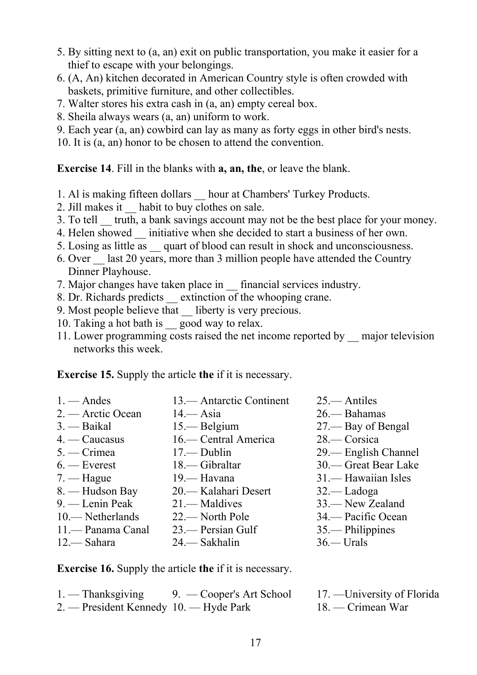- 5. By sitting next to (a, an) exit on public transportation, you make it easier for a thief to escape with your belongings.
- 6. (A, An) kitchen decorated in American Country style is often crowded with baskets, primitive furniture, and other collectibles.
- 7. Walter stores his extra cash in (a, an) empty cereal box.
- 8. Sheila always wears (a, an) uniform to work.
- 9. Each year (a, an) cowbird can lay as many as forty eggs in other bird's nests.
- 10. It is (a, an) honor to be chosen to attend the convention.

**Exercise 14**. Fill in the blanks with **a, an, the**, or leave the blank.

- 1. Al is making fifteen dollars \_\_ hour at Chambers' Turkey Products.
- 2. Jill makes it habit to buy clothes on sale.
- 3. To tell \_\_ truth, a bank savings account may not be the best place for your money.
- 4. Helen showed initiative when she decided to start a business of her own.
- 5. Losing as little as \_\_ quart of blood can result in shock and unconsciousness.
- 6. Over \_\_ last 20 years, more than 3 million people have attended the Country Dinner Playhouse.
- 7. Major changes have taken place in \_\_ financial services industry.
- 8. Dr. Richards predicts \_\_ extinction of the whooping crane.
- 9. Most people believe that liberty is very precious.
- 10. Taking a hot bath is good way to relax.
- 11. Lower programming costs raised the net income reported by \_\_ major television networks this week.

**Exercise 15.** Supply the article **the** if it is necessary.

- 1. Andes 13.— Antarctic Continent 25.— Antiles 2. — Arctic Ocean 14.— Asia 26.— Bahamas 3. — Baikal 15.— Belgium 27.— Bay of Bengal 4. — Caucasus 16.— Central America 28.— Corsica 5. — Crimea 17.— Dublin 29.— English Channel 6. — Everest 18.— Gibraltar 30.— Great Вear Lake 7. — Hague 19.— Havana 31.— Hawaiian Isles 8. — Hudson Bay 20.— Kalahari Desert 32.— Ladoga 9. — Lenin Peak 21. — Maldives 33. — New Zealand 10.— Netherlands 22.— North Pole 34.— Pacific Ocean
- 11.— Panama Canal 23.— Persian Gulf 35.— Philippines
- 12.— Sahara 24.— Sakhalin 36*.—* Urals
- 
- -

**Exercise 16.** Supply the article **the** if it is necessary.

| $1.$ — Thanksgiving                    | 9. — Cooper's Art School | 17. — University of Florida |
|----------------------------------------|--------------------------|-----------------------------|
| 2. — President Kennedy 10. — Hyde Park |                          | $18.$ — Crimean War         |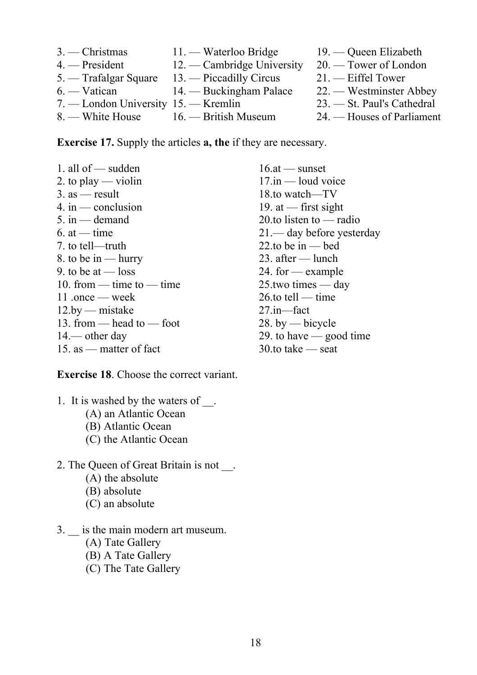3. — Christmas 11. — Waterloo Bridge 19. — Queen Elizabeth 4. — President 12. — Cambridge University 20. — Tower of London 5. — Trafalgar Square 13. — Piccadilly Circus 21. — Eiffel Tower 6. — Vatican 14. — Buckingham Palace 22. — Westminster Abbey 7. — London University 15. — Kremlin 23. — St. Paul's Cathedral 8. — White House 16. — British Museum 24. — Houses of Parliament

**Exercise 17.** Supply the articles **a, the** if they are necessary.

1. all of  $\sim$  sudden 16.at  $\sim$  sunset 2. to play — violin 17.in — loud voice  $3.$  as — result 18.to watch—TV 4. in — conclusion 19. at — first sight<br>5. in — demand 20. to listen to — ra 6. at — time 21.— day before yesterday 7. to tell—truth 22.to be in — bed 8. to be in — hurry 23. after — lunch 9. to be at  $-$  loss 24. for  $-$  example 10. from — time to — time  $25$  two times — day 11.once — week 26.to tell — time 12.by — mistake 27.in—fact 13. from — head to — foot 28. by — bicycle 14.— other day 29. to have — good time 15. as — matter of fact 30.to take — seat

20.to listen to — radio

**Exercise 18**. Choose the correct variant.

- 1. It is washed by the waters of  $\blacksquare$ . (A) an Atlantic Ocean
	- (B) Atlantic Ocean
	- (C) the Atlantic Ocean
- 2. The Queen of Great Britain is not.
	- (A) the absolute
	- (B) absolute
	- (C) an absolute
- 3. \_\_ is the main modern art museum.
	- (A) Tate Gallery
	- (B) A Tate Gallery
	- (C) The Tate Gallery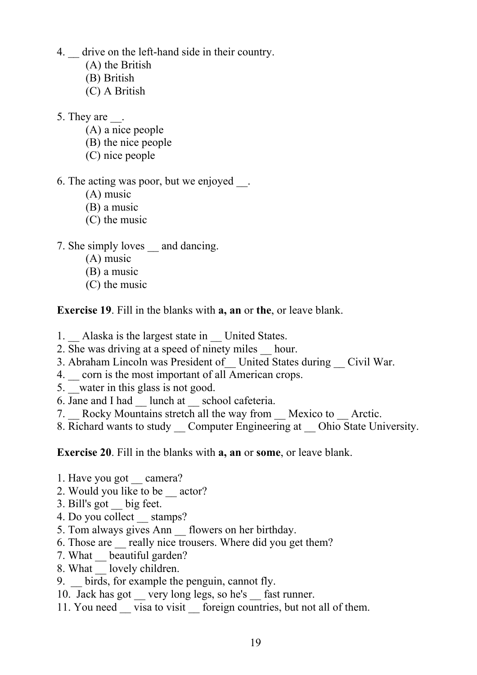- 4. \_\_ drive on the left-hand side in their country.
	- (A) the British
	- (B) British
	- (C) A British
- 5. They are  $\qquad$ .
	- (A) a nice people
	- (B) the nice people
	- (C) nice people
- 6. The acting was poor, but we enjoyed \_\_.
	- (A) music
	- (B) a music
	- (C) the music
- 7. She simply loves and dancing.
	- (A) music
	- (B) a music
	- (C) the music

**Exercise 19**. Fill in the blanks with **a, an** or **the**, or leave blank.

- 1. Alaska is the largest state in United States.
- 2. She was driving at a speed of ninety miles hour.
- 3. Abraham Lincoln was President of United States during Civil War.
- 4.  $\equiv$  corn is the most important of all American crops.
- 5. water in this glass is not good.
- 6. Jane and I had \_\_ lunch at \_\_ school cafeteria.
- 7. Rocky Mountains stretch all the way from Mexico to Arctic.
- 8. Richard wants to study Computer Engineering at Ohio State University.

**Exercise 20**. Fill in the blanks with **a, an** or **some**, or leave blank.

- 1. Have you got \_\_ camera?
- 2. Would you like to be  $\equiv$  actor?
- 3. Bill's got \_\_ big feet.
- 4. Do you collect stamps?
- 5. Tom always gives Ann \_\_ flowers on her birthday.
- 6. Those are ereally nice trousers. Where did you get them?
- 7. What beautiful garden?
- 8. What lovely children.
- 9. birds, for example the penguin, cannot fly.
- 10. Jack has got very long legs, so he's fast runner.
- 11. You need visa to visit foreign countries, but not all of them.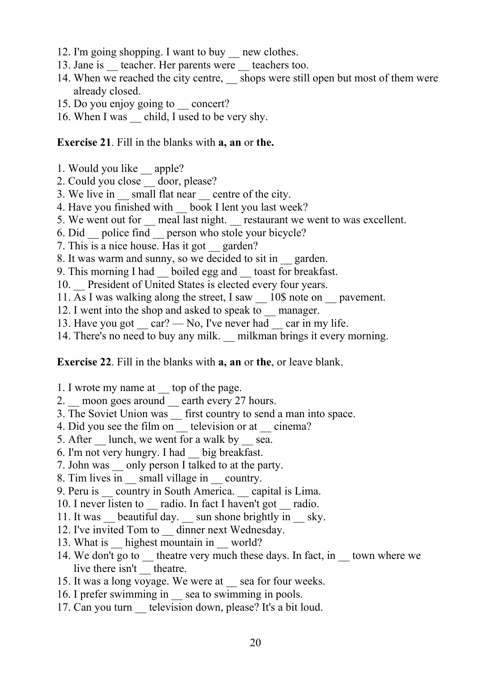- 12. I'm going shopping. I want to buy new clothes.
- 13. Jane is teacher. Her parents were teachers too.
- 14. When we reached the city centre, shops were still open but most of them were already closed.
- 15. Do you enjoy going to concert?
- 16. When I was child, I used to be very shy.

#### **Exercise 21**. Fill in the blanks with **a, an** or **the.**

- 1. Would you like \_\_ apple?
- 2. Could you close door, please?
- 3. We live in small flat near centre of the city.
- 4. Have you finished with book I lent you last week?
- 5. We went out for \_\_ meal last night. \_\_ restaurant we went to was excellent.
- 6. Did police find person who stole your bicycle?
- 7. This is a nice house. Has it got \_\_ garden?
- 8. It was warm and sunny, so we decided to sit in \_\_ garden.
- 9. This morning I had boiled egg and toast for breakfast.
- 10. President of United States is elected every four years.
- 11. As I was walking along the street, I saw 10\$ note on pavement.
- 12. I went into the shop and asked to speak to \_\_ manager.
- 13. Have you got  $car?$  No, I've never had car in my life.
- 14. There's no need to buy any milk. milkman brings it every morning.

#### **Exercise 22**. Fill in the blanks with **a, an** or **the**, or leave blank.

- 1. I wrote my name at top of the page.
- 2. \_\_ moon goes around \_\_ earth every 27 hours.
- 3. The Soviet Union was \_\_ first country to send a man into space.
- 4. Did you see the film on television or at cinema?
- 5. After lunch, we went for a walk by sea.
- 6. I'm not very hungry. I had \_\_ big breakfast.
- 7. John was \_\_ only person I talked to at the party.
- 8. Tim lives in small village in country.
- 9. Peru is country in South America. capital is Lima.
- 10. I never listen to \_\_ radio. In fact I haven't got \_\_ radio.
- 11. It was beautiful day. sun shone brightly in sky.
- 12. I've invited Tom to dinner next Wednesday.
- 13. What is highest mountain in world?
- 14. We don't go to theatre very much these days. In fact, in town where we live there isn't \_ theatre.
- 15. It was a long voyage. We were at \_\_ sea for four weeks.
- 16. I prefer swimming in sea to swimming in pools.
- 17. Can you turn television down, please? It's a bit loud.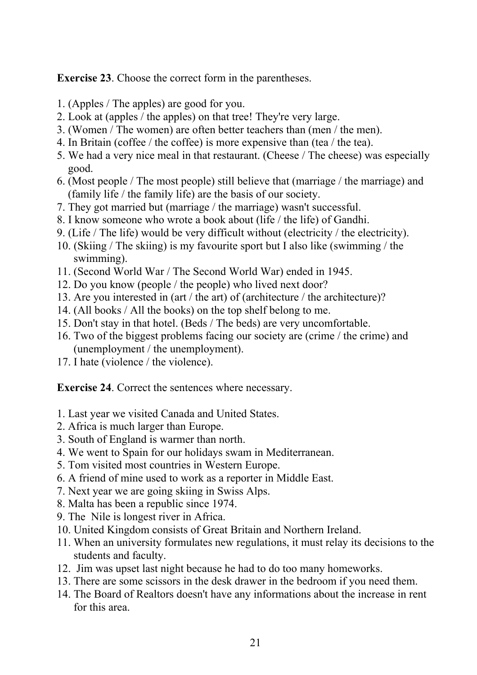**Exercise 23**. Choose the correct form in the parentheses.

- 1. (Apples / The apples) are good for you.
- 2. Look at (apples / the apples) on that tree! They're very large.
- 3. (Women / The women) are often better teachers than (men / the men).
- 4. In Britain (coffee / the coffee) is more expensive than (tea / the tea).
- 5. We had a very nice meal in that restaurant. (Cheese / The cheese) was especially good.
- 6. (Most people / The most people) still believe that (marriage / the marriage) and (family life / the family life) are the basis of our society.
- 7. They got married but (marriage / the marriage) wasn't successful.
- 8. I know someone who wrote a book about (life / the life) of Gandhi.
- 9. (Life / The life) would be very difficult without (electricity / the electricity).
- 10. (Skiing / The skiing) is my favourite sport but I also like (swimming / the swimming).
- 11. (Second World War / The Second World War) ended in 1945.
- 12. Do you know (people / the people) who lived next door?
- 13. Are you interested in (art / the art) of (architecture / the architecture)?
- 14. (All books / All the books) on the top shelf belong to me.
- 15. Don't stay in that hotel. (Beds / The beds) are very uncomfortable.
- 16. Two of the biggest problems facing our society are (crime / the crime) and (unemployment / the unemployment).
- 17. I hate (violence / the violence).

**Exercise 24**. Correct the sentences where necessary.

- 1. Last year we visited Canada and United States.
- 2. Africa is much larger than Europe.
- 3. South of England is warmer than north.
- 4. We went to Spain for our holidays swam in Mediterranean.
- 5. Tom visited most countries in Western Europe.
- 6. A friend of mine used to work as a reporter in Middle East.
- 7. Next year we are going skiing in Swiss Alps.
- 8. Malta has been a republic since 1974.
- 9. The Nile is longest river in Africa.
- 10. United Kingdom consists of Great Britain and Northern Ireland.
- 11. When an university formulates new regulations, it must relay its decisions to the students and faculty.
- 12. Jim was upset last night because he had to do too many homeworks.
- 13. There are some scissors in the desk drawer in the bedroom if you need them.
- 14. The Board of Realtors doesn't have any informations about the increase in rent for this area.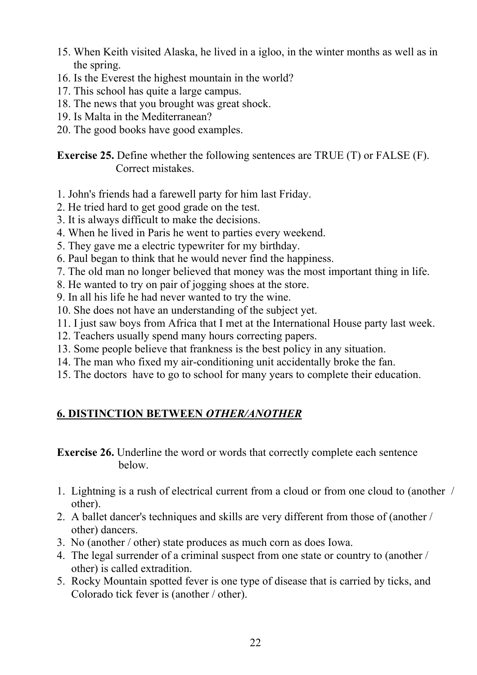- 15. When Keith visited Alaska, he lived in a igloo, in the winter months as well as in the spring.
- 16. Is the Everest the highest mountain in the world?
- 17. This school has quite a large campus.
- 18. The news that you brought was great shock.
- 19. Is Malta in the Mediterranean?
- 20. The good books have good examples.

**Exercise 25.** Define whether the following sentences are TRUE (T) or FALSE (F). Correct mistakes.

- 1. John's friends had a farewell party for him last Friday.
- 2. He tried hard to get good grade on the test.
- 3. It is always difficult to make the decisions.
- 4. When he lived in Paris he went to parties every weekend.
- 5. They gave me a electric typewriter for my birthday.
- 6. Paul began to think that he would never find the happiness.
- 7. The old man no longer believed that money was the most important thing in life.
- 8. He wanted to try on pair of jogging shoes at the store.
- 9. In all his life he had never wanted to try the wine.
- 10. She does not have an understanding of the subject yet.
- 11. I just saw boys from Africa that I met at the International House party last week.
- 12. Teachers usually spend many hours correcting papers.
- 13. Some people believe that frankness is the best policy in any situation.
- 14. The man who fixed my air-conditioning unit accidentally broke the fan.
- 15. The doctors have to go to school for many years to complete their education.

# **6. DISTINCTION BETWEEN** *OTHER/ANOTHER*

**Exercise 26.** Underline the word or words that correctly complete each sentence below.

- 1. Lightning is a rush of electrical current from a cloud or from one cloud to (another / other).
- 2. A ballet dancer's techniques and skills are very different from those of (another / other) dancers.
- 3. No (another / other) state produces as much corn as does Iowa.
- 4. The legal surrender of a criminal suspect from one state or country to (another / other) is called extradition.
- 5. Rocky Mountain spotted fever is one type of disease that is carried by ticks, and Colorado tick fever is (another / other).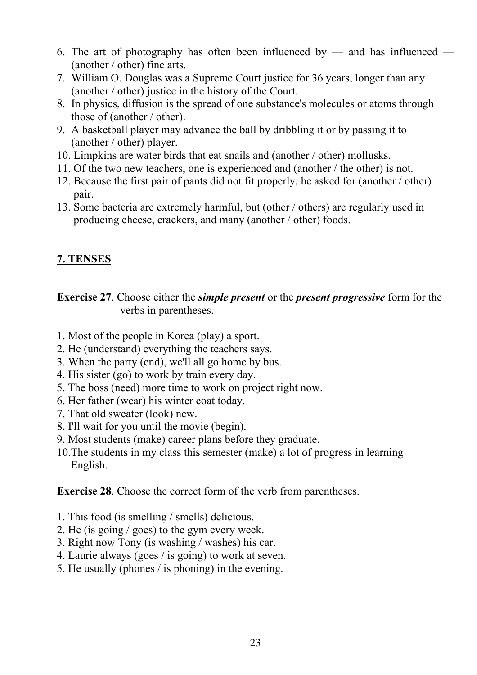- 6. The art of photography has often been influenced by and has influenced (another / other) fine arts.
- 7. William O. Douglas was a Supreme Court justice for 36 years, longer than any (another / other) justice in the history of the Court.
- 8. In physics, diffusion is the spread of one substance's molecules or atoms through those of (another / other).
- 9. A basketball player may advance the ball by dribbling it or by passing it to (another / other) player.
- 10. Limpkins are water birds that eat snails and (another / other) mollusks.
- 11. Of the two new teachers, one is experienced and (another / the other) is not.
- 12. Because the first pair of pants did not fit properly, he asked for (another / other) pair.
- 13. Some bacteria are extremely harmful, but (other / others) are regularly used in producing cheese, crackers, and many (another / other) foods.

# **7. TENSES**

**Exercise 27**. Choose either the *simple present* or the *present progressive* form for the verbs in parentheses.

- 1. Most of the people in Korea (play) a sport.
- 2. He (understand) everything the teachers says.
- 3. When the party (end), we'll all go home by bus.
- 4. His sister (go) to work by train every day.
- 5. The boss (need) more time to work on project right now.
- 6. Her father (wear) his winter coat today.
- 7. That old sweater (look) new.
- 8. I'll wait for you until the movie (begin).
- 9. Most students (make) career plans before they graduate.
- 10.The students in my class this semester (make) a lot of progress in learning English.

**Exercise 28**. Choose the correct form of the verb from parentheses.

- 1. This food (is smelling / smells) delicious.
- 2. He (is going / goes) to the gym every week.
- 3. Right now Tony (is washing / washes) his car.
- 4. Laurie always (goes / is going) to work at seven.
- 5. He usually (phones / is phoning) in the evening.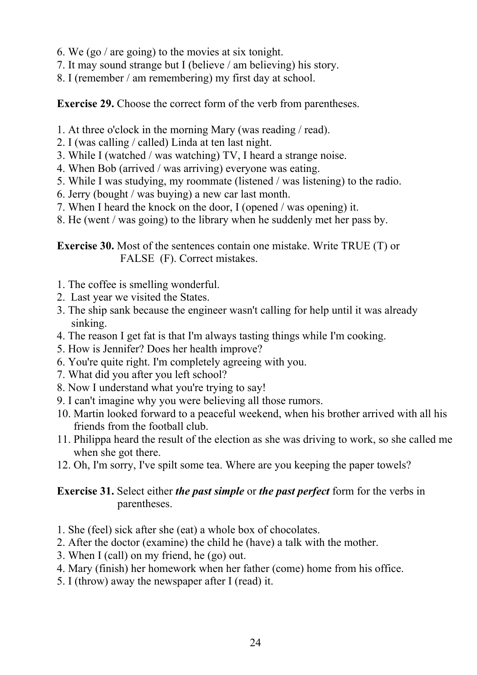- 6. We (go / are going) to the movies at six tonight.
- 7. It may sound strange but I (believe / am believing) his story.
- 8. I (remember / am remembering) my first day at school.

**Exercise 29.** Choose the correct form of the verb from parentheses.

- 1. At three o'clock in the morning Mary (was reading / read).
- 2. I (was calling / called) Linda at ten last night.
- 3. While I (watched / was watching) TV, I heard a strange noise.
- 4. When Bob (arrived / was arriving) everyone was eating.
- 5. While I was studying, my roommate (listened / was listening) to the radio.
- 6. Jerry (bought / was buying) a new car last month.
- 7. When I heard the knock on the door, I (opened / was opening) it.
- 8. He (went / was going) to the library when he suddenly met her pass by.

**Exercise 30.** Most of the sentences contain one mistake. Write TRUE (T) or FALSE (F). Correct mistakes.

- 1. The coffee is smelling wonderful.
- 2. Last year we visited the States.
- 3. The ship sank because the engineer wasn't calling for help until it was already sinking.
- 4. The reason I get fat is that I'm always tasting things while I'm cooking.
- 5. How is Jennifer? Does her health improve?
- 6. You're quite right. I'm completely agreeing with you.
- 7. What did you after you left school?
- 8. Now I understand what you're trying to say!
- 9. I can't imagine why you were believing all those rumors.
- 10. Martin looked forward to a peaceful weekend, when his brother arrived with all his friends from the football club.
- 11. Philippa heard the result of the election as she was driving to work, so she called me when she got there.
- 12. Oh, I'm sorry, I've spilt some tea. Where are you keeping the paper towels?

# **Exercise 31.** Select either *the past simple* or *the past perfect* form for the verbs in parentheses.

- 1. She (feel) sick after she (eat) a whole box of chocolates.
- 2. After the doctor (examine) the child he (have) a talk with the mother.
- 3. When I (call) on my friend, he (go) out.
- 4. Mary (finish) her homework when her father (come) home from his office.
- 5. I (throw) away the newspaper after I (read) it.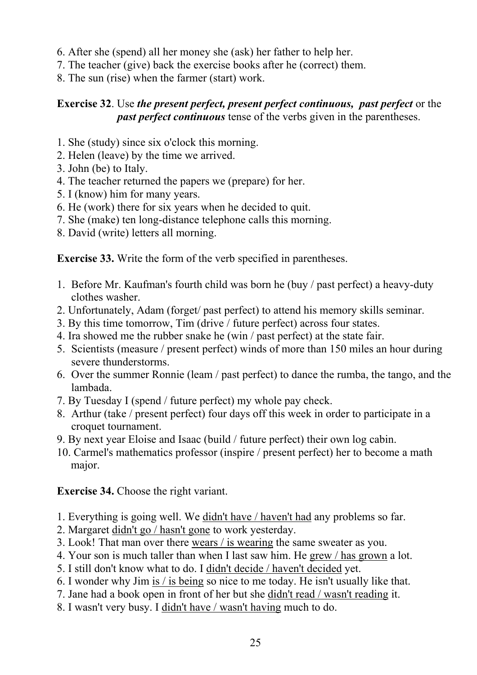- 6. After she (spend) all her money she (ask) her father to help her.
- 7. The teacher (give) back the exercise books after he (correct) them.
- 8. The sun (rise) when the farmer (start) work.

# **Exercise 32**. Use *the present perfect, present perfect continuous, past perfect* or the *past perfect continuous* tense of the verbs given in the parentheses.

- 1. She (study) since six o'clock this morning.
- 2. Helen (leave) by the time we arrived.
- 3. John (be) to Italy.
- 4. The teacher returned the papers we (prepare) for her.
- 5. I (know) him for many years.
- 6. He (work) there for six years when he decided to quit.
- 7. She (make) ten long-distance telephone calls this morning.
- 8. David (write) letters all morning.

**Exercise 33.** Write the form of the verb specified in parentheses.

- 1. Before Mr. Kaufman's fourth child was born he (buy / past perfect) a heavy-duty clothes washer.
- 2. Unfortunately, Adam (forget/ past perfect) to attend his memory skills seminar.
- 3. By this time tomorrow, Tim (drive / future perfect) across four states.
- 4. Ira showed me the rubber snake he (win / past perfect) at the state fair.
- 5. Scientists (measure / present perfect) winds of more than 150 miles an hour during severe thunderstorms.
- 6. Over the summer Ronnie (leam / past perfect) to dance the rumba, the tango, and the lambada.
- 7. By Tuesday I (spend / future perfect) my whole pay check.
- 8. Arthur (take / present perfect) four days off this week in order to participate in a croquet tournament.
- 9. By next year Eloise and Isaac (build / future perfect) their own log cabin.
- 10. Carmel's mathematics professor (inspire / present perfect) her to become a math major.

**Exercise 34.** Choose the right variant.

- 1. Everything is going well. We didn't have / haven't had any problems so far.
- 2. Margaret didn't go / hasn't gone to work yesterday.
- 3. Look! That man over there wears / is wearing the same sweater as you.
- 4. Your son is much taller than when I last saw him. He grew / has grown a lot.
- 5. I still don't know what to do. I didn't decide / haven't decided yet.
- 6. I wonder why Jim is / is being so nice to me today. He isn't usually like that.
- 7. Jane had a book open in front of her but she didn't read / wasn't reading it.
- 8. I wasn't very busy. I didn't have / wasn't having much to do.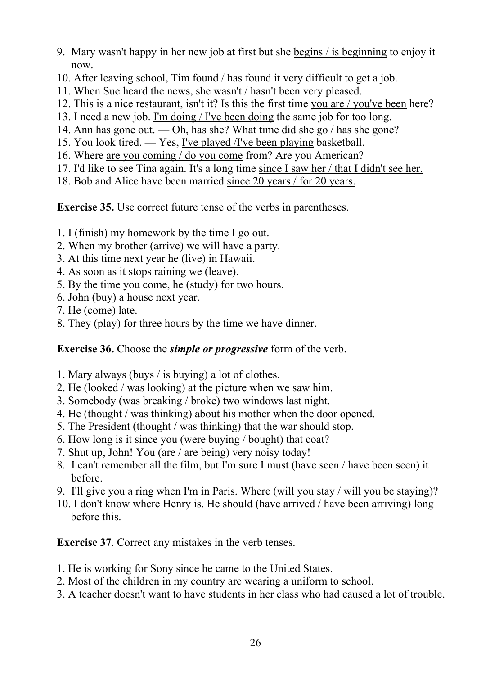- 9. Mary wasn't happy in her new job at first but she begins / is beginning to enjoy it now.
- 10. After leaving school, Tim found / has found it very difficult to get a job.
- 11. When Sue heard the news, she wasn't / hasn't been very pleased.
- 12. This is a nice restaurant, isn't it? Is this the first time you are / you've been here?
- 13. I need a new job. I'm doing / I've been doing the same job for too long.
- 14. Ann has gone out. Oh, has she? What time did she go / has she gone?
- 15. You look tired. Yes, I've played /I've been playing basketball.
- 16. Where are you coming / do you come from? Are you American?
- 17. I'd like to see Tina again. It's a long time since I saw her / that I didn't see her.
- 18. Bob and Alice have been married since 20 years / for 20 years.

**Exercise 35.** Use correct future tense of the verbs in parentheses.

- 1. I (finish) my homework by the time I go out.
- 2. When my brother (arrive) we will have a party.
- 3. At this time next year he (live) in Hawaii.
- 4. As soon as it stops raining we (leave).
- 5. By the time you come, he (study) for two hours.
- 6. John (buy) a house next year.
- 7. He (come) late.
- 8. They (play) for three hours by the time we have dinner.

# **Exercise 36.** Choose the *simple or progressive* form of the verb.

- 1. Mary always (buys / is buying) a lot of clothes.
- 2. He (looked / was looking) at the picture when we saw him.
- 3. Somebody (was breaking / broke) two windows last night.
- 4. He (thought / was thinking) about his mother when the door opened.
- 5. The President (thought / was thinking) that the war should stop.
- 6. How long is it since you (were buying / bought) that coat?
- 7. Shut up, John! You (are / are being) very noisy today!
- 8. I can't remember all the film, but I'm sure I must (have seen / have been seen) it before.
- 9. I'll give you a ring when I'm in Paris. Where (will you stay / will you be staying)?
- 10. I don't know where Henry is. He should (have arrived / have been arriving) long before this.

**Exercise 37**. Correct any mistakes in the verb tenses.

- 1. He is working for Sony since he came to the United States.
- 2. Most of the children in my country are wearing a uniform to school.
- 3. A teacher doesn't want to have students in her class who had caused a lot of trouble.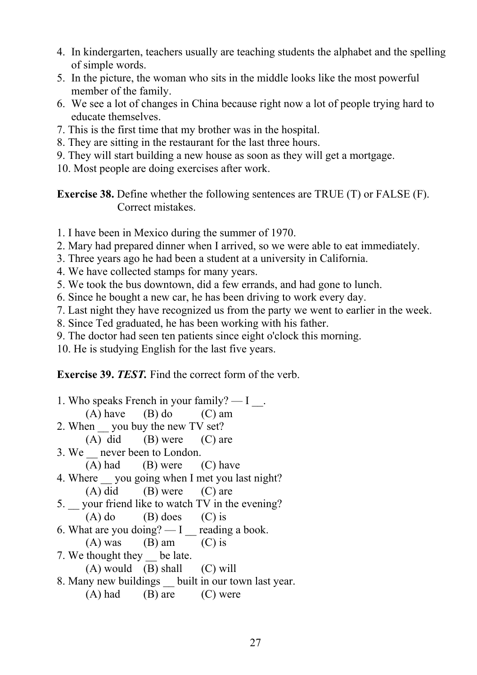- 4. In kindergarten, teachers usually are teaching students the alphabet and the spelling of simple words.
- 5. In the picture, the woman who sits in the middle looks like the most powerful member of the family.
- 6. We see a lot of changes in China because right now a lot of people trying hard to educate themselves.
- 7. This is the first time that my brother was in the hospital.
- 8. They are sitting in the restaurant for the last three hours.
- 9. They will start building a new house as soon as they will get a mortgage.
- 10. Most people are doing exercises after work.

**Exercise 38.** Define whether the following sentences are TRUE (T) or FALSE (F). Correct mistakes.

- 1. I have been in Mexico during the summer of 1970.
- 2. Mary had prepared dinner when I arrived, so we were able to eat immediately.
- 3. Three years ago he had been a student at a university in California.
- 4. We have collected stamps for many years.
- 5. We took the bus downtown, did a few errands, and had gone to lunch.
- 6. Since he bought a new car, he has been driving to work every day.
- 7. Last night they have recognized us from the party we went to earlier in the week.
- 8. Since Ted graduated, he has been working with his father.
- 9. The doctor had seen ten patients since eight o'clock this morning.

10. He is studying English for the last five years.

**Exercise 39.** *TEST.* Find the correct form of the verb.

| 1. Who speaks French in your family? $- I$ .                    |                                    |  |  |
|-----------------------------------------------------------------|------------------------------------|--|--|
|                                                                 | $(A)$ have $(B)$ do $(C)$ am       |  |  |
| 2. When you buy the new TV set?                                 |                                    |  |  |
|                                                                 | $(A)$ did $(B)$ were $(C)$ are     |  |  |
| 3. We never been to London.                                     |                                    |  |  |
|                                                                 | $(A)$ had $(B)$ were $(C)$ have    |  |  |
| 4. Where you going when I met you last night?                   |                                    |  |  |
|                                                                 | $(A)$ did $(B)$ were $(C)$ are     |  |  |
| 5. your friend like to watch TV in the evening?                 |                                    |  |  |
|                                                                 | $(A)$ do $(B)$ does $(C)$ is       |  |  |
| 6. What are you doing? $\overline{\phantom{0}}$ reading a book. |                                    |  |  |
|                                                                 | $(A)$ was $(B)$ am $(C)$ is        |  |  |
| 7. We thought they be late.                                     |                                    |  |  |
|                                                                 | $(A)$ would $(B)$ shall $(C)$ will |  |  |
| 8. Many new buildings built in our town last year.              |                                    |  |  |
|                                                                 | $(A)$ had $(B)$ are $(C)$ were     |  |  |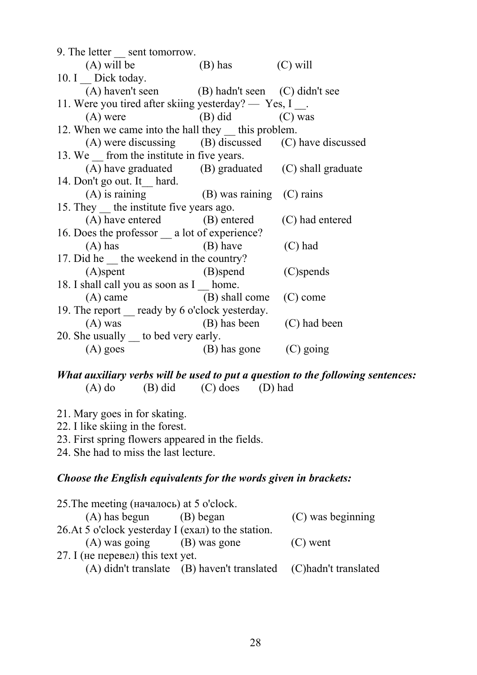| 9. The letter sent tomorrow.                         |                     |                 |
|------------------------------------------------------|---------------------|-----------------|
| (A) will be $(B)$ has $(C)$ will                     |                     |                 |
| 10. $I_{\text{}}$ Dick today.                        |                     |                 |
| (A) haven't seen (B) hadn't seen (C) didn't see      |                     |                 |
| 11. Were you tired after skiing yesterday? — Yes, I. |                     |                 |
| $(A)$ were                                           | $(B)$ did $(C)$ was |                 |
| 12. When we came into the hall they __ this problem. |                     |                 |
| (A) were discussing (B) discussed (C) have discussed |                     |                 |
| 13. We from the institute in five years.             |                     |                 |
| (A) have graduated (B) graduated (C) shall graduate  |                     |                 |
| 14. Don't go out. It hard.                           |                     |                 |
| $(A)$ is raining $(B)$ was raining $(C)$ rains       |                     |                 |
| 15. They the institute five years ago.               |                     |                 |
| (A) have entered (B) entered                         |                     | (C) had entered |
| 16. Does the professor _ a lot of experience?        |                     |                 |
| $(A)$ has $(B)$ have                                 |                     | $(C)$ had       |
| 17. Did he __ the weekend in the country?            |                     |                 |
| $(A)$ spent                                          | (B)spend            | (C)spends       |
| 18. I shall call you as soon as I home.              |                     |                 |
| (A) came (B) shall come (C) come                     |                     |                 |
| 19. The report __ ready by 6 o'clock yesterday.      |                     |                 |
| $(A)$ was $(B)$ has been                             |                     | (C) had been    |
| 20. She usually __ to bed very early.                |                     |                 |
| $(A)$ goes                                           | (B) has gone        | (C) going       |

#### *What auxiliary verbs will be used to put a question to the following sentences:* (A) do (B) did (C) does (D) had  $(C)$  does  $(D)$  had

- 21. Mary goes in for skating.
- 22. I like skiing in the forest.
- 23. First spring flowers appeared in the fields.

24. She had to miss the last lecture.

#### *Choose the English equivalents for the words given in brackets:*

| 25. The meeting (началось) at 5 o'clock.           |                                                                   |                   |
|----------------------------------------------------|-------------------------------------------------------------------|-------------------|
| (A) has begun (B) began                            |                                                                   | (C) was beginning |
| 26.At 5 o'clock yesterday I (ехал) to the station. |                                                                   |                   |
| $(A)$ was going $(B)$ was gone                     |                                                                   | $(C)$ went        |
| 27. I (не перевел) this text yet.                  |                                                                   |                   |
|                                                    | (A) didn't translate (B) haven't translated (C) hadn't translated |                   |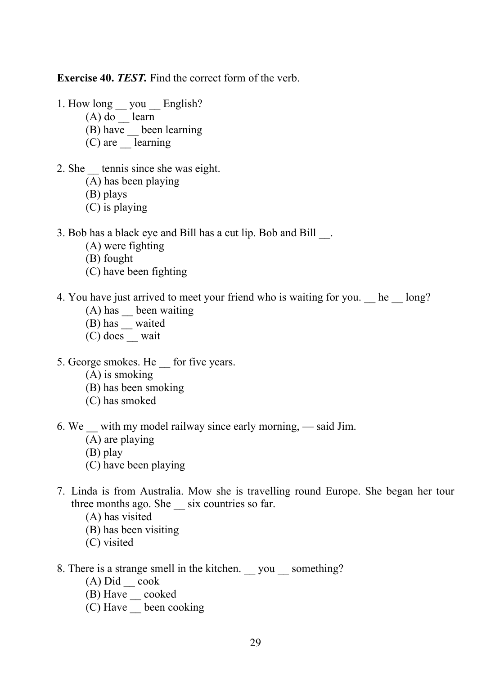**Exercise 40.** *TEST.* Find the correct form of the verb.

- 1. How long \_\_ you \_\_ English?
	- $(A)$  do learn
	- (B) have \_\_ been learning
	- $(C)$  are learning
- 2. She tennis since she was eight.
	- (A) has been playing
	- (B) plays
	- (C) is playing
- 3. Bob has a black eye and Bill has a cut lip. Bob and Bill \_\_.
	- (A) were fighting
	- (B) fought
	- (C) have been fighting
- 4. You have just arrived to meet your friend who is waiting for you. \_\_ he \_\_ long?
	- (A) has been waiting
	- (B) has \_\_ waited
	- (C) does \_\_ wait
- 5. George smokes. He for five years.
	- (A) is smoking
	- (B) has been smoking
	- (C) has smoked
- 6. We \_\_ with my model railway since early morning, said Jim.
	- (A) are playing
	- (B) play
	- (C) have been playing
- 7. Linda is from Australia. Mow she is travelling round Europe. She began her tour three months ago. She \_\_ six countries so far.
	- (A) has visited
	- (B) has been visiting
	- (C) visited
- 8. There is a strange smell in the kitchen. \_\_ you \_\_ something?
	- $(A)$  Did  $\qquad$  cook
	- (B) Have cooked
	- $(C)$  Have  $\frac{1}{2}$  been cooking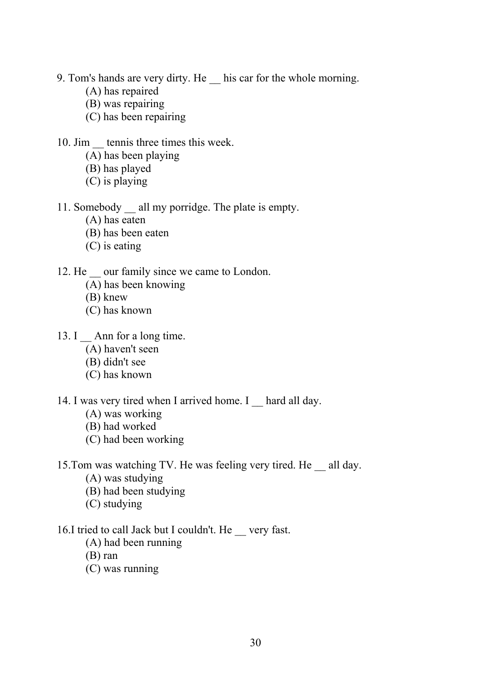- 9. Tom's hands are very dirty. He his car for the whole morning.
	- (A) has repaired
	- (B) was repairing
	- (C) has been repairing
- 10. Jim tennis three times this week.
	- (A) has been playing
	- (B) has played
	- (C) is playing
- 11. Somebody all my porridge. The plate is empty.
	- (A) has eaten
	- (B) has been eaten
	- (C) is eating
- 12. He our family since we came to London.
	- (A) has been knowing
	- (B) knew
	- (C) has known
- 13. I Ann for a long time.
	- (A) haven't seen
	- (B) didn't see
	- (C) has known
- 14. I was very tired when I arrived home. I hard all day.
	- (A) was working
	- (B) had worked
	- (C) had been working
- 15.Tom was watching TV. He was feeling very tired. He \_\_ all day.
	- (A) was studying
	- (B) had been studying
	- (C) studying
- 16.I tried to call Jack but I couldn't. He very fast.
	- (A) had been running
	- (B) ran
	- (C) was running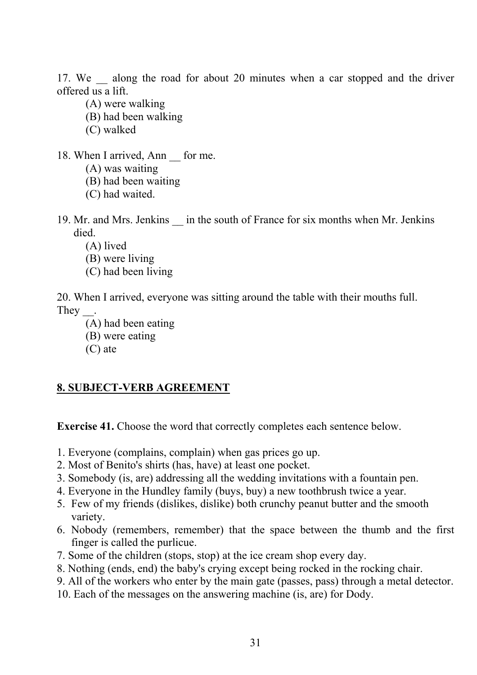17. We along the road for about 20 minutes when a car stopped and the driver offered us a lift.

- (A) were walking
- (B) had been walking
- (C) walked
- 18. When I arrived, Ann for me.
	- (A) was waiting
	- (B) had been waiting
	- (C) had waited.
- 19. Mr. and Mrs. Jenkins \_\_ in the south of France for six months when Mr. Jenkins died.
	- (A) lived
	- (B) were living
	- (C) had been living

20. When I arrived, everyone was sitting around the table with their mouths full. They \_\_.

- (A) had been eating
- (B) were eating
- (C) ate

# **8. SUBJECT-VERB AGREEMENT**

**Exercise 41.** Choose the word that correctly completes each sentence below.

- 1. Everyone (complains, complain) when gas prices go up.
- 2. Most of Benito's shirts (has, have) at least one pocket.
- 3. Somebody (is, are) addressing all the wedding invitations with a fountain pen.
- 4. Everyone in the Hundley family (buys, buy) a new toothbrush twice a year.
- 5. Few of my friends (dislikes, dislike) both crunchy peanut butter and the smooth variety.
- 6. Nobody (remembers, remember) that the space between the thumb and the first finger is called the purlicue.
- 7. Some of the children (stops, stop) at the ice cream shop every day.
- 8. Nothing (ends, end) the baby's crying except being rocked in the rocking chair.
- 9. All of the workers who enter by the main gate (passes, pass) through a metal detector.
- 10. Each of the messages on the answering machine (is, are) for Dody.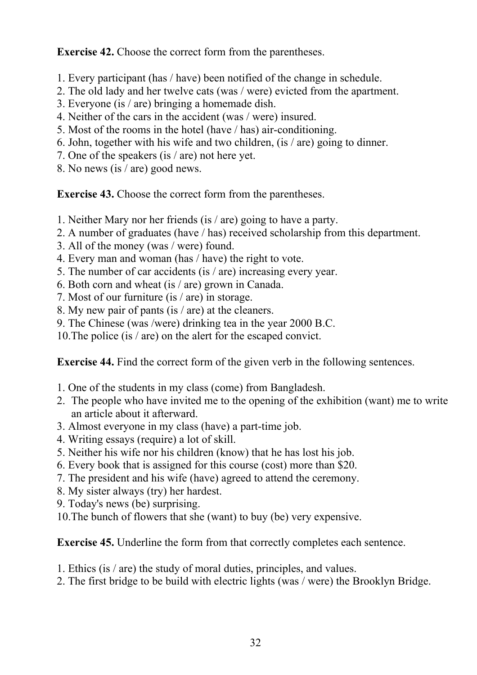**Exercise 42.** Choose the correct form from the parentheses.

- 1. Every participant (has / have) been notified of the change in schedule.
- 2. The old lady and her twelve cats (was / were) evicted from the apartment.
- 3. Everyone (is / are) bringing a homemade dish.
- 4. Neither of the cars in the accident (was / were) insured.
- 5. Most of the rooms in the hotel (have / has) air-conditioning.
- 6. John, together with his wife and two children, (is / are) going to dinner.
- 7. One of the speakers (is / are) not here yet.
- 8. No news (is / are) good news.

**Exercise 43.** Choose the correct form from the parentheses.

- 1. Neither Mary nor her friends (is / are) going to have a party.
- 2. A number of graduates (have / has) received scholarship from this department.
- 3. All of the money (was / were) found.
- 4. Every man and woman (has / have) the right to vote.
- 5. The number of car accidents (is / are) increasing every year.
- 6. Both corn and wheat (is / are) grown in Canada.
- 7. Most of our furniture (is / are) in storage.
- 8. My new pair of pants (is / are) at the cleaners.
- 9. The Chinese (was /were) drinking tea in the year 2000 B.C.
- 10.The police (is / are) on the alert for the escaped convict.

**Exercise 44.** Find the correct form of the given verb in the following sentences.

- 1. One of the students in my class (come) from Bangladesh.
- 2. The people who have invited me to the opening of the exhibition (want) me to write an article about it afterward.
- 3. Almost everyone in my class (have) a part-time job.
- 4. Writing essays (require) a lot of skill.
- 5. Neither his wife nor his children (know) that he has lost his job.
- 6. Every book that is assigned for this course (cost) more than \$20.
- 7. The president and his wife (have) agreed to attend the ceremony.
- 8. My sister always (try) her hardest.
- 9. Today's news (be) surprising.
- 10.The bunch of flowers that she (want) to buy (be) very expensive.

**Exercise 45.** Underline the form from that correctly completes each sentence.

- 1. Ethics (is / are) the study of moral duties, principles, and values.
- 2. The first bridge to be build with electric lights (was / were) the Brooklyn Bridge.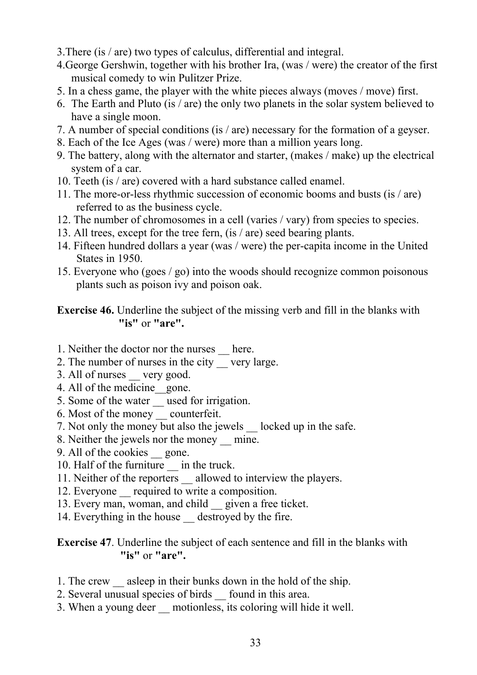- 3.There (is / are) two types of calculus, differential and integral.
- 4.George Gershwin, together with his brother Ira, (was / were) the creator of the first musical comedy to win Pulitzer Prize.
- 5. In a chess game, the player with the white pieces always (moves / move) first.
- 6. The Earth and Pluto (is / are) the only two planets in the solar system believed to have a single moon.
- 7. A number of special conditions (is / are) necessary for the formation of a geyser.
- 8. Each of the Ice Ages (was / were) more than a million years long.
- 9. The battery, along with the alternator and starter, (makes / make) up the electrical system of a car.
- 10. Teeth (is / are) covered with a hard substance called enamel.
- 11. The more-or-less rhythmic succession of economic booms and busts (is / are) referred to as the business cycle.
- 12. The number of chromosomes in a cell (varies / vary) from species to species.
- 13. All trees, except for the tree fern, (is / are) seed bearing plants.
- 14. Fifteen hundred dollars a year (was / were) the per-capita income in the United States in 1950.
- 15. Everyone who (goes / go) into the woods should recognize common poisonous plants such as poison ivy and poison oak.

# **Exercise 46.** Underline the subject of the missing verb and fill in the blanks with **"is"** or **"are".**

- 1. Neither the doctor nor the nurses \_\_ here.
- 2. The number of nurses in the city \_\_ very large.
- 3. All of nurses very good.
- 4. All of the medicine\_\_gone.
- 5. Some of the water <u>example</u> used for irrigation.
- 6. Most of the money \_\_ counterfeit.
- 7. Not only the money but also the jewels locked up in the safe.
- 8. Neither the jewels nor the money mine.
- 9. All of the cookies gone.
- 10. Half of the furniture in the truck.
- 11. Neither of the reporters allowed to interview the players.
- 12. Everyone required to write a composition.
- 13. Every man, woman, and child \_\_ given a free ticket.
- 14. Everything in the house destroyed by the fire.

### **Exercise 47**. Underline the subject of each sentence and fill in the blanks with **"is"** or **"are".**

- 1. The crew asleep in their bunks down in the hold of the ship.
- 2. Several unusual species of birds found in this area.
- 3. When a young deer \_\_ motionless, its coloring will hide it well.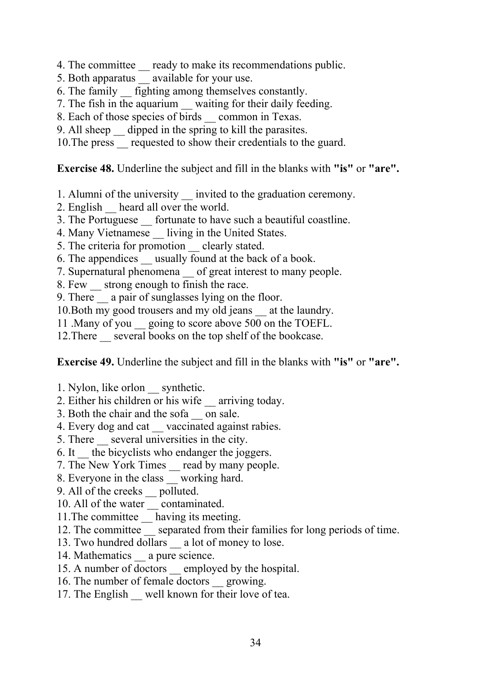- 4. The committee ready to make its recommendations public.
- 5. Both apparatus available for your use.
- 6. The family \_\_ fighting among themselves constantly.
- 7. The fish in the aquarium waiting for their daily feeding.
- 8. Each of those species of birds \_\_ common in Texas.
- 9. All sheep \_\_ dipped in the spring to kill the parasites.
- 10.The press \_\_ requested to show their credentials to the guard.

**Exercise 48.** Underline the subject and fill in the blanks with **"is"** or **"are".**

- 1. Alumni of the university invited to the graduation ceremony.
- 2. English heard all over the world.
- 3. The Portuguese fortunate to have such a beautiful coastline.
- 4. Many Vietnamese living in the United States.
- 5. The criteria for promotion \_\_ clearly stated.
- 6. The appendices \_\_ usually found at the back of a book.
- 7. Supernatural phenomena of great interest to many people.
- 8. Few strong enough to finish the race.
- 9. There a pair of sunglasses lying on the floor.
- 10. Both my good trousers and my old jeans at the laundry.
- 11 .Many of you \_\_ going to score above 500 on the TOEFL.
- 12. There several books on the top shelf of the bookcase.

**Exercise 49.** Underline the subject and fill in the blanks with **"is"** or **"are".**

- 1. Nylon, like orlon synthetic.
- 2. Either his children or his wife \_\_ arriving today.
- 3. Both the chair and the sofa \_\_ on sale.
- 4. Every dog and cat vaccinated against rabies.
- 5. There \_\_ several universities in the city.
- 6. It \_\_ the bicyclists who endanger the joggers.
- 7. The New York Times \_\_ read by many people.
- 8. Everyone in the class \_\_ working hard.
- 9. All of the creeks \_\_ polluted.
- 10. All of the water contaminated.
- 11.The committee \_\_ having its meeting.
- 12. The committee separated from their families for long periods of time.
- 13. Two hundred dollars a lot of money to lose.
- 14. Mathematics a pure science.
- 15. A number of doctors employed by the hospital.
- 16. The number of female doctors growing.
- 17. The English well known for their love of tea.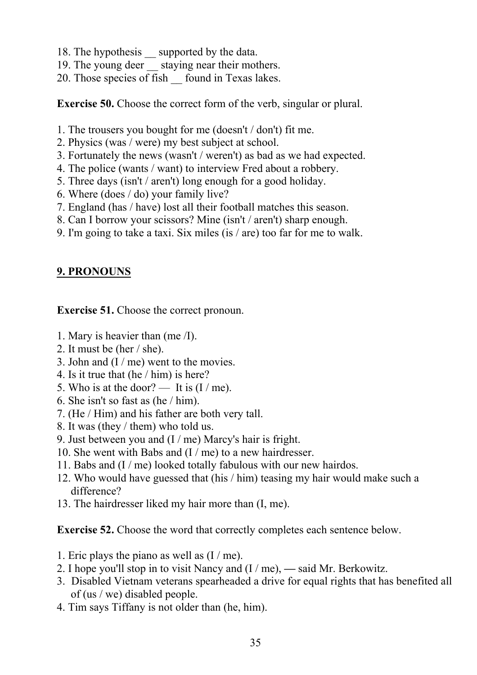- 18. The hypothesis \_\_ supported by the data.
- 19. The young deer staying near their mothers.
- 20. Those species of fish found in Texas lakes.

**Exercise 50.** Choose the correct form of the verb, singular or plural.

- 1. The trousers you bought for me (doesn't / don't) fit me.
- 2. Physics (was / were) my best subject at school.
- 3. Fortunately the news (wasn't / weren't) as bad as we had expected.
- 4. The police (wants / want) to interview Fred about a robbery.
- 5. Three days (isn't / aren't) long enough for a good holiday.
- 6. Where (does / do) your family live?
- 7. England (has / have) lost all their football matches this season.
- 8. Can I borrow your scissors? Mine (isn't / aren't) sharp enough.
- 9. I'm going to take a taxi. Six miles (is / are) too far for me to walk.

# **9. PRONOUNS**

**Exercise 51.** Choose the correct pronoun.

- 1. Mary is heavier than (me /I).
- 2. It must be (her / she).
- 3. John and (I / me) went to the movies.
- 4. Is it true that (he / him) is here?
- 5. Who is at the door? It is  $(I/me)$ .
- 6. She isn't so fast as (he / him).
- 7. (He / Him) and his father are both very tall.
- 8. It was (they / them) who told us.
- 9. Just between you and (I / me) Marcy's hair is fright.
- 10. She went with Babs and (I / me) to a new hairdresser.
- 11. Babs and (I / me) looked totally fabulous with our new hairdos.
- 12. Who would have guessed that (his / him) teasing my hair would make such a difference?
- 13. The hairdresser liked my hair more than (I, me).

**Exercise 52.** Choose the word that correctly completes each sentence below.

- 1. Eric plays the piano as well as (I / me).
- 2. I hope you'll stop in to visit Nancy and (I / me), **—** said Mr. Berkowitz.
- 3. Disabled Vietnam veterans spearheaded a drive for equal rights that has benefited all of (us / we) disabled people.
- 4. Tim says Tiffany is not older than (he, him).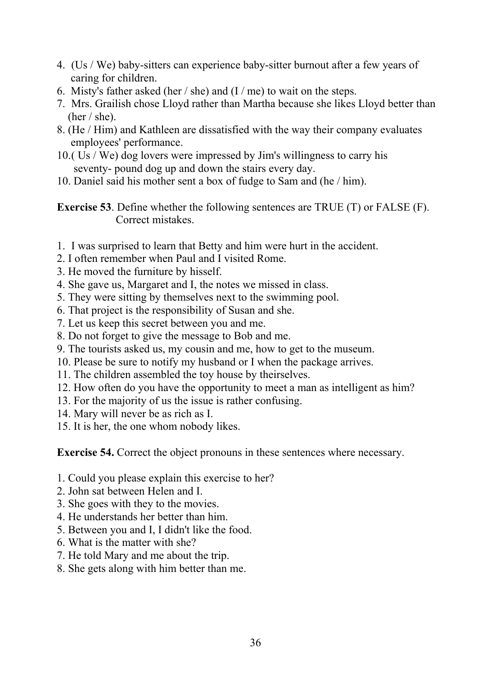- 4. (Us / We) baby-sitters can experience baby-sitter burnout after a few years of caring for children.
- 6. Misty's father asked (her / she) and  $(I/me)$  to wait on the steps.
- 7. Mrs. Grailish chose Lloyd rather than Martha because she likes Lloyd better than (her / she).
- 8. (He / Him) and Kathleen are dissatisfied with the way their company evaluates employees' performance.
- 10.( Us / We) dog lovers were impressed by Jim's willingness to carry his seventy- pound dog up and down the stairs every day.
- 10. Daniel said his mother sent a box of fudge to Sam and (he / him).

**Exercise 53**. Define whether the following sentences are TRUE (T) or FALSE (F). Correct mistakes.

- 1. I was surprised to learn that Betty and him were hurt in the accident.
- 2. I often remember when Paul and I visited Rome.
- 3. He moved the furniture by hisself.
- 4. She gave us, Margaret and I, the notes we missed in class.
- 5. They were sitting by themselves next to the swimming pool.
- 6. That project is the responsibility of Susan and she.
- 7. Let us keep this secret between you and me.
- 8. Do not forget to give the message to Bob and me.
- 9. The tourists asked us, my cousin and me, how to get to the museum.
- 10. Please be sure to notify my husband or I when the package arrives.
- 11. The children assembled the toy house by theirselves.
- 12. How often do you have the opportunity to meet a man as intelligent as him?
- 13. For the majority of us the issue is rather confusing.
- 14. Mary will never be as rich as I.
- 15. It is her, the one whom nobody likes.

**Exercise 54.** Correct the object pronouns in these sentences where necessary.

- 1. Could you please explain this exercise to her?
- 2. John sat between Helen and I.
- 3. She goes with they to the movies.
- 4. He understands her better than him.
- 5. Between you and I, I didn't like the food.
- 6. What is the matter with she?
- 7. He told Mary and me about the trip.
- 8. She gets along with him better than me.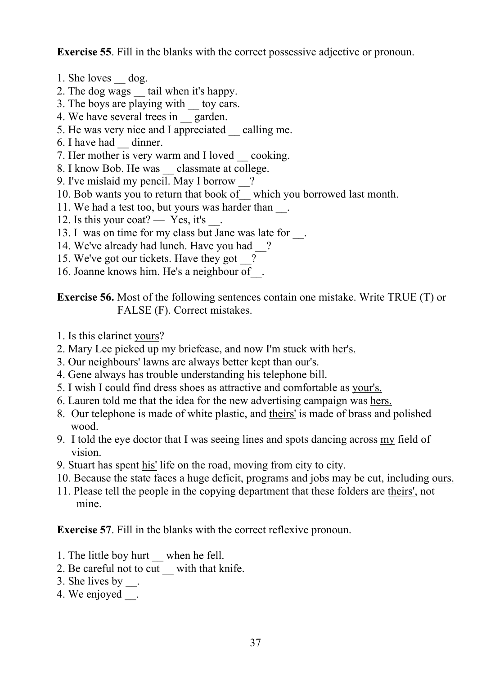**Exercise 55**. Fill in the blanks with the correct possessive adjective or pronoun.

- 1. She loves dog.
- 2. The dog wags tail when it's happy.
- 3. The boys are playing with toy cars.
- 4. We have several trees in garden.
- 5. He was very nice and I appreciated \_\_ calling me.
- 6. I have had \_\_ dinner.
- 7. Her mother is very warm and I loved cooking.
- 8. I know Bob. He was classmate at college.
- 9. I've mislaid my pencil. May I borrow \_\_?
- 10. Bob wants you to return that book of\_\_ which you borrowed last month.
- 11. We had a test too, but yours was harder than  $\blacksquare$ .
- 12. Is this your coat? Yes, it's
- 13. I was on time for my class but Jane was late for  $\Box$ .
- 14. We've already had lunch. Have you had \_\_?
- 15. We've got our tickets. Have they got \_\_?
- 16. Joanne knows him. He's a neighbour of\_\_.

**Exercise 56.** Most of the following sentences contain one mistake. Write TRUE (T) or FALSE (F). Correct mistakes.

- 1. Is this clarinet yours?
- 2. Mary Lee picked up my briefcase, and now I'm stuck with her's.
- 3. Our neighbours' lawns are always better kept than our's.
- 4. Gene always has trouble understanding his telephone bill.
- 5. I wish I could find dress shoes as attractive and comfortable as your's.
- 6. Lauren told me that the idea for the new advertising campaign was hers.
- 8. Our telephone is made of white plastic, and theirs' is made of brass and polished wood.
- 9. I told the eye doctor that I was seeing lines and spots dancing across my field of vision.
- 9. Stuart has spent his' life on the road, moving from city to city.
- 10. Because the state faces a huge deficit, programs and jobs may be cut, including ours.
- 11. Please tell the people in the copying department that these folders are theirs', not mine.

**Exercise 57**. Fill in the blanks with the correct reflexive pronoun.

- 1. The little boy hurt when he fell.
- 2. Be careful not to cut with that knife.
- 3. She lives by  $\_\_$ .
- 4. We enjoyed .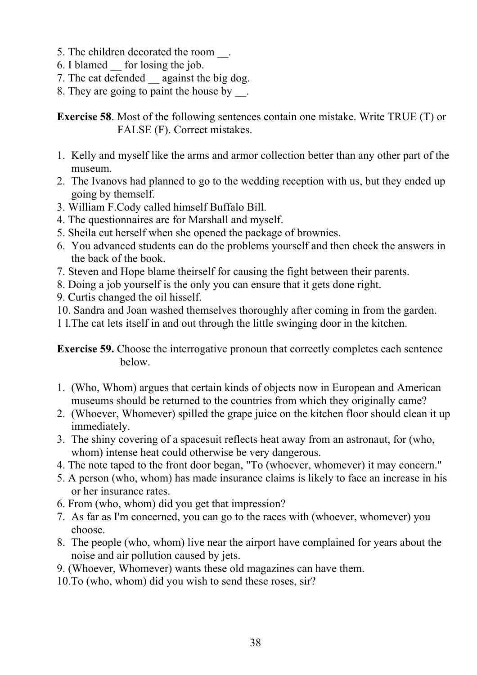- 5. The children decorated the room.
- 6. I blamed \_\_ for losing the job.
- 7. The cat defended against the big dog.
- 8. They are going to paint the house by  $\overline{\phantom{a}}$ .

**Exercise 58**. Most of the following sentences contain one mistake. Write TRUE (T) or FALSE (F). Correct mistakes.

- 1. Kelly and myself like the arms and armor collection better than any other part of the museum.
- 2. The Ivanovs had planned to go to the wedding reception with us, but they ended up going by themself.
- 3. William F.Cody called himself Buffalo Bill.
- 4. The questionnaires are for Marshall and myself.
- 5. Sheila cut herself when she opened the package of brownies.
- 6. You advanced students can do the problems yourself and then check the answers in the back of the book.
- 7. Steven and Hope blame theirself for causing the fight between their parents.
- 8. Doing a job yourself is the only you can ensure that it gets done right.
- 9. Curtis changed the oil hisself.
- 10. Sandra and Joan washed themselves thoroughly after coming in from the garden.
- 1 l.The cat lets itself in and out through the little swinging door in the kitchen.

**Exercise 59.** Choose the interrogative pronoun that correctly completes each sentence below.

- 1. (Who, Whom) argues that certain kinds of objects now in European and American museums should be returned to the countries from which they originally came?
- 2. (Whoever, Whomever) spilled the grape juice on the kitchen floor should clean it up immediately.
- 3. The shiny covering of a spacesuit reflects heat away from an astronaut, for (who, whom) intense heat could otherwise be very dangerous.
- 4. The note taped to the front door began, "To (whoever, whomever) it may concern."
- 5. A person (who, whom) has made insurance claims is likely to face an increase in his or her insurance rates.
- 6. From (who, whom) did you get that impression?
- 7. As far as I'm concerned, you can go to the races with (whoever, whomever) you choose.
- 8. The people (who, whom) live near the airport have complained for years about the noise and air pollution caused by jets.
- 9. (Whoever, Whomever) wants these old magazines can have them.
- 10.To (who, whom) did you wish to send these roses, sir?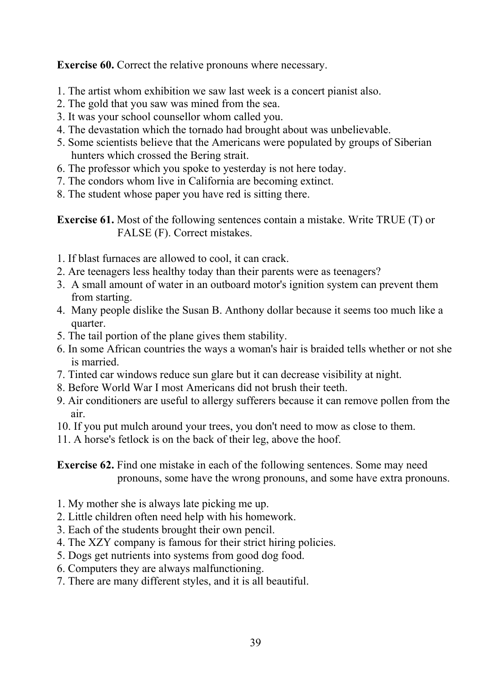**Exercise 60.** Correct the relative pronouns where necessary.

- 1. The artist whom exhibition we saw last week is a concert pianist also.
- 2. The gold that you saw was mined from the sea.
- 3. It was your school counsellor whom called you.
- 4. The devastation which the tornado had brought about was unbelievable.
- 5. Some scientists believe that the Americans were populated by groups of Siberian hunters which crossed the Bering strait.
- 6. The professor which you spoke to yesterday is not here today.
- 7. The condors whom live in California are becoming extinct.
- 8. The student whose paper you have red is sitting there.

**Exercise 61.** Most of the following sentences contain a mistake. Write TRUE (T) or FALSE (F). Correct mistakes.

- 1. If blast furnaces are allowed to cool, it can crack.
- 2. Are teenagers less healthy today than their parents were as teenagers?
- 3. A small amount of water in an outboard motor's ignition system can prevent them from starting.
- 4. Many people dislike the Susan B. Anthony dollar because it seems too much like a quarter.
- 5. The tail portion of the plane gives them stability.
- 6. In some African countries the ways a woman's hair is braided tells whether or not she is married.
- 7. Tinted car windows reduce sun glare but it can decrease visibility at night.
- 8. Before World War I most Americans did not brush their teeth.
- 9. Air conditioners are useful to allergy sufferers because it can remove pollen from the air.
- 10. If you put mulch around your trees, you don't need to mow as close to them.
- 11. A horse's fetlock is on the back of their leg, above the hoof.

**Exercise 62.** Find one mistake in each of the following sentences. Some may need pronouns, some have the wrong pronouns, and some have extra pronouns.

- 1. My mother she is always late picking me up.
- 2. Little children often need help with his homework.
- 3. Each of the students brought their own pencil.
- 4. The XZY company is famous for their strict hiring policies.
- 5. Dogs get nutrients into systems from good dog food.
- 6. Computers they are always malfunctioning.
- 7. There are many different styles, and it is all beautiful.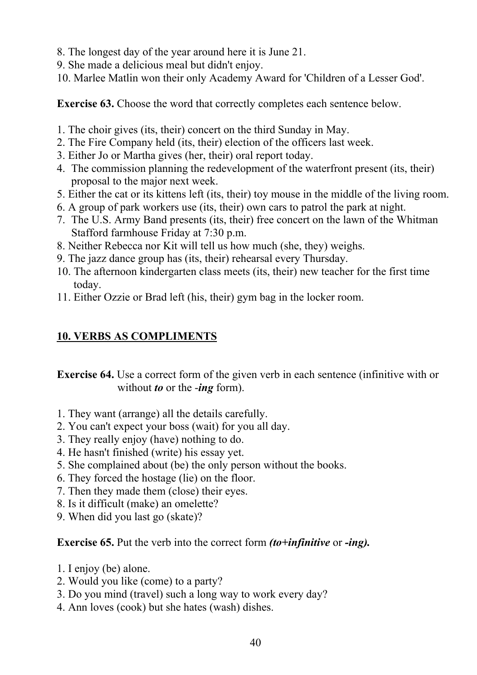- 8. The longest day of the year around here it is June 21.
- 9. She made a delicious meal but didn't enjoy.
- 10. Marlee Matlin won their only Academy Award for 'Children of a Lesser God'.

**Exercise 63.** Choose the word that correctly completes each sentence below.

- 1. The choir gives (its, their) concert on the third Sunday in May.
- 2. The Fire Company held (its, their) election of the officers last week.
- 3. Either Jo or Martha gives (her, their) oral report today.
- 4. The commission planning the redevelopment of the waterfront present (its, their) proposal to the major next week.
- 5. Either the cat or its kittens left (its, their) toy mouse in the middle of the living room.
- 6. A group of park workers use (its, their) own cars to patrol the park at night.
- 7. The U.S. Army Band presents (its, their) free concert on the lawn of the Whitman Stafford farmhouse Friday at 7:30 p.m.
- 8. Neither Rebecca nor Kit will tell us how much (she, they) weighs.
- 9. The jazz dance group has (its, their) rehearsal every Thursday.
- 10. The afternoon kindergarten class meets (its, their) new teacher for the first time today.
- 11. Either Ozzie or Brad left (his, their) gym bag in the locker room.

# **10. VERBS AS COMPLIMENTS**

**Exercise 64.** Use a correct form of the given verb in each sentence (infinitive with or without *to* or the -*ing* form).

- 1. They want (arrange) all the details carefully.
- 2. You can't expect your boss (wait) for you all day.
- 3. They really enjoy (have) nothing to do.
- 4. He hasn't finished (write) his essay yet.
- 5. She complained about (be) the only person without the books.
- 6. They forced the hostage (lie) on the floor.
- 7. Then they made them (close) their eyes.
- 8. Is it difficult (make) an omelette?
- 9. When did you last go (skate)?

## **Exercise 65.** Put the verb into the correct form *(to+infinitive* or *-ing).*

- 1. I enjoy (be) alone.
- 2. Would you like (come) to a party?
- 3. Do you mind (travel) such a long way to work every day?
- 4. Ann loves (cook) but she hates (wash) dishes.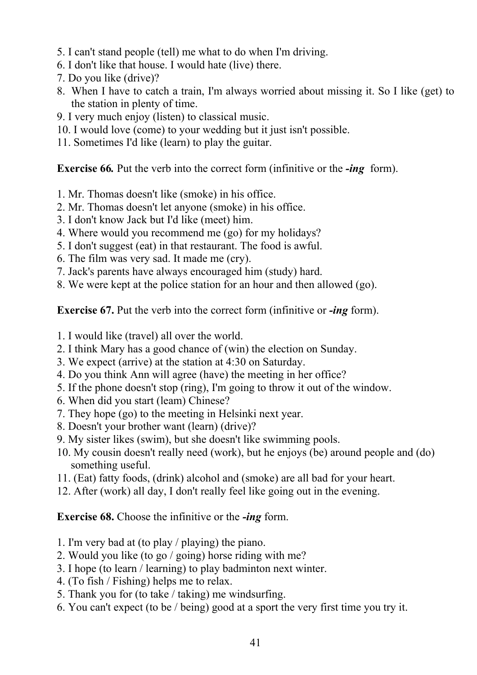- 5. I can't stand people (tell) me what to do when I'm driving.
- 6. I don't like that house. I would hate (live) there.
- 7. Do you like (drive)?
- 8. When I have to catch a train, I'm always worried about missing it. So I like (get) to the station in plenty of time.
- 9. I very much enjoy (listen) to classical music.
- 10. I would love (come) to your wedding but it just isn't possible.
- 11. Sometimes I'd like (learn) to play the guitar.

**Exercise 66***.* Put the verb into the correct form (infinitive or the *-ing* form).

- 1. Mr. Thomas doesn't like (smoke) in his office.
- 2. Mr. Thomas doesn't let anyone (smoke) in his office.
- 3. I don't know Jack but I'd like (meet) him.
- 4. Where would you recommend me (go) for my holidays?
- 5. I don't suggest (eat) in that restaurant. The food is awful.
- 6. The film was very sad. It made me (cry).
- 7. Jack's parents have always encouraged him (study) hard.
- 8. We were kept at the police station for an hour and then allowed (go).

**Exercise 67.** Put the verb into the correct form (infinitive or *-ing* form).

- 1. I would like (travel) all over the world.
- 2. I think Mary has a good chance of (win) the election on Sunday.
- 3. We expect (arrive) at the station at 4:30 on Saturday.
- 4. Do you think Ann will agree (have) the meeting in her office?
- 5. If the phone doesn't stop (ring), I'm going to throw it out of the window.
- 6. When did you start (leam) Chinese?
- 7. They hope (go) to the meeting in Helsinki next year.
- 8. Doesn't your brother want (learn) (drive)?
- 9. My sister likes (swim), but she doesn't like swimming pools.
- 10. My cousin doesn't really need (work), but he enjoys (be) around people and (do) something useful.
- 11. (Eat) fatty foods, (drink) alcohol and (smoke) are all bad for your heart.
- 12. After (work) all day, I don't really feel like going out in the evening.

## **Exercise 68.** Choose the infinitive or the *-ing* form.

- 1. I'm very bad at (to play / playing) the piano.
- 2. Would you like (to go / going) horse riding with me?
- 3. I hope (to learn / learning) to play badminton next winter.
- 4. (To fish / Fishing) helps me to relax.
- 5. Thank you for (to take / taking) me windsurfing.
- 6. You can't expect (to be / being) good at a sport the very first time you try it.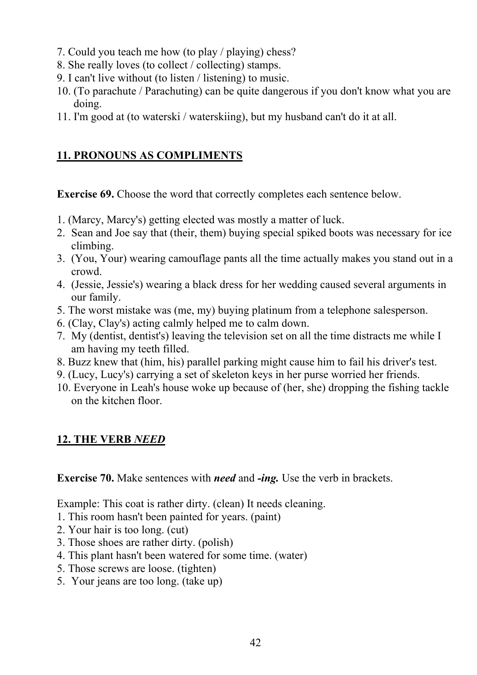- 7. Could you teach me how (to play / playing) chess?
- 8. She really loves (to collect / collecting) stamps.
- 9. I can't live without (to listen / listening) to music.
- 10. (To parachute / Parachuting) can be quite dangerous if you don't know what you are doing.
- 11. I'm good at (to waterski / waterskiing), but my husband can't do it at all.

# **11. PRONOUNS AS COMPLIMENTS**

**Exercise 69.** Choose the word that correctly completes each sentence below.

- 1. (Marcy, Marcy's) getting elected was mostly a matter of luck.
- 2. Sean and Joe say that (their, them) buying special spiked boots was necessary for ice climbing.
- 3. (You, Your) wearing camouflage pants all the time actually makes you stand out in a crowd.
- 4. (Jessie, Jessie's) wearing a black dress for her wedding caused several arguments in our family.
- 5. The worst mistake was (me, my) buying platinum from a telephone salesperson.
- 6. (Clay, Clay's) acting calmly helped me to calm down.
- 7. My (dentist, dentist's) leaving the television set on all the time distracts me while I am having my teeth filled.
- 8. Buzz knew that (him, his) parallel parking might cause him to fail his driver's test.
- 9. (Lucy, Lucy's) carrying a set of skeleton keys in her purse worried her friends.
- 10. Everyone in Leah's house woke up because of (her, she) dropping the fishing tackle on the kitchen floor.

# **12. THE VERB** *NEED*

**Exercise 70.** Make sentences with *need* and *-ing.* Use the verb in brackets.

Example: This coat is rather dirty. (clean) It needs cleaning.

- 1. This room hasn't been painted for years. (paint)
- 2. Your hair is too long. (cut)
- 3. Those shoes are rather dirty. (polish)
- 4. This plant hasn't been watered for some time. (water)
- 5. Those screws are loose. (tighten)
- 5. Your jeans are too long. (take up)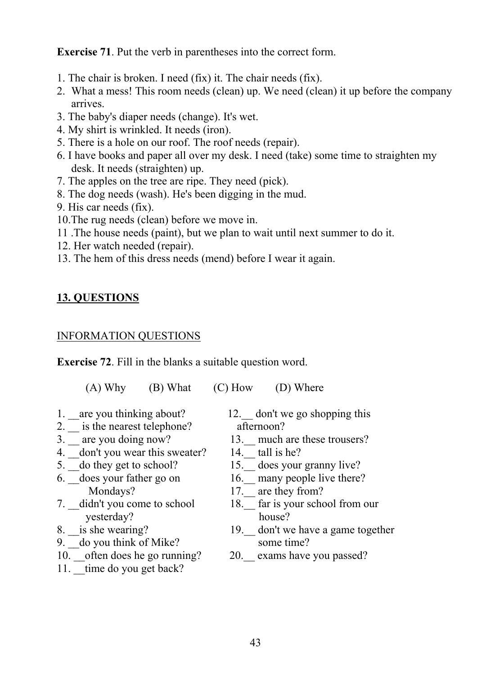**Exercise 71**. Put the verb in parentheses into the correct form.

- 1. The chair is broken. I need (fix) it. The chair needs (fix).
- 2. What a mess! This room needs (clean) up. We need (clean) it up before the company arrives.
- 3. The baby's diaper needs (change). It's wet.
- 4. My shirt is wrinkled. It needs (iron).
- 5. There is a hole on our roof. The roof needs (repair).
- 6. I have books and paper all over my desk. I need (take) some time to straighten my desk. It needs (straighten) up.
- 7. The apples on the tree are ripe. They need (pick).
- 8. The dog needs (wash). He's been digging in the mud.
- 9. His car needs (fix).
- 10.The rug needs (clean) before we move in.
- 11 .The house needs (paint), but we plan to wait until next summer to do it.
- 12. Her watch needed (repair).
- 13. The hem of this dress needs (mend) before I wear it again.

# **13. QUESTIONS**

#### INFORMATION QUESTIONS

**Exercise 72**. Fill in the blanks a suitable question word.

(A) Why (B) What (C) How (D) Where

- 
- 2.  $\frac{1}{3}$  is the nearest telephone? afternoon?<br>3.  $\frac{1}{3}$  are you doing now? 13. much
- 
- 4. \_\_don't you wear this sweater? 14.\_\_ tall is he?
- 
- Mondays? 17. are they from?
- yesterday? house?<br>8. is she wearing? 19. don't w
- 
- 9.  $\frac{1}{\sqrt{1}}$  do you think of Mike? some time?
- 10. often does he go running? 20. exams have you passed?
- 11. \_time do you get back?

1. \_\_are you thinking about? 12. don't we go shopping this

- 13. much are these trousers?
- 
- 15. does your granny live?
- $\overline{6.}$  does your father go on  $\overline{16.}$  many people live there?
	-
- 7. didn't you come to school 18. far is your school from our
	- 19. don't we have a game together
	-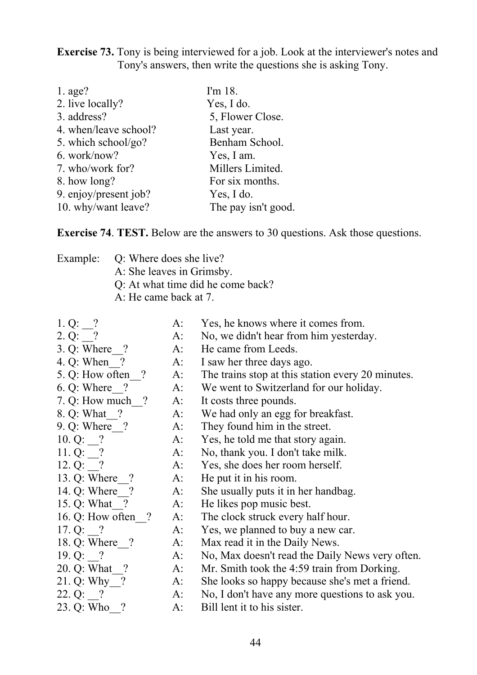**Exercise 73.** Tony is being interviewed for a job. Look at the interviewer's notes and Tony's answers, then write the questions she is asking Tony.

| I'm 18.             |
|---------------------|
| Yes, I do.          |
| 5, Flower Close.    |
| Last year.          |
| Benham School.      |
| Yes, I am.          |
| Millers Limited.    |
| For six months.     |
| Yes, I do.          |
| The pay isn't good. |
|                     |

**Exercise 74**. **TEST.** Below are the answers to 30 questions. Ask those questions.

|  | Example: Q: Where does she live?  |
|--|-----------------------------------|
|  | A: She leaves in Grimsby.         |
|  | Q: At what time did he come back? |
|  | A: He came back at 7.             |
|  |                                   |

- 1. Q: ? A: Yes, he knows where it comes from.
- 2. Q: ? A: No, we didn't hear from him yesterday.
- 3. Q: Where ? A: He came from Leeds.
- 4. Q: When ? A: I saw her three days ago.
- 5. Q: How often\_\_? A: The trains stop at this station every 20 minutes.
- 6. Q: Where\_\_? A: We went to Switzerland for our holiday.
- 7. Q: How much ? A: It costs three pounds.
- 8. Q: What ? A: We had only an egg for breakfast.
- 9. Q: Where ? A: They found him in the street.
- 10. Q: ? A: Yes, he told me that story again.
- 11. Q: ? A: No, thank you. I don't take milk.
- 12. Q: ? A: Yes, she does her room herself.
- 13. Q: Where ? A: He put it in his room.
- 14. Q: Where  $\overline{?}$  A: She usually puts it in her handbag.
- 15. Q: What ? A: He likes pop music best.
- 16. Q: How often ? A: The clock struck every half hour.
- 17. Q: ? A: Yes, we planned to buy a new car.
- 18. Q: Where ? A: Max read it in the Daily News.
- 19. Q: ? A: No, Max doesn't read the Daily News very often.
- 20. Q: What ? A: Mr. Smith took the 4:59 train from Dorking.
- 21. Q: Why ? A: She looks so happy because she's met a friend.
- 22. Q:  $\frac{?}{23. \text{ Q: Who}$ . A: No, I don't have any more questions to ask you.<br>23. Q: Who  $\frac{?}{24. \text{ Q: Who}}$ .
	- $A:$  Bill lent it to his sister.
		- 44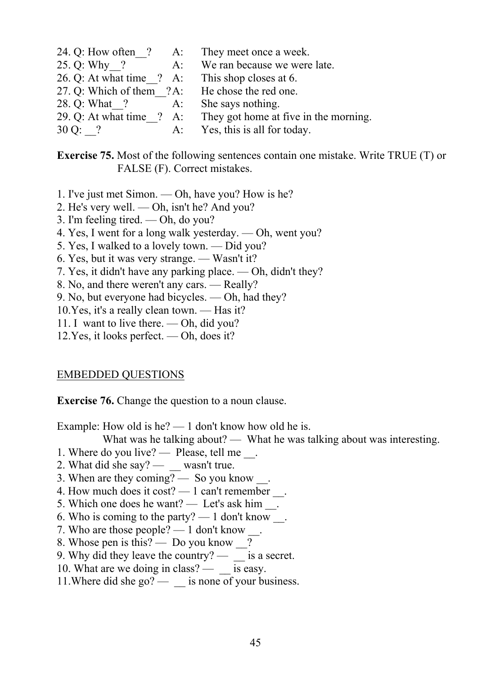24. Q: How often ? A: They meet once a week. 25. Q: Why ? A: We ran because we were late. 26. Q: At what time  $\binom{?}{?}$  A: This shop closes at 6. 27. Q: Which of them ?A: He chose the red one. 28. Q: What ? A: She says nothing. 29. Q: At what time\_\_? A: They got home at five in the morning. 30 Q: ? A: Yes, this is all for today.

**Exercise 75.** Most of the following sentences contain one mistake. Write TRUE (T) or FALSE (F). Correct mistakes.

- 1. I've just met Simon. Oh, have you? How is he?
- 2. He's very well. Oh, isn't he? And you?
- 3. I'm feeling tired. Oh, do you?
- 4. Yes, I went for a long walk yesterday. Oh, went you?
- 5. Yes, I walked to a lovely town. Did you?
- 6. Yes, but it was very strange. Wasn't it?
- 7. Yes, it didn't have any parking place. Oh, didn't they?
- 8. No, and there weren't any cars. Really?
- 9. No, but everyone had bicycles. Oh, had they?
- 10.Yes, it's a really clean town. Has it?
- 11. I want to live there. Oh, did you?
- 12.Yes, it looks perfect. Oh, does it?

#### EMBEDDED QUESTIONS

**Exercise 76.** Change the question to a noun clause.

Example: How old is he? — 1 don't know how old he is.

What was he talking about? — What he was talking about was interesting.

- 1. Where do you live? Please, tell me ...
- 2. What did she say?  $\_\_\_\$  wasn't true.
- 3. When are they coming? So you know .
- 4. How much does it cost?  $-1$  can't remember  $\overline{\phantom{a}}$ .
- 5. Which one does he want? Let's ask him  $\cdot$ .
- 6. Who is coming to the party?  $-1$  don't know  $\blacksquare$ .
- 7. Who are those people?  $-1$  don't know
- 8. Whose pen is this? Do you know \_\_?
- 9. Why did they leave the country?  $\overline{\phantom{a}}$  is a secret.
- 10. What are we doing in class?  $-$  \_ is easy.
- 11. Where did she go? \_\_\_ is none of your business.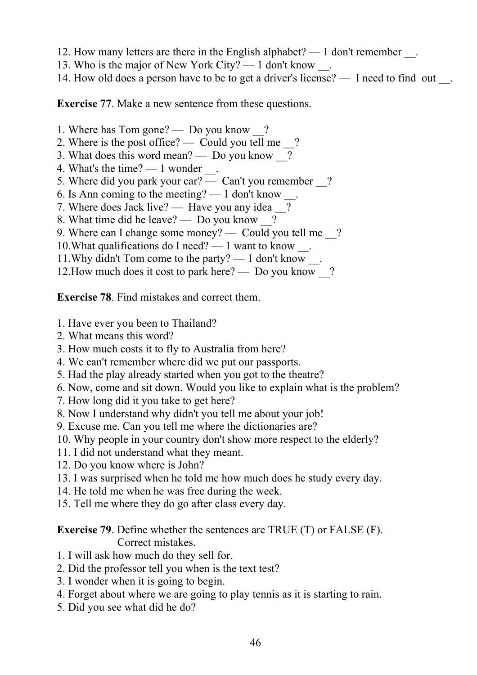- 12. How many letters are there in the English alphabet? 1 don't remember .
- 13. Who is the major of New York City? 1 don't know \_\_.
- 14. How old does a person have to be to get a driver's license? I need to find out \_\_.

**Exercise 77**. Make a new sentence from these questions.

- 1. Where has Tom gone? Do you know \_\_?
- 2. Where is the post office? Could you tell me ?
- 3. What does this word mean? Do you know ?
- 4. What's the time?  $-1$  wonder  $\blacksquare$ .
- 5. Where did you park your car? Can't you remember \_\_?
- 6. Is Ann coming to the meeting?  $-1$  don't know
- 7. Where does Jack live? Have you any idea ?
- 8. What time did he leave? Do you know \_\_?
- 9. Where can I change some money? Could you tell me ?
- 10.What qualifications do I need? 1 want to know \_\_.
- 11.Why didn't Tom come to the party? 1 don't know \_\_.
- 12. How much does it cost to park here? Do you know ?

**Exercise 78**. Find mistakes and correct them.

- 1. Have ever you been to Thailand?
- 2. What means this word?
- 3. How much costs it to fly to Australia from here?
- 4. We can't remember where did we put our passports.
- 5. Had the play already started when you got to the theatre?
- 6. Now, come and sit down. Would you like to explain what is the problem?
- 7. How long did it you take to get here?
- 8. Now I understand why didn't you tell me about your job!
- 9. Excuse me. Can you tell me where the dictionaries are?
- 10. Why people in your country don't show more respect to the elderly?
- 11. I did not understand what they meant.
- 12. Do you know where is John?
- 13. I was surprised when he told me how much does he study every day.
- 14. He told me when he was free during the week.
- 15. Tell me where they do go after class every day.

**Exercise 79**. Define whether the sentences are TRUE (T) or FALSE (F). Correct mistakes.

- 1. I will ask how much do they sell for.
- 2. Did the professor tell you when is the text test?
- 3. I wonder when it is going to begin.
- 4. Forget about where we are going to play tennis as it is starting to rain.
- 5. Did you see what did he do?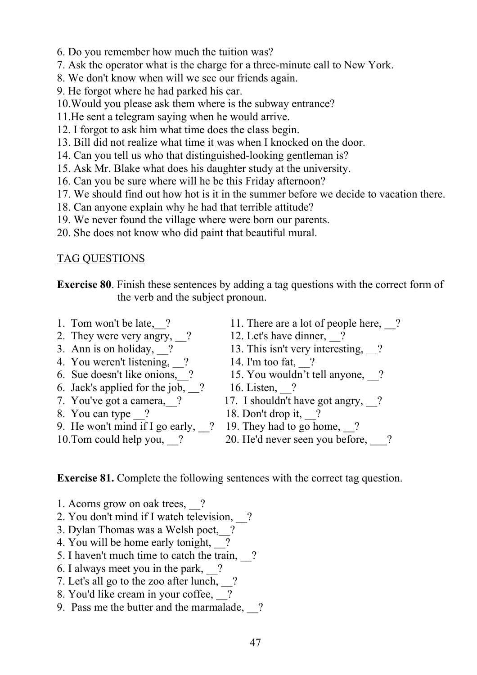- 6. Do you remember how much the tuition was?
- 7. Ask the operator what is the charge for a three-minute call to New York.
- 8. We don't know when will we see our friends again.
- 9. He forgot where he had parked his car.
- 10.Would you please ask them where is the subway entrance?
- 11.He sent a telegram saying when he would arrive.
- 12. I forgot to ask him what time does the class begin.
- 13. Bill did not realize what time it was when I knocked on the door.
- 14. Can you tell us who that distinguished-looking gentleman is?
- 15. Ask Mr. Blake what does his daughter study at the university.
- 16. Can you be sure where will he be this Friday afternoon?
- 17. We should find out how hot is it in the summer before we decide to vacation there.
- 18. Can anyone explain why he had that terrible attitude?
- 19. We never found the village where were born our parents.
- 20. She does not know who did paint that beautiful mural.

#### TAG QUESTIONS

**Exercise 80**. Finish these sentences by adding a tag questions with the correct form of the verb and the subject pronoun.

- 
- 2. They were very angry,  $\frac{?}{2}$  12. Let's have dinner,  $\frac{?}{2}$ <br>3. Ann is on holiday,  $\frac{?}{13}$  13. This isn't very interest
- 
- 4. You weren't listening,  $\frac{1}{2}$  14. I'm too fat,  $\frac{1}{2}$ ?
- 
- 6. Jack's applied for the job,  $\frac{2}{16}$  16. Listen,  $\frac{2}{16}$
- 
- 
- 9. He won't mind if I go early,  $\frac{1}{2}$  19. They had to go home,  $\frac{1}{2}$ ?
- 
- 1. Tom won't be late, 2 11. There are a lot of people here, 2
	-
	- 13. This isn't very interesting,  $\frac{2}{3}$
	-
- 6. Sue doesn't like onions, 2 15. You wouldn't tell anyone, 2
	-
- 7. You've got a camera, 2 17. I shouldn't have got angry, 2
- 8. You can type  $\frac{9}{2}$  18. Don't drop it,  $\frac{9}{2}$ ?
	-
- 10.Tom could help you,  $\frac{20}{10}$  20. He'd never seen you before,  $\frac{2}{10}$ ?

#### **Exercise 81.** Complete the following sentences with the correct tag question.

- 1. Acorns grow on oak trees, \_\_?
- 2. You don't mind if I watch television, \_\_?
- 3. Dylan Thomas was a Welsh poet, ?
- 4. You will be home early tonight, 2
- 5. I haven't much time to catch the train, \_\_?
- 6. I always meet you in the park,  $\frac{2}{3}$
- 7. Let's all go to the zoo after lunch,  $\frac{1}{2}$ ?
- 8. You'd like cream in your coffee,  $\boxed{?}$
- 9. Pass me the butter and the marmalade, 2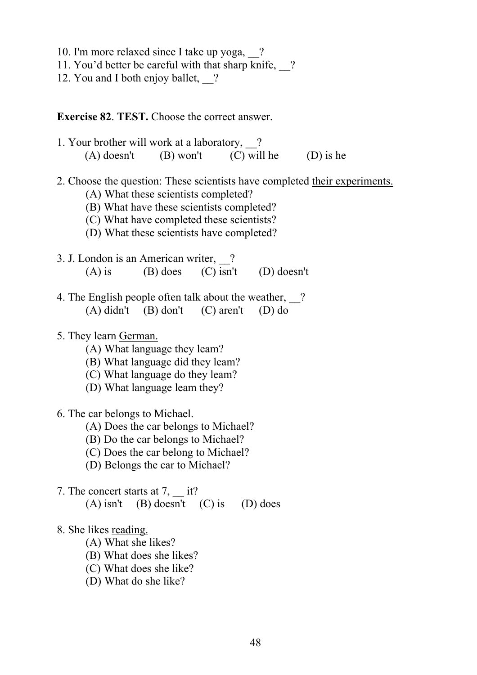- 10. I'm more relaxed since I take up yoga, \_\_?
- 11. You'd better be careful with that sharp knife, ?
- 12. You and I both enjoy ballet, ?

#### **Exercise 82**. **TEST.** Choose the correct answer.

- 1. Your brother will work at a laboratory, \_\_? (A) doesn't (B) won't (C) will he (D) is he
- 2. Choose the question: These scientists have completed their experiments.
	- (A) What these scientists completed?
	- (B) What have these scientists completed?
	- (C) What have completed these scientists?
	- (D) What these scientists have completed?
- 3. J. London is an American writer, ? (A) is (B) does (C) isn't (D) doesn't
- 4. The English people often talk about the weather, ? (A) didn't (B) don't (C) aren't (D) do
- 5. They learn German.
	- (A) What language they leam?
	- (B) What language did they leam?
	- (C) What language do they leam?
	- (D) What language leam they?
- 6. The car belongs to Michael.
	- (A) Does the car belongs to Michael?
	- (B) Do the car belongs to Michael?
	- (C) Does the car belong to Michael?
	- (D) Belongs the car to Michael?
- 7. The concert starts at 7, it? (A) isn't (B) doesn't (C) is (D) does
- 8. She likes reading.
	- (A) What she likes?
	- (B) What does she likes?
	- (C) What does she like?
	- (D) What do she like?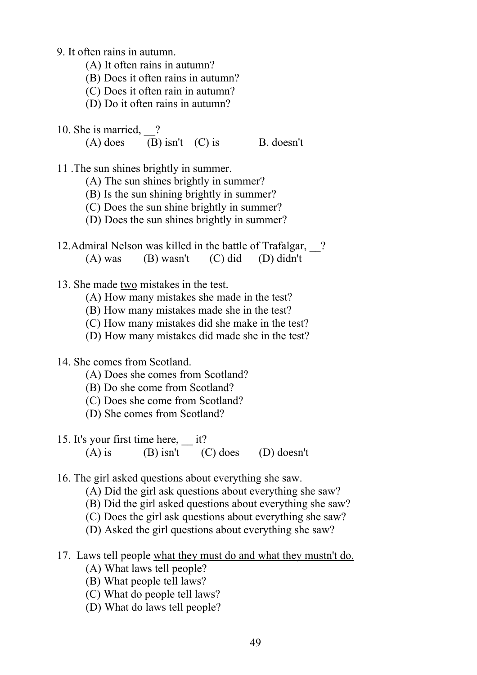- 9. It often rains in autumn.
	- (A) It often rains in autumn?
	- (B) Does it often rains in autumn?
	- (C) Does it often rain in autumn?
	- (D) Do it often rains in autumn?
- 10. She is married, ?
	- (A) does (B) isn't (C) is B. doesn't

11 .The sun shines brightly in summer.

- (A) The sun shines brightly in summer?
- (B) Is the sun shining brightly in summer?
- (C) Does the sun shine brightly in summer?
- (D) Does the sun shines brightly in summer?
- 12.Admiral Nelson was killed in the battle of Trafalgar, ? (A) was (B) wasn't (C) did (D) didn't
- 13. She made two mistakes in the test.
	- (A) How many mistakes she made in the test?
	- (B) How many mistakes made she in the test?
	- (C) How many mistakes did she make in the test?
	- (D) How many mistakes did made she in the test?

#### 14. She comes from Scotland.

- (A) Does she comes from Scotland?
- (B) Do she come from Scotland?
- (C) Does she come from Scotland?
- (D) She comes from Scotland?
- 15. It's your first time here, it? (A) is (B) isn't (C) does (D) doesn't
- 16. The girl asked questions about everything she saw.
	- (A) Did the girl ask questions about everything she saw?
	- (B) Did the girl asked questions about everything she saw?
	- (C) Does the girl ask questions about everything she saw?
	- (D) Asked the girl questions about everything she saw?
- 17. Laws tell people what they must do and what they mustn't do.
	- (A) What laws tell people?
	- (B) What people tell laws?
	- (C) What do people tell laws?
	- (D) What do laws tell people?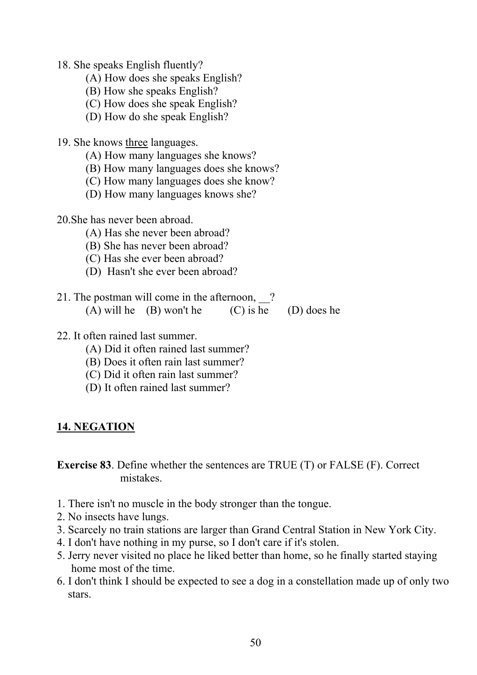18. She speaks English fluently?

- (A) How does she speaks English?
- (B) How she speaks English?
- (C) How does she speak English?
- (D) How do she speak English?

19. She knows three languages.

- (A) How many languages she knows?
- (B) How many languages does she knows?
- (C) How many languages does she know?
- (D) How many languages knows she?
- 20.She has never been abroad.
	- (A) Has she never been abroad?
	- (B) She has never been abroad?
	- (C) Has she ever been abroad?
	- (D) Hasn't she ever been abroad?
- 21. The postman will come in the afternoon, ? (A) will he (B) won't he (C) is he (D) does he
- 22. It often rained last summer.
	- (A) Did it often rained last summer?
	- (B) Does it often rain last summer?
	- (C) Did it often rain last summer?
	- (D) It often rained last summer?

## **14. NEGATION**

**Exercise 83**. Define whether the sentences are TRUE (T) or FALSE (F). Correct mistakes.

- 1. There isn't no muscle in the body stronger than the tongue.
- 2. No insects have lungs.
- 3. Scarcely no train stations are larger than Grand Central Station in New York City.
- 4. I don't have nothing in my purse, so I don't care if it's stolen.
- 5. Jerry never visited no place he liked better than home, so he finally started staying home most of the time.
- 6. I don't think I should be expected to see a dog in a constellation made up of only two stars.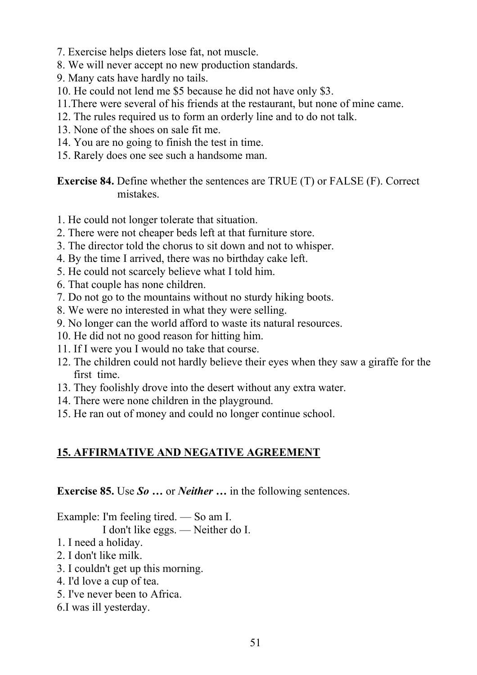- 7. Exercise helps dieters lose fat, not muscle.
- 8. We will never accept no new production standards.
- 9. Many cats have hardly no tails.
- 10. He could not lend me \$5 because he did not have only \$3.
- 11.There were several of his friends at the restaurant, but none of mine came.
- 12. The rules required us to form an orderly line and to do not talk.
- 13. None of the shoes on sale fit me.
- 14. You are no going to finish the test in time.
- 15. Rarely does one see such a handsome man.

**Exercise 84.** Define whether the sentences are TRUE (T) or FALSE (F). Correct mistakes.

- 1. He could not longer tolerate that situation.
- 2. There were not cheaper beds left at that furniture store.
- 3. The director told the chorus to sit down and not to whisper.
- 4. By the time I arrived, there was no birthday cake left.
- 5. He could not scarcely believe what I told him.
- 6. That couple has none children.
- 7. Do not go to the mountains without no sturdy hiking boots.
- 8. We were no interested in what they were selling.
- 9. No longer can the world afford to waste its natural resources.
- 10. He did not no good reason for hitting him.
- 11. If I were you I would no take that course.
- 12. The children could not hardly believe their eyes when they saw a giraffe for the first time.
- 13. They foolishly drove into the desert without any extra water.
- 14. There were none children in the playground.
- 15. He ran out of money and could no longer continue school.

## **15. AFFIRMATIVE AND NEGATIVE AGREEMENT**

**Exercise 85.** Use *So* **…** оr *Neither …* in the following sentences.

Example: I'm feeling tired. — So am I.

I don't like eggs. — Neither do I.

- 1. I need a holiday.
- 2. I don't like milk.
- 3. I couldn't get up this morning.
- 4. I'd love a cup of tea.
- 5. I've never been to Africa.
- 6.I was ill yesterday.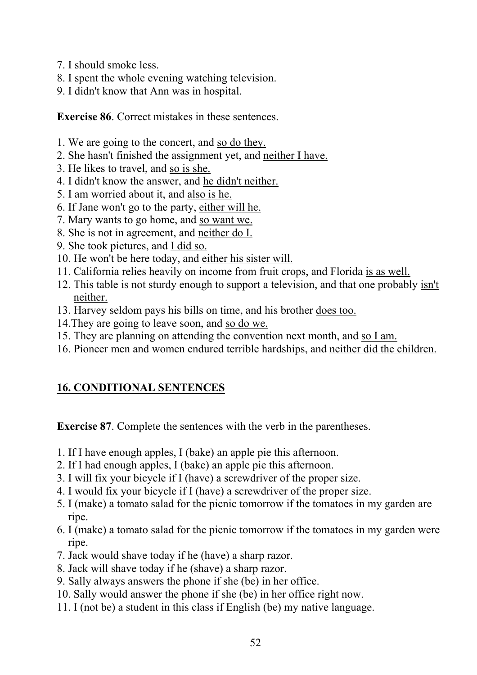- 7. I should smoke less.
- 8. I spent the whole evening watching television.
- 9. I didn't know that Ann was in hospital.

**Exercise 86**. Correct mistakes in these sentences.

- 1. We are going to the concert, and so do they.
- 2. She hasn't finished the assignment yet, and neither I have.
- 3. He likes to travel, and so is she.
- 4. I didn't know the answer, and he didn't neither.
- 5. I am worried about it, and also is he.
- 6. If Jane won't go to the party, either will he.
- 7. Mary wants to go home, and so want we.
- 8. She is not in agreement, and neither do I.
- 9. She took pictures, and I did so.
- 10. He won't be here today, and either his sister will.
- 11. California relies heavily on income from fruit crops, and Florida is as well.
- 12. This table is not sturdy enough to support a television, and that one probably isn't neither.
- 13. Harvey seldom pays his bills on time, and his brother does too.
- 14.They are going to leave soon, and so do we.
- 15. They are planning on attending the convention next month, and so I am.
- 16. Pioneer men and women endured terrible hardships, and neither did the children.

# **16. CONDITIONAL SENTENCES**

**Exercise 87**. Complete the sentences with the verb in the parentheses.

- 1. If I have enough apples, I (bake) an apple pie this afternoon.
- 2. If I had enough apples, I (bake) an apple pie this afternoon.
- 3. I will fix your bicycle if I (have) a screwdriver of the proper size.
- 4. I would fix your bicycle if I (have) a screwdriver of the proper size.
- 5. I (make) a tomato salad for the picnic tomorrow if the tomatoes in my garden are ripe.
- 6. I (make) a tomato salad for the picnic tomorrow if the tomatoes in my garden were ripe.
- 7. Jack would shave today if he (have) a sharp razor.
- 8. Jack will shave today if he (shave) a sharp razor.
- 9. Sally always answers the phone if she (be) in her office.
- 10. Sally would answer the phone if she (be) in her office right now.
- 11. I (not be) a student in this class if English (be) my native language.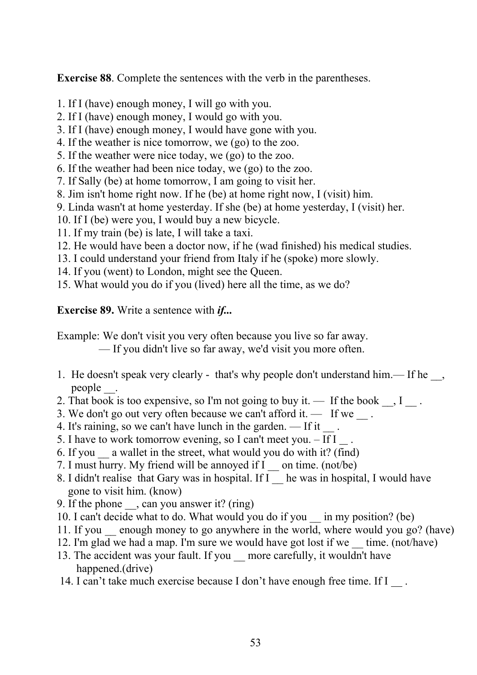**Exercise 88**. Complete the sentences with the verb in the parentheses.

- 1. If I (have) enough money, I will go with you.
- 2. If I (have) enough money, I would go with you.
- 3. If I (have) enough money, I would have gone with you.
- 4. If the weather is nice tomorrow, we (go) to the zoo.
- 5. If the weather were nice today, we (go) to the zoo.
- 6. If the weather had been nice today, we (go) to the zoo.
- 7. If Sally (be) at home tomorrow, I am going to visit her.
- 8. Jim isn't home right now. If he (be) at home right now, I (visit) him.
- 9. Linda wasn't at home yesterday. If she (be) at home yesterday, I (visit) her.
- 10. If I (be) were you, I would buy a new bicycle.
- 11. If my train (be) is late, I will take a taxi.
- 12. He would have been a doctor now, if he (wad finished) his medical studies.
- 13. I could understand your friend from Italy if he (spoke) more slowly.
- 14. If you (went) to London, might see the Queen.
- 15. What would you do if you (lived) here all the time, as we do?

**Exercise 89.** Write a sentence with *if...*

Example: We don't visit you very often because you live so far away.

— If you didn't live so far away, we'd visit you more often.

- 1. He doesn't speak very clearly that's why people don't understand him.— If he people \_\_.
- 2. That book is too expensive, so I'm not going to buy it. If the book  $\Box$ , I $\Box$ .
- 3. We don't go out very often because we can't afford it.  $\qquad$  If we  $\qquad$ .
- 4. It's raining, so we can't have lunch in the garden.  $\overline{\phantom{a}}$  it  $\overline{\phantom{a}}$ .
- 5. I have to work tomorrow evening, so I can't meet you.  $\text{If } I \neq I$
- 6. If you \_\_ a wallet in the street, what would you do with it? (find)
- 7. I must hurry. My friend will be annoyed if I continue. (not/be)
- 8. I didn't realise that Gary was in hospital. If I he was in hospital, I would have gone to visit him. (know)
- 9. If the phone \_\_, can you answer it? (ring)
- 10. I can't decide what to do. What would you do if you \_\_ in my position? (be)
- 11. If you \_\_ enough money to go anywhere in the world, where would you go? (have)
- 12. I'm glad we had a map. I'm sure we would have got lost if we \_\_ time. (not/have)
- 13. The accident was your fault. If you more carefully, it wouldn't have happened.(drive)
- 14. I can't take much exercise because I don't have enough free time. If I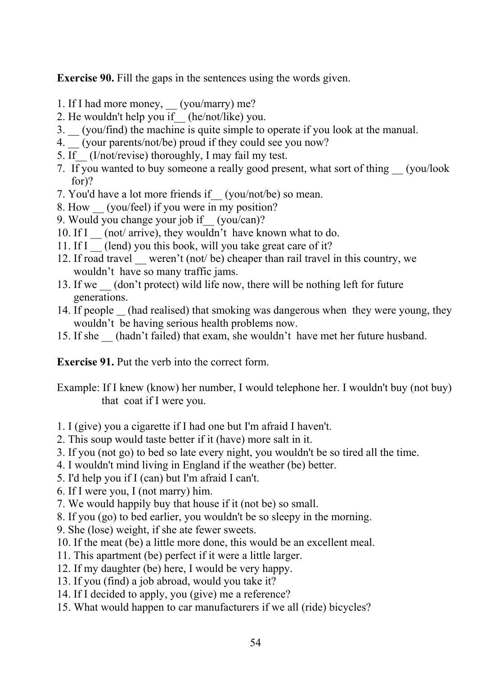**Exercise 90.** Fill the gaps in the sentences using the words given.

- 1. If I had more money, \_\_ (you/marry) me?
- 2. He wouldn't help you if\_\_ (he/not/like) you.
- 3. \_\_ (you/find) the machine is quite simple to operate if you look at the manual.
- 4. (your parents/not/be) proud if they could see you now?
- 5. If (I/not/revise) thoroughly, I may fail my test.
- 7. If you wanted to buy someone a really good present, what sort of thing \_\_ (you/look for)?
- 7. You'd have a lot more friends if\_\_ (you/not/be) so mean.
- 8. How (you/feel) if you were in my position?
- 9. Would you change your job if (you/can)?
- 10. If I \_\_ (not/ arrive), they wouldn't have known what to do.
- 11. If I (lend) you this book, will you take great care of it?
- 12. If road travel weren't (not/ be) cheaper than rail travel in this country, we wouldn't have so many traffic jams.
- 13. If we (don't protect) wild life now, there will be nothing left for future generations.
- 14. If people  $\_\$  (had realised) that smoking was dangerous when they were young, they wouldn't be having serious health problems now.
- 15. If she \_\_ (hadn't failed) that exam, she wouldn't have met her future husband.

**Exercise 91.** Put the verb into the correct form.

- Example: If I knew (know) her number, I would telephone her. I wouldn't buy (not buy) that coat if I were you.
- 1. I (give) you a cigarette if I had one but I'm afraid I haven't.
- 2. This soup would taste better if it (have) more salt in it.
- 3. If you (not go) to bed so late every night, you wouldn't be so tired all the time.
- 4. I wouldn't mind living in England if the weather (be) better.
- 5. I'd help you if I (can) but I'm afraid I can't.
- 6. If I were you, I (not marry) him.
- 7. We would happily buy that house if it (not be) so small.
- 8. If you (go) to bed earlier, you wouldn't be so sleepy in the morning.
- 9. She (lose) weight, if she ate fewer sweets.
- 10. If the meat (be) a little more done, this would be an excellent meal.
- 11. This apartment (be) perfect if it were a little larger.
- 12. If my daughter (be) here, I would be very happy.
- 13. If you (find) a job abroad, would you take it?
- 14. If I decided to apply, you (give) me a reference?
- 15. What would happen to car manufacturers if we all (ride) bicycles?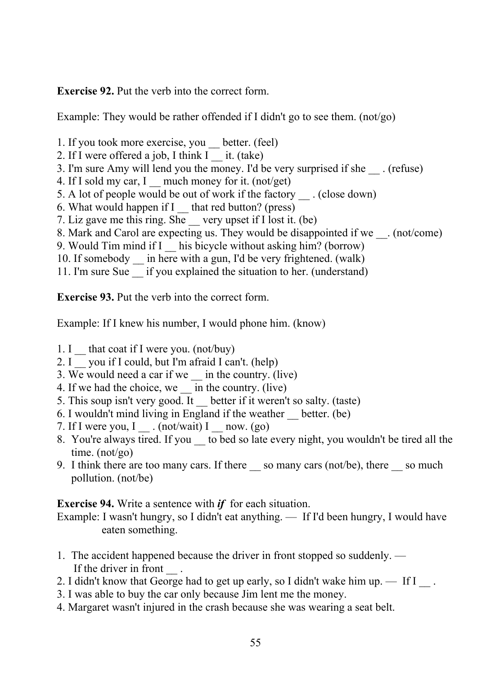**Exercise 92.** Put the verb into the correct form.

Example: They would be rather offended if I didn't go to see them. (not/go)

- 1. If you took more exercise, you \_\_ better. (feel)
- 2. If I were offered a job, I think  $I$   $\equiv$  it. (take)
- 3. I'm sure Amy will lend you the money. I'd be very surprised if she (refuse)
- 4. If I sold my car, I much money for it. (not/get)
- 5. A lot of people would be out of work if the factory (close down)
- 6. What would happen if I \_\_ that red button? (press)
- 7. Liz gave me this ring. She \_\_ very upset if I lost it. (be)
- 8. Mark and Carol are expecting us. They would be disappointed if we \_\_\_. (not/come)
- 9. Would Tim mind if I his bicycle without asking him? (borrow)
- 10. If somebody  $\equiv$  in here with a gun, I'd be very frightened. (walk)
- 11. I'm sure Sue if you explained the situation to her. (understand)

**Exercise 93.** Put the verb into the correct form.

Example: If I knew his number, I would phone him. (know)

- 1. I \_ that coat if I were you. (not/buy)
- 2. I you if I could, but I'm afraid I can't. (help)
- 3. We would need a car if we \_\_ in the country. (live)
- 4. If we had the choice, we \_\_ in the country. (live)
- 5. This soup isn't very good. It better if it weren't so salty. (taste)
- 6. I wouldn't mind living in England if the weather \_\_ better. (be)
- 7. If I were you, I  $\ldots$  (not/wait) I \_\_ now. (go)
- 8. You're always tired. If you to bed so late every night, you wouldn't be tired all the time. (not/go)
- 9. I think there are too many cars. If there so many cars (not/be), there so much pollution. (not/be)

**Exercise 94.** Write a sentence with *if* for each situation.

Example: I wasn't hungry, so I didn't eat anything. — If I'd been hungry, I would have eaten something.

- 1. The accident happened because the driver in front stopped so suddenly. If the driver in front
- 2. I didn't know that George had to get up early, so I didn't wake him up.  $\equiv$  If I  $\equiv$ .
- 3. I was able to buy the car only because Jim lent me the money.
- 4. Margaret wasn't injured in the crash because she was wearing a seat belt.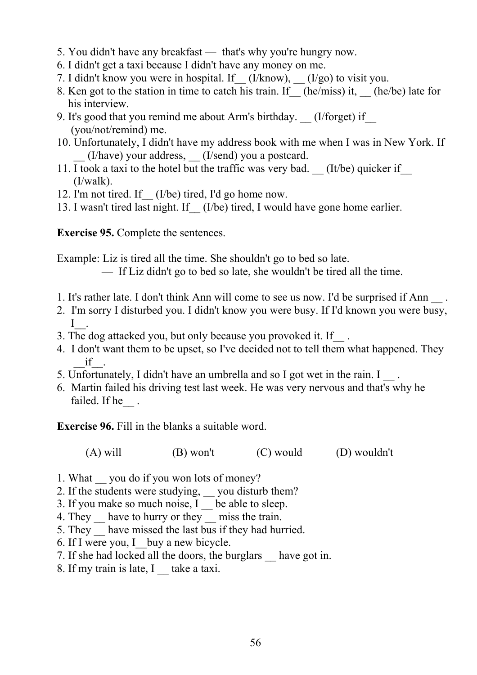- 5. You didn't have any breakfast that's why you're hungry now.
- 6. I didn't get a taxi because I didn't have any money on me.
- 7. I didn't know you were in hospital. If  $(U/know)$ ,  $(U/go)$  to visit you.
- 8. Ken got to the station in time to catch his train. If (he/miss) it, (he/be) late for his interview.
- 9. It's good that you remind me about Arm's birthday. (I/forget) if (you/not/remind) me.
- 10. Unfortunately, I didn't have my address book with me when I was in New York. If \_\_ (I/have) your address, \_\_ (I/send) you a postcard.
- 11. I took a taxi to the hotel but the traffic was very bad. (It/be) quicker if (I/walk).
- 12. I'm not tired. If  $(I/be)$  tired, I'd go home now.
- 13. I wasn't tired last night. If (I/be) tired, I would have gone home earlier.

**Exercise 95.** Complete the sentences.

Example: Liz is tired all the time. She shouldn't go to bed so late.

- If Liz didn't go to bed so late, she wouldn't be tired all the time.
- 1. It's rather late. I don't think Ann will come to see us now. I'd be surprised if Ann  $\blacksquare$ .
- 2. I'm sorry I disturbed you. I didn't know you were busy. If I'd known you were busy,  $I_{\perp}$ .
- 3. The dog attacked you, but only because you provoked it. If\_\_ .
- 4. I don't want them to be upset, so I've decided not to tell them what happened. They \_\_if\_\_.
- 5. Unfortunately, I didn't have an umbrella and so I got wet in the rain. I
- 6. Martin failed his driving test last week. He was very nervous and that's why he failed. If he

**Exercise 96.** Fill in the blanks a suitable word.

(A) will  $(B)$  won't  $(C)$  would  $(D)$  wouldn't

- 1. What vou do if you won lots of money?
- 2. If the students were studying, solution of them?
- 3. If you make so much noise, I be able to sleep.
- 4. They have to hurry or they miss the train.
- 5. They have missed the last bus if they had hurried.
- 6. If I were you, I\_\_buy a new bicycle.
- 7. If she had locked all the doors, the burglars \_\_ have got in.
- 8. If my train is late, I ake a taxi.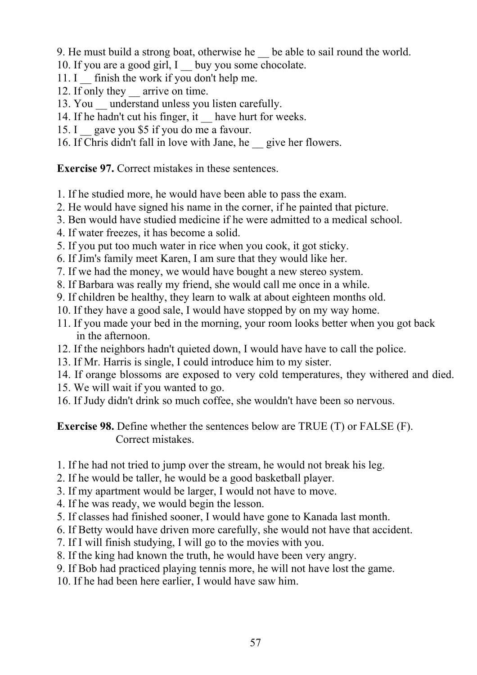9. He must build a strong boat, otherwise he \_\_ be able to sail round the world.

- 10. If you are a good girl, I buy you some chocolate.
- 11. I \_ finish the work if you don't help me.
- 12. If only they arrive on time.
- 13. You understand unless you listen carefully.
- 14. If he hadn't cut his finger, it have hurt for weeks.
- 15. I gave you \$5 if you do me a favour.
- 16. If Chris didn't fall in love with Jane, he \_\_ give her flowers.

**Exercise 97.** Correct mistakes in these sentences.

- 1. If he studied more, he would have been able to pass the exam.
- 2. He would have signed his name in the corner, if he painted that picture.
- 3. Ben would have studied medicine if he were admitted to a medical school.
- 4. If water freezes, it has become a solid.
- 5. If you put too much water in rice when you cook, it got sticky.
- 6. If Jim's family meet Karen, I am sure that they would like her.
- 7. If we had the money, we would have bought a new stereo system.
- 8. If Barbara was really my friend, she would call me once in a while.
- 9. If children be healthy, they learn to walk at about eighteen months old.
- 10. If they have a good sale, I would have stopped by on my way home.
- 11. If you made your bed in the morning, your room looks better when you got back in the afternoon.
- 12. If the neighbors hadn't quieted down, I would have have to call the police.
- 13. If Mr. Harris is single, I could introduce him to my sister.
- 14. If orange blossoms are exposed to very cold temperatures, they withered and died.
- 15. We will wait if you wanted to go.
- 16. If Judy didn't drink so much coffee, she wouldn't have been so nervous.

**Exercise 98.** Define whether the sentences below are TRUE (T) or FALSE (F). Correct mistakes.

- 1. If he had not tried to jump over the stream, he would not break his leg.
- 2. If he would be taller, he would be a good basketball player.
- 3. If my apartment would be larger, I would not have to move.
- 4. If he was ready, we would begin the lesson.
- 5. If classes had finished sooner, I would have gone to Kanada last month.
- 6. If Betty would have driven more carefully, she would not have that accident.
- 7. If I will finish studying, I will go to the movies with you.
- 8. If the king had known the truth, he would have been very angry.
- 9. If Bob had practiced playing tennis more, he will not have lost the game.
- 10. If he had been here earlier, I would have saw him.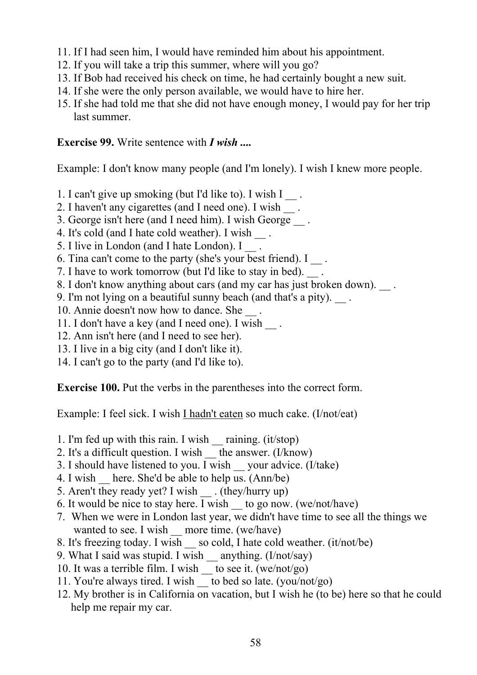- 11. If I had seen him, I would have reminded him about his appointment.
- 12. If you will take a trip this summer, where will you go?
- 13. If Bob had received his check on time, he had certainly bought a new suit.
- 14. If she were the only person available, we would have to hire her.
- 15. If she had told me that she did not have enough money, I would pay for her trip last summer.

#### **Exercise 99.** Write sentence with *I wish ....*

Example: I don't know many people (and I'm lonely). I wish I knew more people.

- 1. I can't give up smoking (but I'd like to). I wish  $I_{\_\_\_$ .
- 2. I haven't any cigarettes (and I need one). I wish ...
- 3. George isn't here (and I need him). I wish George \_\_ .
- 4. It's cold (and I hate cold weather). I wish \_\_ .
- 5. I live in London (and I hate London). I .
- 6. Tina can't come to the party (she's your best friend).  $I_{\text{max}}$
- 7. I have to work tomorrow (but I'd like to stay in bed). \_\_ .
- 8. I don't know anything about cars (and my car has just broken down).
- 9. I'm not lying on a beautiful sunny beach (and that's a pity). \_\_ .
- 10. Annie doesn't now how to dance. She \_\_ .
- 11. I don't have a key (and I need one). I wish  $\Box$ .
- 12. Ann isn't here (and I need to see her).
- 13. I live in a big city (and I don't like it).
- 14. I can't go to the party (and I'd like to).

**Exercise 100.** Put the verbs in the parentheses into the correct form.

Example: I feel sick. I wish I hadn't eaten so much cake. (I/not/eat)

- 1. I'm fed up with this rain. I wish raining.  $(it/stop)$
- 2. It's a difficult question. I wish  $\frac{1}{\sqrt{2}}$  the answer. (I/know)
- 3. I should have listened to you. I wish  $\equiv$  your advice. (I/take)
- 4. I wish here. She'd be able to help us.  $(Ann/be)$
- 5. Aren't they ready yet? I wish . (they/hurry up)
- 6. It would be nice to stay here. I wish to go now. (we/not/have)
- 7. When we were in London last year, we didn't have time to see all the things we wanted to see. I wish more time. (we/have)
- 8. It's freezing today. I wish so cold, I hate cold weather. (it/not/be)
- 9. What I said was stupid. I wish anything. (I/not/say)
- 10. It was a terrible film. I wish \_\_ to see it. (we/not/go)
- 11. You're always tired. I wish \_\_ to bed so late. (you/not/go)
- 12. My brother is in California on vacation, but I wish he (to be) here so that he could help me repair my car.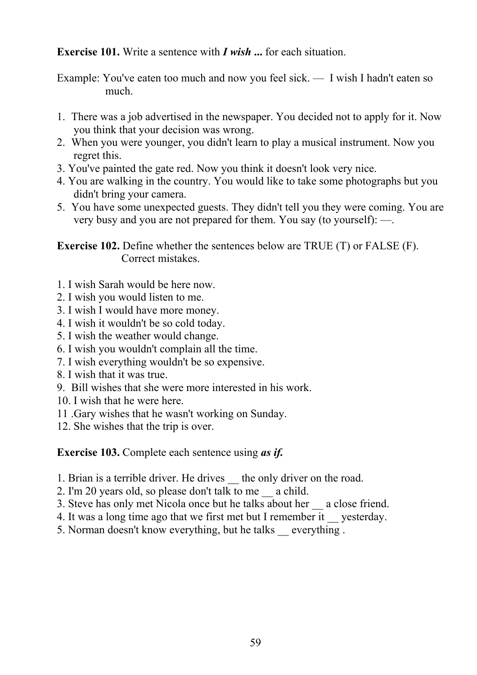**Exercise 101.** Write a sentence with *I wish* **...** for each situation.

Example: You've eaten too much and now you feel sick. — I wish I hadn't eaten so much.

- 1. There was a job advertised in the newspaper. You decided not to apply for it. Now you think that your decision was wrong.
- 2. When you were younger, you didn't learn to play a musical instrument. Now you regret this.
- 3. You've painted the gate red. Now you think it doesn't look very nice.
- 4. You are walking in the country. You would like to take some photographs but you didn't bring your camera.
- 5. You have some unexpected guests. They didn't tell you they were coming. You are very busy and you are not prepared for them. You say (to yourself): —.

**Exercise 102.** Define whether the sentences below are TRUE (T) or FALSE (F). Correct mistakes.

- 1. I wish Sarah would be here now.
- 2. I wish you would listen to me.
- 3. I wish I would have more money.
- 4. I wish it wouldn't be so cold today.
- 5. I wish the weather would change.
- 6. I wish you wouldn't complain all the time.
- 7. I wish everything wouldn't be so expensive.
- 8. I wish that it was true.
- 9. Bill wishes that she were more interested in his work.
- 10. I wish that he were here.
- 11 .Gary wishes that he wasn't working on Sunday.
- 12. She wishes that the trip is over.

**Exercise 103.** Complete each sentence using *as if.*

- 1. Brian is a terrible driver. He drives the only driver on the road.
- 2. I'm 20 years old, so please don't talk to me \_\_ a child.
- 3. Steve has only met Nicola once but he talks about her \_\_ a close friend.
- 4. It was a long time ago that we first met but I remember it vesterday.
- 5. Norman doesn't know everything, but he talks \_\_ everything .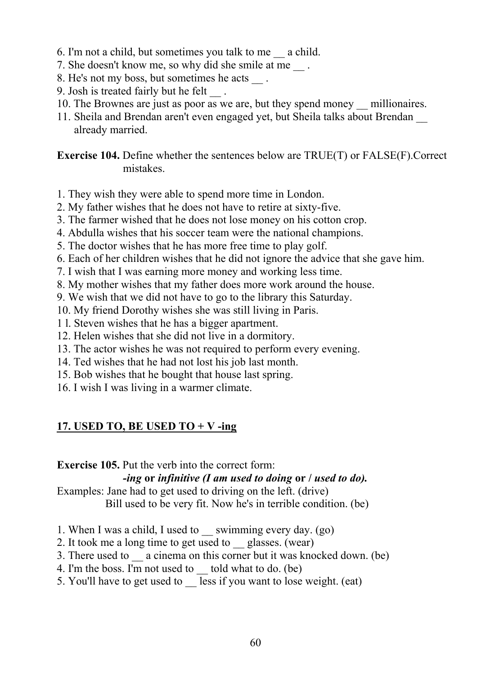- 6. I'm not a child, but sometimes you talk to me \_\_ a child.
- 7. She doesn't know me, so why did she smile at me  $\qquad$ .
- 8. He's not my boss, but sometimes he acts \_\_ .
- 9. Josh is treated fairly but he felt .
- 10. The Brownes are just as poor as we are, but they spend money \_\_ millionaires.
- 11. Sheila and Brendan aren't even engaged yet, but Sheila talks about Brendan \_\_ already married.

**Exercise 104.** Define whether the sentences below are TRUE(T) or FALSE(F).Correct mistakes.

- 1. They wish they were able to spend more time in London.
- 2. My father wishes that he does not have to retire at sixty-five.
- 3. The farmer wished that he does not lose money on his cotton crop.
- 4. Abdulla wishes that his soccer team were the national champions.
- 5. The doctor wishes that he has more free time to play golf.
- 6. Each of her children wishes that he did not ignore the advice that she gave him.
- 7. I wish that I was earning more money and working less time.
- 8. My mother wishes that my father does more work around the house.
- 9. We wish that we did not have to go to the library this Saturday.
- 10. My friend Dorothy wishes she was still living in Paris.
- 1 l. Steven wishes that he has a bigger apartment.
- 12. Helen wishes that she did not live in a dormitory.
- 13. The actor wishes he was not required to perform every evening.
- 14. Ted wishes that he had not lost his job last month.
- 15. Bob wishes that he bought that house last spring.
- 16. I wish I was living in a warmer climate.

# **17. USED TO, BE USED TO + V -ing**

## **Exercise 105.** Put the verb into the correct form:

## *-ing* **or** *infinitive (I am used to doing* **or /** *used to do).*

Examples: Jane had to get used to driving on the left. (drive) Bill used to be very fit. Now he's in terrible condition. (be)

- 1. When I was a child, I used to \_\_ swimming every day. (go)
- 2. It took me a long time to get used to glasses. (wear)
- 3. There used to a cinema on this corner but it was knocked down. (be)
- 4. I'm the boss. I'm not used to \_\_ told what to do. (be)
- 5. You'll have to get used to  $\overline{\phantom{a}}$  less if you want to lose weight. (eat)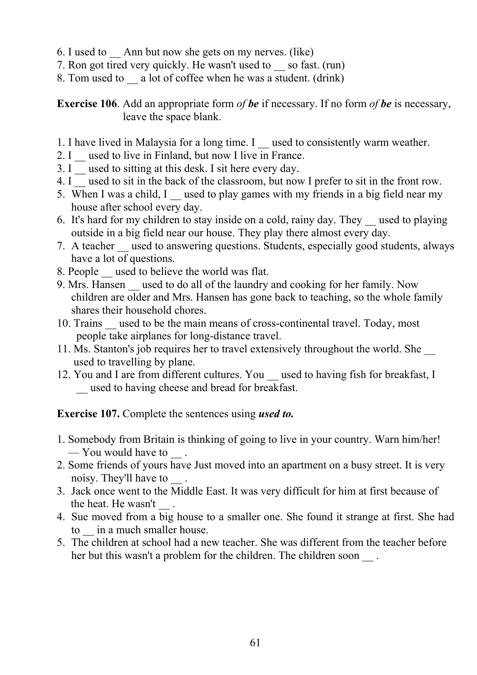- 6. I used to \_\_ Ann but now she gets on my nerves. (like)
- 7. Ron got tired very quickly. He wasn't used to \_\_ so fast. (run)
- 8. Tom used to  $\equiv$  a lot of coffee when he was a student. (drink)

**Exercise 106**. Add an appropriate form *of be* if necessary. If no form *of be* is necessary, leave the space blank.

- 1. I have lived in Malaysia for a long time. I used to consistently warm weather.
- 2. I  $\equiv$  used to live in Finland, but now I live in France.
- 3. I \_ used to sitting at this desk. I sit here every day.
- 4. I used to sit in the back of the classroom, but now I prefer to sit in the front row.
- 5. When I was a child, I  $\equiv$  used to play games with my friends in a big field near my house after school every day.
- 6. It's hard for my children to stay inside on a cold, rainy day. They \_\_ used to playing outside in a big field near our house. They play there almost every day.
- 7. A teacher used to answering questions. Students, especially good students, always have a lot of questions.
- 8. People used to believe the world was flat.
- 9. Mrs. Hansen used to do all of the laundry and cooking for her family. Now children are older and Mrs. Hansen has gone back to teaching, so the whole family shares their household chores.
- 10. Trains used to be the main means of cross-continental travel. Today, most people take airplanes for long-distance travel.
- 11. Ms. Stanton's job requires her to travel extensively throughout the world. She \_\_ used to travelling by plane.
- 12. You and I are from different cultures. You used to having fish for breakfast, I \_\_ used to having cheese and bread for breakfast.

**Exercise 107.** Complete the sentences using *used to.*

- 1. Somebody from Britain is thinking of going to live in your country. Warn him/her! — You would have to
- 2. Some friends of yours have Just moved into an apartment on a busy street. It is very noisy. They'll have to \_\_ .
- 3. Jack once went to the Middle East. It was very difficult for him at first because of the heat. He wasn't ...
- 4. Sue moved from a big house to a smaller one. She found it strange at first. She had to in a much smaller house.
- 5. The children at school had a new teacher. She was different from the teacher before her but this wasn't a problem for the children. The children soon .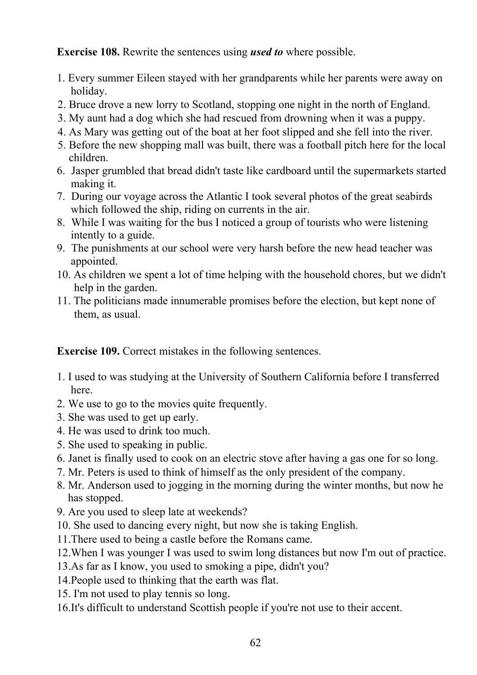**Exercise 108.** Rewrite the sentences using *used to* where possible.

- 1. Every summer Eileen stayed with her grandparents while her parents were away on holiday.
- 2. Bruce drove a new lorry to Scotland, stopping one night in the north of England.
- 3. My aunt had a dog which she had rescued from drowning when it was a puppy.
- 4. As Mary was getting out of the boat at her foot slipped and she fell into the river.
- 5. Before the new shopping mall was built, there was a football pitch here for the local children.
- 6. Jasper grumbled that bread didn't taste like cardboard until the supermarkets started making it.
- 7. During our voyage across the Atlantic I took several photos of the great seabirds which followed the ship, riding on currents in the air.
- 8. While I was waiting for the bus I noticed a group of tourists who were listening intently to a guide.
- 9. The punishments at our school were very harsh before the new head teacher was appointed.
- 10. As children we spent a lot of time helping with the household chores, but we didn't help in the garden.
- 11. The politicians made innumerable promises before the election, but kept none of them, as usual.

**Exercise 109.** Correct mistakes in the following sentences.

- 1. I used to was studying at the University of Southern California before I transferred here.
- 2. We use to go to the movies quite frequently.
- 3. She was used to get up early.
- 4. He was used to drink too much.
- 5. She used to speaking in public.
- 6. Janet is finally used to cook on an electric stove after having a gas one for so long.
- 7. Mr. Peters is used to think of himself as the only president of the company.
- 8. Mr. Anderson used to jogging in the morning during the winter months, but now he has stopped.
- 9. Are you used to sleep late at weekends?
- 10. She used to dancing every night, but now she is taking English.
- 11.There used to being a castle before the Romans came.
- 12.When I was younger I was used to swim long distances but now I'm out of practice.
- 13.As far as I know, you used to smoking a pipe, didn't you?
- 14.People used to thinking that the earth was flat.
- 15. I'm not used to play tennis so long.
- 16.It's difficult to understand Scottish people if you're not use to their accent.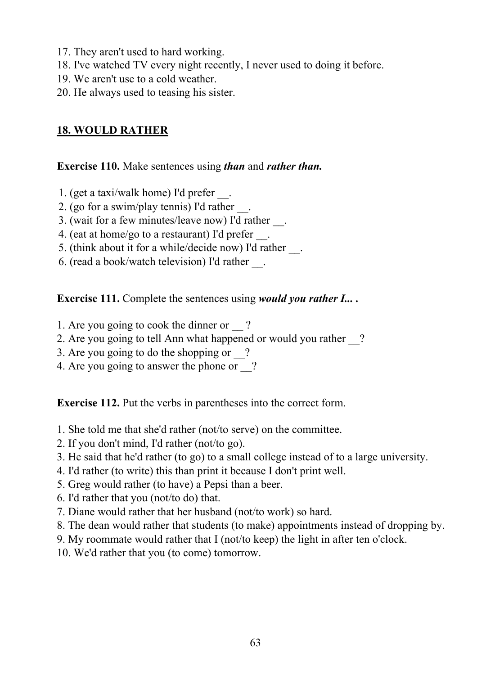- 17. They aren't used to hard working.
- 18. I've watched TV every night recently, I never used to doing it before.
- 19. We aren't use to a cold weather.
- 20. He always used to teasing his sister.

## **18. WOULD RATHER**

#### **Exercise 110.** Make sentences using *than* and *rather than.*

- 1. (get a taxi/walk home) I'd prefer \_\_.
- 2. (go for a swim/play tennis) I'd rather \_\_.
- 3. (wait for a few minutes/leave now) I'd rather \_\_.
- 4. (eat at home/go to a restaurant) I'd prefer \_\_.
- 5. (think about it for a while/decide now) I'd rather \_\_.
- 6. (read a book/watch television) I'd rather \_\_.

**Exercise 111.** Complete the sentences using *would you rather I... .*

- 1. Are you going to cook the dinner or ?
- 2. Are you going to tell Ann what happened or would you rather ?
- 3. Are you going to do the shopping or \_\_?
- 4. Are you going to answer the phone or ?

**Exercise 112.** Put the verbs in parentheses into the correct form.

- 1. She told me that she'd rather (not/to serve) on the committee.
- 2. If you don't mind, I'd rather (not/to go).
- 3. He said that he'd rather (to go) to a small college instead of to a large university.
- 4. I'd rather (to write) this than print it because I don't print well.
- 5. Greg would rather (to have) a Pepsi than a beer.
- 6. I'd rather that you (not/to do) that.
- 7. Diane would rather that her husband (not/to work) so hard.
- 8. The dean would rather that students (to make) appointments instead of dropping by.
- 9. My roommate would rather that I (not/to keep) the light in after ten o'clock.
- 10. We'd rather that you (to come) tomorrow.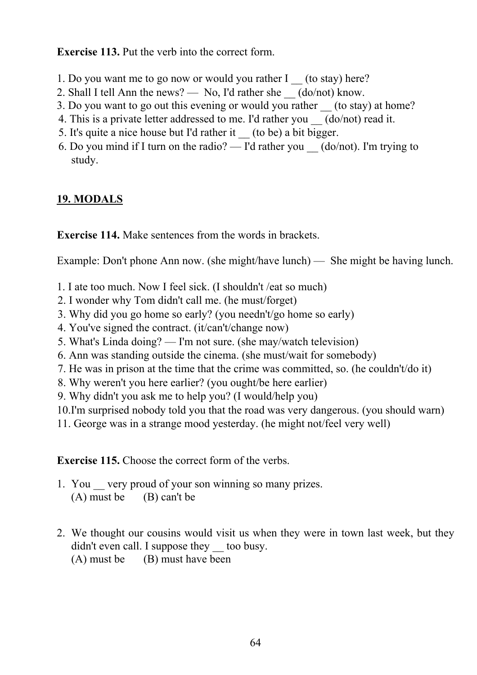**Exercise 113.** Put the verb into the correct form.

- 1. Do you want me to go now or would you rather I (to stay) here?
- 2. Shall I tell Ann the news? No, I'd rather she  $(do/not)$  know.
- 3. Do you want to go out this evening or would you rather (to stay) at home?
- 4. This is a private letter addressed to me. I'd rather you  $\qquad$  (do/not) read it.
- 5. It's quite a nice house but I'd rather it \_\_ (to be) a bit bigger.
- 6. Do you mind if I turn on the radio? I'd rather you  $(do/not)$ . I'm trying to study.

# **19. MODALS**

**Exercise 114.** Make sentences from the words in brackets.

Example: Don't phone Ann now. (she might/have lunch) — She might be having lunch.

- 1. I ate too much. Now I feel sick. (I shouldn't /eat so much)
- 2. I wonder why Tom didn't call me. (he must/forget)
- 3. Why did you go home so early? (you needn't/go home so early)
- 4. You've signed the contract. (it/can't/change now)
- 5. What's Linda doing? I'm not sure. (she may/watch television)
- 6. Ann was standing outside the cinema. (she must/wait for somebody)
- 7. He was in prison at the time that the crime was committed, so. (he couldn't/do it)
- 8. Why weren't you here earlier? (you ought/be here earlier)
- 9. Why didn't you ask me to help you? (I would/help you)
- 10.I'm surprised nobody told you that the road was very dangerous. (you should warn)
- 11. George was in a strange mood yesterday. (he might not/feel very well)

**Exercise 115.** Choose the correct form of the verbs.

- 1. You very proud of your son winning so many prizes.  $(A)$  must be  $(B)$  can't be
- 2. We thought our cousins would visit us when they were in town last week, but they didn't even call. I suppose they too busy.  $(A)$  must be  $(B)$  must have been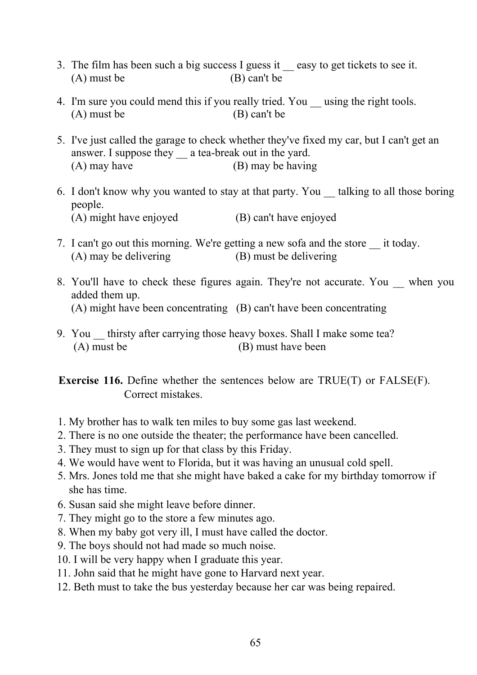- 3. The film has been such a big success I guess it \_\_ easy to get tickets to see it. (A) must be (B) can't be
- 4. I'm sure you could mend this if you really tried. You using the right tools. (A) must be (B) can't be
- 5. I've just called the garage to check whether they've fixed my car, but I can't get an answer. I suppose they a tea-break out in the yard. (A) may have (B) may be having
- 6. I don't know why you wanted to stay at that party. You \_\_ talking to all those boring people. (A) might have enjoyed (B) can't have enjoyed
- 7. I can't go out this morning. We're getting a new sofa and the store \_\_ it today. (A) may be delivering (B) must be delivering
- 8. You'll have to check these figures again. They're not accurate. You when you added them up. (A) might have been concentrating (B) can't have been concentrating
- 9. You thirsty after carrying those heavy boxes. Shall I make some tea? (A) must be (B) must have been

**Exercise 116.** Define whether the sentences below are TRUE(T) or FALSE(F). Correct mistakes.

- 1. My brother has to walk ten miles to buy some gas last weekend.
- 2. There is no one outside the theater; the performance have been cancelled.
- 3. They must to sign up for that class by this Friday.
- 4. We would have went to Florida, but it was having an unusual cold spell.
- 5. Mrs. Jones told me that she might have baked a cake for my birthday tomorrow if she has time.
- 6. Susan said she might leave before dinner.
- 7. They might go to the store a few minutes ago.
- 8. When my baby got very ill, I must have called the doctor.
- 9. The boys should not had made so much noise.
- 10. I will be very happy when I graduate this year.
- 11. John said that he might have gone to Harvard next year.
- 12. Beth must to take the bus yesterday because her car was being repaired.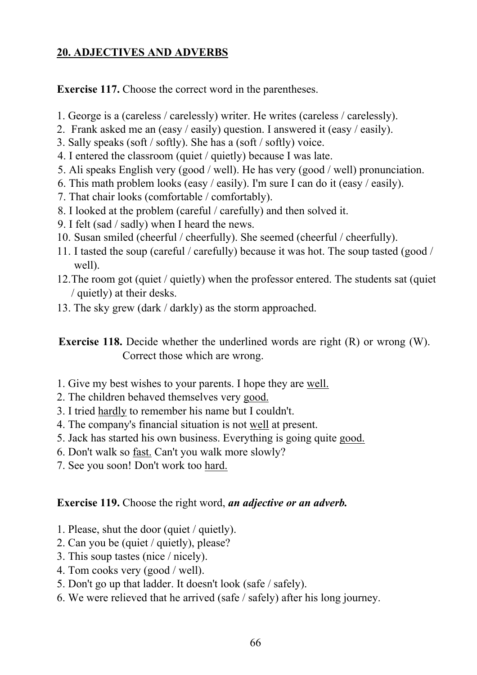## **20. ADJECTIVES AND ADVERBS**

**Exercise 117.** Choose the correct word in the parentheses.

- 1. George is a (careless / carelessly) writer. He writes (careless / carelessly).
- 2. Frank asked me an (easy / easily) question. I answered it (easy / easily).
- 3. Sally speaks (soft / softly). She has a (soft / softly) voice.
- 4. I entered the classroom (quiet / quietly) because I was late.
- 5. Ali speaks English very (good / well). He has very (good / well) pronunciation.
- 6. This math problem looks (easy / easily). I'm sure I can do it (easy / easily).
- 7. That chair looks (comfortable / comfortably).
- 8. I looked at the problem (careful / carefully) and then solved it.
- 9. I felt (sad / sadly) when I heard the news.
- 10. Susan smiled (cheerful / cheerfully). She seemed (cheerful / cheerfully).
- 11. I tasted the soup (careful / carefully) because it was hot. The soup tasted (good / well).
- 12.The room got (quiet / quietly) when the professor entered. The students sat (quiet / quietly) at their desks.
- 13. The sky grew (dark / darkly) as the storm approached.

**Exercise 118.** Decide whether the underlined words are right (R) or wrong (W). Correct those which are wrong.

- 1. Give my best wishes to your parents. I hope they are well.
- 2. The children behaved themselves very good.
- 3. I tried hardly to remember his name but I couldn't.
- 4. The company's financial situation is not well at present.
- 5. Jack has started his own business. Everything is going quite good.
- 6. Don't walk so fast. Can't you walk more slowly?
- 7. See you soon! Don't work too hard.

# **Exercise 119.** Choose the right word, *an adjective or an adverb.*

- 1. Please, shut the door (quiet / quietly).
- 2. Can you be (quiet / quietly), please?
- 3. This soup tastes (nice / nicely).
- 4. Tom cooks very (good / well).
- 5. Don't go up that ladder. It doesn't look (safe / safely).
- 6. We were relieved that he arrived (safe / safely) after his long journey.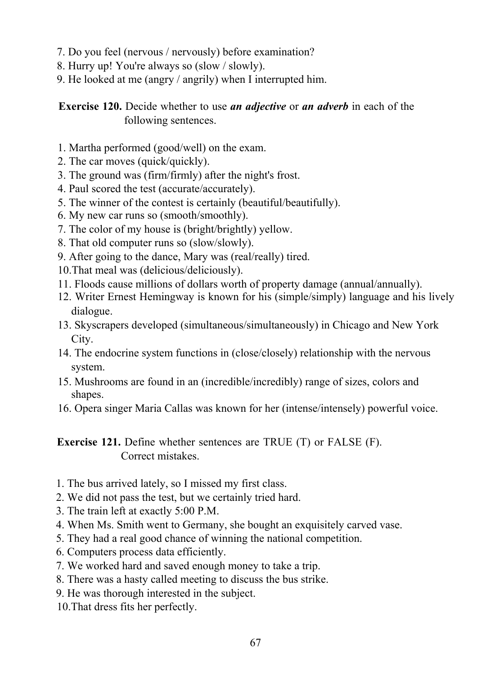- 7. Do you feel (nervous / nervously) before examination?
- 8. Hurry up! You're always so (slow / slowly).
- 9. He looked at me (angry / angrily) when I interrupted him.

**Exercise 120.** Decide whether to use *an adjective* or *an adverb* in each of the following sentences.

- 1. Martha performed (good/well) on the exam.
- 2. The car moves (quick/quickly).
- 3. The ground was (firm/firmly) after the night's frost.
- 4. Paul scored the test (accurate/accurately).
- 5. The winner of the contest is certainly (beautiful/beautifully).
- 6. My new car runs so (smooth/smoothly).
- 7. The color of my house is (bright/brightly) yellow.
- 8. That old computer runs so (slow/slowly).
- 9. After going to the dance, Mary was (real/really) tired.
- 10.That meal was (delicious/deliciously).
- 11. Floods cause millions of dollars worth of property damage (annual/annually).
- 12. Writer Ernest Hemingway is known for his (simple/simply) language and his lively dialogue.
- 13. Skyscrapers developed (simultaneous/simultaneously) in Chicago and New York City.
- 14. The endocrine system functions in (close/closely) relationship with the nervous system.
- 15. Mushrooms are found in an (incredible/incredibly) range of sizes, colors and shapes.
- 16. Opera singer Maria Callas was known for her (intense/intensely) powerful voice.

**Exercise 121.** Define whether sentences are TRUE (T) or FALSE (F). Correct mistakes.

- 1. The bus arrived lately, so I missed my first class.
- 2. We did not pass the test, but we certainly tried hard.
- 3. The train left at exactly 5:00 P.M.
- 4. When Ms. Smith went to Germany, she bought an exquisitely carved vase.
- 5. They had a real good chance of winning the national competition.
- 6. Computers process data efficiently.
- 7. We worked hard and saved enough money to take a trip.
- 8. There was a hasty called meeting to discuss the bus strike.
- 9. He was thorough interested in the subject.
- 10.That dress fits her perfectly.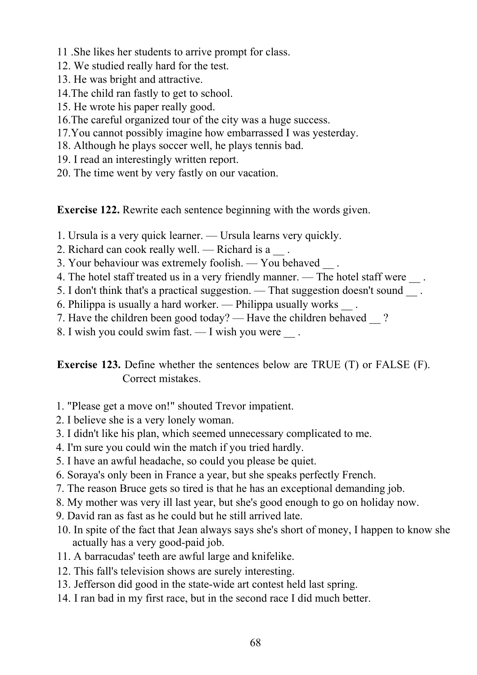- 11 .She likes her students to arrive prompt for class.
- 12. We studied really hard for the test.
- 13. He was bright and attractive.
- 14.The child ran fastly to get to school.
- 15. He wrote his paper really good.
- 16.The careful organized tour of the city was a huge success.
- 17.You cannot possibly imagine how embarrassed I was yesterday.
- 18. Although he plays soccer well, he plays tennis bad.
- 19. I read an interestingly written report.
- 20. The time went by very fastly on our vacation.

**Exercise 122.** Rewrite each sentence beginning with the words given.

- 1. Ursula is a very quick learner. Ursula learns very quickly.
- 2. Richard can cook really well. Richard is a
- 3. Your behaviour was extremely foolish. You behaved \_\_ .
- 4. The hotel staff treated us in a very friendly manner. The hotel staff were  $\qquad$ .
- 5. I don't think that's a practical suggestion. That suggestion doesn't sound \_\_ .
- 6. Philippa is usually a hard worker. Philippa usually works \_\_ .
- 7. Have the children been good today? Have the children behaved ?
- 8. I wish you could swim fast. I wish you were  $\qquad$ .

**Exercise 123.** Define whether the sentences below are TRUE (T) or FALSE (F). Correct mistakes.

- 1. "Please get a move on!" shouted Trevor impatient.
- 2. I believe she is a very lonely woman.
- 3. I didn't like his plan, which seemed unnecessary complicated to me.
- 4. I'm sure you could win the match if you tried hardly.
- 5. I have an awful headache, so could you please be quiet.
- 6. Soraya's only been in France a year, but she speaks perfectly French.
- 7. The reason Bruce gets so tired is that he has an exceptional demanding job.
- 8. My mother was very ill last year, but she's good enough to go on holiday now.
- 9. David ran as fast as he could but he still arrived late.
- 10. In spite of the fact that Jean always says she's short of money, I happen to know she actually has a very good-paid job.
- 11. A barracudas' teeth are awful large and knifelike.
- 12. This fall's television shows are surely interesting.
- 13. Jefferson did good in the state-wide art contest held last spring.
- 14. I ran bad in my first race, but in the second race I did much better.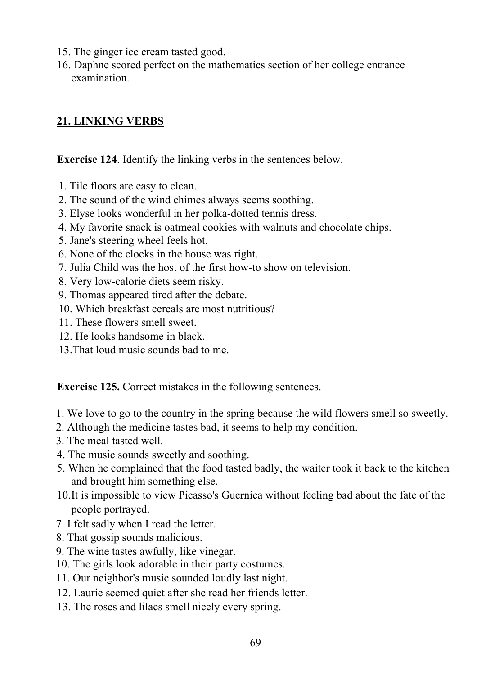- 15. The ginger ice cream tasted good.
- 16. Daphne scored perfect on the mathematics section of her college entrance examination.

## **21. LINKING VERBS**

**Exercise 124**. Identify the linking verbs in the sentences below.

- 1. Tile floors are easy to clean.
- 2. The sound of the wind chimes always seems soothing.
- 3. Elyse looks wonderful in her polka-dotted tennis dress.
- 4. My favorite snack is oatmeal cookies with walnuts and chocolate chips.
- 5. Jane's steering wheel feels hot.
- 6. None of the clocks in the house was right.
- 7. Julia Child was the host of the first how-to show on television.
- 8. Very low-calorie diets seem risky.
- 9. Thomas appeared tired after the debate.
- 10. Which breakfast cereals are most nutritious?
- 11. These flowers smell sweet.
- 12. He looks handsome in black.
- 13.That loud music sounds bad to me.

**Exercise 125.** Correct mistakes in the following sentences.

- 1. We love to go to the country in the spring because the wild flowers smell so sweetly.
- 2. Although the medicine tastes bad, it seems to help my condition.
- 3. The meal tasted well.
- 4. The music sounds sweetly and soothing.
- 5. When he complained that the food tasted badly, the waiter took it back to the kitchen and brought him something else.
- 10.It is impossible to view Picasso's Guernica without feeling bad about the fate of the people portrayed.
- 7. I felt sadly when I read the letter.
- 8. That gossip sounds malicious.
- 9. The wine tastes awfully, like vinegar.
- 10. The girls look adorable in their party costumes.
- 11. Our neighbor's music sounded loudly last night.
- 12. Laurie seemed quiet after she read her friends letter.
- 13. The roses and lilacs smell nicely every spring.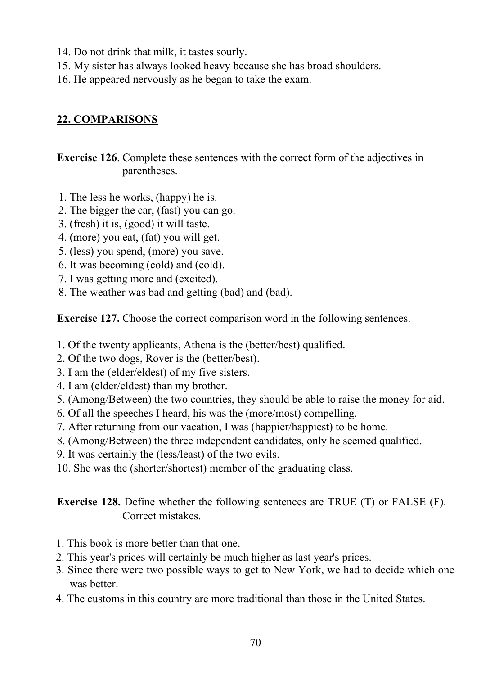- 14. Do not drink that milk, it tastes sourly.
- 15. My sister has always looked heavy because she has broad shoulders.
- 16. He appeared nervously as he began to take the exam.

# **22. COMPARISONS**

**Exercise 126**. Complete these sentences with the correct form of the adjectives in parentheses.

- 1. The less he works, (happy) he is.
- 2. The bigger the car, (fast) you can go.
- 3. (fresh) it is, (good) it will taste.
- 4. (more) you eat, (fat) you will get.
- 5. (less) you spend, (more) you save.
- 6. It was becoming (cold) and (cold).
- 7. I was getting more and (excited).
- 8. The weather was bad and getting (bad) and (bad).

**Exercise 127.** Choose the correct comparison word in the following sentences.

- 1. Of the twenty applicants, Athena is the (better/best) qualified.
- 2. Of the two dogs, Rover is the (better/best).
- 3. I am the (elder/eldest) of my five sisters.
- 4. I am (elder/eldest) than my brother.
- 5. (Among/Between) the two countries, they should be able to raise the money for aid.
- 6. Of all the speeches I heard, his was the (more/most) compelling.
- 7. After returning from our vacation, I was (happier/happiest) to be home.
- 8. (Among/Between) the three independent candidates, only he seemed qualified.
- 9. It was certainly the (less/least) of the two evils.
- 10. She was the (shorter/shortest) member of the graduating class.

**Exercise 128.** Define whether the following sentences are TRUE (T) or FALSE (F). Correct mistakes.

- 1. This book is more better than that one.
- 2. This year's prices will certainly be much higher as last year's prices.
- 3. Since there were two possible ways to get to New York, we had to decide which one was better.
- 4. The customs in this country are more traditional than those in the United States.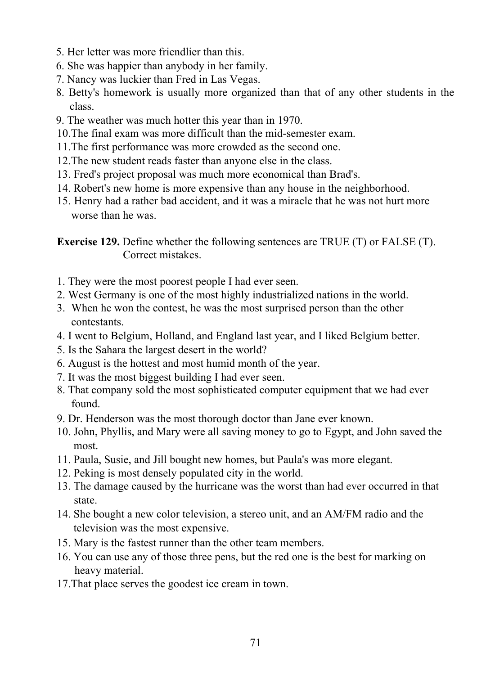- 5. Her letter was more friendlier than this.
- 6. She was happier than anybody in her family.
- 7. Nancy was luckier than Fred in Las Vegas.
- 8. Betty's homework is usually more organized than that of any other students in the class.
- 9. The weather was much hotter this year than in 1970.
- 10.The final exam was more difficult than the mid-semester exam.
- 11.The first performance was more crowded as the second one.
- 12.The new student reads faster than anyone else in the class.
- 13. Fred's project proposal was much more economical than Brad's.
- 14. Robert's new home is more expensive than any house in the neighborhood.
- 15. Henry had a rather bad accident, and it was a miracle that he was not hurt more worse than he was.

**Exercise 129.** Define whether the following sentences are TRUE (T) or FALSE (T). Correct mistakes.

- 1. They were the most poorest people I had ever seen.
- 2. West Germany is one of the most highly industrialized nations in the world.
- 3. When he won the contest, he was the most surprised person than the other contestants.
- 4. I went to Belgium, Holland, and England last year, and I liked Belgium better.
- 5. Is the Sahara the largest desert in the world?
- 6. August is the hottest and most humid month of the year.
- 7. It was the most biggest building I had ever seen.
- 8. That company sold the most sophisticated computer equipment that we had ever found.
- 9. Dr. Henderson was the most thorough doctor than Jane ever known.
- 10. John, Phyllis, and Mary were all saving money to go to Egypt, and John saved the most.
- 11. Paula, Susie, and Jill bought new homes, but Paula's was more elegant.
- 12. Peking is most densely populated city in the world.
- 13. The damage caused by the hurricane was the worst than had ever occurred in that state.
- 14. She bought a new color television, a stereo unit, and an AM/FM radio and the television was the most expensive.
- 15. Mary is the fastest runner than the other team members.
- 16. You can use any of those three pens, but the red one is the best for marking on heavy material.
- 17.That place serves the goodest ice cream in town.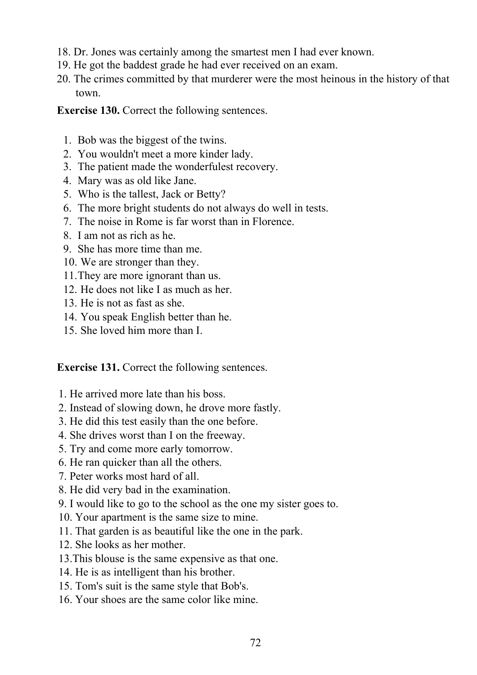- 18. Dr. Jones was certainly among the smartest men I had ever known.
- 19. He got the baddest grade he had ever received on an exam.
- 20. The crimes committed by that murderer were the most heinous in the history of that town.

**Exercise 130.** Correct the following sentences.

- 1. Bob was the biggest of the twins.
- 2. You wouldn't meet a more kinder lady.
- 3. The patient made the wonderfulest recovery.
- 4. Mary was as old like Jane.
- 5. Who is the tallest, Jack or Betty?
- 6. The more bright students do not always do well in tests.
- 7. The noise in Rome is far worst than in Florence.
- 8. I am not as rich as he.
- 9. She has more time than me.
- 10. We are stronger than they.
- 11.They are more ignorant than us.
- 12. He does not like I as much as her.
- 13. He is not as fast as she.
- 14. You speak English better than he.
- 15. She loved him more than I.

**Exercise 131.** Correct the following sentences.

- 1. He arrived more late than his boss.
- 2. Instead of slowing down, he drove more fastly.
- 3. He did this test easily than the one before.
- 4. She drives worst than I on the freeway.
- 5. Try and come more early tomorrow.
- 6. He ran quicker than all the others.
- 7. Peter works most hard of all.
- 8. He did very bad in the examination.
- 9. I would like to go to the school as the one my sister goes to.
- 10. Your apartment is the same size to mine.
- 11. That garden is as beautiful like the one in the park.
- 12. She looks as her mother.
- 13.This blouse is the same expensive as that one.
- 14. He is as intelligent than his brother.
- 15. Tom's suit is the same style that Bob's.
- 16. Your shoes are the same color like mine.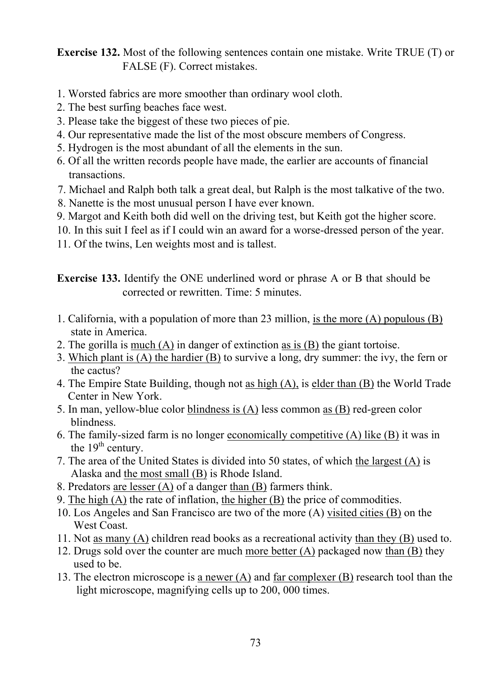**Exercise 132.** Most of the following sentences contain one mistake. Write TRUE (T) or FALSE (F). Correct mistakes.

- 1. Worsted fabrics are more smoother than ordinary wool cloth.
- 2. The best surfing beaches face west.
- 3. Please take the biggest of these two pieces of pie.
- 4. Our representative made the list of the most obscure members of Congress.
- 5. Hydrogen is the most abundant of all the elements in the sun.
- 6. Of all the written records people have made, the earlier are accounts of financial transactions.
- 7. Michael and Ralph both talk a great deal, but Ralph is the most talkative of the two.
- 8. Nanette is the most unusual person I have ever known.
- 9. Margot and Keith both did well on the driving test, but Keith got the higher score.
- 10. In this suit I feel as if I could win an award for a worse-dressed person of the year.
- 11. Of the twins, Len weights most and is tallest.

**Exercise 133.** Identify the ONE underlined word or phrase A or В that should be corrected or rewritten. Time: 5 minutes.

- 1. California, with a population of more than 23 million, is the more (A) populous (B) state in America.
- 2. The gorilla is much (A) in danger of extinction as is (B) the giant tortoise.
- 3. Which plant is (A) the hardier (B) to survive a long, dry summer: the ivy, the fern or the cactus?
- 4. The Empire State Building, though not as high (A), is elder than (B) the World Trade Center in New York.
- 5. In man, yellow-blue color blindness is (A) less common as (B) red-green color blindness.
- 6. The family-sized farm is no longer economically competitive  $(A)$  like  $(B)$  it was in the  $19<sup>th</sup>$  century.
- 7. The area of the United States is divided into 50 states, of which the largest (A) is Alaska and the most small (B) is Rhode Island.
- 8. Predators are lesser (A) of a danger than (B) farmers think.
- 9. The high (A) the rate of inflation, the higher (B) the price of commodities.
- 10. Los Angeles and San Francisco are two of the more (A) visited cities (B) on the West Coast.
- 11. Not as many (A) children read books as a recreational activity than they (B) used to.
- 12. Drugs sold over the counter are much more better (A) packaged now than (B) they used to be.
- 13. The electron microscope is a newer (A) and far complexer (B) research tool than the light microscope, magnifying cells up to 200, 000 times.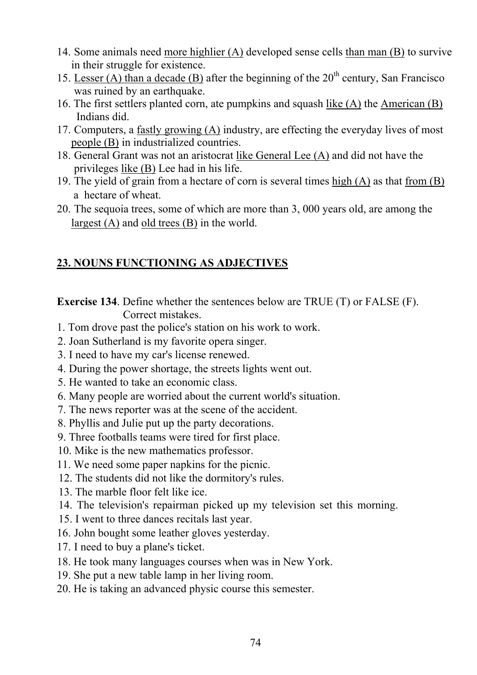- 14. Some animals need more highlier (A) developed sense cells than man (B) to survive in their struggle for existence.
- 15. Lesser (A) than a decade (B) after the beginning of the  $20<sup>th</sup>$  century, San Francisco was ruined by an earthquake.
- 16. The first settlers planted corn, ate pumpkins and squash like (A) the American (B) Indians did.
- 17. Computers, a fastly growing (A) industry, are effecting the everyday lives of most people (B) in industrialized countries.
- 18. General Grant was not an aristocrat like General Lee (A) and did not have the privileges like (B) Lee had in his life.
- 19. The yield of grain from a hectare of corn is several times  $\underline{high}(A)$  as that from  $(B)$ a hectare of wheat.
- 20. The sequoia trees, some of which are more than 3, 000 years old, are among the largest (A) and old trees (B) in the world.

# **23. NOUNS FUNCTIONING AS ADJECTIVES**

**Exercise 134**. Define whether the sentences below are TRUE (T) or FALSE (F). Correct mistakes.

- 1. Tom drove past the police's station on his work to work.
- 2. Joan Sutherland is my favorite opera singer.
- 3. I need to have my car's license renewed.
- 4. During the power shortage, the streets lights went out.
- 5. He wanted to take an economic class.
- 6. Many people are worried about the current world's situation.
- 7. The news reporter was at the scene of the accident.
- 8. Phyllis and Julie put up the party decorations.
- 9. Three footballs teams were tired for first place.
- 10. Mike is the new mathematics professor.
- 11. We need some paper napkins for the picnic.
- 12. The students did not like the dormitory's rules.
- 13. The marble floor felt like ice.
- 14. The television's repairman picked up my television set this morning.
- 15. I went to three dances recitals last year.
- 16. John bought some leather gloves yesterday.
- 17. I need to buy a plane's ticket.
- 18. He took many languages courses when was in New York.
- 19. She put a new table lamp in her living room.
- 20. He is taking an advanced physic course this semester.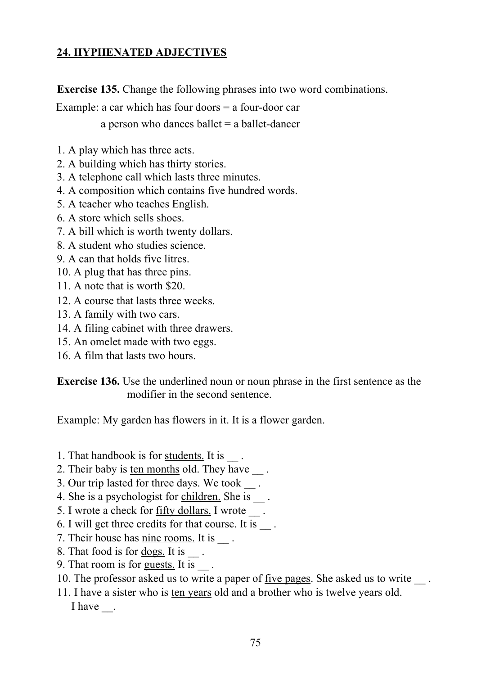## **24. HYPHENATED ADJECTIVES**

**Exercise 135.** Change the following phrases into two word combinations.

Example: a car which has four doors = a four-door car

a person who dances ballet  $=$  a ballet-dancer

- 1. A play which has three acts.
- 2. A building which has thirty stories.
- 3. A telephone call which lasts three minutes.
- 4. A composition which contains five hundred words.
- 5. A teacher who teaches English.
- 6. A store which sells shoes.
- 7. A bill which is worth twenty dollars.
- 8. A student who studies science.
- 9. A can that holds five litres.
- 10. A plug that has three pins.
- 11. A note that is worth \$20.
- 12. A course that lasts three weeks.
- 13. A family with two cars.
- 14. A filing cabinet with three drawers.
- 15. An omelet made with two eggs.
- 16. A film that lasts two hours.

**Exercise 136.** Use the underlined noun or noun phrase in the first sentence as the modifier in the second sentence.

Example: My garden has flowers in it. It is a flower garden.

- 1. That handbook is for students. It is
- 2. Their baby is ten months old. They have \_\_\_.
- 3. Our trip lasted for three days. We took .
- 4. She is a psychologist for children. She is \_\_\_.
- 5. I wrote a check for <u>fifty dollars</u>. I wrote
- 6. I will get three credits for that course. It is \_\_ .
- 7. Their house has nine rooms. It is
- 8. That food is for dogs. It is  $\blacksquare$ .
- 9. That room is for guests. It is \_\_ *.*
- 10. The professor asked us to write a paper of five pages. She asked us to write
- 11. I have a sister who is ten years old and a brother who is twelve years old. I have  $\qquad$ .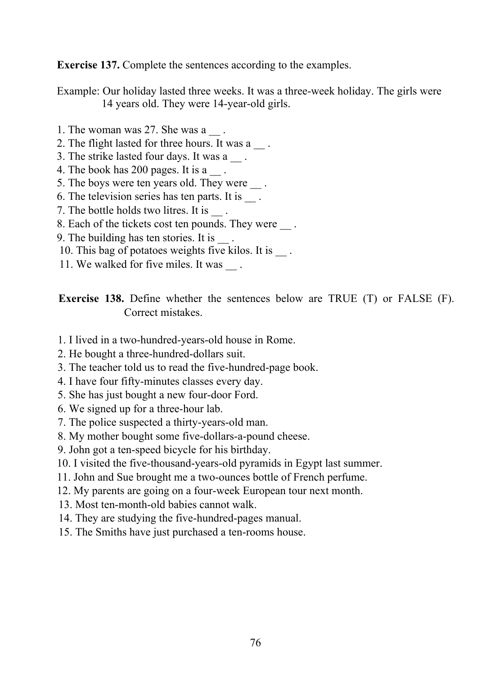**Exercise 137.** Complete the sentences according to the examples.

Example: Our holiday lasted three weeks. It was a three-week holiday. The girls were 14 years old. They were 14-year-old girls.

- 1. The woman was 27. She was a  $\qquad$ .
- 2. The flight lasted for three hours. It was a  $\blacksquare$ .
- 3. The strike lasted four days. It was a
- 4. The book has 200 pages. It is a  $\_\_$ .
- 5. The boys were ten years old. They were  $\qquad$ .
- 6. The television series has ten parts. It is \_\_ .
- 7. The bottle holds two litres. It is
- 8. Each of the tickets cost ten pounds. They were  $\qquad$ .
- 9. The building has ten stories. It is
- 10. This bag of potatoes weights five kilos. It is
- 11. We walked for five miles. It was ...

**Exercise 138.** Define whether the sentences below are TRUE (T) or FALSE (F). Correct mistakes.

- 1. I lived in a two-hundred-years-old house in Rome.
- 2. He bought a three-hundred-dollars suit.
- 3. The teacher told us to read the five-hundred-page book.
- 4. I have four fifty-minutes classes every day.
- 5. She has just bought a new four-door Ford.
- 6. We signed up for a three-hour lab.
- 7. The police suspected a thirty-years-old man.
- 8. My mother bought some five-dollars-a-pound cheese.
- 9. John got a ten-speed bicycle for his birthday.
- 10. I visited the five-thousand-years-old pyramids in Egypt last summer.
- 11. John and Sue brought me a two-ounces bottle of French perfume.
- 12. My parents are going on a four-week European tour next month.
- 13. Most ten-month-old babies cannot walk.
- 14. They are studying the five-hundred-pages manual.
- 15. The Smiths have just purchased a ten-rooms house.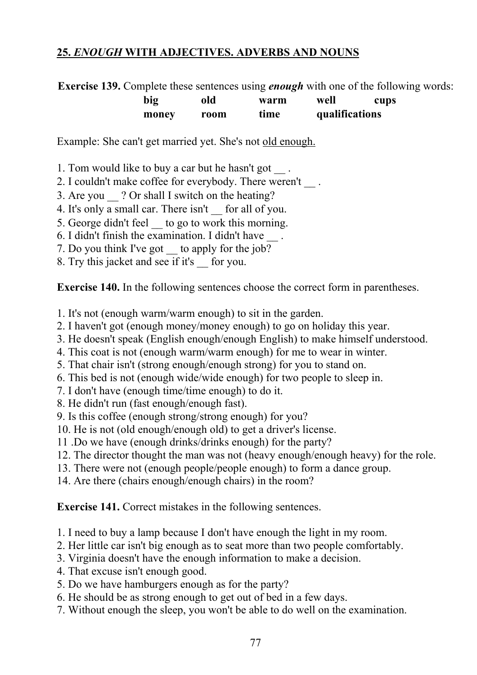### **25.** *ENOUGH* **WITH ADJECTIVES. ADVERBS AND NOUNS**

**Exercise 139.** Complete these sentences using *enough* with one of the following words:

| big   | old  | warm | well           | cups |
|-------|------|------|----------------|------|
| money | room | time | qualifications |      |

Example: She can't get married yet. She's not old enough.

- 1. Tom would like to buy a car but he hasn't got \_\_ .
- 2. I couldn't make coffee for everybody. There weren't \_\_ .
- 3. Are you ? Or shall I switch on the heating?
- 4. It's only a small car. There isn't \_ for all of you.
- 5. George didn't feel \_\_ to go to work this morning.
- 6. I didn't finish the examination. I didn't have
- 7. Do you think I've got to apply for the job?
- 8. Try this jacket and see if it's \_\_ for you.

**Exercise 140.** In the following sentences choose the correct form in parentheses.

- 1. It's not (enough warm/warm enough) to sit in the garden.
- 2. I haven't got (enough money/money enough) to go on holiday this year.
- 3. He doesn't speak (English enough/enough English) to make himself understood.
- 4. This coat is not (enough warm/warm enough) for me to wear in winter.
- 5. That chair isn't (strong enough/enough strong) for you to stand on.
- 6. This bed is not (enough wide/wide enough) for two people to sleep in.
- 7. I don't have (enough time/time enough) to do it.
- 8. He didn't run (fast enough/enough fast).
- 9. Is this coffee (enough strong/strong enough) for you?
- 10. He is not (old enough/enough old) to get a driver's license.
- 11 .Do we have (enough drinks/drinks enough) for the party?
- 12. The director thought the man was not (heavy enough/enough heavy) for the role.
- 13. There were not (enough people/people enough) to form a dance group.
- 14. Are there (chairs enough/enough chairs) in the room?

**Exercise 141.** Correct mistakes in the following sentences.

- 1. I need to buy a lamp because I don't have enough the light in my room.
- 2. Her little car isn't big enough as to seat more than two people comfortably.
- 3. Virginia doesn't have the enough information to make a decision.
- 4. That excuse isn't enough good.
- 5. Do we have hamburgers enough as for the party?
- 6. He should be as strong enough to get out of bed in a few days.
- 7. Without enough the sleep, you won't be able to do well on the examination.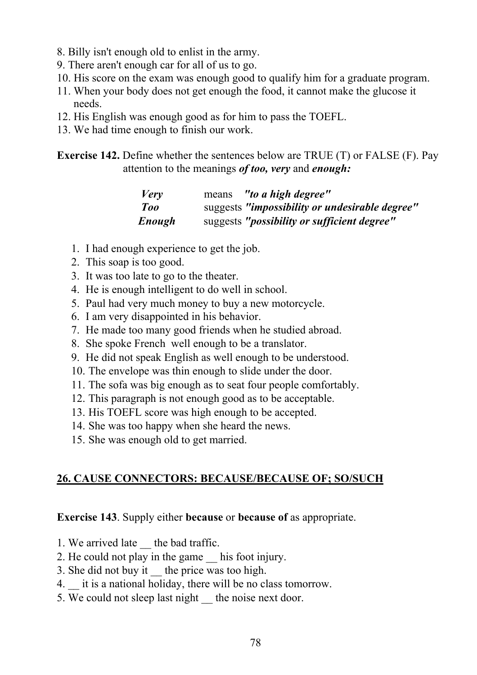- 8. Billy isn't enough old to enlist in the army.
- 9. There aren't enough car for all of us to go.
- 10. His score on the exam was enough good to qualify him for a graduate program.
- 11. When your body does not get enough the food, it cannot make the glucose it needs.
- 12. His English was enough good as for him to pass the TOEFL.
- 13. We had time enough to finish our work.

**Exercise 142.** Define whether the sentences below are TRUE (T) or FALSE (F). Pay attention to the meanings *of too, very* and *enough:* 

| <i>Very</i> | "to a high degree"<br>means                          |
|-------------|------------------------------------------------------|
| Too         | suggests "impossibility or undesirable degree"       |
| Enough      | suggests " <i>possibility or sufficient degree</i> " |

- 1. I had enough experience to get the job.
- 2. This soap is too good.
- 3. It was too late to go to the theater.
- 4. He is enough intelligent to do well in school.
- 5. Paul had very much money to buy a new motorcycle.
- 6. I am very disappointed in his behavior.
- 7. He made too many good friends when he studied abroad.
- 8. She spoke French well enough to be a translator.
- 9. He did not speak English as well enough to be understood.
- 10. The envelope was thin enough to slide under the door.
- 11. The sofa was big enough as to seat four people comfortably.
- 12. This paragraph is not enough good as to be acceptable.
- 13. His TOEFL score was high enough to be accepted.
- 14. She was too happy when she heard the news.
- 15. She was enough old to get married.

### **26. CAUSE CONNECTORS: BECAUSE/BECAUSE OF; SO/SUCH**

#### **Exercise 143**. Supply either **because** or **because of** as appropriate.

- 1. We arrived late the bad traffic.
- 2. He could not play in the game \_\_ his foot injury.
- 3. She did not buy it the price was too high.
- 4. it is a national holiday, there will be no class tomorrow.
- 5. We could not sleep last night the noise next door.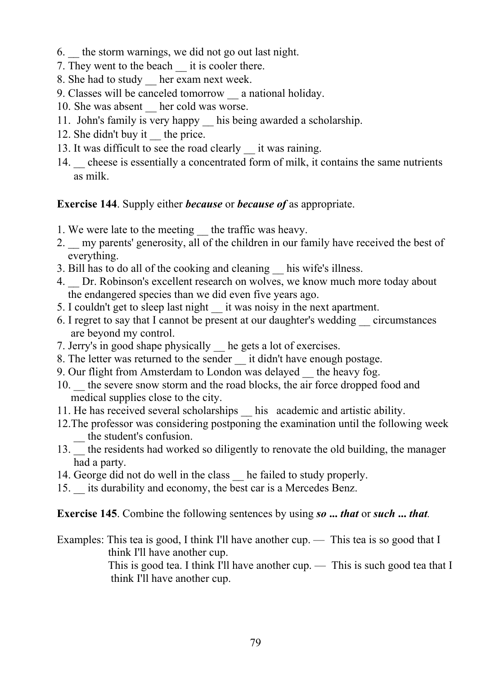- 6. \_\_ the storm warnings, we did not go out last night.
- 7. They went to the beach it is cooler there.
- 8. She had to study her exam next week.
- 9. Classes will be canceled tomorrow \_\_ a national holiday.
- 10. She was absent her cold was worse.
- 11. John's family is very happy his being awarded a scholarship.
- 12. She didn't buy it the price.
- 13. It was difficult to see the road clearly it was raining.
- 14. cheese is essentially a concentrated form of milk, it contains the same nutrients as milk.

### **Exercise 144**. Supply either *because* or *because of* as appropriate.

- 1. We were late to the meeting the traffic was heavy.
- 2. In my parents' generosity, all of the children in our family have received the best of everything.
- 3. Bill has to do all of the cooking and cleaning \_\_ his wife's illness.
- 4. Dr. Robinson's excellent research on wolves, we know much more today about the endangered species than we did even five years ago.
- 5. I couldn't get to sleep last night \_\_ it was noisy in the next apartment.
- 6. I regret to say that I cannot be present at our daughter's wedding \_\_ circumstances are beyond my control.
- 7. Jerry's in good shape physically \_\_ he gets a lot of exercises.
- 8. The letter was returned to the sender it didn't have enough postage.
- 9. Our flight from Amsterdam to London was delayed \_\_ the heavy fog.
- 10. the severe snow storm and the road blocks, the air force dropped food and medical supplies close to the city.
- 11. He has received several scholarships his academic and artistic ability.
- 12.The professor was considering postponing the examination until the following week — the student's confusion.
- 13. <sup>the</sup> residents had worked so diligently to renovate the old building, the manager had a party.
- 14. George did not do well in the class he failed to study properly.
- 15. its durability and economy, the best car is a Mercedes Benz.

**Exercise 145**. Combine the following sentences by using *so* **...** *that* or *such* **...** *that.*

Examples: This tea is good, I think I'll have another cup. — This tea is so good that I think I'll have another cup.

> This is good tea. I think I'll have another cup. — This is such good tea that I think I'll have another cup.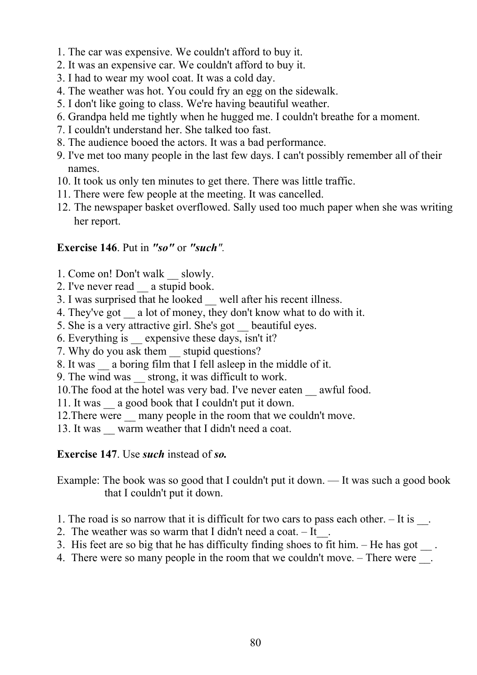- 1. The car was expensive. We couldn't afford to buy it.
- 2. It was an expensive car. We couldn't afford to buy it.
- 3. I had to wear my wool coat. It was a cold day.
- 4. The weather was hot. You could fry an egg on the sidewalk.
- 5. I don't like going to class. We're having beautiful weather.
- 6. Grandpa held me tightly when he hugged me. I couldn't breathe for a moment.
- 7. I couldn't understand her. She talked too fast.
- 8. The audience booed the actors. It was a bad performance.
- 9. I've met too many people in the last few days. I can't possibly remember all of their names.
- 10. It took us only ten minutes to get there. There was little traffic.
- 11. There were few people at the meeting. It was cancelled.
- 12. The newspaper basket overflowed. Sally used too much paper when she was writing her report.

### **Exercise 146**. Put in *"so"* or *"such".*

- 1. Come on! Don't walk slowly.
- 2. I've never read a stupid book.
- 3. I was surprised that he looked well after his recent illness.
- 4. They've got a lot of money, they don't know what to do with it.
- 5. She is a very attractive girl. She's got \_\_ beautiful eyes.
- 6. Everything is \_\_ expensive these days, isn't it?
- 7. Why do you ask them stupid questions?
- 8. It was a boring film that I fell asleep in the middle of it.
- 9. The wind was strong, it was difficult to work.

10.The food at the hotel was very bad. I've never eaten \_\_ awful food.

- 11. It was \_\_ a good book that I couldn't put it down.
- 12. There were many people in the room that we couldn't move.
- 13. It was warm weather that I didn't need a coat.

### **Exercise 147**. Use *such* instead of *so.*

Example: The book was so good that I couldn't put it down. — It was such a good book that I couldn't put it down.

- 1. The road is so narrow that it is difficult for two cars to pass each other.  $-$  It is  $\blacksquare$ .
- 2. The weather was so warm that I didn't need a coat.  $-$  It
- 3. His feet are so big that he has difficulty finding shoes to fit him.  $-$  He has got  $\blacksquare$ .
- 4. There were so many people in the room that we couldn't move. There were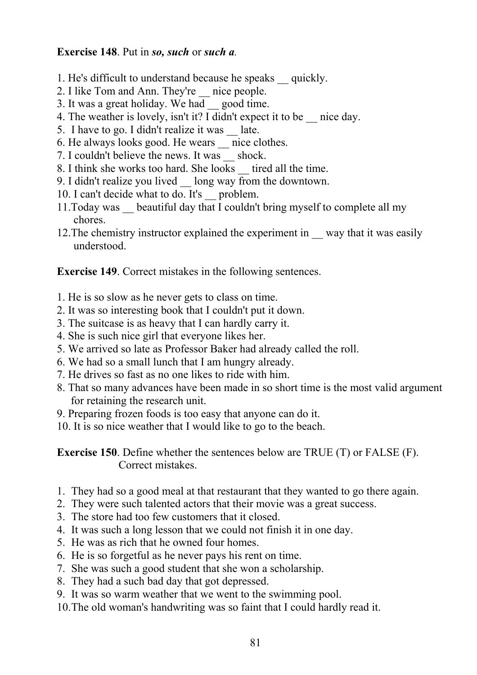#### **Exercise 148**. Put in *so, such* or *such a.*

- 1. He's difficult to understand because he speaks \_\_ quickly.
- 2. I like Tom and Ann. They're \_\_ nice people.
- 3. It was a great holiday. We had \_\_ good time.
- 4. The weather is lovely, isn't it? I didn't expect it to be \_\_ nice day.
- 5. I have to go. I didn't realize it was \_\_ late.
- 6. He always looks good. He wears \_\_ nice clothes.
- 7. I couldn't believe the news. It was shock.
- 8. I think she works too hard. She looks tired all the time.
- 9. I didn't realize you lived \_\_ long way from the downtown.
- 10. I can't decide what to do. It's problem.
- 11.Today was \_\_ beautiful day that I couldn't bring myself to complete all my chores.
- 12. The chemistry instructor explained the experiment in way that it was easily understood.

**Exercise 149**. Correct mistakes in the following sentences.

- 1. He is so slow as he never gets to class on time.
- 2. It was so interesting book that I couldn't put it down.
- 3. The suitcase is as heavy that I can hardly carry it.
- 4. She is such nice girl that everyone likes her.
- 5. We arrived so late as Professor Baker had already called the roll.
- 6. We had so a small lunch that I am hungry already.
- 7. He drives so fast as no one likes to ride with him.
- 8. That so many advances have been made in so short time is the most valid argument for retaining the research unit.
- 9. Preparing frozen foods is too easy that anyone can do it.
- 10. It is so nice weather that I would like to go to the beach.

**Exercise 150**. Define whether the sentences below are TRUE (T) or FALSE (F). Correct mistakes.

- 1. They had so a good meal at that restaurant that they wanted to go there again.
- 2. They were such talented actors that their movie was a great success.
- 3. The store had too few customers that it closed.
- 4. It was such a long lesson that we could not finish it in one day.
- 5. He was as rich that he owned four homes.
- 6. He is so forgetful as he never pays his rent on time.
- 7. She was such a good student that she won a scholarship.
- 8. They had a such bad day that got depressed.
- 9. It was so warm weather that we went to the swimming pool.
- 10.The old woman's handwriting was so faint that I could hardly read it.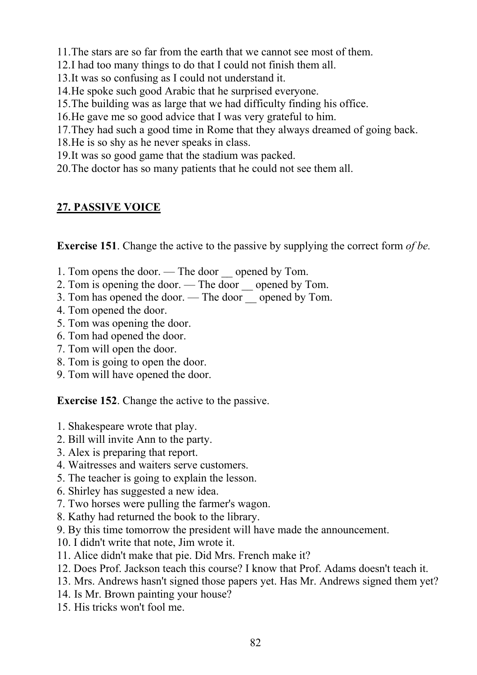11.The stars are so far from the earth that we cannot see most of them.

- 12.I had too many things to do that I could not finish them all.
- 13.It was so confusing as I could not understand it.
- 14.He spoke such good Arabic that he surprised everyone.
- 15.The building was as large that we had difficulty finding his office.
- 16.He gave me so good advice that I was very grateful to him.
- 17.They had such a good time in Rome that they always dreamed of going back.
- 18.He is so shy as he never speaks in class.
- 19.It was so good game that the stadium was packed.
- 20.The doctor has so many patients that he could not see them all.

### **27. PASSIVE VOICE**

**Exercise 151**. Change the active to the passive by supplying the correct form *of be.*

- 1. Tom opens the door. The door opened by Tom.
- 2. Tom is opening the door. The door opened by Tom.
- 3. Tom has opened the door. The door \_\_ opened by Tom.
- 4. Tom opened the door.
- 5. Tom was opening the door.
- 6. Tom had opened the door.
- 7. Tom will open the door.
- 8. Tom is going to open the door.
- 9. Tom will have opened the door.

**Exercise 152**. Change the active to the passive.

- 1. Shakespeare wrote that play.
- 2. Bill will invite Ann to the party.
- 3. Alex is preparing that report.
- 4. Waitresses and waiters serve customers.
- 5. The teacher is going to explain the lesson.
- 6. Shirley has suggested a new idea.
- 7. Two horses were pulling the farmer's wagon.
- 8. Kathy had returned the book to the library.
- 9. By this time tomorrow the president will have made the announcement.
- 10. I didn't write that note, Jim wrote it.
- 11. Alice didn't make that pie. Did Mrs. French make it?
- 12. Does Prof. Jackson teach this course? I know that Prof. Adams doesn't teach it.
- 13. Mrs. Andrews hasn't signed those papers yet. Has Mr. Andrews signed them yet?
- 14. Is Mr. Brown painting your house?
- 15. His tricks won't fool me.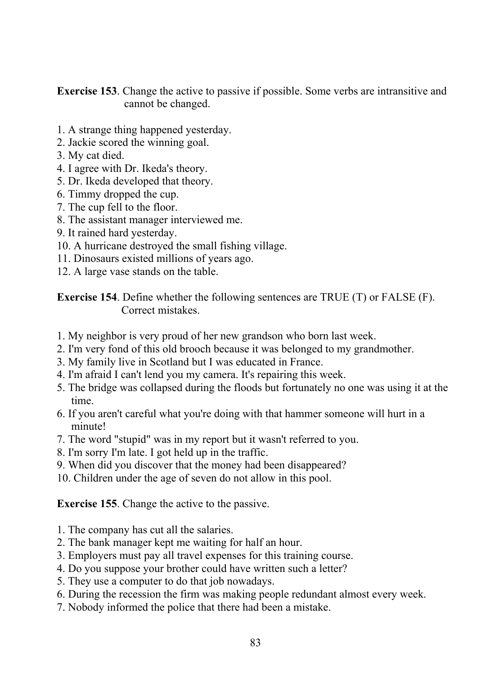**Exercise 153**. Change the active to passive if possible. Some verbs are intransitive and cannot be changed.

- 1. A strange thing happened yesterday.
- 2. Jackie scored the winning goal.
- 3. My cat died.
- 4. I agree with Dr. Ikeda's theory.
- 5. Dr. Ikeda developed that theory.
- 6. Timmy dropped the cup.
- 7. The cup fell to the floor.
- 8. The assistant manager interviewed me.
- 9. It rained hard yesterday.
- 10. A hurricane destroyed the small fishing village.
- 11. Dinosaurs existed millions of years ago.
- 12. A large vase stands on the table.

**Exercise 154**. Define whether the following sentences are TRUE (T) or FALSE (F). Correct mistakes.

- 1. My neighbor is very proud of her new grandson who born last week.
- 2. I'm very fond of this old brooch because it was belonged to my grandmother.
- 3. My family live in Scotland but I was educated in France.
- 4. I'm afraid I can't lend you my camera. It's repairing this week.
- 5. The bridge was collapsed during the floods but fortunately no one was using it at the time.
- 6. If you aren't careful what you're doing with that hammer someone will hurt in a minute!
- 7. The word "stupid" was in my report but it wasn't referred to you.
- 8. I'm sorry I'm late. I got held up in the traffic.
- 9. When did you discover that the money had been disappeared?
- 10. Children under the age of seven do not allow in this pool.

#### **Exercise 155**. Change the active to the passive.

- 1. The company has cut all the salaries.
- 2. The bank manager kept me waiting for half an hour.
- 3. Employers must pay all travel expenses for this training course.
- 4. Do you suppose your brother could have written such a letter?
- 5. They use a computer to do that job nowadays.
- 6. During the recession the firm was making people redundant almost every week.
- 7. Nobody informed the police that there had been a mistake.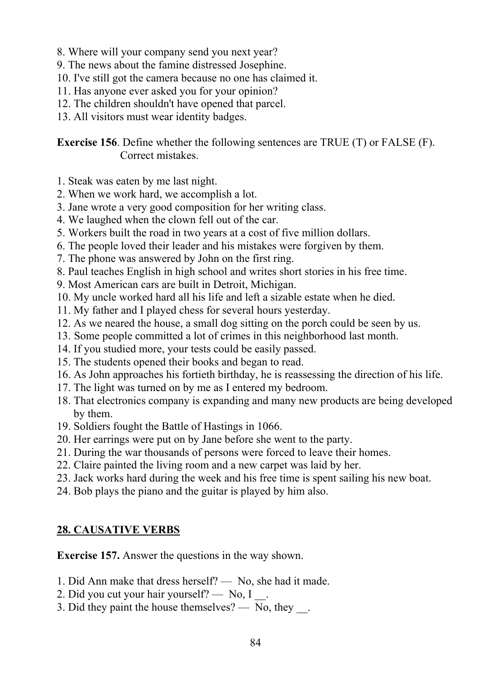- 8. Where will your company send you next year?
- 9. The news about the famine distressed Josephine.
- 10. I've still got the camera because no one has claimed it.
- 11. Has anyone ever asked you for your opinion?
- 12. The children shouldn't have opened that parcel.
- 13. All visitors must wear identity badges.

**Exercise 156**. Define whether the following sentences are TRUE (T) or FALSE (F). Correct mistakes.

- 1. Steak was eaten by me last night.
- 2. When we work hard, we accomplish a lot.
- 3. Jane wrote a very good composition for her writing class.
- 4. We laughed when the clown fell out of the car.
- 5. Workers built the road in two years at a cost of five million dollars.
- 6. The people loved their leader and his mistakes were forgiven by them.
- 7. The phone was answered by John on the first ring.
- 8. Paul teaches English in high school and writes short stories in his free time.
- 9. Most American cars are built in Detroit, Michigan.
- 10. My uncle worked hard all his life and left a sizable estate when he died.
- 11. My father and I played chess for several hours yesterday.
- 12. As we neared the house, a small dog sitting on the porch could be seen by us.
- 13. Some people committed a lot of crimes in this neighborhood last month.
- 14. If you studied more, your tests could be easily passed.
- 15. The students opened their books and began to read.
- 16. As John approaches his fortieth birthday, he is reassessing the direction of his life.
- 17. The light was turned on by me as I entered my bedroom.
- 18. That electronics company is expanding and many new products are being developed by them.
- 19. Soldiers fought the Battle of Hastings in 1066.
- 20. Her earrings were put on by Jane before she went to the party.
- 21. During the war thousands of persons were forced to leave their homes.
- 22. Claire painted the living room and a new carpet was laid by her.
- 23. Jack works hard during the week and his free time is spent sailing his new boat.
- 24. Bob plays the piano and the guitar is played by him also.

### **28. CAUSATIVE VERBS**

**Exercise 157.** Answer the questions in the way shown.

- 1. Did Ann make that dress herself? No, she had it made.
- 2. Did you cut your hair yourself? No, I
- 3. Did they paint the house themselves?  $\sim$  No, they  $\sim$ .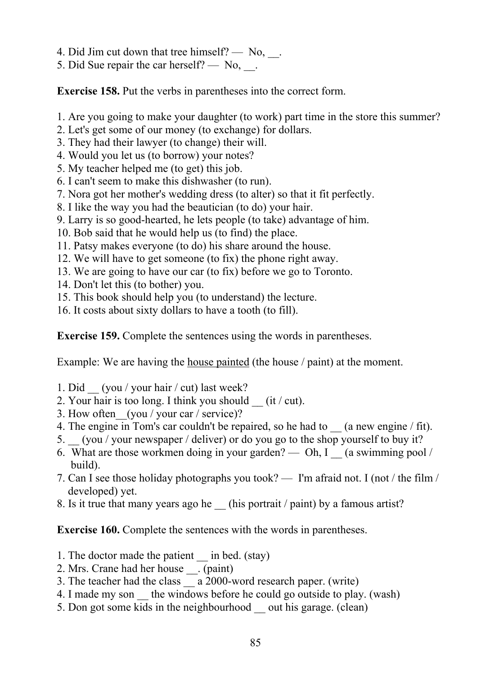- 4. Did Jim cut down that tree himself?  $-$  No,  $\alpha$ .
- 5. Did Sue repair the car herself?  $No$ , ...

**Exercise 158.** Put the verbs in parentheses into the correct form.

- 1. Are you going to make your daughter (to work) part time in the store this summer?
- 2. Let's get some of our money (to exchange) for dollars.
- 3. They had their lawyer (to change) their will.
- 4. Would you let us (to borrow) your notes?
- 5. My teacher helped me (to get) this job.
- 6. I can't seem to make this dishwasher (to run).
- 7. Nora got her mother's wedding dress (to alter) so that it fit perfectly.
- 8. I like the way you had the beautician (to do) your hair.
- 9. Larry is so good-hearted, he lets people (to take) advantage of him.
- 10. Bob said that he would help us (to find) the place.
- 11. Patsy makes everyone (to do) his share around the house.
- 12. We will have to get someone (to fix) the phone right away.
- 13. We are going to have our car (to fix) before we go to Toronto.
- 14. Don't let this (to bother) you.
- 15. This book should help you (to understand) the lecture.
- 16. It costs about sixty dollars to have a tooth (to fill).

**Exercise 159.** Complete the sentences using the words in parentheses.

Example: We are having the house painted (the house / paint) at the moment.

- 1. Did \_\_ (you / your hair / cut) last week?
- 2. Your hair is too long. I think you should  $(it / cut)$ .
- 3. How often (you / your car / service)?
- 4. The engine in Tom's car couldn't be repaired, so he had to (a new engine / fit).
- 5. \_\_ (you / your newspaper / deliver) or do you go to the shop yourself to buy it?
- 6. What are those workmen doing in your garden? Oh, I  $\alpha$  swimming pool / build).
- 7. Can I see those holiday photographs you took? I'm afraid not. I (not / the film / developed) yet.
- 8. Is it true that many years ago he (his portrait / paint) by a famous artist?

**Exercise 160.** Complete the sentences with the words in parentheses.

- 1. The doctor made the patient \_\_\_ in bed. (stay)
- 2. Mrs. Crane had her house \_\_. (paint)
- 3. The teacher had the class a 2000-word research paper. (write)
- 4. I made my son the windows before he could go outside to play. (wash)
- 5. Don got some kids in the neighbourhood \_\_ out his garage. (clean)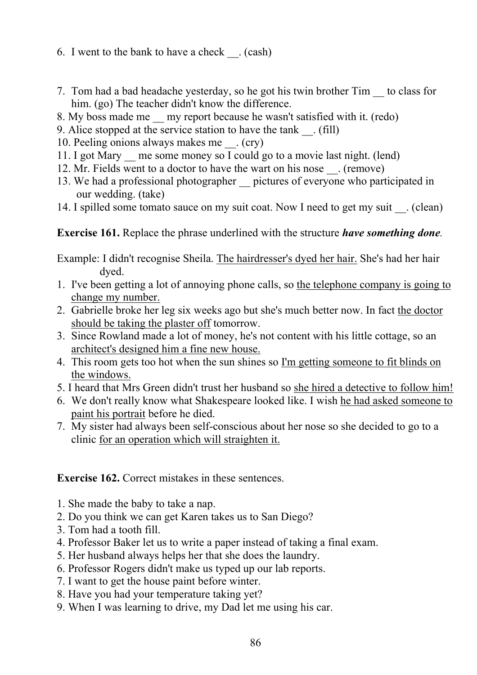- 6. I went to the bank to have a check  $\cdot$  (cash)
- 7. Tom had a bad headache yesterday, so he got his twin brother Tim \_\_ to class for him. (go) The teacher didn't know the difference.
- 8. My boss made me my report because he wasn't satisfied with it. (redo)
- 9. Alice stopped at the service station to have the tank (fill)
- 10. Peeling onions always makes me  $\cdot$  (cry)
- 11. I got Mary me some money so I could go to a movie last night. (lend)
- 12. Mr. Fields went to a doctor to have the wart on his nose  $\_\_$ . (remove)
- 13. We had a professional photographer \_\_ pictures of everyone who participated in our wedding. (take)
- 14. I spilled some tomato sauce on my suit coat. Now I need to get my suit (clean)

### **Exercise 161.** Replace the phrase underlined with the structure *have something done.*

Example: I didn't recognise Sheila. The hairdresser's dyed her hair. She's had her hair dyed.

- 1. I've been getting a lot of annoying phone calls, so the telephone company is going to change my number.
- 2. Gabrielle broke her leg six weeks ago but she's much better now. In fact the doctor should be taking the plaster off tomorrow.
- 3. Since Rowland made a lot of money, he's not content with his little cottage, so an architect's designed him a fine new house.
- 4. This room gets too hot when the sun shines so I'm getting someone to fit blinds on the windows.
- 5. I heard that Mrs Green didn't trust her husband so she hired a detective to follow him!
- 6. We don't really know what Shakespeare looked like. I wish he had asked someone to paint his portrait before he died.
- 7. My sister had always been self-conscious about her nose so she decided to go to a clinic for an operation which will straighten it.

**Exercise 162.** Correct mistakes in these sentences.

- 1. She made the baby to take a nap.
- 2. Do you think we can get Karen takes us to San Diego?
- 3. Tom had a tooth fill.
- 4. Professor Baker let us to write a paper instead of taking a final exam.
- 5. Her husband always helps her that she does the laundry.
- 6. Professor Rogers didn't make us typed up our lab reports.
- 7. I want to get the house paint before winter.
- 8. Have you had your temperature taking yet?
- 9. When I was learning to drive, my Dad let me using his car.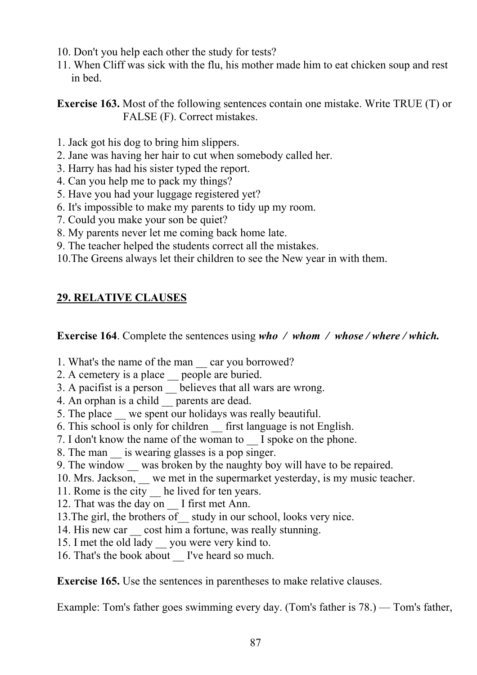- 10. Don't you help each other the study for tests?
- 11. When Cliff was sick with the flu, his mother made him to eat chicken soup and rest in bed.

**Exercise 163.** Most of the following sentences contain one mistake. Write TRUE (T) or FALSE (F). Correct mistakes.

- 1. Jack got his dog to bring him slippers.
- 2. Jane was having her hair to cut when somebody called her.
- 3. Harry has had his sister typed the report.
- 4. Can you help me to pack my things?
- 5. Have you had your luggage registered yet?
- 6. It's impossible to make my parents to tidy up my room.
- 7. Could you make your son be quiet?
- 8. My parents never let me coming back home late.
- 9. The teacher helped the students correct all the mistakes.
- 10.The Greens always let their children to see the New year in with them.

### **29. RELATIVE CLAUSES**

**Exercise 164**. Complete the sentences using *who / whom / whose / where / which.*

- 1. What's the name of the man car you borrowed?
- 2. A cemetery is a place \_\_ people are buried.
- 3. A pacifist is a person \_\_ believes that all wars are wrong.
- 4. An orphan is a child  $\frac{1}{\sqrt{2}}$  parents are dead.
- 5. The place we spent our holidays was really beautiful.
- 6. This school is only for children \_\_ first language is not English.
- 7. I don't know the name of the woman to I spoke on the phone.
- 8. The man is wearing glasses is a pop singer.
- 9. The window was broken by the naughty boy will have to be repaired.
- 10. Mrs. Jackson, we met in the supermarket yesterday, is my music teacher.
- 11. Rome is the city he lived for ten years.
- 12. That was the day on  $\overline{I}$  first met Ann.
- 13. The girl, the brothers of study in our school, looks very nice.
- 14. His new car cost him a fortune, was really stunning.
- 15. I met the old lady \_\_ you were very kind to.
- 16. That's the book about I've heard so much.

**Exercise 165.** Use the sentences in parentheses to make relative clauses.

Example: Tom's father goes swimming every day. (Tom's father is 78.) — Tom's father,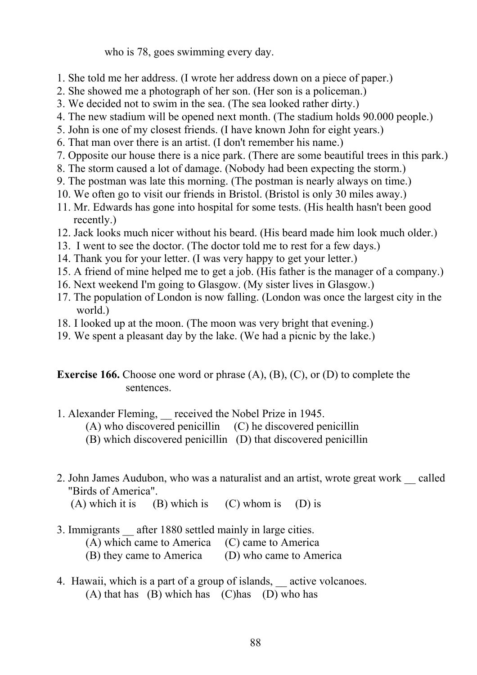who is 78, goes swimming every day.

- 1. She told me her address. (I wrote her address down on a piece of paper.)
- 2. She showed me a photograph of her son. (Her son is a policeman.)
- 3. We decided not to swim in the sea. (The sea looked rather dirty.)
- 4. The new stadium will be opened next month. (The stadium holds 90.000 people.)
- 5. John is one of my closest friends. (I have known John for eight years.)
- 6. That man over there is an artist. (I don't remember his name.)
- 7. Opposite our house there is a nice park. (There are some beautiful trees in this park.)
- 8. The storm caused a lot of damage. (Nobody had been expecting the storm.)
- 9. The postman was late this morning. (The postman is nearly always on time.)
- 10. We often go to visit our friends in Bristol. (Bristol is only 30 miles away.)
- 11. Mr. Edwards has gone into hospital for some tests. (His health hasn't been good recently.)
- 12. Jack looks much nicer without his beard. (His beard made him look much older.)
- 13. I went to see the doctor. (The doctor told me to rest for a few days.)
- 14. Thank you for your letter. (I was very happy to get your letter.)
- 15. A friend of mine helped me to get a job. (His father is the manager of a company.)
- 16. Next weekend I'm going to Glasgow. (My sister lives in Glasgow.)
- 17. The population of London is now falling. (London was once the largest city in the world.)
- 18. I looked up at the moon. (The moon was very bright that evening.)
- 19. We spent a pleasant day by the lake. (We had a picnic by the lake.)

**Exercise 166.** Choose one word or phrase (A), (B), (C), or (D) to complete the sentences.

- 1. Alexander Fleming, received the Nobel Prize in 1945.
	- (A) who discovered penicillin (C) he discovered penicillin
	- (B) which discovered penicillin (D) that discovered penicillin
- 2. John James Audubon, who was a naturalist and an artist, wrote great work \_\_ called "Birds of America".
	- (A) which it is (B) which is (C) whom is (D) is
- 3. Immigrants after 1880 settled mainly in large cities. (A) which came to America (C) came to America (B) they came to America (D) who came to America
- 4. Hawaii, which is a part of a group of islands, active volcanoes.  $(A)$  that has  $(B)$  which has  $(C)$ has  $(D)$  who has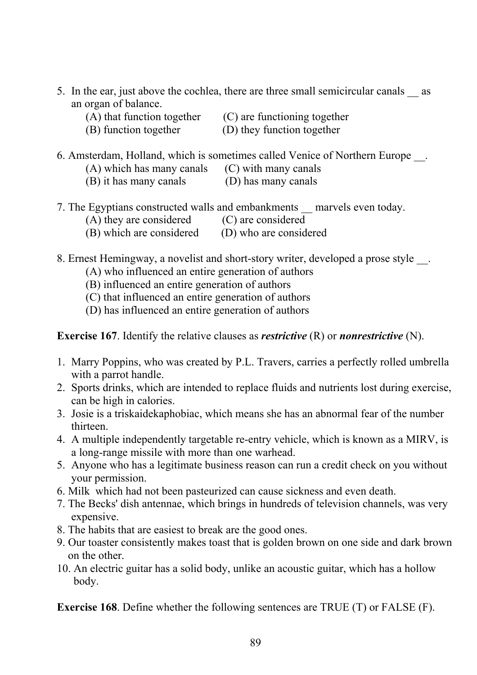- 5. In the ear, just above the cochlea, there are three small semicircular canals as an organ of balance.
	- $(A)$  that function together  $(C)$  are functioning together
		-
	- (B) function together (D) they function together
		-
- 6. Amsterdam, Holland, which is sometimes called Venice of Northern Europe.
	- $(A)$  which has many canals  $(C)$  with many canals
	- (B) it has many canals (D) has many canals
- 7. The Egyptians constructed walls and embankments marvels even today.
	- (A) they are considered (C) are considered
	- (B) which are considered (D) who are considered
- 8. Ernest Hemingway, a novelist and short-story writer, developed a prose style ...
	- (A) who influenced an entire generation of authors
	- (B) influenced an entire generation of authors
	- (C) that influenced an entire generation of authors
	- (D) has influenced an entire generation of authors

**Exercise 167**. Identify the relative clauses as *restrictive* (R) or *nonrestrictive* (N).

- 1. Marry Poppins, who was created by P.L. Travers, carries a perfectly rolled umbrella with a parrot handle.
- 2. Sports drinks, which are intended to replace fluids and nutrients lost during exercise, can be high in calories.
- 3. Josie is a triskaidekaphobiac, which means she has an abnormal fear of the number thirteen.
- 4. A multiple independently targetable re-entry vehicle, which is known as a MIRV, is a long-range missile with more than one warhead.
- 5. Anyone who has a legitimate business reason can run a credit check on you without your permission.
- 6. Milk which had not been pasteurized can cause sickness and even death.
- 7. The Becks' dish antennae, which brings in hundreds of television channels, was very expensive.
- 8. The habits that are easiest to break are the good ones.
- 9. Our toaster consistently makes toast that is golden brown on one side and dark brown on the other.
- 10. An electric guitar has a solid body, unlike an acoustic guitar, which has a hollow body.

**Exercise 168**. Define whether the following sentences are TRUE (T) or FALSE (F).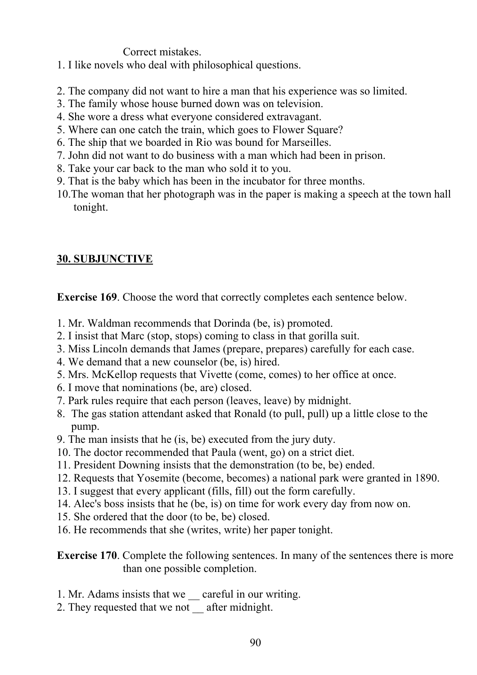Correct mistakes.

- 1. I like novels who deal with philosophical questions.
- 2. The company did not want to hire a man that his experience was so limited.
- 3. The family whose house burned down was on television.
- 4. She wore a dress what everyone considered extravagant.
- 5. Where can one catch the train, which goes to Flower Square?
- 6. The ship that we boarded in Rio was bound for Marseilles.
- 7. John did not want to do business with a man which had been in prison.
- 8. Take your car back to the man who sold it to you.
- 9. That is the baby which has been in the incubator for three months.
- 10.The woman that her photograph was in the paper is making a speech at the town hall tonight.

# **30. SUBJUNCTIVE**

**Exercise 169**. Choose the word that correctly completes each sentence below.

- 1. Mr. Waldman recommends that Dorinda (be, is) promoted.
- 2. I insist that Marc (stop, stops) coming to class in that gorilla suit.
- 3. Miss Lincoln demands that James (prepare, prepares) carefully for each case.
- 4. We demand that a new counselor (be, is) hired.
- 5. Mrs. McKellop requests that Vivette (come, comes) to her office at once.
- 6. I move that nominations (be, are) closed.
- 7. Park rules require that each person (leaves, leave) by midnight.
- 8. The gas station attendant asked that Ronald (to pull, pull) up a little close to the pump.
- 9. The man insists that he (is, be) executed from the jury duty.
- 10. The doctor recommended that Paula (went, go) on a strict diet.
- 11. President Downing insists that the demonstration (to be, be) ended.
- 12. Requests that Yosemite (become, becomes) a national park were granted in 1890.
- 13. I suggest that every applicant (fills, fill) out the form carefully.
- 14. Alec's boss insists that he (be, is) on time for work every day from now on.
- 15. She ordered that the door (to be, be) closed.
- 16. He recommends that she (writes, write) her paper tonight.

**Exercise 170**. Complete the following sentences. In many of the sentences there is more than one possible completion.

- 1. Mr. Adams insists that we careful in our writing.
- 2. They requested that we not after midnight.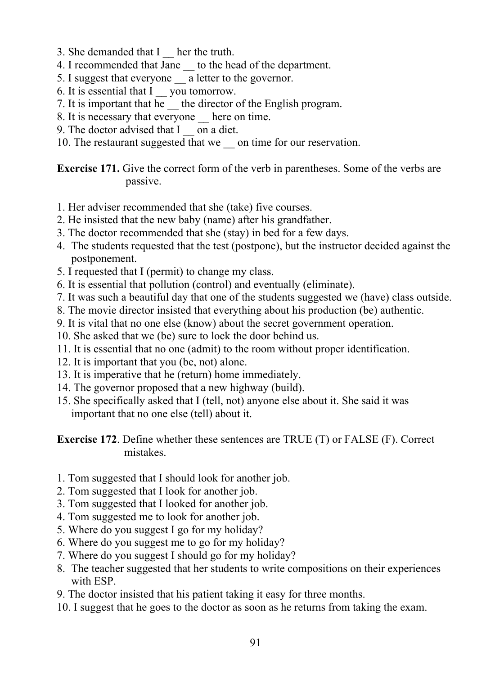- 3. She demanded that I her the truth.
- 4. I recommended that Jane \_\_ to the head of the department.
- 5. I suggest that everyone a letter to the governor.
- 6. It is essential that I you tomorrow.
- 7. It is important that he \_\_ the director of the English program.
- 8. It is necessary that everyone here on time.
- 9. The doctor advised that I con a diet.
- 10. The restaurant suggested that we on time for our reservation.

**Exercise 171.** Give the correct form of the verb in parentheses. Some of the verbs are passive.

- 1. Her adviser recommended that she (take) five courses.
- 2. He insisted that the new baby (name) after his grandfather.
- 3. The doctor recommended that she (stay) in bed for a few days.
- 4. The students requested that the test (postpone), but the instructor decided against the postponement.
- 5. I requested that I (permit) to change my class.
- 6. It is essential that pollution (control) and eventually (eliminate).
- 7. It was such a beautiful day that one of the students suggested we (have) class outside.
- 8. The movie director insisted that everything about his production (be) authentic.
- 9. It is vital that no one else (know) about the secret government operation.
- 10. She asked that we (be) sure to lock the door behind us.
- 11. It is essential that no one (admit) to the room without proper identification.
- 12. It is important that you (be, not) alone.
- 13. It is imperative that he (return) home immediately.
- 14. The governor proposed that a new highway (build).
- 15. She specifically asked that I (tell, not) anyone else about it. She said it was important that no one else (tell) about it.

**Exercise 172**. Define whether these sentences are TRUE (T) or FALSE (F). Correct mistakes.

- 1. Tom suggested that I should look for another job.
- 2. Tom suggested that I look for another job.
- 3. Tom suggested that I looked for another job.
- 4. Tom suggested me to look for another job.
- 5. Where do you suggest I go for my holiday?
- 6. Where do you suggest me to go for my holiday?
- 7. Where do you suggest I should go for my holiday?
- 8. The teacher suggested that her students to write compositions on their experiences with ESP.
- 9. The doctor insisted that his patient taking it easy for three months.
- 10. I suggest that he goes to the doctor as soon as he returns from taking the exam.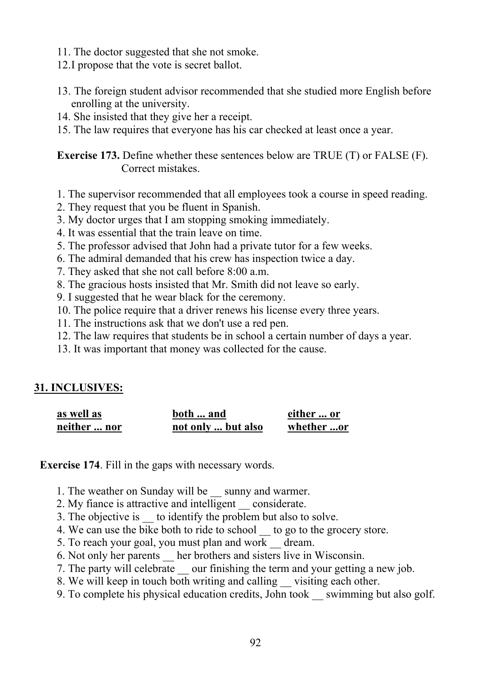- 11. The doctor suggested that she not smoke.
- 12.I propose that the vote is secret ballot.
- 13. The foreign student advisor recommended that she studied more English before enrolling at the university.
- 14. She insisted that they give her a receipt.
- 15. The law requires that everyone has his car checked at least once a year.

**Exercise 173.** Define whether these sentences below are TRUE (T) or FALSE (F). Correct mistakes.

- 1. The supervisor recommended that all employees took a course in speed reading.
- 2. They request that you be fluent in Spanish.
- 3. My doctor urges that I am stopping smoking immediately.
- 4. It was essential that the train leave on time.
- 5. The professor advised that John had a private tutor for a few weeks.
- 6. The admiral demanded that his crew has inspection twice a day.
- 7. They asked that she not call before 8:00 a.m.
- 8. The gracious hosts insisted that Mr. Smith did not leave so early.
- 9. I suggested that he wear black for the ceremony.
- 10. The police require that a driver renews his license every three years.
- 11. The instructions ask that we don't use a red pen.
- 12. The law requires that students be in school a certain number of days a year.
- 13. It was important that money was collected for the cause.

#### **31. INCLUSIVES:**

| as well as   | both  and          | either  or |
|--------------|--------------------|------------|
| neither  nor | not only  but also | whether or |

**Exercise 174**. Fill in the gaps with necessary words.

- 1. The weather on Sunday will be \_\_ sunny and warmer.
- 2. My fiance is attractive and intelligent \_\_ considerate.
- 3. The objective is to identify the problem but also to solve.
- 4. We can use the bike both to ride to school to go to the grocery store.
- 5. To reach your goal, you must plan and work \_\_ dream.
- 6. Not only her parents her brothers and sisters live in Wisconsin.
- 7. The party will celebrate  $\equiv$  our finishing the term and your getting a new job.
- 8. We will keep in touch both writing and calling visiting each other.
- 9. To complete his physical education credits, John took swimming but also golf.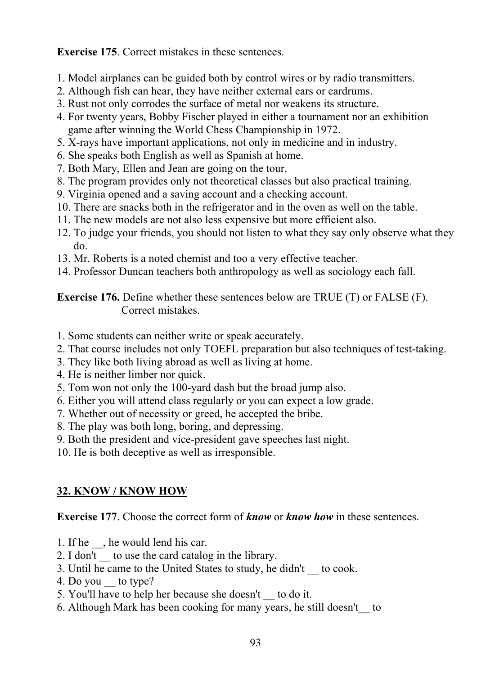**Exercise 175**. Correct mistakes in these sentences.

- 1. Model airplanes can be guided both by control wires or by radio transmitters.
- 2. Although fish can hear, they have neither external ears or eardrums.
- 3. Rust not only corrodes the surface of metal nor weakens its structure.
- 4. For twenty years, Bobby Fischer played in either a tournament nor an exhibition game after winning the World Chess Championship in 1972.
- 5. X-rays have important applications, not only in medicine and in industry.
- 6. She speaks both English as well as Spanish at home.
- 7. Both Mary, Ellen and Jean are going on the tour.
- 8. The program provides only not theoretical classes but also practical training.
- 9. Virginia opened and a saving account and a checking account.
- 10. There are snacks both in the refrigerator and in the oven as well on the table.
- 11. The new models are not also less expensive but more efficient also.
- 12. To judge your friends, you should not listen to what they say only observe what they do.
- 13. Mr. Roberts is a noted chemist and too a very effective teacher.
- 14. Professor Duncan teachers both anthropology as well as sociology each fall.

**Exercise 176.** Define whether these sentences below are TRUE (T) or FALSE (F). Correct mistakes.

- 1. Some students can neither write or speak accurately.
- 2. That course includes not only TOEFL preparation but also techniques of test-taking.
- 3. They like both living abroad as well as living at home.
- 4. He is neither limber nor quick.
- 5. Tom won not only the 100-yard dash but the broad jump also.
- 6. Either you will attend class regularly or you can expect a low grade.
- 7. Whether out of necessity or greed, he accepted the bribe.
- 8. The play was both long, boring, and depressing.
- 9. Both the president and vice-president gave speeches last night.
- 10. He is both deceptive as well as irresponsible.

# **32. KNOW / KNOW HOW**

**Exercise 177**. Choose the correct form of *know* or *know how* in these sentences.

- 1. If he \_\_, he would lend his car.
- 2. I don't to use the card catalog in the library.
- 3. Until he came to the United States to study, he didn't \_\_ to cook.
- 4. Do you to type?
- 5. You'll have to help her because she doesn't \_\_ to do it.
- 6. Although Mark has been cooking for many years, he still doesn't\_\_ to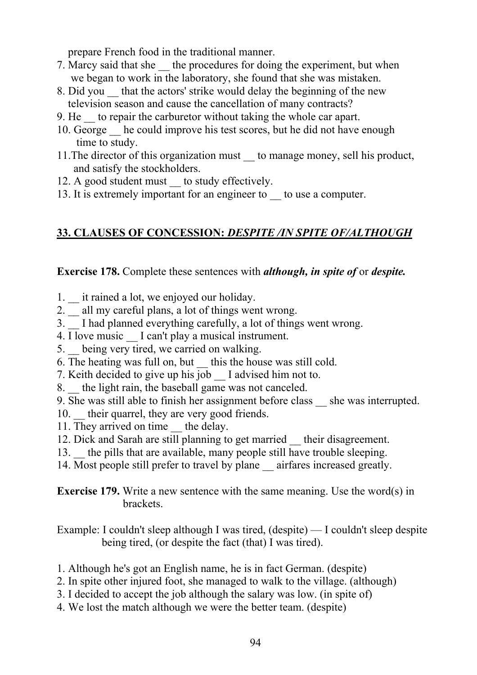prepare French food in the traditional manner.

- 7. Marcy said that she the procedures for doing the experiment, but when we began to work in the laboratory, she found that she was mistaken.
- 8. Did you that the actors' strike would delay the beginning of the new television season and cause the cancellation of many contracts?
- 9. He \_\_ to repair the carburetor without taking the whole car apart.
- 10. George he could improve his test scores, but he did not have enough time to study.
- 11.The director of this organization must \_\_ to manage money, sell his product, and satisfy the stockholders.
- 12. A good student must to study effectively.
- 13. It is extremely important for an engineer to to use a computer.

# **33. CLAUSES OF CONCESSION:** *DESPITE /IN SPITE OF/ALTHOUGH*

**Exercise 178.** Complete these sentences with *although, in spite of* or *despite.*

- 1. it rained a lot, we enjoyed our holiday.
- 2. \_ all my careful plans, a lot of things went wrong.
- 3. I had planned everything carefully, a lot of things went wrong.
- 4. I love music I can't play a musical instrument.
- 5. being very tired, we carried on walking.
- 6. The heating was full on, but \_\_ this the house was still cold.
- 7. Keith decided to give up his job I advised him not to.
- 8. the light rain, the baseball game was not canceled.
- 9. She was still able to finish her assignment before class \_\_ she was interrupted.
- 10. their quarrel, they are very good friends.
- 11. They arrived on time the delay.
- 12. Dick and Sarah are still planning to get married their disagreement.
- 13. the pills that are available, many people still have trouble sleeping.
- 14. Most people still prefer to travel by plane airfares increased greatly.

**Exercise 179.** Write a new sentence with the same meaning. Use the word(s) in brackets.

Example: I couldn't sleep although I was tired, (despite) — I couldn't sleep despite being tired, (or despite the fact (that) I was tired).

- 1. Although he's got an English name, he is in fact German. (despite)
- 2. In spite other injured foot, she managed to walk to the village. (although)
- 3. I decided to accept the job although the salary was low. (in spite of)
- 4. We lost the match although we were the better team. (despite)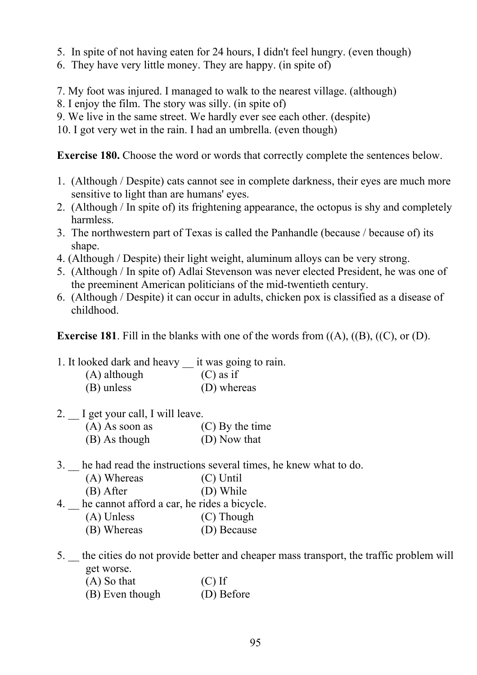- 5. In spite of not having eaten for 24 hours, I didn't feel hungry. (even though)
- 6. They have very little money. They are happy. (in spite of)
- 7. My foot was injured. I managed to walk to the nearest village. (although)
- 8. I enjoy the film. The story was silly. (in spite of)
- 9. We live in the same street. We hardly ever see each other. (despite)
- 10. I got very wet in the rain. I had an umbrella. (even though)

**Exercise 180.** Choose the word or words that correctly complete the sentences below.

- 1. (Although / Despite) cats cannot see in complete darkness, their eyes are much more sensitive to light than are humans' eyes.
- 2. (Although / In spite of) its frightening appearance, the octopus is shy and completely harmless.
- 3. The northwestern part of Texas is called the Panhandle (because / because of) its shape.
- 4. (Although / Despite) their light weight, aluminum alloys can be very strong.
- 5. (Although / In spite of) Adlai Stevenson was never elected President, he was one of the preeminent American politicians of the mid-twentieth century.
- 6. (Although / Despite) it can occur in adults, chicken pox is classified as a disease of childhood.

**Exercise 181**. Fill in the blanks with one of the words from ((A), ((B), ((C), or (D).

1. It looked dark and heavy \_\_ it was going to rain. (A) although (C) as if (B) unless (D) whereas

2. I get your call, I will leave.

| $(A)$ As soon as | $(C)$ By the time |
|------------------|-------------------|
| (B) As though    | (D) Now that      |

- 3. \_\_ he had read the instructions several times, he knew what to do.
	- (A) Whereas (С) Until
	- (B) After (D) While
- 4. he cannot afford a car, he rides a bicycle.
	- (A) Unless (C) Though
	- (B) Whereas (D) Because
- 5. \_\_ the cities do not provide better and cheaper mass transport, the traffic problem will get worse.
	- $(A)$  So that  $(C)$  If
	- (B) Even though (D) Before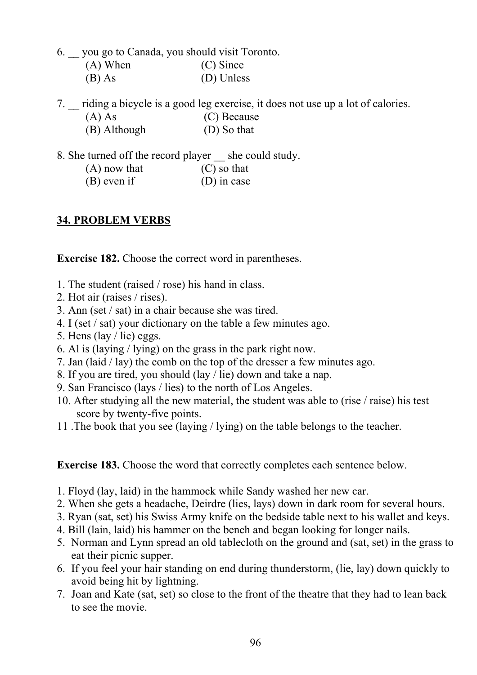- 6. \_\_ you go to Canada, you should visit Toronto. (A) When (C) Since (B) As (D) Unless
- 7. riding a bicycle is a good leg exercise, it does not use up a lot of calories. (A) As (C) Because (B) Although (D) So that
- 8. She turned off the record player she could study.
	- $(A)$  now that  $(C)$  so that (B) even if (D) in case

### **34. PROBLEM VERBS**

**Exercise 182.** Choose the correct word in parentheses.

- 1. The student (raised / rose) his hand in class.
- 2. Hot air (raises / rises).
- 3. Ann (set / sat) in a chair because she was tired.
- 4. I (set / sat) your dictionary on the table a few minutes ago.
- 5. Hens (lay / lie) eggs.
- 6. Al is (laying / lying) on the grass in the park right now.
- 7. Jan (laid / lay) the comb on the top of the dresser a few minutes ago.
- 8. If you are tired, you should (lay / lie) down and take a nap.
- 9. San Francisco (lays / lies) to the north of Los Angeles.
- 10. After studying all the new material, the student was able to (rise / raise) his test score by twenty-five points.
- 11 .The book that you see (laying / lying) on the table belongs to the teacher.

**Exercise 183.** Choose the word that correctly completes each sentence below.

- 1. Floyd (lay, laid) in the hammock while Sandy washed her new car.
- 2. When she gets a headache, Deirdre (lies, lays) down in dark room for several hours.
- 3. Ryan (sat, set) his Swiss Army knife on the bedside table next to his wallet and keys.
- 4. Bill (lain, laid) his hammer on the bench and began looking for longer nails.
- 5. Norman and Lynn spread an old tablecloth on the ground and (sat, set) in the grass to eat their picnic supper.
- 6. If you feel your hair standing on end during thunderstorm, (lie, lay) down quickly to avoid being hit by lightning.
- 7. Joan and Kate (sat, set) so close to the front of the theatre that they had to lean back to see the movie.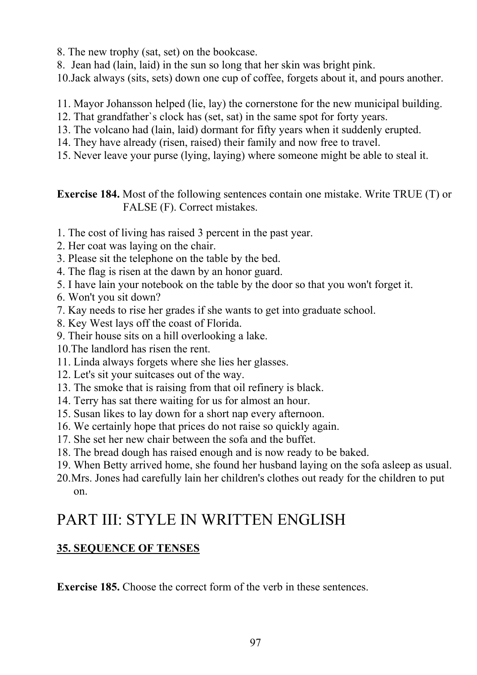8. The new trophy (sat, set) on the bookcase.

8. Jean had (lain, laid) in the sun so long that her skin was bright pink.

10.Jack always (sits, sets) down one cup of coffee, forgets about it, and pours another.

- 11. Mayor Johansson helped (lie, lay) the cornerstone for the new municipal building.
- 12. That grandfather`s clock has (set, sat) in the same spot for forty years.
- 13. The volcano had (lain, laid) dormant for fifty years when it suddenly erupted.
- 14. They have already (risen, raised) their family and now free to travel.
- 15. Never leave your purse (lying, laying) where someone might be able to steal it.

**Exercise 184.** Most of the following sentences contain one mistake. Write TRUE (T) or FALSE (F). Correct mistakes.

- 1. The cost of living has raised 3 percent in the past year.
- 2. Her coat was laying on the chair.
- 3. Please sit the telephone on the table by the bed.
- 4. The flag is risen at the dawn by an honor guard.
- 5. I have lain your notebook on the table by the door so that you won't forget it.
- 6. Won't you sit down?
- 7. Kay needs to rise her grades if she wants to get into graduate school.
- 8. Key West lays off the coast of Florida.
- 9. Their house sits on a hill overlooking a lake.
- 10.The landlord has risen the rent.
- 11. Linda always forgets where she lies her glasses.
- 12. Let's sit your suitcases out of the way.
- 13. The smoke that is raising from that oil refinery is black.
- 14. Terry has sat there waiting for us for almost an hour.
- 15. Susan likes to lay down for a short nap every afternoon.
- 16. We certainly hope that prices do not raise so quickly again.
- 17. She set her new chair between the sofa and the buffet.
- 18. The bread dough has raised enough and is now ready to be baked.
- 19. When Betty arrived home, she found her husband laying on the sofa asleep as usual.
- 20.Mrs. Jones had carefully lain her children's clothes out ready for the children to put on.

# PART III: STYLE IN WRITTEN ENGLISH

# **35. SEQUENCE OF TENSES**

**Exercise 185.** Choose the correct form of the verb in these sentences.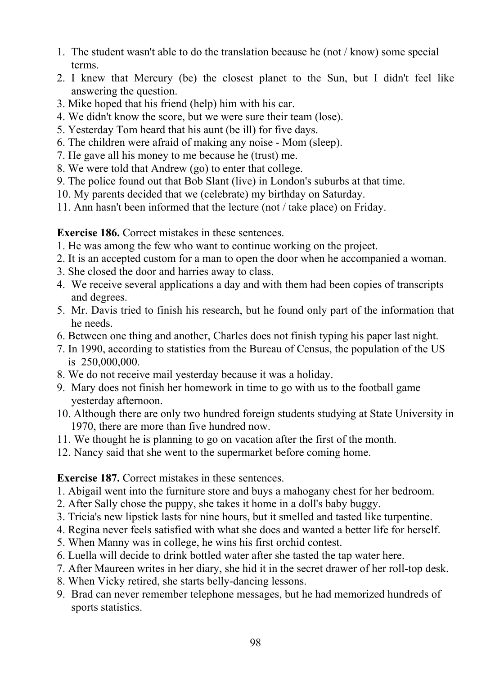- 1. The student wasn't able to do the translation because he (not / know) some special terms.
- 2. I knew that Mercury (be) the closest planet to the Sun, but I didn't feel like answering the question.
- 3. Mike hoped that his friend (help) him with his car.
- 4. We didn't know the score, but we were sure their team (lose).
- 5. Yesterday Tom heard that his aunt (be ill) for five days.
- 6. The children were afraid of making any noise Mom (sleep).
- 7. He gave all his money to me because he (trust) me.
- 8. We were told that Andrew (go) to enter that college.
- 9. The police found out that Bob Slant (live) in London's suburbs at that time.
- 10. My parents decided that we (celebrate) my birthday on Saturday.
- 11. Ann hasn't been informed that the lecture (not / take place) on Friday.

**Exercise 186.** Correct mistakes in these sentences.

- 1. He was among the few who want to continue working on the project.
- 2. It is an accepted custom for a man to open the door when he accompanied a woman.
- 3. She closed the door and harries away to class.
- 4. We receive several applications a day and with them had been copies of transcripts and degrees.
- 5. Mr. Davis tried to finish his research, but he found only part of the information that he needs.
- 6. Between one thing and another, Charles does not finish typing his paper last night.
- 7. In 1990, according to statistics from the Bureau of Census, the population of the US is 250,000,000.
- 8. We do not receive mail yesterday because it was a holiday.
- 9. Mary does not finish her homework in time to go with us to the football game yesterday afternoon.
- 10. Although there are only two hundred foreign students studying at State University in 1970, there are more than five hundred now.
- 11. We thought he is planning to go on vacation after the first of the month.
- 12. Nancy said that she went to the supermarket before coming home.

### **Exercise 187.** Correct mistakes in these sentences.

- 1. Abigail went into the furniture store and buys a mahogany chest for her bedroom.
- 2. After Sally chose the puppy, she takes it home in a doll's baby buggy.
- 3. Tricia's new lipstick lasts for nine hours, but it smelled and tasted like turpentine.
- 4. Regina never feels satisfied with what she does and wanted a better life for herself.
- 5. When Manny was in college, he wins his first orchid contest.
- 6. Luella will decide to drink bottled water after she tasted the tap water here.
- 7. After Maureen writes in her diary, she hid it in the secret drawer of her roll-top desk.
- 8. When Vicky retired, she starts belly-dancing lessons.
- 9. Brad can never remember telephone messages, but he had memorized hundreds of sports statistics.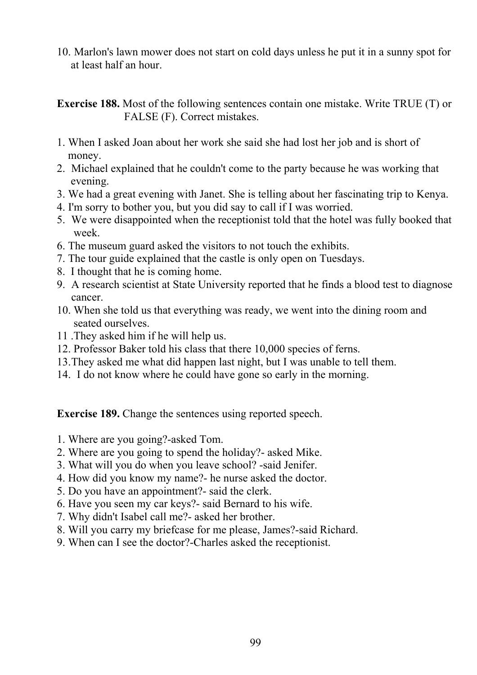10. Marlon's lawn mower does not start on cold days unless he put it in a sunny spot for at least half an hour.

**Exercise 188.** Most of the following sentences contain one mistake. Write TRUE (T) or FALSE (F). Correct mistakes.

- 1. When I asked Joan about her work she said she had lost her job and is short of money.
- 2. Michael explained that he couldn't come to the party because he was working that evening.
- 3. We had a great evening with Janet. She is telling about her fascinating trip to Kenya.
- 4. I'm sorry to bother you, but you did say to call if I was worried.
- 5. We were disappointed when the receptionist told that the hotel was fully booked that week.
- 6. The museum guard asked the visitors to not touch the exhibits.
- 7. The tour guide explained that the castle is only open on Tuesdays.
- 8. I thought that he is coming home.
- 9. A research scientist at State University reported that he finds a blood test to diagnose cancer.
- 10. When she told us that everything was ready, we went into the dining room and seated ourselves.
- 11 .They asked him if he will help us.
- 12. Professor Baker told his class that there 10,000 species of ferns.
- 13.They asked me what did happen last night, but I was unable to tell them.
- 14. I do not know where he could have gone so early in the morning.

**Exercise 189.** Change the sentences using reported speech.

- 1. Where are you going?-asked Tom.
- 2. Where are you going to spend the holiday?- asked Mike.
- 3. What will you do when you leave school? -said Jenifer.
- 4. How did you know my name?- he nurse asked the doctor.
- 5. Do you have an appointment?- said the clerk.
- 6. Have you seen my car keys?- said Bernard to his wife.
- 7. Why didn't Isabel call me?- asked her brother.
- 8. Will you carry my briefcase for me please, James?-said Richard.
- 9. When can I see the doctor?-Charles asked the receptionist.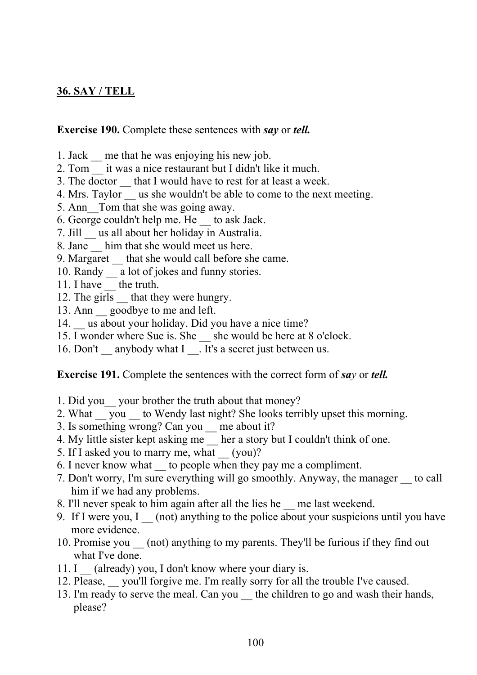### **36. SAY / TELL**

#### **Exercise 190.** Complete these sentences with *say* or *tell.*

- 1. Jack \_\_ me that he was enjoying his new job.
- 2. Tom it was a nice restaurant but I didn't like it much.
- 3. The doctor \_\_ that I would have to rest for at least a week.
- 4. Mrs. Taylor us she wouldn't be able to come to the next meeting.
- 5. Ann Tom that she was going away.
- 6. George couldn't help me. He \_\_ to ask Jack.
- 7. Jill \_\_ us all about her holiday in Australia.
- 8. Jane him that she would meet us here.
- 9. Margaret that she would call before she came.
- 10. Randy \_\_ a lot of jokes and funny stories.
- 11. I have the truth.
- 12. The girls that they were hungry.
- 13. Ann goodbye to me and left.
- 14. us about your holiday. Did you have a nice time?
- 15. I wonder where Sue is. She she would be here at 8 o'clock.
- 16. Don't anybody what  $\overline{I}$   $\overline{I}$  It's a secret just between us.

**Exercise 191.** Complete the sentences with the correct form of *say* or *tell.*

- 1. Did you\_\_ your brother the truth about that money?
- 2. What you to Wendy last night? She looks terribly upset this morning.
- 3. Is something wrong? Can you me about it?
- 4. My little sister kept asking me her a story but I couldn't think of one.
- 5. If I asked you to marry me, what (you)?
- 6. I never know what \_\_ to people when they pay me a compliment.
- 7. Don't worry, I'm sure everything will go smoothly. Anyway, the manager \_\_ to call him if we had any problems.
- 8. I'll never speak to him again after all the lies he \_\_ me last weekend.
- 9. If I were you, I (not) anything to the police about your suspicions until you have more evidence.
- 10. Promise you \_\_ (not) anything to my parents. They'll be furious if they find out what I've done.
- 11. I (already) you, I don't know where your diary is.
- 12. Please, you'll forgive me. I'm really sorry for all the trouble I've caused.
- 13. I'm ready to serve the meal. Can you \_\_ the children to go and wash their hands, please?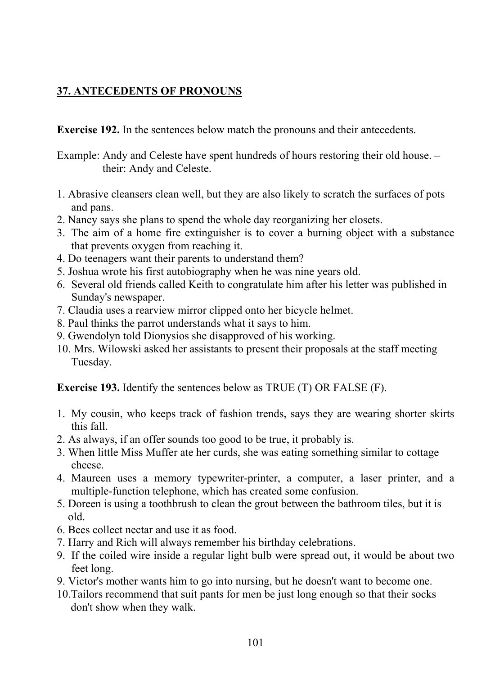### **37. ANTECEDENTS OF PRONOUNS**

**Exercise 192.** In the sentences below match the pronouns and their antecedents.

Example: Andy and Celeste have spent hundreds of hours restoring their old house. – their: Andy and Celeste.

- 1. Abrasive cleansers clean well, but they are also likely to scratch the surfaces of pots and pans.
- 2. Nancy says she plans to spend the whole day reorganizing her closets.
- 3. The aim of a home fire extinguisher is to cover a burning object with a substance that prevents oxygen from reaching it.
- 4. Do teenagers want their parents to understand them?
- 5. Joshua wrote his first autobiography when he was nine years old.
- 6. Several old friends called Keith to congratulate him after his letter was published in Sunday's newspaper.
- 7. Claudia uses a rearview mirror clipped onto her bicycle helmet.
- 8. Paul thinks the parrot understands what it says to him.
- 9. Gwendolyn told Dionysios she disapproved of his working.
- 10. Mrs. Wilowski asked her assistants to present their proposals at the staff meeting Tuesday.

**Exercise 193.** Identify the sentences below as TRUE (T) OR FALSE (F).

- 1. My cousin, who keeps track of fashion trends, says they are wearing shorter skirts this fall.
- 2. As always, if an offer sounds too good to be true, it probably is.
- 3. When little Miss Muffer ate her curds, she was eating something similar to cottage cheese.
- 4. Maureen uses a memory typewriter-printer, a computer, a laser printer, and a multiple-function telephone, which has created some confusion.
- 5. Doreen is using a toothbrush to clean the grout between the bathroom tiles, but it is old.
- 6. Bees collect nectar and use it as food.
- 7. Harry and Rich will always remember his birthday celebrations.
- 9. If the coiled wire inside a regular light bulb were spread out, it would be about two feet long.
- 9. Victor's mother wants him to go into nursing, but he doesn't want to become one.
- 10.Tailors recommend that suit pants for men be just long enough so that their socks don't show when they walk.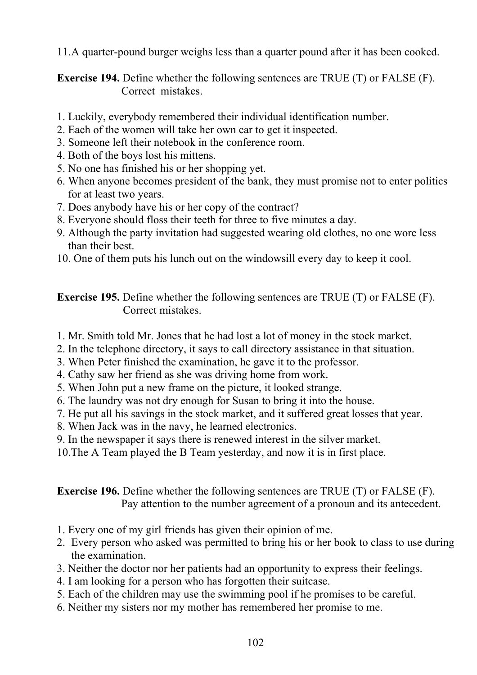11.A quarter-pound burger weighs less than a quarter pound after it has been cooked.

**Exercise 194.** Define whether the following sentences are TRUE (T) or FALSE (F). Correct mistakes.

- 1. Luckily, everybody remembered their individual identification number.
- 2. Each of the women will take her own car to get it inspected.
- 3. Someone left their notebook in the conference room.
- 4. Both of the boys lost his mittens.
- 5. No one has finished his or her shopping yet.
- 6. When anyone becomes president of the bank, they must promise not to enter politics for at least two years.
- 7. Does anybody have his or her copy of the contract?
- 8. Everyone should floss their teeth for three to five minutes a day.
- 9. Although the party invitation had suggested wearing old clothes, no one wore less than their best.
- 10. One of them puts his lunch out on the windowsill every day to keep it cool.

**Exercise 195.** Define whether the following sentences are TRUE (T) or FALSE (F). Correct mistakes.

- 1. Mr. Smith told Mr. Jones that he had lost a lot of money in the stock market.
- 2. In the telephone directory, it says to call directory assistance in that situation.
- 3. When Peter finished the examination, he gave it to the professor.
- 4. Cathy saw her friend as she was driving home from work.
- 5. When John put a new frame on the picture, it looked strange.
- 6. The laundry was not dry enough for Susan to bring it into the house.
- 7. He put all his savings in the stock market, and it suffered great losses that year.
- 8. When Jack was in the navy, he learned electronics.
- 9. In the newspaper it says there is renewed interest in the silver market.
- 10.The A Team played the В Team yesterday, and now it is in first place.

**Exercise 196.** Define whether the following sentences are TRUE (T) or FALSE (F). Pay attention to the number agreement of a pronoun and its antecedent.

- 1. Every one of my girl friends has given their opinion of me.
- 2. Every person who asked was permitted to bring his or her book to class to use during the examination.
- 3. Neither the doctor nor her patients had an opportunity to express their feelings.
- 4. I am looking for a person who has forgotten their suitcase.
- 5. Each of the children may use the swimming pool if he promises to be careful.
- 6. Neither my sisters nor my mother has remembered her promise to me.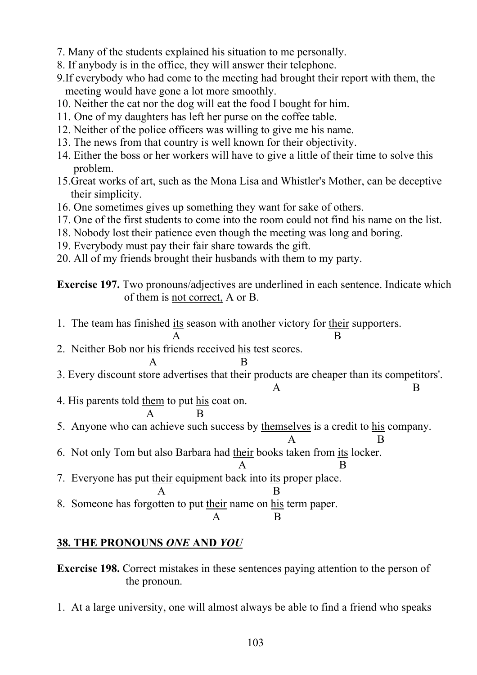- 7. Many of the students explained his situation to me personally.
- 8. If anybody is in the office, they will answer their telephone.
- 9.If everybody who had come to the meeting had brought their report with them, the meeting would have gone a lot more smoothly.
- 10. Neither the cat nor the dog will eat the food I bought for him.
- 11. One of my daughters has left her purse on the coffee table.
- 12. Neither of the police officers was willing to give me his name.
- 13. The news from that country is well known for their objectivity.
- 14. Either the boss or her workers will have to give a little of their time to solve this problem.
- 15.Great works of art, such as the Mona Lisa and Whistler's Mother, can be deceptive their simplicity.
- 16. One sometimes gives up something they want for sake of others.
- 17. One of the first students to come into the room could not find his name on the list.
- 18. Nobody lost their patience even though the meeting was long and boring.
- 19. Everybody must pay their fair share towards the gift.
- 20. All of my friends brought their husbands with them to my party.

**Exercise 197.** Two pronouns/adjectives are underlined in each sentence. Indicate which of them is not correct, A or B.

1. The team has finished its season with another victory for their supporters.  $\mathbf A$  B 2. Neither Bob nor his friends received his test scores. А В 3. Every discount store advertises that their products are cheaper than its competitors'. А В 4. His parents told them to put his coat on. А В 5. Anyone who can achieve such success by themselves is a credit to his company.  $\mathbf A$  B 6. Not only Tom but also Barbara had their books taken from its locker. А В 7. Everyone has put their equipment back into its proper place. А В 8. Someone has forgotten to put their name on his term paper. А В

# **38. THE PRONOUNS** *ONE* **AND** *YOU*

**Exercise 198.** Correct mistakes in these sentences paying attention to the person of the pronoun.

1. At a large university, one will almost always be able to find a friend who speaks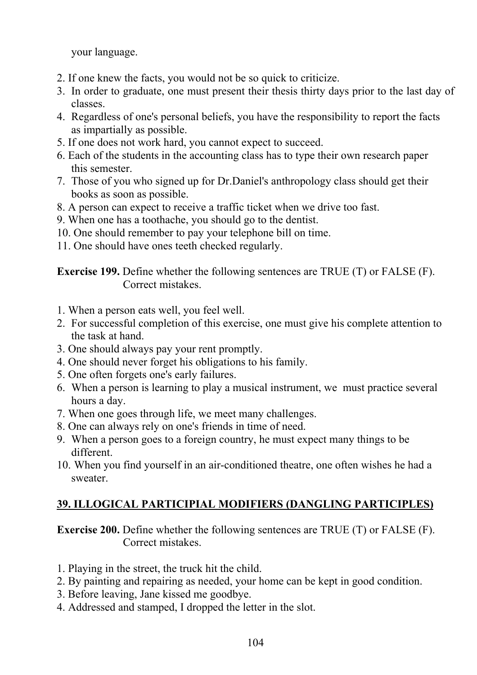your language.

- 2. If one knew the facts, you would not be so quick to criticize.
- 3. In order to graduate, one must present their thesis thirty days prior to the last day of classes.
- 4. Regardless of one's personal beliefs, you have the responsibility to report the facts as impartially as possible.
- 5. If one does not work hard, you cannot expect to succeed.
- 6. Each of the students in the accounting class has to type their own research paper this semester.
- 7. Those of you who signed up for Dr.Daniel's anthropology class should get their books as soon as possible.
- 8. A person can expect to receive a traffic ticket when we drive too fast.
- 9. When one has a toothache, you should go to the dentist.
- 10. One should remember to pay your telephone bill on time.
- 11. One should have ones teeth checked regularly.

**Exercise 199.** Define whether the following sentences are TRUE (T) or FALSE (F). Correct mistakes.

- 1. When a person eats well, you feel well.
- 2. For successful completion of this exercise, one must give his complete attention to the task at hand.
- 3. One should always pay your rent promptly.
- 4. One should never forget his obligations to his family.
- 5. One often forgets one's early failures.
- 6. When a person is learning to play a musical instrument, we must practice several hours a day.
- 7. When one goes through life, we meet many challenges.
- 8. One can always rely on one's friends in time of need.
- 9. When a person goes to a foreign country, he must expect many things to be different.
- 10. When you find yourself in an air-conditioned theatre, one often wishes he had a sweater.

# **39. ILLOGICAL PARTICIPIAL MODIFIERS (DANGLING PARTICIPLES)**

**Exercise 200.** Define whether the following sentences are TRUE (T) or FALSE (F). Correct mistakes.

- 1. Playing in the street, the truck hit the child.
- 2. By painting and repairing as needed, your home can be kept in good condition.
- 3. Before leaving, Jane kissed me goodbye.
- 4. Addressed and stamped, I dropped the letter in the slot.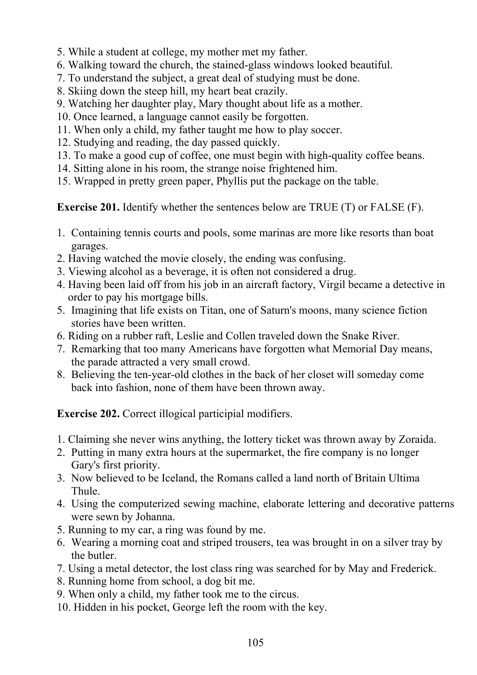- 5. While a student at college, my mother met my father.
- 6. Walking toward the church, the stained-glass windows looked beautiful.
- 7. To understand the subject, a great deal of studying must be done.
- 8. Skiing down the steep hill, my heart beat crazily.
- 9. Watching her daughter play, Mary thought about life as a mother.
- 10. Once learned, a language cannot easily be forgotten.
- 11. When only a child, my father taught me how to play soccer.
- 12. Studying and reading, the day passed quickly.
- 13. To make a good cup of coffee, one must begin with high-quality coffee beans.
- 14. Sitting alone in his room, the strange noise frightened him.
- 15. Wrapped in pretty green paper, Phyllis put the package on the table.

**Exercise 201.** Identify whether the sentences below are TRUE (T) or FALSE (F).

- 1. Containing tennis courts and pools, some marinas are more like resorts than boat garages.
- 2. Having watched the movie closely, the ending was confusing.
- 3. Viewing alcohol as a beverage, it is often not considered a drug.
- 4. Having been laid off from his job in an aircraft factory, Virgil became a detective in order to pay his mortgage bills.
- 5. Imagining that life exists on Titan, one of Saturn's moons, many science fiction stories have been written.
- 6. Riding on a rubber raft, Leslie and Collen traveled down the Snake River.
- 7. Remarking that too many Americans have forgotten what Memorial Day means, the parade attracted a very small crowd.
- 8. Believing the ten-year-old clothes in the back of her closet will someday come back into fashion, none of them have been thrown away.

**Exercise 202.** Correct illogical participial modifiers.

- 1. Claiming she never wins anything, the lottery ticket was thrown away by Zoraida.
- 2. Putting in many extra hours at the supermarket, the fire company is no longer Gary's first priority.
- 3. Now believed to be Iceland, the Romans called a land north of Britain Ultima Thule.
- 4. Using the computerized sewing machine, elaborate lettering and decorative patterns were sewn by Johanna.
- 5. Running to my car, a ring was found by me.
- 6. Wearing a morning coat and striped trousers, tea was brought in on a silver tray by the butler.
- 7. Using a metal detector, the lost class ring was searched for by May and Frederick.
- 8. Running home from school, a dog bit me.
- 9. When only a child, my father took me to the circus.
- 10. Hidden in his pocket, George left the room with the key.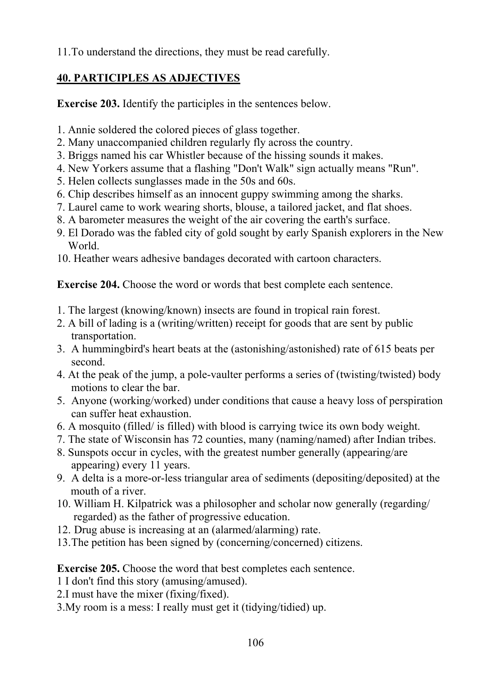11.To understand the directions, they must be read carefully.

# **40. PARTICIPLES AS ADJECTIVES**

**Exercise 203.** Identify the participles in the sentences below.

- 1. Annie soldered the colored pieces of glass together.
- 2. Many unaccompanied children regularly fly across the country.
- 3. Briggs named his car Whistler because of the hissing sounds it makes.
- 4. New Yorkers assume that a flashing "Don't Walk" sign actually means "Run".
- 5. Helen collects sunglasses made in the 50s and 60s.
- 6. Chip describes himself as an innocent guppy swimming among the sharks.
- 7. Laurel came to work wearing shorts, blouse, a tailored jacket, and flat shoes.
- 8. A barometer measures the weight of the air covering the earth's surface.
- 9. El Dorado was the fabled city of gold sought by early Spanish explorers in the New World.
- 10. Heather wears adhesive bandages decorated with cartoon characters.

**Exercise 204.** Choose the word or words that best complete each sentence.

- 1. The largest (knowing/known) insects are found in tropical rain forest.
- 2. A bill of lading is a (writing/written) receipt for goods that are sent by public transportation.
- 3. A hummingbird's heart beats at the (astonishing/astonished) rate of 615 beats per second.
- 4. At the peak of the jump, a pole-vaulter performs a series of (twisting/twisted) body motions to clear the bar.
- 5. Anyone (working/worked) under conditions that cause a heavy loss of perspiration can suffer heat exhaustion.
- 6. A mosquito (filled/ is filled) with blood is carrying twice its own body weight.
- 7. The state of Wisconsin has 72 counties, many (naming/named) after Indian tribes.
- 8. Sunspots occur in cycles, with the greatest number generally (appearing/are appearing) every 11 years.
- 9. A delta is a more-or-less triangular area of sediments (depositing/deposited) at the mouth of a river.
- 10. William H. Kilpatrick was a philosopher and scholar now generally (regarding/ regarded) as the father of progressive education.
- 12. Drug abuse is increasing at an (alarmed/alarming) rate.
- 13.The petition has been signed by (concerning/concerned) citizens.

### **Exercise 205.** Choose the word that best completes each sentence.

- 1 I don't find this story (amusing/amused).
- 2.I must have the mixer (fixing/fixed).
- 3.My room is a mess: I really must get it (tidying/tidied) up.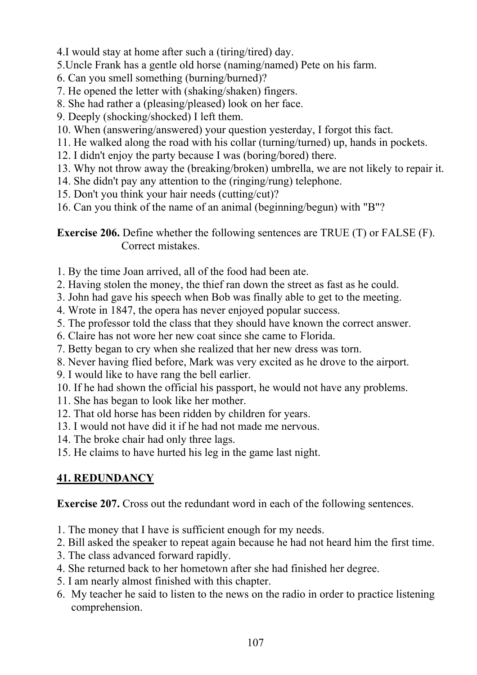- 4.I would stay at home after such a (tiring/tired) day.
- 5.Uncle Frank has a gentle old horse (naming/named) Pete on his farm.
- 6. Can you smell something (burning/burned)?
- 7. He opened the letter with (shaking/shaken) fingers.
- 8. She had rather a (pleasing/pleased) look on her face.
- 9. Deeply (shocking/shocked) I left them.
- 10. When (answering/answered) your question yesterday, I forgot this fact.
- 11. He walked along the road with his collar (turning/turned) up, hands in pockets.
- 12. I didn't enjoy the party because I was (boring/bored) there.
- 13. Why not throw away the (breaking/broken) umbrella, we are not likely to repair it.
- 14. She didn't pay any attention to the (ringing/rung) telephone.
- 15. Don't you think your hair needs (cutting/cut)?
- 16. Can you think of the name of an animal (beginning/begun) with "B"?

**Exercise 206.** Define whether the following sentences are TRUE (T) or FALSE (F). Correct mistakes.

- 1. By the time Joan arrived, all of the food had been ate.
- 2. Having stolen the money, the thief ran down the street as fast as he could.
- 3. John had gave his speech when Bob was finally able to get to the meeting.
- 4. Wrote in 1847, the opera has never enjoyed popular success.
- 5. The professor told the class that they should have known the correct answer.
- 6. Claire has not wore her new coat since she came to Florida.
- 7. Betty began to cry when she realized that her new dress was torn.
- 8. Never having flied before, Mark was very excited as he drove to the airport.
- 9. I would like to have rang the bell earlier.
- 10. If he had shown the official his passport, he would not have any problems.
- 11. She has began to look like her mother.
- 12. That old horse has been ridden by children for years.
- 13. I would not have did it if he had not made me nervous.
- 14. The broke chair had only three lags.
- 15. He claims to have hurted his leg in the game last night.

# **41. REDUNDANCY**

**Exercise 207.** Cross out the redundant word in each of the following sentences.

- 1. The money that I have is sufficient enough for my needs.
- 2. Bill asked the speaker to repeat again because he had not heard him the first time.
- 3. The class advanced forward rapidly.
- 4. She returned back to her hometown after she had finished her degree.
- 5. I am nearly almost finished with this chapter.
- 6. My teacher he said to listen to the news on the radio in order to practice listening comprehension.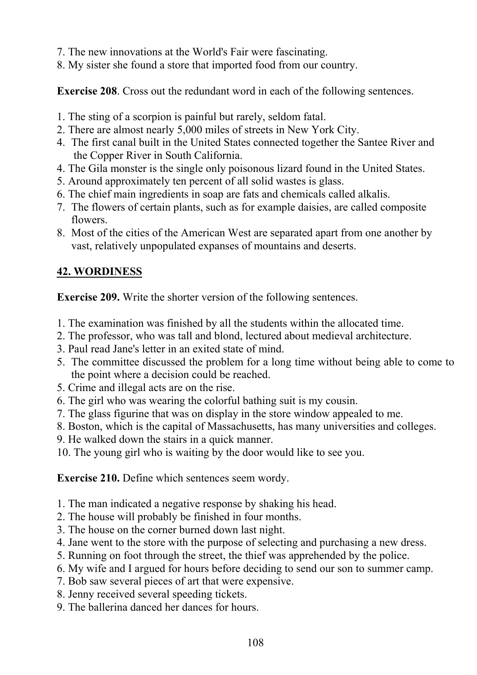- 7. The new innovations at the World's Fair were fascinating.
- 8. My sister she found a store that imported food from our country.

**Exercise 208**. Cross out the redundant word in each of the following sentences.

- 1. The sting of a scorpion is painful but rarely, seldom fatal.
- 2. There are almost nearly 5,000 miles of streets in New York City.
- 4. The first canal built in the United States connected together the Santee River and the Copper River in South California.
- 4. The Gila monster is the single only poisonous lizard found in the United States.
- 5. Around approximately ten percent of all solid wastes is glass.
- 6. The chief main ingredients in soap are fats and chemicals called alkalis.
- 7. The flowers of certain plants, such as for example daisies, are called composite flowers.
- 8. Most of the cities of the American West are separated apart from one another by vast, relatively unpopulated expanses of mountains and deserts.

### **42. WORDINESS**

**Exercise 209.** Write the shorter version of the following sentences.

- 1. The examination was finished by all the students within the allocated time.
- 2. The professor, who was tall and blond, lectured about medieval architecture.
- 3. Paul read Jane's letter in an exited state of mind.
- 5. The committee discussed the problem for a long time without being able to come to the point where a decision could be reached.
- 5. Crime and illegal acts are on the rise.
- 6. The girl who was wearing the colorful bathing suit is my cousin.
- 7. The glass figurine that was on display in the store window appealed to me.
- 8. Boston, which is the capital of Massachusetts, has many universities and colleges.
- 9. He walked down the stairs in a quick manner.
- 10. The young girl who is waiting by the door would like to see you.

**Exercise 210.** Define which sentences seem wordy.

- 1. The man indicated a negative response by shaking his head.
- 2. The house will probably be finished in four months.
- 3. The house on the corner burned down last night.
- 4. Jane went to the store with the purpose of selecting and purchasing a new dress.
- 5. Running on foot through the street, the thief was apprehended by the police.
- 6. My wife and I argued for hours before deciding to send our son to summer camp.
- 7. Bob saw several pieces of art that were expensive.
- 8. Jenny received several speeding tickets.
- 9. The ballerina danced her dances for hours.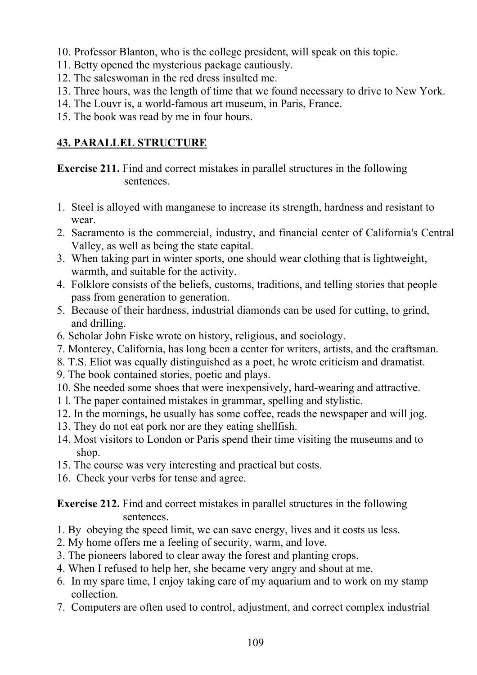- 10. Professor Blanton, who is the college president, will speak on this topic.
- 11. Betty opened the mysterious package cautiously.
- 12. The saleswoman in the red dress insulted me.
- 13. Three hours, was the length of time that we found necessary to drive to New York.
- 14. The Louvr is, a world-famous art museum, in Paris, France.
- 15. The book was read by me in four hours.

# **43. PARALLEL STRUCTURE**

**Exercise 211.** Find and correct mistakes in parallel structures in the following sentences.

- 1. Steel is alloyed with manganese to increase its strength, hardness and resistant to wear.
- 2. Sacramento is the commercial, industry, and financial center of California's Central Valley, as well as being the state capital.
- 3. When taking part in winter sports, one should wear clothing that is lightweight, warmth, and suitable for the activity.
- 4. Folklore consists of the beliefs, customs, traditions, and telling stories that people pass from generation to generation.
- 5. Because of their hardness, industrial diamonds can be used for cutting, to grind, and drilling.
- 6. Scholar John Fiske wrote on history, religious, and sociology.
- 7. Monterey, California, has long been a center for writers, artists, and the craftsman.
- 8. T.S. Eliot was equally distinguished as a poet, he wrote criticism and dramatist.
- 9. The book contained stories, poetic and plays.
- 10. She needed some shoes that were inexpensively, hard-wearing and attractive.
- 1 l. The paper contained mistakes in grammar, spelling and stylistic.
- 12. In the mornings, he usually has some coffee, reads the newspaper and will jog.
- 13. They do not eat pork nor are they eating shellfish.
- 14. Most visitors to London or Paris spend their time visiting the museums and to shop.
- 15. The course was very interesting and practical but costs.
- 16. Check your verbs for tense and agree.

**Exercise 212.** Find and correct mistakes in parallel structures in the following sentences.

- 1. By obeying the speed limit, we can save energy, lives and it costs us less.
- 2. My home offers me a feeling of security, warm, and love.
- 3. The pioneers labored to clear away the forest and planting crops.
- 4. When I refused to help her, she became very angry and shout at me.
- 6. In my spare time, I enjoy taking care of my aquarium and to work on my stamp collection.
- 7. Computers are often used to control, adjustment, and correct complex industrial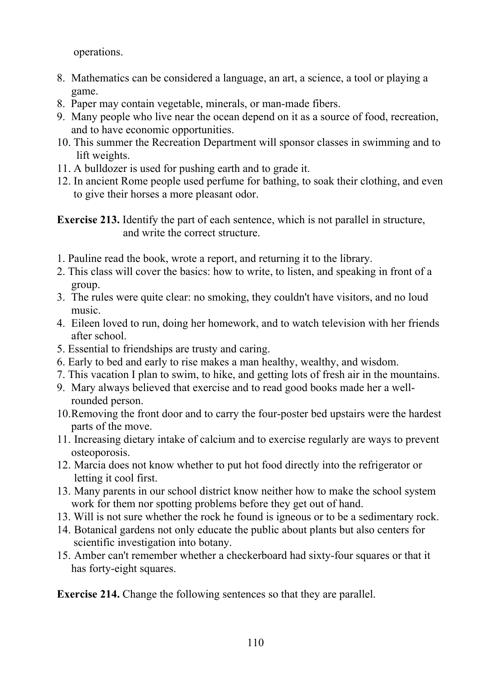operations.

- 8. Mathematics can be considered a language, an art, a science, a tool or playing a game.
- 8. Paper may contain vegetable, minerals, or man-made fibers.
- 9. Many people who live near the ocean depend on it as a source of food, recreation, and to have economic opportunities.
- 10. This summer the Recreation Department will sponsor classes in swimming and to lift weights.
- 11. A bulldozer is used for pushing earth and to grade it.
- 12. In ancient Rome people used perfume for bathing, to soak their clothing, and even to give their horses a more pleasant odor.

**Exercise 213.** Identify the part of each sentence, which is not parallel in structure, and write the correct structure.

- 1. Pauline read the book, wrote a report, and returning it to the library.
- 2. This class will cover the basics: how to write, to listen, and speaking in front of a group.
- 3. The rules were quite clear: no smoking, they couldn't have visitors, and no loud music.
- 4. Eileen loved to run, doing her homework, and to watch television with her friends after school.
- 5. Essential to friendships are trusty and caring.
- 6. Early to bed and early to rise makes a man healthy, wealthy, and wisdom.
- 7. This vacation I plan to swim, to hike, and getting lots of fresh air in the mountains.
- 9. Mary always believed that exercise and to read good books made her a wellrounded person.
- 10.Removing the front door and to carry the four-poster bed upstairs were the hardest parts of the move.
- 11. Increasing dietary intake of calcium and to exercise regularly are ways to prevent osteoporosis.
- 12. Marcia does not know whether to put hot food directly into the refrigerator or letting it cool first.
- 13. Many parents in our school district know neither how to make the school system work for them nor spotting problems before they get out of hand.
- 13. Will is not sure whether the rock he found is igneous or to be a sedimentary rock.
- 14. Botanical gardens not only educate the public about plants but also centers for scientific investigation into botany.
- 15. Amber can't remember whether a checkerboard had sixty-four squares or that it has forty-eight squares.

**Exercise 214.** Change the following sentences so that they are parallel.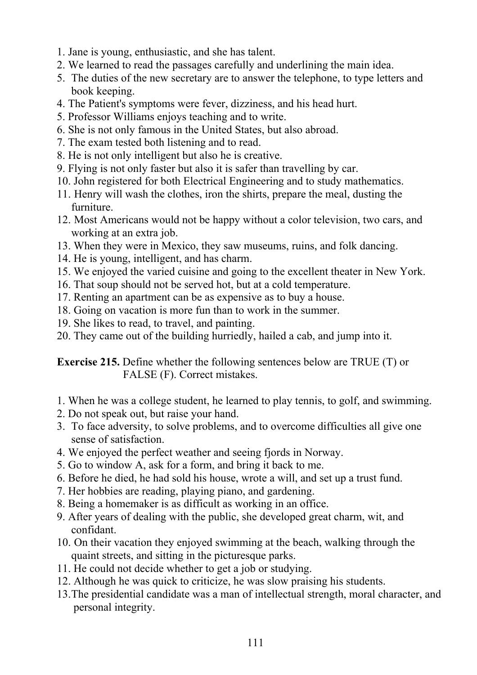- 1. Jane is young, enthusiastic, and she has talent.
- 2. We learned to read the passages carefully and underlining the main idea.
- 5. The duties of the new secretary are to answer the telephone, to type letters and book keeping.
- 4. The Patient's symptoms were fever, dizziness, and his head hurt.
- 5. Professor Williams enjoys teaching and to write.
- 6. She is not only famous in the United States, but also abroad.
- 7. The exam tested both listening and to read.
- 8. He is not only intelligent but also he is creative.
- 9. Flying is not only faster but also it is safer than travelling by car.
- 10. John registered for both Electrical Engineering and to study mathematics.
- 11. Henry will wash the clothes, iron the shirts, prepare the meal, dusting the furniture.
- 12. Most Americans would not be happy without a color television, two cars, and working at an extra job.
- 13. When they were in Mexico, they saw museums, ruins, and folk dancing.
- 14. He is young, intelligent, and has charm.
- 15. We enjoyed the varied cuisine and going to the excellent theater in New York.
- 16. That soup should not be served hot, but at a cold temperature.
- 17. Renting an apartment can be as expensive as to buy a house.
- 18. Going on vacation is more fun than to work in the summer.
- 19. She likes to read, to travel, and painting.
- 20. They came out of the building hurriedly, hailed a cab, and jump into it.

**Exercise 215.** Define whether the following sentences below are TRUE (T) or FALSE (F). Correct mistakes.

- 1. When he was a college student, he learned to play tennis, to golf, and swimming.
- 2. Do not speak out, but raise your hand.
- 3. To face adversity, to solve problems, and to overcome difficulties all give one sense of satisfaction.
- 4. We enjoyed the perfect weather and seeing fjords in Norway.
- 5. Go to window A, ask for a form, and bring it back to me.
- 6. Before he died, he had sold his house, wrote a will, and set up a trust fund.
- 7. Her hobbies are reading, playing piano, and gardening.
- 8. Being a homemaker is as difficult as working in an office.
- 9. After years of dealing with the public, she developed great charm, wit, and confidant.
- 10. On their vacation they enjoyed swimming at the beach, walking through the quaint streets, and sitting in the picturesque parks.
- 11. He could not decide whether to get a job or studying.
- 12. Although he was quick to criticize, he was slow praising his students.
- 13.The presidential candidate was a man of intellectual strength, moral character, and personal integrity.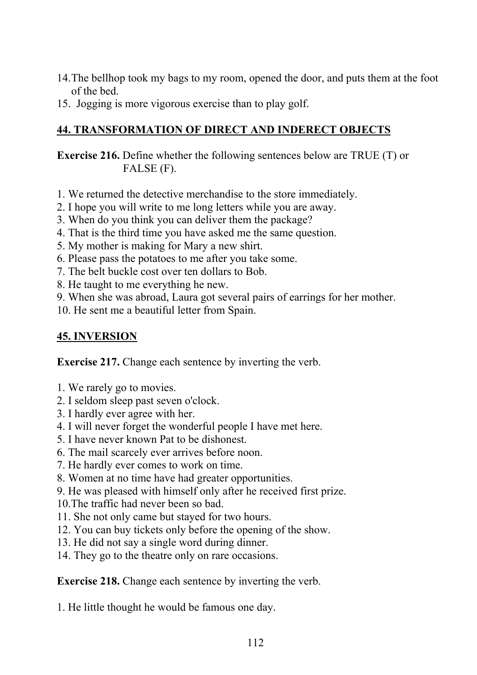- 14.The bellhop took my bags to my room, opened the door, and puts them at the foot of the bed.
- 15. Jogging is more vigorous exercise than to play golf.

### **44. TRANSFORMATION OF DIRECT AND INDERECT OBJECTS**

**Exercise 216.** Define whether the following sentences below are TRUE (T) or FALSE (F).

- 1. We returned the detective merchandise to the store immediately.
- 2. I hope you will write to me long letters while you are away.
- 3. When do you think you can deliver them the package?
- 4. That is the third time you have asked me the same question.
- 5. My mother is making for Mary a new shirt.
- 6. Please pass the potatoes to me after you take some.
- 7. The belt buckle cost over ten dollars to Bob.
- 8. He taught to me everything he new.
- 9. When she was abroad, Laura got several pairs of earrings for her mother.
- 10. He sent me a beautiful letter from Spain.

## **45. INVERSION**

**Exercise 217.** Change each sentence by inverting the verb.

- 1. We rarely go to movies.
- 2. I seldom sleep past seven o'clock.
- 3. I hardly ever agree with her.
- 4. I will never forget the wonderful people I have met here.
- 5. I have never known Pat to be dishonest.
- 6. The mail scarcely ever arrives before noon.
- 7. He hardly ever comes to work on time.
- 8. Women at no time have had greater opportunities.
- 9. He was pleased with himself only after he received first prize.
- 10.The traffic had never been so bad.
- 11. She not only came but stayed for two hours.
- 12. You can buy tickets only before the opening of the show.
- 13. He did not say a single word during dinner.
- 14. They go to the theatre only on rare occasions.

**Exercise 218.** Change each sentence by inverting the verb.

1. He little thought he would be famous one day.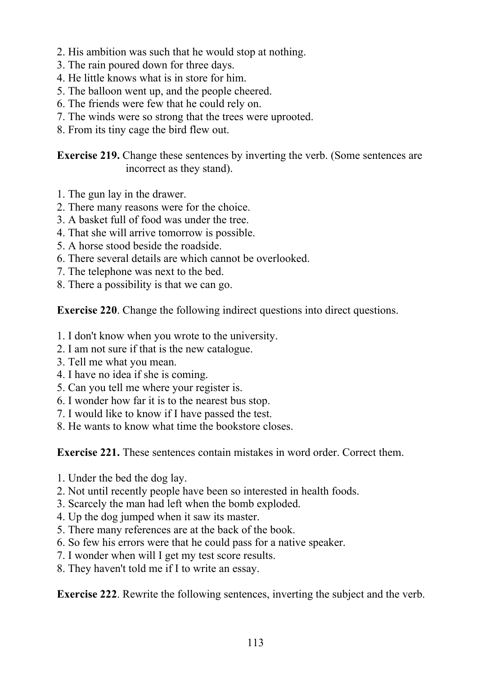- 2. His ambition was such that he would stop at nothing.
- 3. The rain poured down for three days.
- 4. He little knows what is in store for him.
- 5. The balloon went up, and the people cheered.
- 6. The friends were few that he could rely on.
- 7. The winds were so strong that the trees were uprooted.
- 8. From its tiny cage the bird flew out.

**Exercise 219.** Change these sentences by inverting the verb. (Some sentences are incorrect as they stand).

- 1. The gun lay in the drawer.
- 2. There many reasons were for the choice.
- 3. A basket full of food was under the tree.
- 4. That she will arrive tomorrow is possible.
- 5. A horse stood beside the roadside.
- 6. There several details are which cannot be overlooked.
- 7. The telephone was next to the bed.
- 8. There a possibility is that we can go.

**Exercise 220**. Change the following indirect questions into direct questions.

- 1. I don't know when you wrote to the university.
- 2. I am not sure if that is the new catalogue.
- 3. Tell me what you mean.
- 4. I have no idea if she is coming.
- 5. Can you tell me where your register is.
- 6. I wonder how far it is to the nearest bus stop.
- 7. I would like to know if I have passed the test.
- 8. He wants to know what time the bookstore closes.

**Exercise 221.** These sentences contain mistakes in word order. Correct them.

- 1. Under the bed the dog lay.
- 2. Not until recently people have been so interested in health foods.
- 3. Scarcely the man had left when the bomb exploded.
- 4. Up the dog jumped when it saw its master.
- 5. There many references are at the back of the book.
- 6. So few his errors were that he could pass for a native speaker.
- 7. I wonder when will I get my test score results.
- 8. They haven't told me if I to write an essay.

**Exercise 222**. Rewrite the following sentences, inverting the subject and the verb.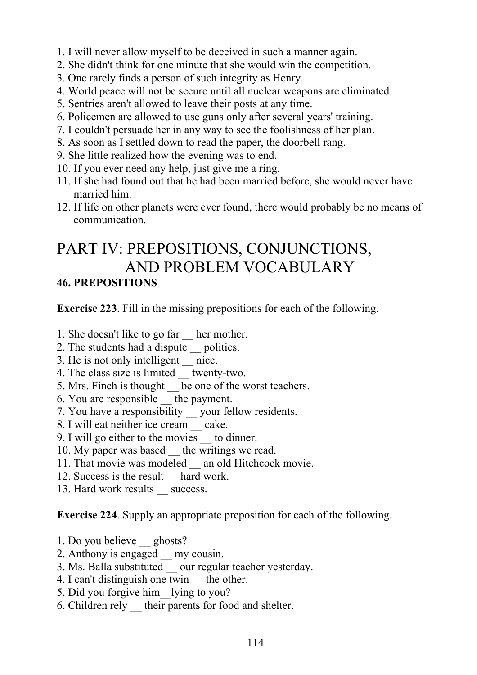- 1. I will never allow myself to be deceived in such a manner again.
- 2. She didn't think for one minute that she would win the competition.
- 3. One rarely finds a person of such integrity as Henry.
- 4. World peace will not be secure until all nuclear weapons are eliminated.
- 5. Sentries aren't allowed to leave their posts at any time.
- 6. Policemen are allowed to use guns only after several years' training.
- 7. I couldn't persuade her in any way to see the foolishness of her plan.
- 8. As soon as I settled down to read the paper, the doorbell rang.
- 9. She little realized how the evening was to end.
- 10. If you ever need any help, just give me a ring.
- 11. If she had found out that he had been married before, she would never have married him.
- 12. If life on other planets were ever found, there would probably be no means of communication.

# PART IV: PREPOSITIONS, CONJUNCTIONS, AND PROBLEM VOCABULARY **46. PREPOSITIONS**

**Exercise 223**. Fill in the missing prepositions for each of the following.

- 1. She doesn't like to go far her mother.
- 2. The students had a dispute \_\_ politics.
- 3. He is not only intelligent nice.
- 4. The class size is limited twenty-two.
- 5. Mrs. Finch is thought be one of the worst teachers.
- 6. You are responsible \_\_ the payment.
- 7. You have a responsibility \_\_ your fellow residents.
- 8. I will eat neither ice cream cake.
- 9. I will go either to the movies \_\_ to dinner.
- 10. My paper was based the writings we read.
- 11. That movie was modeled an old Hitchcock movie.
- 12. Success is the result hard work.
- 13. Hard work results success.

**Exercise 224**. Supply an appropriate preposition for each of the following.

- 1. Do you believe ghosts?
- 2. Anthony is engaged my cousin.
- 3. Ms. Balla substituted \_\_ our regular teacher yesterday.
- 4. I can't distinguish one twin the other.
- 5. Did you forgive him\_\_lying to you?
- 6. Children rely \_\_ their parents for food and shelter.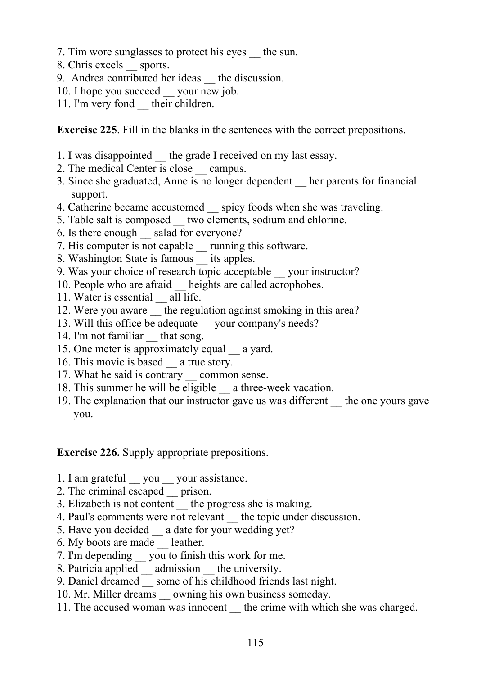- 7. Tim wore sunglasses to protect his eyes \_\_ the sun.
- 8. Chris excels \_\_ sports.
- 9. Andrea contributed her ideas the discussion.
- 10. I hope you succeed your new job.
- 11. I'm very fond their children.

**Exercise 225**. Fill in the blanks in the sentences with the correct prepositions.

- 1. I was disappointed the grade I received on my last essay.
- 2. The medical Center is close campus.
- 3. Since she graduated, Anne is no longer dependent \_\_ her parents for financial support.
- 4. Catherine became accustomed spicy foods when she was traveling.
- 5. Table salt is composed \_\_ two elements, sodium and chlorine.
- 6. Is there enough \_\_ salad for everyone?
- 7. His computer is not capable running this software.
- 8. Washington State is famous its apples.
- 9. Was your choice of research topic acceptable your instructor?
- 10. People who are afraid heights are called acrophobes.
- 11. Water is essential all life.
- 12. Were you aware the regulation against smoking in this area?
- 13. Will this office be adequate vour company's needs?
- 14. I'm not familiar that song.
- 15. One meter is approximately equal a yard.
- 16. This movie is based a true story.
- 17. What he said is contrary common sense.
- 18. This summer he will be eligible a three-week vacation.
- 19. The explanation that our instructor gave us was different \_\_ the one yours gave you.

**Exercise 226.** Supply appropriate prepositions.

- 1. I am grateful vou vour assistance.
- 2. The criminal escaped \_\_ prison.
- 3. Elizabeth is not content the progress she is making.
- 4. Paul's comments were not relevant the topic under discussion.
- 5. Have you decided a date for your wedding yet?
- 6. My boots are made \_\_ leather.
- 7. I'm depending \_\_ you to finish this work for me.
- 8. Patricia applied \_\_ admission \_\_ the university.
- 9. Daniel dreamed \_\_ some of his childhood friends last night.
- 10. Mr. Miller dreams owning his own business someday.
- 11. The accused woman was innocent the crime with which she was charged.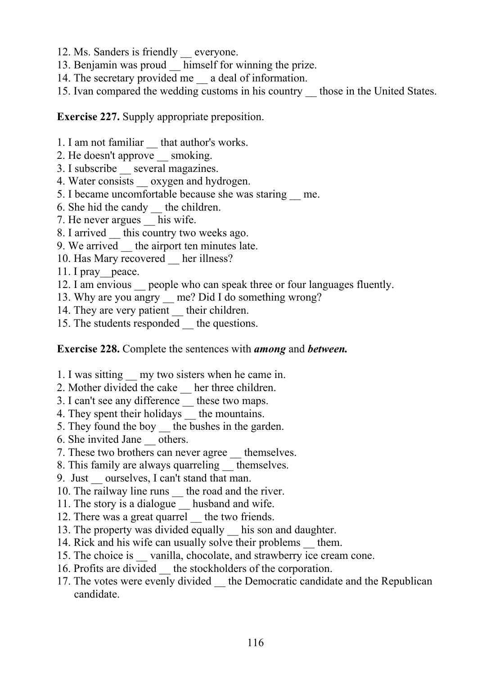- 12. Ms. Sanders is friendly \_\_ everyone.
- 13. Benjamin was proud himself for winning the prize.
- 14. The secretary provided me \_\_ a deal of information.
- 15. Ivan compared the wedding customs in his country \_\_ those in the United States.

**Exercise 227.** Supply appropriate preposition.

- 1. I am not familiar that author's works.
- 2. He doesn't approve \_\_ smoking.
- 3. I subscribe \_\_ several magazines.
- 4. Water consists oxygen and hydrogen.
- 5. I became uncomfortable because she was staring \_\_ me.
- 6. She hid the candy \_\_ the children.
- 7. He never argues his wife.
- 8. I arrived this country two weeks ago.
- 9. We arrived the airport ten minutes late.
- 10. Has Mary recovered her illness?
- 11. I pray peace.
- 12. I am envious people who can speak three or four languages fluently.
- 13. Why are you angry  $\frac{m}{2}$  me? Did I do something wrong?
- 14. They are very patient their children.
- 15. The students responded the questions.

#### **Exercise 228.** Complete the sentences with *among* and *between.*

- 1. I was sitting \_\_ my two sisters when he came in.
- 2. Mother divided the cake \_\_ her three children.
- 3. I can't see any difference \_\_ these two maps.
- 4. They spent their holidays the mountains.
- 5. They found the boy the bushes in the garden.
- 6. She invited Jane \_\_ others.
- 7. These two brothers can never agree themselves.
- 8. This family are always quarreling themselves.
- 9. Just ourselves, I can't stand that man.
- 10. The railway line runs the road and the river.
- 11. The story is a dialogue husband and wife.
- 12. There was a great quarrel the two friends.
- 13. The property was divided equally his son and daughter.
- 14. Rick and his wife can usually solve their problems them.
- 15. The choice is vanilla, chocolate, and strawberry ice cream cone.
- 16. Profits are divided the stockholders of the corporation.
- 17. The votes were evenly divided the Democratic candidate and the Republican candidate.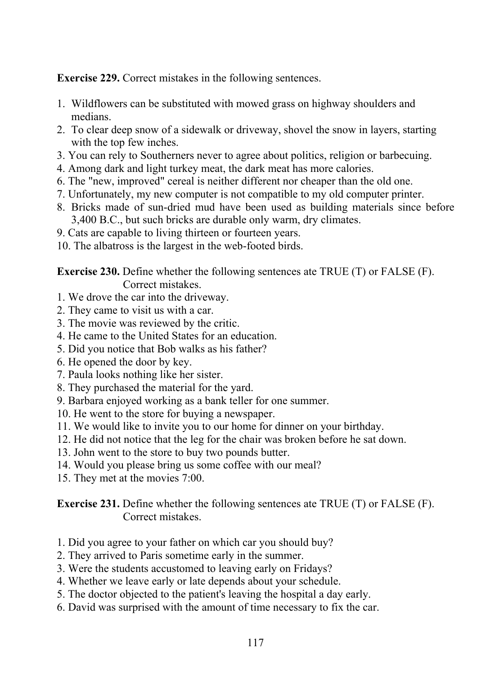**Exercise 229.** Correct mistakes in the following sentences.

- 1. Wildflowers can be substituted with mowed grass on highway shoulders and medians.
- 2. To clear deep snow of a sidewalk or driveway, shovel the snow in layers, starting with the top few inches.
- 3. You can rely to Southerners never to agree about politics, religion or barbecuing.
- 4. Among dark and light turkey meat, the dark meat has more calories.
- 6. The "new, improved" cereal is neither different nor cheaper than the old one.
- 7. Unfortunately, my new computer is not compatible to my old computer printer.
- 8. Bricks made of sun-dried mud have been used as building materials since before 3,400 B.C., but such bricks are durable only warm, dry climates.
- 9. Cats are capable to living thirteen or fourteen years.
- 10. The albatross is the largest in the web-footed birds.

**Exercise 230.** Define whether the following sentences ate TRUE (T) or FALSE (F). Correct mistakes.

- 1. We drove the car into the driveway.
- 2. They came to visit us with a car.
- 3. The movie was reviewed by the critic.
- 4. He came to the United States for an education.
- 5. Did you notice that Bob walks as his father?
- 6. He opened the door by key.
- 7. Paula looks nothing like her sister.
- 8. They purchased the material for the yard.
- 9. Barbara enjoyed working as a bank teller for one summer.
- 10. He went to the store for buying a newspaper.
- 11. We would like to invite you to our home for dinner on your birthday.
- 12. He did not notice that the leg for the chair was broken before he sat down.
- 13. John went to the store to buy two pounds butter.
- 14. Would you please bring us some coffee with our meal?
- 15. They met at the movies 7:00.

**Exercise 231.** Define whether the following sentences ate TRUE (T) or FALSE (F). Correct mistakes.

- 1. Did you agree to your father on which car you should buy?
- 2. They arrived to Paris sometime early in the summer.
- 3. Were the students accustomed to leaving early on Fridays?
- 4. Whether we leave early or late depends about your schedule.
- 5. The doctor objected to the patient's leaving the hospital a day early.
- 6. David was surprised with the amount of time necessary to fix the car.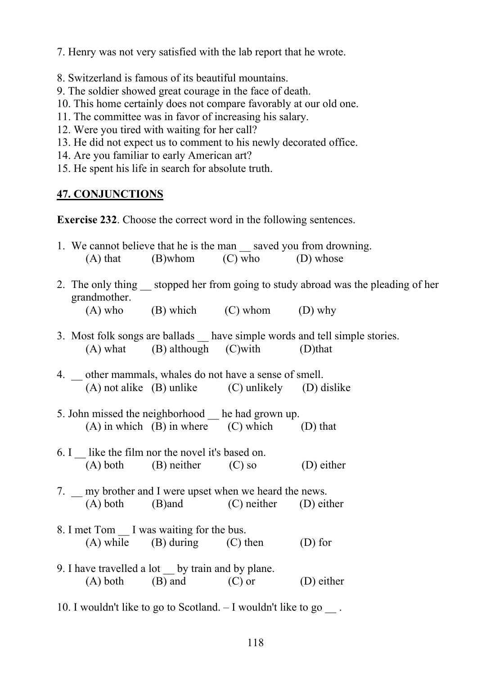7. Henry was not very satisfied with the lab report that he wrote.

- 8. Switzerland is famous of its beautiful mountains.
- 9. The soldier showed great courage in the face of death.
- 10. This home certainly does not compare favorably at our old one.
- 11. The committee was in favor of increasing his salary.
- 12. Were you tired with waiting for her call?
- 13. He did not expect us to comment to his newly decorated office.
- 14. Are you familiar to early American art?
- 15. He spent his life in search for absolute truth.

## **47. CONJUNCTIONS**

**Exercise 232**. Choose the correct word in the following sentences.

|                                                                     | $(A)$ that $(B)$ whom $(C)$ who $(D)$ whose          | 1. We cannot believe that he is the man saved you from drowning.                 |
|---------------------------------------------------------------------|------------------------------------------------------|----------------------------------------------------------------------------------|
| grandmother.                                                        |                                                      | 2. The only thing stopped her from going to study abroad was the pleading of her |
|                                                                     | $(A)$ who $(B)$ which $(C)$ whom $(D)$ why           |                                                                                  |
|                                                                     | $(A)$ what $(B)$ although $(C)$ with $(D)$ that      | 3. Most folk songs are ballads _ have simple words and tell simple stories.      |
| 4. _ other mammals, whales do not have a sense of smell.            | (A) not alike (B) unlike (C) unlikely (D) dislike    |                                                                                  |
| 5. John missed the neighborhood he had grown up.                    | $(A)$ in which $(B)$ in where $(C)$ which $(D)$ that |                                                                                  |
| 6. I like the film nor the novel it's based on.                     | $(A)$ both $(B)$ neither $(C)$ so $(D)$ either       |                                                                                  |
| 7. _ my brother and I were upset when we heard the news.            | (A) both (B) and (C) neither (D) either              |                                                                                  |
| 8. I met Tom __ I was waiting for the bus.                          | $(A)$ while $(B)$ during $(C)$ then                  | $(D)$ for                                                                        |
| 9. I have travelled a lot by train and by plane.                    | $(A)$ both $(B)$ and $(C)$ or                        | (D) either                                                                       |
| 10. I wouldn't like to go to Scotland. - I wouldn't like to go __ . |                                                      |                                                                                  |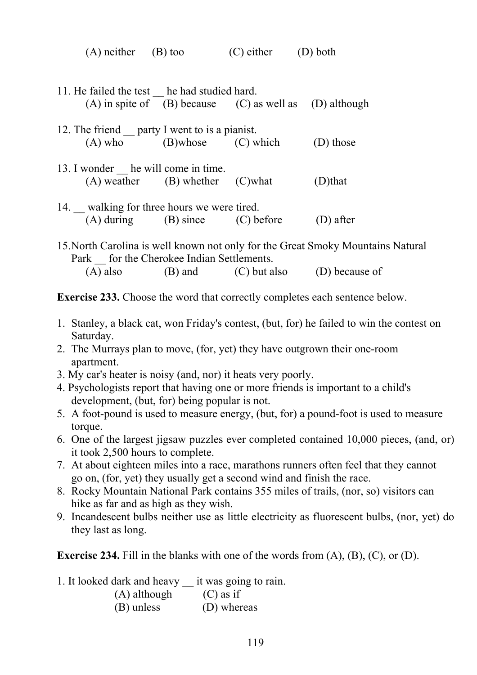| $(A)$ neither $(B)$ too                     |                                                               | $(C)$ either $(D)$ both |  |
|---------------------------------------------|---------------------------------------------------------------|-------------------------|--|
|                                             |                                                               |                         |  |
| 11. He failed the test he had studied hard. |                                                               |                         |  |
|                                             | (A) in spite of $(B)$ because $(C)$ as well as $(D)$ although |                         |  |

| 12. The friend party I went to is a pianist. |          |           |           |
|----------------------------------------------|----------|-----------|-----------|
| $(A)$ who                                    | (B)whose | (C) which | (D) those |

- 13. I wonder he will come in time.  $(A)$  weather  $(B)$  whether  $(C)$  what  $(D)$ that
- 14. walking for three hours we were tired. (A) during (B) since (C) before (D) after

15.North Carolina is well known not only for the Great Smoky Mountains Natural Park for the Cherokee Indian Settlements.  $(A)$  also  $(B)$  and  $(C)$  but also  $(D)$  because of

**Exercise 233.** Choose the word that correctly completes each sentence below.

- 1. Stanley, a black cat, won Friday's contest, (but, for) he failed to win the contest on Saturday.
- 2. The Murrays plan to move, (for, yet) they have outgrown their one-room apartment.
- 3. My car's heater is noisy (and, nor) it heats very poorly.
- 4. Psychologists report that having one or more friends is important to a child's development, (but, for) being popular is not.
- 5. A foot-pound is used to measure energy, (but, for) a pound-foot is used to measure torque.
- 6. One of the largest jigsaw puzzles ever completed contained 10,000 pieces, (and, or) it took 2,500 hours to complete.
- 7. At about eighteen miles into a race, marathons runners often feel that they cannot go on, (for, yet) they usually get a second wind and finish the race.
- 8. Rocky Mountain National Park contains 355 miles of trails, (nor, so) visitors can hike as far and as high as they wish.
- 9. Incandescent bulbs neither use as little electricity as fluorescent bulbs, (nor, yet) do they last as long.

**Exercise 234.** Fill in the blanks with one of the words from (A), (B), (C), or (D).

1. It looked dark and heavy \_\_ it was going to rain.

| (A) although | $(C)$ as if |
|--------------|-------------|
|              |             |

(B) unless (D) whereas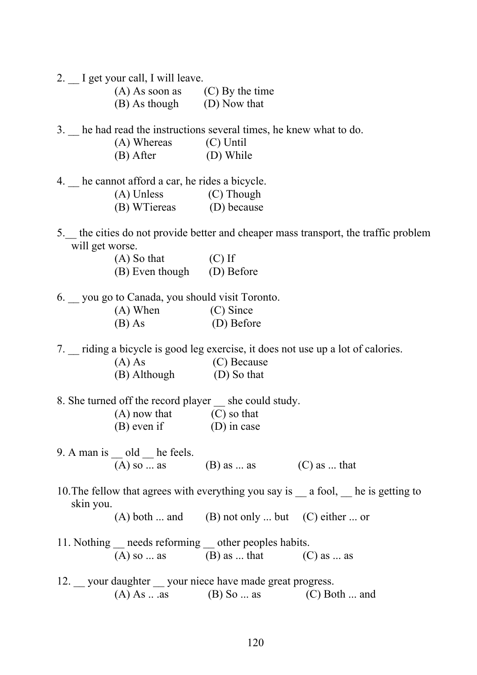2. I get your call, I will leave.

| $(A)$ As soon as | $(C)$ By the time |
|------------------|-------------------|
| (B) As though    | (D) Now that      |

3. \_\_ he had read the instructions several times, he knew what to do.

| (A) Whereas | (C) Until |
|-------------|-----------|
| (B) After   | (D) While |

4. he cannot afford a car, he rides a bicycle.

| (A) Unless | (C) Though |
|------------|------------|
|            |            |

| (B) WTiereas | (D) because |
|--------------|-------------|
|--------------|-------------|

5.\_\_ the cities do not provide better and cheaper mass transport, the traffic problem will get worse.

| $(A)$ So that   | $(C)$ If   |
|-----------------|------------|
| (B) Even though | (D) Before |

6. \_\_ you go to Canada, you should visit Toronto. (A) When (C) Since (B) As (D) Before

7. \_\_ riding a bicycle is good leg exercise, it does not use up a lot of calories.

| $(A)$ As     | (C) Because |  |
|--------------|-------------|--|
| (B) Although | (D) So that |  |

8. She turned off the record player she could study.

| $(A)$ now that | $(C)$ so that |
|----------------|---------------|
| $(B)$ even if  | $(D)$ in case |

9. A man is old he feels. (A) so ... as (B) as ... as (C) as ... that

10. The fellow that agrees with everything you say is \_\_\_ a fool, \_\_\_ he is getting to skin you.

 $(A)$  both ... and  $(B)$  not only ... but  $(C)$  either ... or

- 11. Nothing \_\_ needs reforming \_\_ other peoples habits. (A) so ... as (B) as ... that (C) as ... as
- 12. your daughter your niece have made great progress. (A) As  $\dots$  as (B) So  $\dots$  as (C) Both  $\dots$  and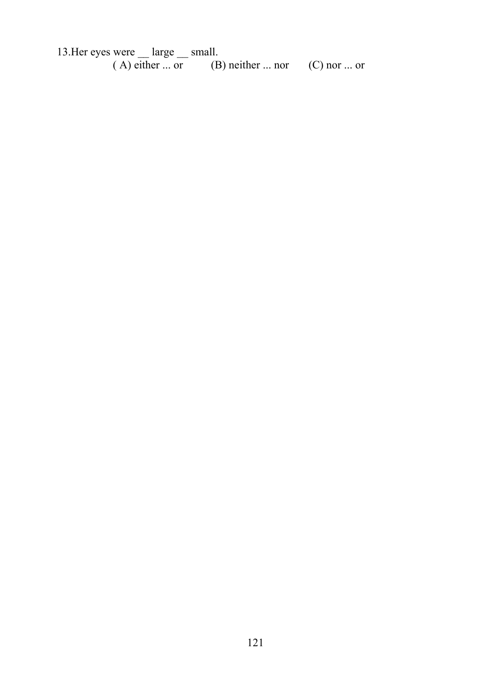13. Her eyes were large small.  $(A)$  either ... or  $(B)$  neither ... nor  $(C)$  nor ... or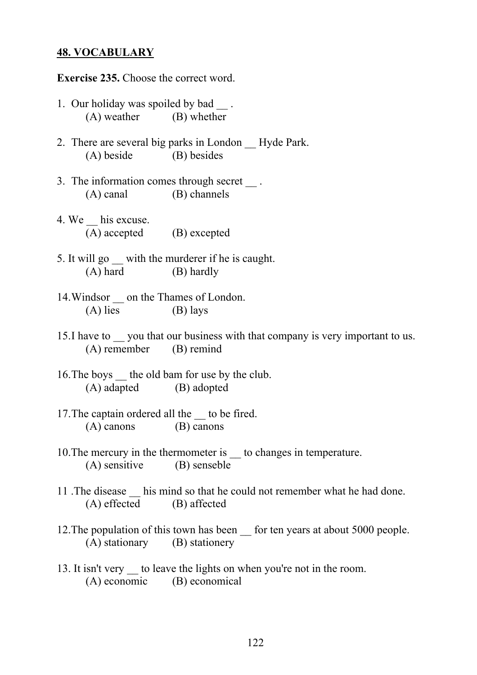#### **48. VOCABULARY**

**Exercise 235.** Choose the correct word.

- 1. Our holiday was spoiled by bad. (A) weather (B) whether
- 2. There are several big parks in London \_\_ Hyde Park. (A) beside (B) besides
- 3. The information comes through secret . (A) canal (B) channels
- 4. We his excuse. (A) accepted (B) excepted
- 5. It will go \_\_ with the murderer if he is caught. (A) hard (B) hardly
- 14. Windsor on the Thames of London.  $(A)$  lies  $(B)$  lays
- 15.I have to you that our business with that company is very important to us. (A) remember (B) remind
- 16.The boys \_\_ the old bam for use by the club. (A) adapted (B) adopted
- 17. The captain ordered all the to be fired. (A) canons (B) canons
- 10. The mercury in the thermometer is to changes in temperature. (A) sensitive (B) senseble
- 11 .The disease \_\_ his mind so that he could not remember what he had done. (A) effected (B) affected
- 12. The population of this town has been for ten years at about 5000 people. (A) stationary (B) stationery
- 13. It isn't very to leave the lights on when you're not in the room. (A) economic (В) economical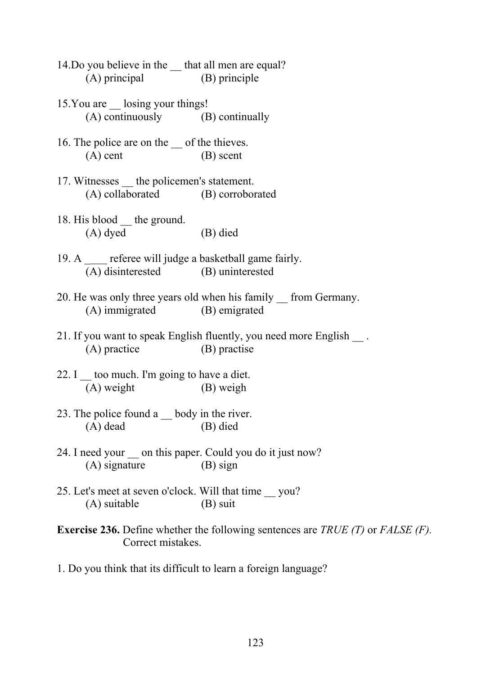- 14. Do you believe in the that all men are equal? (A) principal (B) principle
- 15. You are losing your things! (A) continuously (В) continually
- 16. The police are on the of the thieves. (A) cent (B) scent
- 17. Witnesses the policemen's statement. (A) collaborated (B) corroborated
- 18. His blood the ground. (A) dyed (B) died
- 19. A \_ referee will judge a basketball game fairly. (A) disinterested (В) uninterested
- 20. He was only three years old when his family \_\_ from Germany. (A) immigrated (B) emigrated
- 21. If you want to speak English fluently, you need more English . (A) practice (B) practise
- 22. I  $\equiv$  too much. I'm going to have a diet. (A) weight (B) weigh
- 23. The police found a body in the river. (A) dead (B) died
- 24. I need your on this paper. Could you do it just now? (A) signature (B) sign
- 25. Let's meet at seven o'clock. Will that time \_\_ you? (A) suitable (B) suit

**Exercise 236.** Define whether the following sentences are *TRUE (T)* or *FALSE (F).* Correct mistakes.

1. Do you think that its difficult to learn a foreign language?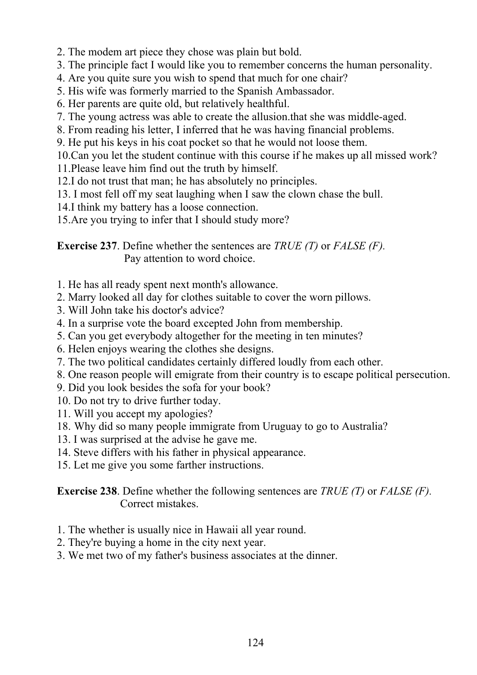- 2. The modem art piece they chose was plain but bold.
- 3. The principle fact I would like you to remember concerns the human personality.
- 4. Are you quite sure you wish to spend that much for one chair?
- 5. His wife was formerly married to the Spanish Ambassador.
- 6. Her parents are quite old, but relatively healthful.
- 7. The young actress was able to create the allusion.that she was middle-aged.
- 8. From reading his letter, I inferred that he was having financial problems.
- 9. He put his keys in his coat pocket so that he would not loose them.
- 10.Can you let the student continue with this course if he makes up all missed work?
- 11.Please leave him find out the truth by himself.
- 12.I do not trust that man; he has absolutely no principles.
- 13. I most fell off my seat laughing when I saw the clown chase the bull.
- 14.I think my battery has a loose connection.
- 15.Are you trying to infer that I should study more?

**Exercise 237**. Define whether the sentences are *TRUE (T)* or *FALSE (F).*  Pay attention to word choice.

- 1. He has all ready spent next month's allowance.
- 2. Marry looked all day for clothes suitable to cover the worn pillows.
- 3. Will John take his doctor's advice?
- 4. In a surprise vote the board excepted John from membership.
- 5. Can you get everybody altogether for the meeting in ten minutes?
- 6. Helen enjoys wearing the clothes she designs.
- 7. The two political candidates certainly differed loudly from each other.
- 8. One reason people will emigrate from their country is to escape political persecution.
- 9. Did you look besides the sofa for your book?
- 10. Do not try to drive further today.
- 11. Will you accept my apologies?
- 18. Why did so many people immigrate from Uruguay to go to Australia?
- 13. I was surprised at the advise he gave me.
- 14. Steve differs with his father in physical appearance.
- 15. Let me give you some farther instructions.

**Exercise 238**. Define whether the following sentences are *TRUE (T)* or *FALSE (F).* Correct mistakes.

- 1. The whether is usually nice in Hawaii all year round.
- 2. They're buying a home in the city next year.
- 3. We met two of my father's business associates at the dinner.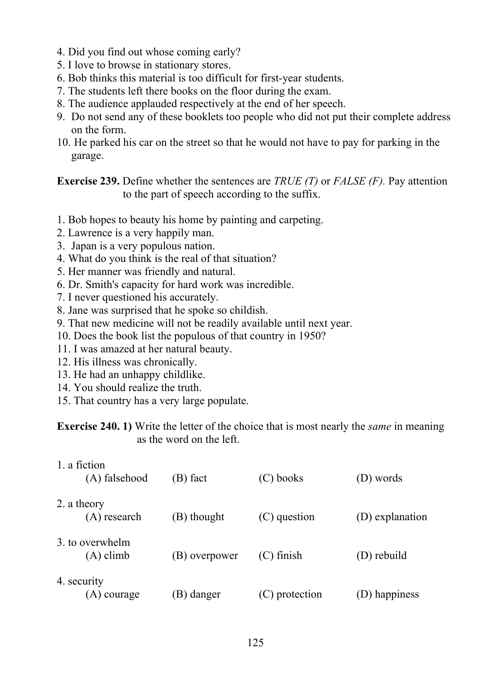- 4. Did you find out whose coming early?
- 5. I love to browse in stationary stores.
- 6. Bob thinks this material is too difficult for first-year students.
- 7. The students left there books on the floor during the exam.
- 8. The audience applauded respectively at the end of her speech.
- 9. Do not send any of these booklets too people who did not put their complete address on the form.
- 10. He parked his car on the street so that he would not have to pay for parking in the garage.

**Exercise 239.** Define whether the sentences are *TRUE (T)* or *FALSE (F).* Pay attention to the part of speech according to the suffix.

- 1. Bob hopes to beauty his home by painting and carpeting.
- 2. Lawrence is a very happily man.
- 3. Japan is a very populous nation.
- 4. What do you think is the real of that situation?
- 5. Her manner was friendly and natural.
- 6. Dr. Smith's capacity for hard work was incredible.
- 7. I never questioned his accurately.
- 8. Jane was surprised that he spoke so childish.
- 9. That new medicine will not be readily available until next year.
- 10. Does the book list the populous of that country in 1950?
- 11. I was amazed at her natural beauty.
- 12. His illness was chronically.
- 13. He had an unhappy childlike.
- 14. You should realize the truth.
- 15. That country has a very large populate.

**Exercise 240. 1)** Write the letter of the choice that is most nearly the *same* in meaning as the word on the left.

| 1. a fiction<br>(A) falsehood  | (B) fact      | (C) books      | (D) words       |
|--------------------------------|---------------|----------------|-----------------|
| 2. a theory<br>(A) research    | (B) thought   | (C) question   | (D) explanation |
| 3. to overwhelm<br>$(A)$ climb | (B) overpower | $(C)$ finish   | (D) rebuild     |
| 4. security<br>(A) courage     | B) danger     | (C) protection | $(D)$ happiness |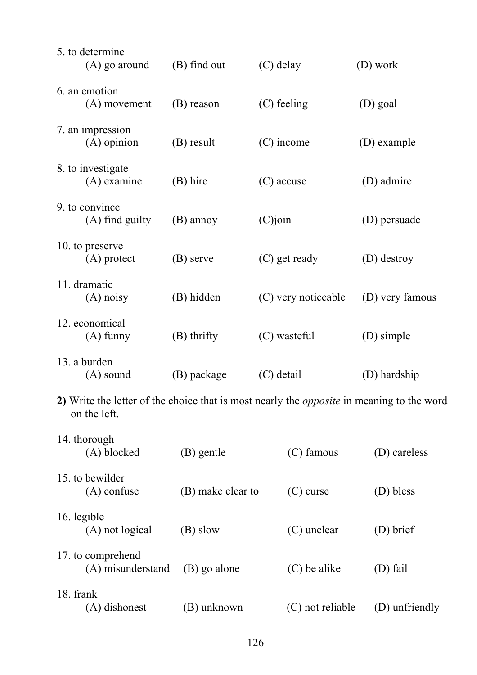| 5. to determine<br>$(A)$ go around                                                                               | (B) find out      | $(C)$ delay         |                  | (D) work        |
|------------------------------------------------------------------------------------------------------------------|-------------------|---------------------|------------------|-----------------|
| 6. an emotion<br>(A) movement                                                                                    | (B) reason        |                     | (C) feeling      | (D) goal        |
| 7. an impression<br>$(A)$ opinion                                                                                | $(B)$ result      |                     | $(C)$ income     | (D) example     |
| 8. to investigate<br>$(A)$ examine                                                                               | (B) hire          |                     | $(C)$ accuse     | (D) admire      |
| 9. to convince<br>$(A)$ find guilty                                                                              | (B) annoy         | $(C)$ join          |                  | (D) persuade    |
| 10. to preserve<br>$(A)$ protect                                                                                 | (B) serve         |                     | (C) get ready    | (D) destroy     |
| 11. dramatic<br>$(A)$ noisy                                                                                      | (B) hidden        | (C) very noticeable |                  | (D) very famous |
| 12. economical<br>$(A)$ funny                                                                                    | $(B)$ thrifty     | (C) wasteful        |                  | (D) simple      |
| 13. a burden<br>$(A)$ sound                                                                                      | (B) package       | $(C)$ detail        |                  | (D) hardship    |
| 2) Write the letter of the choice that is most nearly the <i>opposite</i> in meaning to the word<br>on the left. |                   |                     |                  |                 |
| 14. thorough<br>(A) blocked                                                                                      | (B) gentle        |                     | (C) famous       | (D) careless    |
| 15. to bewilder<br>$(A)$ confuse                                                                                 | (B) make clear to |                     | $(C)$ curse      | (D) bless       |
| 16. legible<br>(A) not logical                                                                                   | (B) slow          |                     | (C) unclear      | (D) brief       |
| 17. to comprehend<br>(A) misunderstand                                                                           | (B) go alone      |                     | (C) be alike     | (D) fail        |
| 18. frank<br>(A) dishonest                                                                                       | (B) unknown       |                     | (C) not reliable | (D) unfriendly  |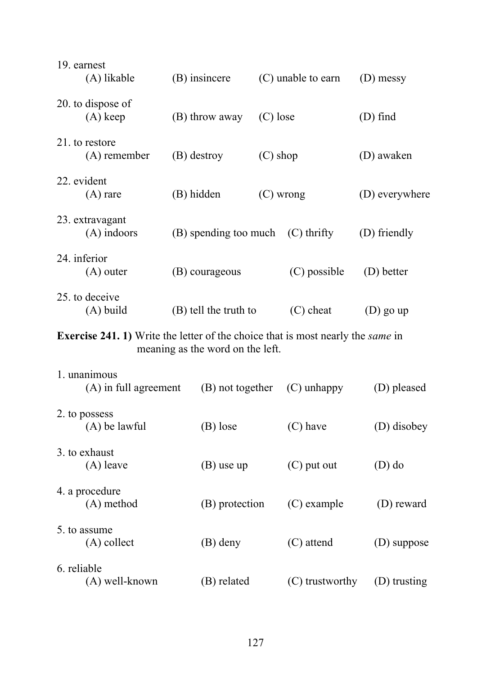| 19. earnest<br>(A) likable                                                                    | (B) insincere                    |             | (C) unable to earn | (D) messy      |
|-----------------------------------------------------------------------------------------------|----------------------------------|-------------|--------------------|----------------|
| 20. to dispose of<br>$(A)$ keep                                                               | (B) throw away                   | $(C)$ lose  |                    | $(D)$ find     |
| 21. to restore<br>(A) remember                                                                | (B) destroy                      | $(C)$ shop  |                    | (D) awaken     |
| 22. evident<br>$(A)$ rare                                                                     | (B) hidden                       | $(C)$ wrong |                    | (D) everywhere |
| 23. extravagant<br>$(A)$ indoors                                                              | (B) spending too much            |             | $(C)$ thrifty      | (D) friendly   |
| 24. inferior<br>$(A)$ outer                                                                   | (B) courageous                   |             | (C) possible       | (D) better     |
| 25. to deceive<br>(A) build                                                                   | (B) tell the truth to            |             | $(C)$ cheat        | $(D)$ go up    |
| <b>Exercise 241. 1)</b> Write the letter of the choice that is most nearly the <i>same</i> in | meaning as the word on the left. |             |                    |                |
| 1. unanimous<br>(A) in full agreement                                                         | (B) not together                 |             | $(C)$ unhappy      | (D) pleased    |
| 2. to possess<br>$(A)$ be lawful                                                              | $(B)$ lose                       |             | $(C)$ have         | (D) disobey    |
| 3. to exhaust<br>$(A)$ leave                                                                  | $(B)$ use up                     |             | $(C)$ put out      | $(D)$ do       |
| 4. a procedure<br>$(A)$ method                                                                | (B) protection                   |             | (C) example        | (D) reward     |
| 5. to assume<br>$(A)$ collect                                                                 | (B) deny                         |             | (C) attend         | (D) suppose    |
| 6. reliable<br>(A) well-known                                                                 | (B) related                      |             | (C) trustworthy    | (D) trusting   |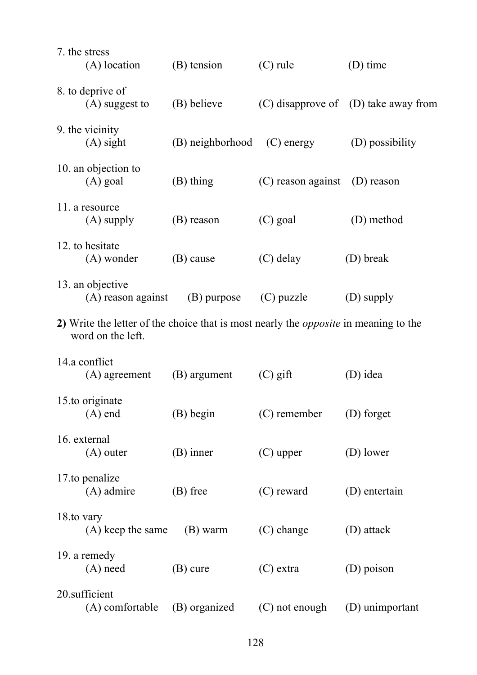| 7. the stress   | (A) location                           | (B) tension      | $(C)$ rule                                                                                  | $(D)$ time                               |
|-----------------|----------------------------------------|------------------|---------------------------------------------------------------------------------------------|------------------------------------------|
|                 | 8. to deprive of<br>$(A)$ suggest to   | (B) believe      |                                                                                             | $(C)$ disapprove of $(D)$ take away from |
| 9. the vicinity | $(A)$ sight                            | (B) neighborhood | $(C)$ energy                                                                                | (D) possibility                          |
|                 | 10. an objection to<br>$(A)$ goal      | $(B)$ thing      | $(C)$ reason against                                                                        | (D) reason                               |
|                 | 11. a resource<br>$(A)$ supply         | (B) reason       | $(C)$ goal                                                                                  | (D) method                               |
|                 | 12. to hesitate<br>(A) wonder          | (B) cause        | $(C)$ delay                                                                                 | (D) break                                |
|                 | 13. an objective<br>(A) reason against | (B) purpose      | $(C)$ puzzle                                                                                | (D) supply                               |
|                 | word on the left.                      |                  | 2) Write the letter of the choice that is most nearly the <i>opposite</i> in meaning to the |                                          |
| 14.a conflict   | (A) agreement                          | (B) argument     | $(C)$ gift                                                                                  | (D) idea                                 |
|                 | 15.to originate<br>$(A)$ end           | $(B)$ begin      | (C) remember                                                                                | (D) forget                               |
| 16. external    | $(A)$ outer                            | $(B)$ inner      | $(C)$ upper                                                                                 | (D) lower                                |
|                 | 17.to penalize<br>$(A)$ admire         | $(B)$ free       | (C) reward                                                                                  | (D) entertain                            |
| 18.to vary      | $(A)$ keep the same                    | (B) warm         | $(C)$ change                                                                                | (D) attack                               |
| 19. a remedy    | $(A)$ need                             | $(B)$ cure       | $(C)$ extra                                                                                 | (D) poison                               |
| 20.sufficient   | (A) comfortable                        | (B) organized    | (C) not enough                                                                              | (D) unimportant                          |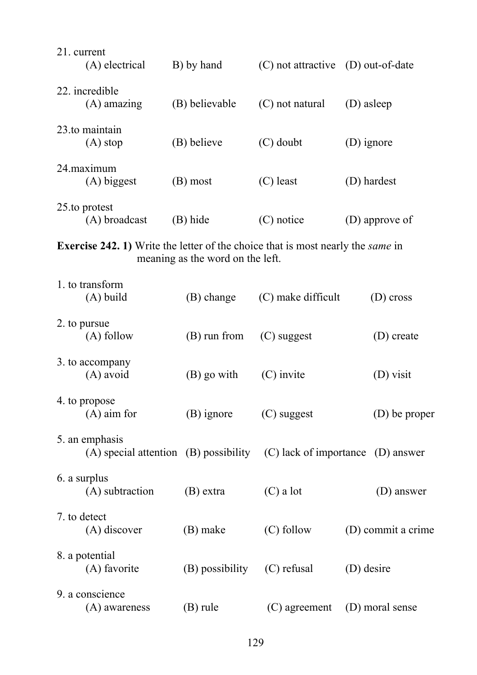| 21. current<br>(A) electrical                                                                 | B) by hand                       | (C) not attractive<br>(D) out-of-date                                           |                    |
|-----------------------------------------------------------------------------------------------|----------------------------------|---------------------------------------------------------------------------------|--------------------|
| 22. incredible<br>$(A)$ amazing                                                               | (B) believable                   | (C) not natural<br>(D) asleep                                                   |                    |
| 23.to maintain<br>(A) stop                                                                    | (B) believe                      | $(C)$ doubt                                                                     | (D) ignore         |
| 24.maximum<br>(A) biggest                                                                     | (B) most                         | $(C)$ least                                                                     | (D) hardest        |
| 25.to protest<br>(A) broadcast                                                                | (B) hide                         | (C) notice                                                                      | (D) approve of     |
| <b>Exercise 242. 1)</b> Write the letter of the choice that is most nearly the <i>same</i> in | meaning as the word on the left. |                                                                                 |                    |
| 1. to transform                                                                               |                                  |                                                                                 |                    |
| $(A)$ build                                                                                   | (B) change                       | (C) make difficult                                                              | (D) cross          |
| 2. to pursue<br>$(A)$ follow                                                                  | $(B)$ run from                   | (C) suggest<br>(D) create                                                       |                    |
| 3. to accompany<br>$(A)$ avoid                                                                | (B) go with                      | $(C)$ invite<br>(D) visit                                                       |                    |
| 4. to propose<br>$(A)$ aim for                                                                | $(B)$ ignore                     | (C) suggest<br>(D) be proper                                                    |                    |
| 5. an emphasis                                                                                |                                  | $(A)$ special attention $(B)$ possibility $(C)$ lack of importance $(D)$ answer |                    |
| 6. a surplus<br>(A) subtraction                                                               | $(B)$ extra                      | $(C)$ a lot                                                                     | (D) answer         |
| 7. to detect<br>(A) discover                                                                  | (B) make                         | $(C)$ follow                                                                    | (D) commit a crime |
| 8. a potential<br>(A) favorite                                                                | (B) possibility                  | (C) refusal                                                                     | (D) desire         |
| 9. a conscience<br>(A) awareness                                                              | $(B)$ rule                       | $(C)$ agreement                                                                 | (D) moral sense    |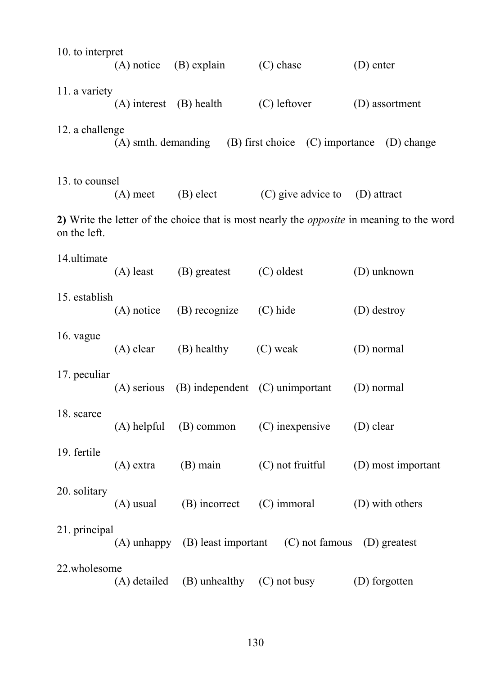| 10. to interpret |              | $(A)$ notice $(B)$ explain                        | $(C)$ chase                                                            | $(D)$ enter                                                                                      |
|------------------|--------------|---------------------------------------------------|------------------------------------------------------------------------|--------------------------------------------------------------------------------------------------|
| 11. a variety    |              | $(A)$ interest $(B)$ health                       | $(C)$ leftover                                                         | (D) assortment                                                                                   |
| 12. a challenge  |              |                                                   | $(A)$ smth. demanding $(B)$ first choice $(C)$ importance $(D)$ change |                                                                                                  |
| 13. to counsel   | $(A)$ meet   | (B) elect                                         | (C) give advice to                                                     | (D) attract                                                                                      |
| on the left.     |              |                                                   |                                                                        | 2) Write the letter of the choice that is most nearly the <i>opposite</i> in meaning to the word |
| 14.ultimate      |              | $(A)$ least $(B)$ greatest                        | (C) oldest                                                             | (D) unknown                                                                                      |
| 15. establish    | $(A)$ notice | (B) recognize                                     | $(C)$ hide                                                             | (D) destroy                                                                                      |
| 16. vague        | $(A)$ clear  | (B) healthy (C) weak                              |                                                                        | (D) normal                                                                                       |
| 17. peculiar     |              | $(A)$ serious $(B)$ independent $(C)$ unimportant |                                                                        | (D) normal                                                                                       |
| 18. scarce       |              |                                                   | $(A)$ helpful $(B)$ common $(C)$ inexpensive                           | (D) clear                                                                                        |
| 19. fertile      | $(A)$ extra  | $(B)$ main                                        | (C) not fruitful                                                       | (D) most important                                                                               |
| 20. solitary     | $(A)$ usual  | (B) incorrect                                     | (C) immoral                                                            | (D) with others                                                                                  |
| 21. principal    |              |                                                   | $(A)$ unhappy $(B)$ least important $(C)$ not famous $(D)$ greatest    |                                                                                                  |
| 22.wholesome     |              | $(A)$ detailed $(B)$ unhealthy $(C)$ not busy     |                                                                        | (D) forgotten                                                                                    |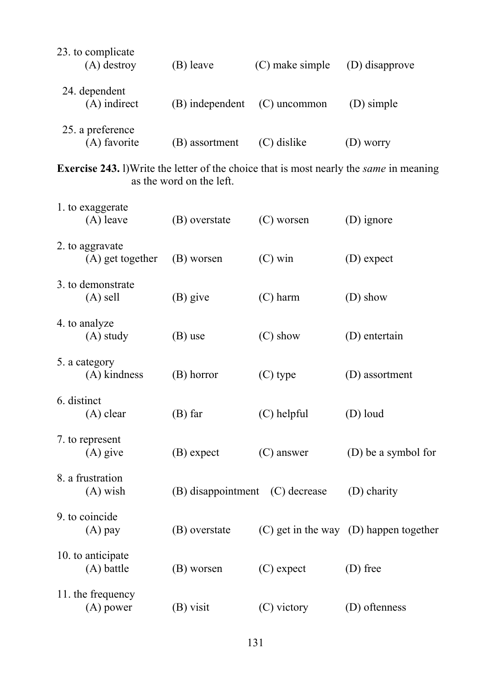| 23. to complicate<br>(A) destroy                                                                      | (B) leave                | (C) make simple | (D) disapprove                             |
|-------------------------------------------------------------------------------------------------------|--------------------------|-----------------|--------------------------------------------|
| 24. dependent<br>$(A)$ indirect                                                                       | (B) independent          | $(C)$ uncommon  | (D) simple                                 |
| 25. a preference<br>(A) favorite                                                                      | (B) assortment           | (C) dislike     | (D) worry                                  |
| <b>Exercise 243.</b> I) Write the letter of the choice that is most nearly the <i>same</i> in meaning | as the word on the left. |                 |                                            |
| 1. to exaggerate<br>$(A)$ leave                                                                       | (B) overstate            | (C) worsen      | (D) ignore                                 |
| 2. to aggravate<br>(A) get together                                                                   | (B) worsen               | $(C)$ win       | (D) expect                                 |
| 3. to demonstrate<br>$(A)$ sell                                                                       | $(B)$ give               | $(C)$ harm      | (D) show                                   |
| 4. to analyze<br>$(A)$ study                                                                          | (B) use                  | $(C)$ show      | (D) entertain                              |
| 5. a category<br>$(A)$ kindness                                                                       | (B) horror               | (C) type        | (D) assortment                             |
| 6. distinct<br>$(A)$ clear                                                                            | $(B)$ far                | $(C)$ helpful   | (D) loud                                   |
| 7. to represent<br>$(A)$ give                                                                         | (B) expect               | $(C)$ answer    | (D) be a symbol for                        |
| 8. a frustration<br>$(A)$ wish                                                                        | (B) disappointment       | (C) decrease    | (D) charity                                |
| 9. to coincide<br>$(A)$ pay                                                                           | (B) overstate            |                 | $(C)$ get in the way $(D)$ happen together |
| 10. to anticipate<br>$(A)$ battle                                                                     | (B) worsen               | $(C)$ expect    | (D) free                                   |
| 11. the frequency<br>$(A)$ power                                                                      | $(B)$ visit              | (C) victory     | (D) oftenness                              |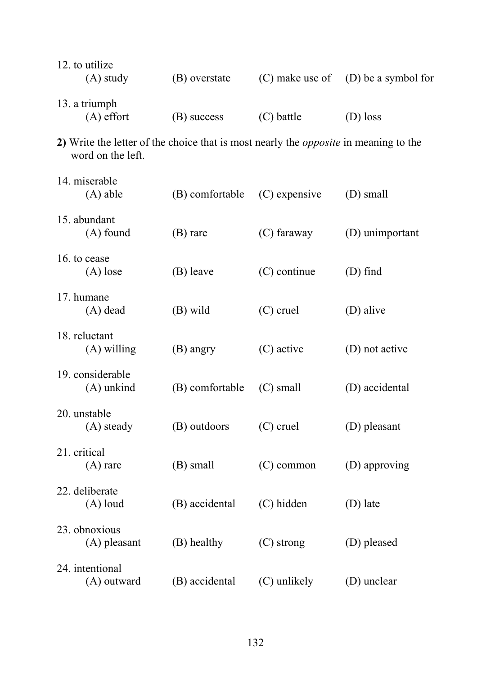| 12. to utilize<br>$(A)$ study                                                                                    | (B) overstate   | (C) make use of | (D) be a symbol for |
|------------------------------------------------------------------------------------------------------------------|-----------------|-----------------|---------------------|
| 13. a triumph<br>$(A)$ effort                                                                                    | (B) success     | $(C)$ battle    | (D) loss            |
| 2) Write the letter of the choice that is most nearly the <i>opposite</i> in meaning to the<br>word on the left. |                 |                 |                     |
| 14. miserable<br>$(A)$ able                                                                                      | (B) comfortable | $(C)$ expensive | (D) small           |
| 15. abundant<br>$(A)$ found                                                                                      | $(B)$ rare      | $(C)$ faraway   | (D) unimportant     |
| 16. to cease<br>$(A)$ lose                                                                                       | (B) leave       | $(C)$ continue  | $(D)$ find          |
| 17. humane<br>$(A)$ dead                                                                                         | (B) wild        | $(C)$ cruel     | (D) alive           |
| 18. reluctant<br>$(A)$ willing                                                                                   | (B) angry       | (C) active      | (D) not active      |
| 19. considerable<br>$(A)$ unkind                                                                                 | (B) comfortable | $(C)$ small     | (D) accidental      |
| 20. unstable<br>(A) steady                                                                                       | (B) outdoors    | $(C)$ cruel     | (D) pleasant        |
| 21. critical<br>$(A)$ rare                                                                                       | (B) small       | $(C)$ common    | (D) approving       |
| 22. deliberate<br>$(A)$ loud                                                                                     | (B) accidental  | (C) hidden      | (D) late            |
| 23. obnoxious<br>$(A)$ pleasant                                                                                  | (B) healthy     | $(C)$ strong    | (D) pleased         |
| 24. intentional<br>(A) outward                                                                                   | (B) accidental  | (C) unlikely    | (D) unclear         |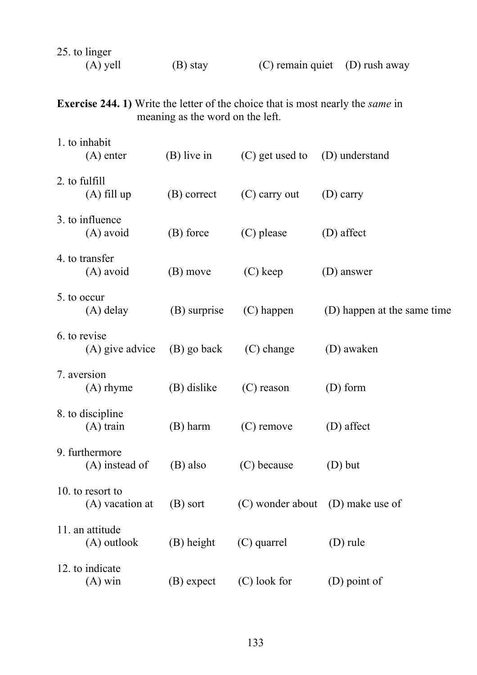| 25. to linger |            |                                    |  |
|---------------|------------|------------------------------------|--|
| (A) yell      | $(B)$ stay | $(C)$ remain quiet $(D)$ rush away |  |

**Exercise 244. 1)** Write the letter of the choice that is most nearly the *same* in meaning as the word on the left.

|               | 1. to inhabit<br>(A) enter          | $(B)$ live in | (C) get used to | (D) understand                   |
|---------------|-------------------------------------|---------------|-----------------|----------------------------------|
| 2. to fulfill | $(A)$ fill up                       | (B) correct   | $(C)$ carry out | $(D)$ carry                      |
|               | 3. to influence<br>(A) avoid        | (B) force     | (C) please      | (D) affect                       |
|               | 4. to transfer<br>$(A)$ avoid       | (B) move      | $(C)$ keep      | (D) answer                       |
| 5. to occur   | $(A)$ delay                         | (B) surprise  | $(C)$ happen    | (D) happen at the same time      |
|               | 6. to revise<br>(A) give advice     | (B) go back   | $(C)$ change    | (D) awaken                       |
|               | 7. aversion<br>$(A)$ rhyme          | (B) dislike   | $(C)$ reason    | $(D)$ form                       |
|               | 8. to discipline<br>$(A)$ train     | (B) harm      | $(C)$ remove    | (D) affect                       |
|               | 9. furthermore<br>(A) instead of    | (B) also      | (C) because     | $(D)$ but                        |
|               | 10. to resort to<br>(A) vacation at | (B) sort      |                 | (C) wonder about (D) make use of |
|               | 11. an attitude<br>(A) outlook      | (B) height    | (C) quarrel     | $(D)$ rule                       |
|               | 12. to indicate<br>$(A)$ win        | (B) expect    | (C) look for    | (D) point of                     |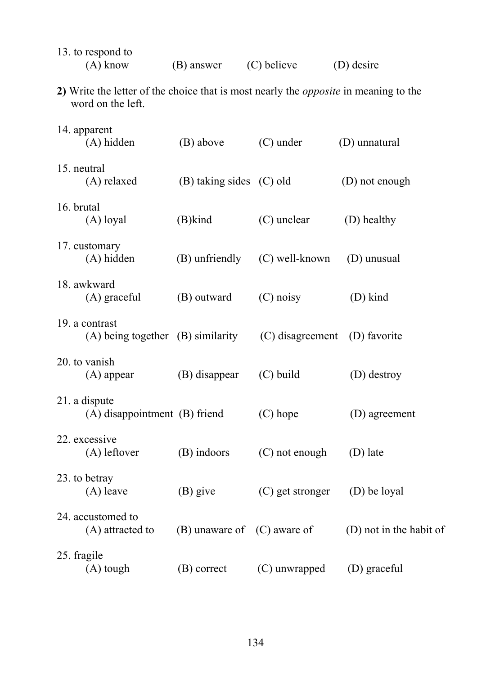| 13. to respond to<br>$(A)$ know                                                                                  | (B) answer                      | (C) believe      | (D) desire              |
|------------------------------------------------------------------------------------------------------------------|---------------------------------|------------------|-------------------------|
| 2) Write the letter of the choice that is most nearly the <i>opposite</i> in meaning to the<br>word on the left. |                                 |                  |                         |
| 14. apparent<br>(A) hidden                                                                                       | (B) above                       | $(C)$ under      | (D) unnatural           |
| 15. neutral<br>(A) relaxed                                                                                       | (B) taking sides (C) old        |                  | (D) not enough          |
| 16. brutal<br>$(A)$ loyal                                                                                        | (B)kind                         | $(C)$ unclear    | (D) healthy             |
| 17. customary<br>(A) hidden                                                                                      | (B) unfriendly                  | (C) well-known   | (D) unusual             |
| 18. awkward<br>(A) graceful                                                                                      | (B) outward                     | $(C)$ noisy      | (D) kind                |
| 19. a contrast<br>$(A)$ being together $(B)$ similarity                                                          |                                 | (C) disagreement | (D) favorite            |
| 20. to vanish<br>$(A)$ appear                                                                                    | (B) disappear                   | $(C)$ build      | (D) destroy             |
| 21. a dispute<br>(A) disappointment (B) friend                                                                   |                                 | $(C)$ hope       | (D) agreement           |
| 22. excessive<br>(A) leftover                                                                                    | (B) indoors                     | (C) not enough   | (D) late                |
| 23. to betray<br>$(A)$ leave                                                                                     | $(B)$ give                      | (C) get stronger | (D) be loyal            |
| 24. accustomed to<br>(A) attracted to                                                                            | $(B)$ unaware of $(C)$ aware of |                  | (D) not in the habit of |
| 25. fragile<br>$(A)$ tough                                                                                       | (B) correct                     | (C) unwrapped    | (D) graceful            |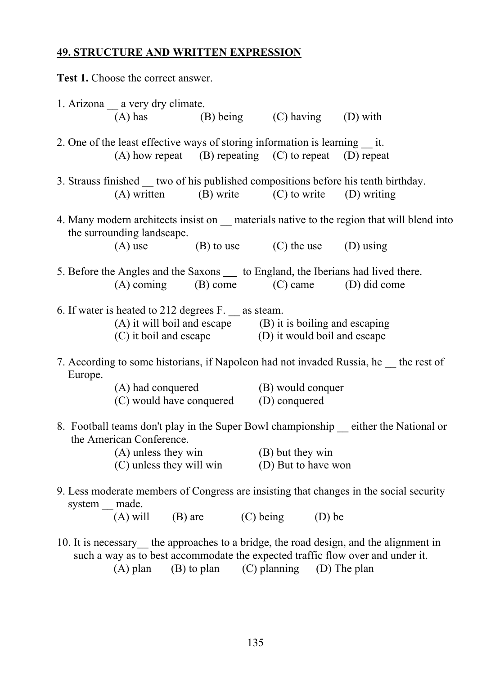# **49. STRUCTURE AND WRITTEN EXPRESSION**

|                 | Test 1. Choose the correct answer.                                                                                                                                                                                                |                  |  |                        |  |
|-----------------|-----------------------------------------------------------------------------------------------------------------------------------------------------------------------------------------------------------------------------------|------------------|--|------------------------|--|
|                 | 1. Arizona __ a very dry climate.<br>(A) has $(B)$ being $(C)$ having $(D)$ with                                                                                                                                                  |                  |  |                        |  |
|                 | 2. One of the least effective ways of storing information is learning it.<br>$(A)$ how repeat $(B)$ repeating $(C)$ to repeat $(D)$ repeat                                                                                        |                  |  |                        |  |
|                 | 3. Strauss finished __ two of his published compositions before his tenth birthday.<br>$(A)$ written $(B)$ write $(C)$ to write $(D)$ writing                                                                                     |                  |  |                        |  |
|                 | 4. Many modern architects insist on <u>equal</u> materials native to the region that will blend into<br>the surrounding landscape.<br>(A) use (B) to use (C) the use (D) using                                                    |                  |  |                        |  |
|                 | 5. Before the Angles and the Saxons ___ to England, the Iberians had lived there.<br>$(A)$ coming $(B)$ come $(C)$ came $(D)$ did come                                                                                            |                  |  |                        |  |
|                 | 6. If water is heated to 212 degrees F. _ as steam.<br>(A) it will boil and escape $(B)$ it is boiling and escaping<br>(C) it boil and escape $(D)$ it would boil and escape                                                      |                  |  |                        |  |
| Europe.         | 7. According to some historians, if Napoleon had not invaded Russia, he the rest of                                                                                                                                               |                  |  |                        |  |
|                 | (A) had conquered (B) would conquer<br>(C) would have conquered (D) conquered                                                                                                                                                     |                  |  |                        |  |
|                 | 8. Football teams don't play in the Super Bowl championship<br>the American Conference.<br>$(A)$ unless they win<br>$(C)$ unless they will win $(D)$ But to have won                                                              | (B) but they win |  | either the National or |  |
| system __ made. | 9. Less moderate members of Congress are insisting that changes in the social security<br>(A) will (B) are (C) being (D) be                                                                                                       |                  |  |                        |  |
|                 | 10. It is necessary the approaches to a bridge, the road design, and the alignment in<br>such a way as to best accommodate the expected traffic flow over and under it.<br>$(A)$ plan $(B)$ to plan $(C)$ planning $(D)$ The plan |                  |  |                        |  |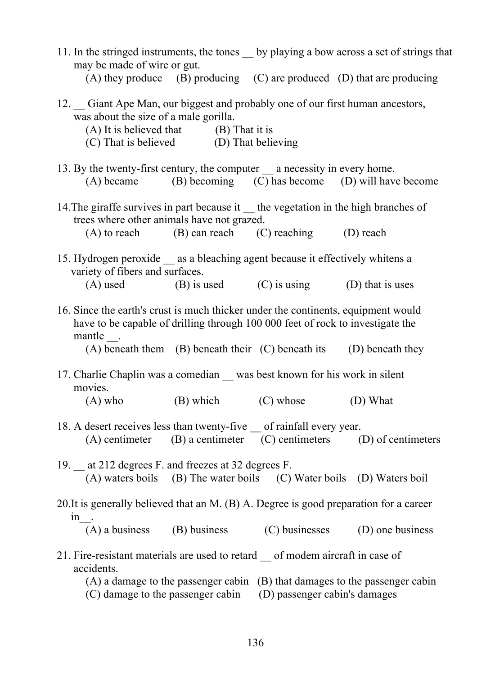| 11. In the stringed instruments, the tones by playing a bow across a set of strings that<br>may be made of wire or gut.                                                                                                                               |
|-------------------------------------------------------------------------------------------------------------------------------------------------------------------------------------------------------------------------------------------------------|
| (A) they produce $(B)$ producing $(C)$ are produced $(D)$ that are producing                                                                                                                                                                          |
| 12. Giant Ape Man, our biggest and probably one of our first human ancestors,<br>was about the size of a male gorilla.<br>$(A)$ It is believed that $(B)$ That it is<br>(C) That is believed (D) That believing                                       |
| 13. By the twenty-first century, the computer __ a necessity in every home.<br>$(A)$ became $(B)$ becoming $(C)$ has become $(D)$ will have become                                                                                                    |
| 14. The giraffe survives in part because it the vegetation in the high branches of<br>trees where other animals have not grazed.                                                                                                                      |
| $(A)$ to reach $(B)$ can reach $(C)$ reaching $(D)$ reach                                                                                                                                                                                             |
| 15. Hydrogen peroxide __ as a bleaching agent because it effectively whitens a<br>variety of fibers and surfaces.<br>$(A)$ used $(B)$ is used $(C)$ is using $(D)$ that is uses                                                                       |
| 16. Since the earth's crust is much thicker under the continents, equipment would<br>have to be capable of drilling through 100 000 feet of rock to investigate the<br>mantle.<br>(A) beneath them (B) beneath their (C) beneath its (D) beneath they |
| 17. Charlie Chaplin was a comedian was best known for his work in silent<br>movies.                                                                                                                                                                   |
| $(A)$ who $(B)$ which $(C)$ whose $(D)$ What                                                                                                                                                                                                          |
| 18. A desert receives less than twenty-five __ of rainfall every year.<br>$(A)$ centimeter $(B)$ a centimeter $(C)$ centimeters $(D)$ of centimeters                                                                                                  |
| 19. _ at 212 degrees F. and freezes at 32 degrees F.<br>(A) waters boils (B) The water boils (C) Water boils (D) Waters boil                                                                                                                          |
| 20. It is generally believed that an M. (B) A. Degree is good preparation for a career<br>$1n$ .                                                                                                                                                      |
| $(A)$ a business<br>(B) business (C) businesses (D) one business                                                                                                                                                                                      |
| 21. Fire-resistant materials are used to retard _ of modem aircraft in case of<br>accidents.<br>$(A)$ a damage to the passenger cabin $(B)$ that damages to the passenger cabin<br>(C) damage to the passenger cabin (D) passenger cabin's damages    |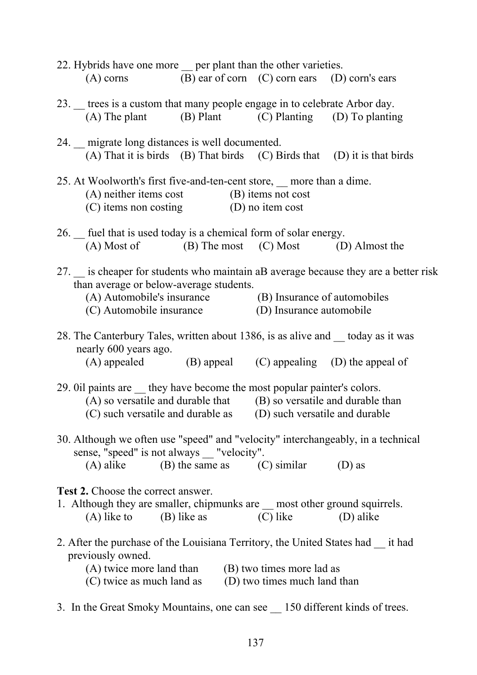| 22. Hybrids have one more <u>per</u> plant than the other varieties.                                                                                               |                                               |                                |  |
|--------------------------------------------------------------------------------------------------------------------------------------------------------------------|-----------------------------------------------|--------------------------------|--|
| $(A)$ corns                                                                                                                                                        | (B) ear of corn (C) corn ears (D) corn's ears |                                |  |
| 23. trees is a custom that many people engage in to celebrate Arbor day.                                                                                           |                                               |                                |  |
| (A) The plant (B) Plant (C) Planting (D) To planting                                                                                                               |                                               |                                |  |
| 24. migrate long distances is well documented.                                                                                                                     |                                               |                                |  |
| (A) That it is birds (B) That birds (C) Birds that (D) it is that birds                                                                                            |                                               |                                |  |
| 25. At Woolworth's first five-and-ten-cent store, more than a dime.<br>$(A)$ neither items cost $(B)$ items not cost<br>$(C)$ items non costing $(D)$ no item cost |                                               |                                |  |
| 26. _ fuel that is used today is a chemical form of solar energy.<br>(A) Most of (B) The most (C) Most (D) Almost the                                              |                                               |                                |  |
| 27. is cheaper for students who maintain aB average because they are a better risk<br>than average or below-average students.                                      |                                               |                                |  |
| (A) Automobile's insurance (B) Insurance of automobiles<br>(C) Automobile insurance (D) Insurance automobile                                                       |                                               |                                |  |
| 28. The Canterbury Tales, written about 1386, is as alive and <u>coloural</u> today as it was<br>nearly 600 years ago.                                             |                                               |                                |  |
| $(A)$ appealed $(B)$ appeal $(C)$ appealing $(D)$ the appeal of                                                                                                    |                                               |                                |  |
| 29. Oil paints are <u>they</u> have become the most popular painter's colors.                                                                                      |                                               |                                |  |
| (A) so versatile and durable that (B) so versatile and durable than<br>(C) such versatile and durable as                                                           |                                               | (D) such versatile and durable |  |
|                                                                                                                                                                    |                                               |                                |  |
| 30. Although we often use "speed" and "velocity" interchangeably, in a technical<br>sense, "speed" is not always __ "velocity".                                    |                                               |                                |  |
| (A) alike (B) the same as (C) similar (D) as                                                                                                                       |                                               |                                |  |
| <b>Test 2.</b> Choose the correct answer.                                                                                                                          |                                               |                                |  |
| 1. Although they are smaller, chipmunks are <u>most</u> other ground squirrels.<br>$(A)$ like to $(B)$ like as $(C)$ like $(D)$ alike                              |                                               |                                |  |
| 2. After the purchase of the Louisiana Territory, the United States had __ it had<br>previously owned.                                                             |                                               |                                |  |
| (A) twice more land than (B) two times more lad as<br>(C) twice as much land as (D) two times much land than                                                       |                                               |                                |  |
| 3. In the Great Smoky Mountains, one can see 150 different kinds of trees.                                                                                         |                                               |                                |  |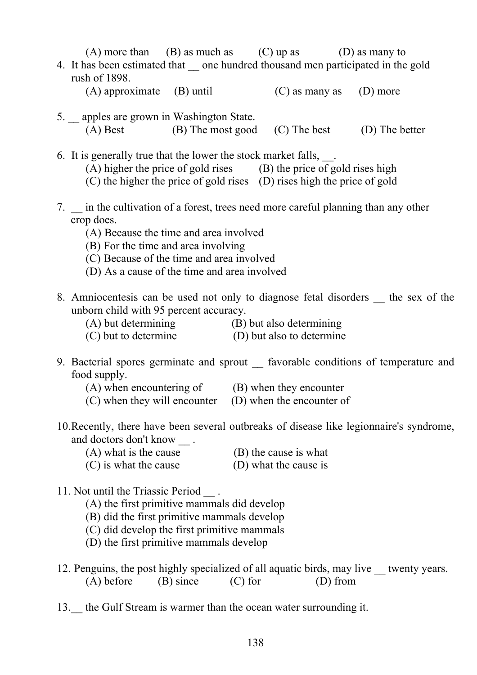| (A) more than (B) as much as (C) up as (D) as many to<br>4. It has been estimated that _ one hundred thousand men participated in the gold<br>rush of 1898.                                                                |  |  |
|----------------------------------------------------------------------------------------------------------------------------------------------------------------------------------------------------------------------------|--|--|
| $(A)$ approximate $(B)$ until $(C)$ as many as $(D)$ more                                                                                                                                                                  |  |  |
| 5. _ apples are grown in Washington State.<br>(A) Best (B) The most good (C) The best (D) The better                                                                                                                       |  |  |
| 6. It is generally true that the lower the stock market falls,<br>(A) higher the price of gold rises (B) the price of gold rises high<br>(C) the higher the price of gold rises (D) rises high the price of gold           |  |  |
| 7. in the cultivation of a forest, trees need more careful planning than any other<br>crop does.<br>(A) Because the time and area involved<br>(B) For the time and area involving                                          |  |  |
| (C) Because of the time and area involved<br>(D) As a cause of the time and area involved                                                                                                                                  |  |  |
| 8. Amniocentesis can be used not only to diagnose fetal disorders the sex of the<br>unborn child with 95 percent accuracy.                                                                                                 |  |  |
| (A) but determining (B) but also determining<br>(C) but to determine (D) but also to determine                                                                                                                             |  |  |
| 9. Bacterial spores germinate and sprout _ favorable conditions of temperature and<br>food supply.                                                                                                                         |  |  |
| $(A)$ when encountering of $(B)$ when they encounter<br>(C) when they will encounter (D) when the encounter of                                                                                                             |  |  |
| 10. Recently, there have been several outbreaks of disease like legionnaire's syndrome,<br>and doctors don't know.                                                                                                         |  |  |
| (A) what is the cause<br>(B) the cause is what<br>(C) is what the cause<br>(D) what the cause is                                                                                                                           |  |  |
| 11. Not until the Triassic Period.<br>(A) the first primitive mammals did develop<br>(B) did the first primitive mammals develop<br>(C) did develop the first primitive mammals<br>(D) the first primitive mammals develop |  |  |
| 12. Penguins, the post highly specialized of all aquatic birds, may live __ twenty years.<br>$(A)$ before $(B)$ since $(C)$ for<br>(D) from                                                                                |  |  |
| 13. the Gulf Stream is warmer than the ocean water surrounding it.                                                                                                                                                         |  |  |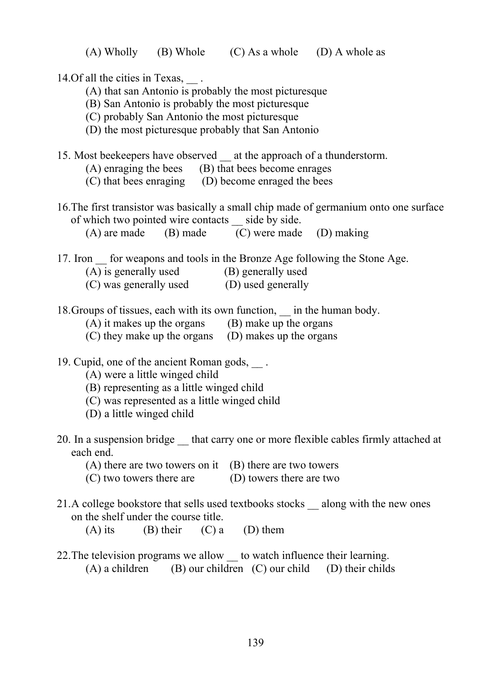14. Of all the cities in Texas,  $\qquad$ .

- (A) that san Antonio is probably the most picturesque
- (B) San Antonio is probably the most picturesque
- (C) probably San Antonio the most picturesque
- (D) the most picturesque probably that San Antonio
- 15. Most beekeepers have observed at the approach of a thunderstorm.
	- (A) enraging the bees (B) that bees become enrages
	- (C) that bees enraging (D) become enraged the bees
- 16.The first transistor was basically a small chip made of germanium onto one surface of which two pointed wire contacts \_\_ side by side.

(A) are made (B) made (C) were made (D) making

- 17. Iron for weapons and tools in the Bronze Age following the Stone Age.
	- (A) is generally used (B) generally used
	- (C) was generally used (D) used generally
- 18. Groups of tissues, each with its own function, in the human body.
	- (A) it makes up the organs (B) make up the organs
	- (C) they make up the organs (D) makes up the organs
- 19. Cupid, one of the ancient Roman gods,  $\qquad$ .
	- (A) were a little winged child
	- (B) representing as a little winged child
	- (C) was represented as a little winged child
	- (D) a little winged child
- 20. In a suspension bridge that carry one or more flexible cables firmly attached at each end.
	- $(A)$  there are two towers on it  $(B)$  there are two towers
	- (C) two towers there are (D) towers there are two
- 21.A college bookstore that sells used textbooks stocks \_\_ along with the new ones on the shelf under the course title.
	- (A) its (B) their (C) a (D) them
- 22. The television programs we allow to watch influence their learning.  $(A)$  a children (B) our children (C) our child (D) their childs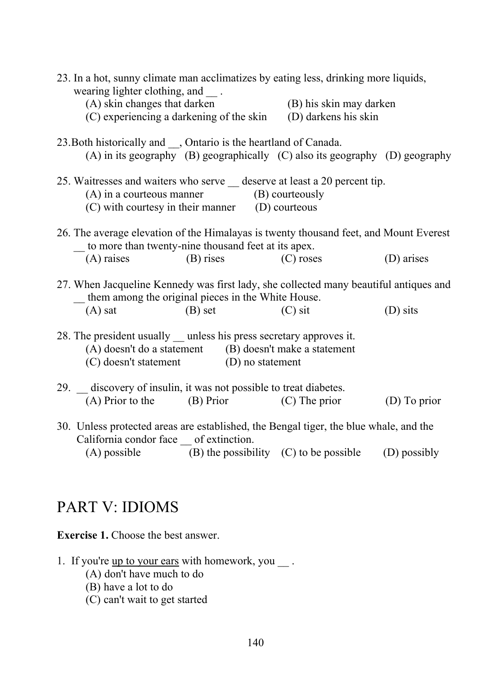| 23. In a hot, sunny climate man acclimatizes by eating less, drinking more liquids,<br>wearing lighter clothing, and |                         |              |
|----------------------------------------------------------------------------------------------------------------------|-------------------------|--------------|
| (A) skin changes that darken                                                                                         | (B) his skin may darken |              |
| (C) experiencing a darkening of the skin                                                                             | (D) darkens his skin    |              |
|                                                                                                                      |                         |              |
| 23. Both historically and ___, Ontario is the heartland of Canada.                                                   |                         |              |
| (A) in its geography (B) geographically (C) also its geography (D) geography                                         |                         |              |
|                                                                                                                      |                         |              |
| 25. Waitresses and waiters who serve _ deserve at least a 20 percent tip.                                            |                         |              |
| $(A)$ in a courteous manner $(B)$ courteously                                                                        |                         |              |
| (C) with courtesy in their manner (D) courteous                                                                      |                         |              |
|                                                                                                                      |                         |              |
| 26. The average elevation of the Himalayas is twenty thousand feet, and Mount Everest                                |                         |              |
| to more than twenty-nine thousand feet at its apex.                                                                  | $(C)$ roses             | (D) arises   |
| $(A)$ raises $(B)$ rises                                                                                             |                         |              |
| 27. When Jacqueline Kennedy was first lady, she collected many beautiful antiques and                                |                         |              |
| them among the original pieces in the White House.                                                                   |                         |              |
| $(A)$ sat<br>$(B)$ set                                                                                               | $(C)$ sit               | (D) sits     |
|                                                                                                                      |                         |              |
| 28. The president usually __ unless his press secretary approves it.                                                 |                         |              |
| (A) doesn't do a statement (B) doesn't make a statement                                                              |                         |              |
| (C) doesn't statement (D) no statement                                                                               |                         |              |
|                                                                                                                      |                         |              |
| 29. discovery of insulin, it was not possible to treat diabetes.                                                     |                         |              |
| (A) Prior to the (B) Prior (C) The prior                                                                             |                         | (D) To prior |
|                                                                                                                      |                         |              |
| 30. Unless protected areas are established, the Bengal tiger, the blue whale, and the                                |                         |              |
| California condor face __ of extinction.                                                                             |                         |              |
| (A) possible $(B)$ the possibility $(C)$ to be possible                                                              |                         | (D) possibly |

# PART V: IDIOMS

**Exercise 1.** Choose the best answer.

- 1. If you're  $up to your ears with homework, you  $\_\_\_\_\$ .</u>$ 
	- (A) don't have much to do
	- (B) have a lot to do
	- (C) can't wait to get started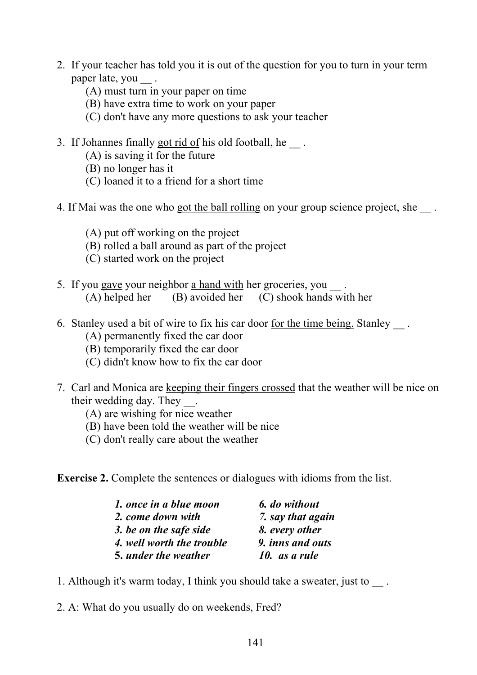- 2. If your teacher has told you it is out of the question for you to turn in your term paper late, you
	- (A) must turn in your paper on time
	- (B) have extra time to work on your paper
	- (C) don't have any more questions to ask your teacher
- 3. If Johannes finally got rid of his old football, he.
	- (A) is saving it for the future
	- (B) no longer has it
	- (C) loaned it to a friend for a short time
- 4. If Mai was the one who got the ball rolling on your group science project, she .
	- (A) put off working on the project
	- (B) rolled a ball around as part of the project
	- (C) started work on the project
- 5. If you gave your neighbor a hand with her groceries, you (A) helped her (B) avoided her (C) shook hands with her
- 6. Stanley used a bit of wire to fix his car door for the time being. Stanley ...
	- (A) permanently fixed the car door
	- (B) temporarily fixed the car door
	- (C) didn't know how to fix the car door
- 7. Carl and Monica are keeping their fingers crossed that the weather will be nice on their wedding day. They \_\_.
	- (A) are wishing for nice weather
	- (B) have been told the weather will be nice
	- (C) don't really care about the weather

**Exercise 2.** Complete the sentences or dialogues with idioms from the list.

| 1. once in a blue moon    | 6. do without     |
|---------------------------|-------------------|
| 2. come down with         | 7. say that again |
| 3. be on the safe side    | 8. every other    |
| 4. well worth the trouble | 9. inns and outs  |
| 5. under the weather      | 10. as a rule     |

- 1. Although it's warm today, I think you should take a sweater, just to  $\blacksquare$ .
- 2. A: What do you usually do on weekends, Fred?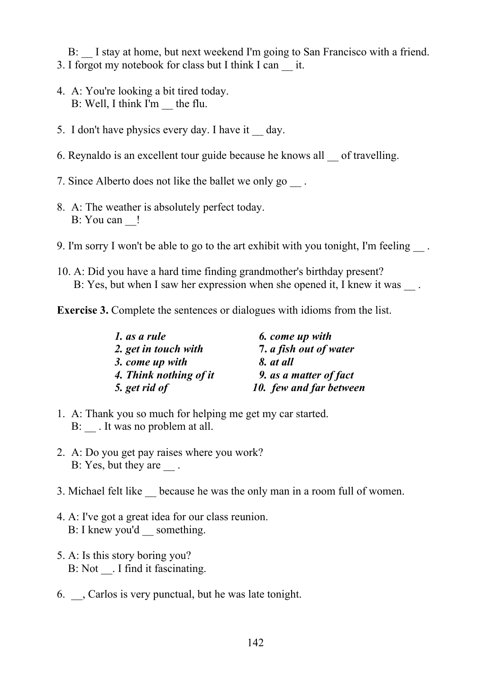B: I stay at home, but next weekend I'm going to San Francisco with a friend. 3. I forgot my notebook for class but I think I can \_\_ it.

- 4. A: You're looking a bit tired today. B: Well, I think I'm \_\_ the flu.
- 5. I don't have physics every day. I have it \_\_ day.
- 6. Reynaldo is an excellent tour guide because he knows all \_\_ of travelling.
- 7. Since Alberto does not like the ballet we only go  $\Box$ .
- 8. A: The weather is absolutely perfect today. B: You can  $\qquad$ !
- 9. I'm sorry I won't be able to go to the art exhibit with you tonight, I'm feeling ...
- 10. A: Did you have a hard time finding grandmother's birthday present? B: Yes, but when I saw her expression when she opened it, I knew it was
- **Exercise 3.** Complete the sentences or dialogues with idioms from the list.

| 1. as a rule           | 6. come up with         |
|------------------------|-------------------------|
| 2. get in touch with   | 7. a fish out of water  |
| 3. come up with        | 8. at all               |
| 4. Think nothing of it | 9. as a matter of fact  |
| 5. get rid of          | 10. few and far between |

- 1. A: Thank you so much for helping me get my car started. B: It was no problem at all.
- 2. A: Do you get pay raises where you work? B: Yes, but they are  $\qquad$ .
- 3. Michael felt like \_\_ because he was the only man in a room full of women.
- 4. A: I've got a great idea for our class reunion. B: I knew you'd \_\_ something.
- 5. A: Is this story boring you? B: Not . I find it fascinating.
- 6. \_\_, Carlos is very punctual, but he was late tonight.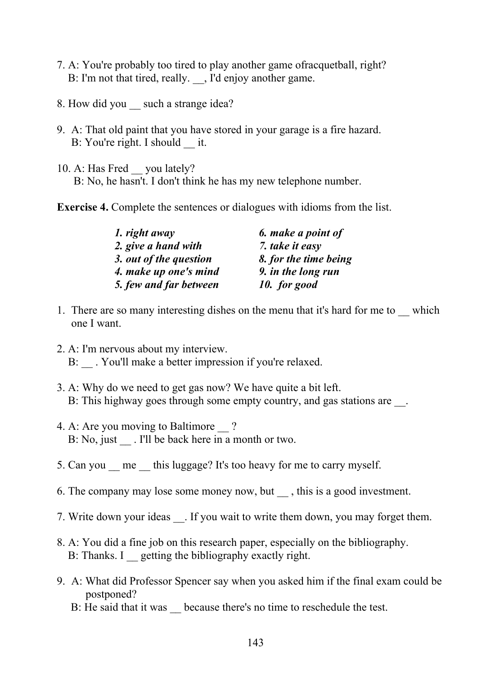- 7. A: You're probably too tired to play another game ofracquetball, right? B: I'm not that tired, really.  $\Box$ , I'd enjoy another game.
- 8. How did you such a strange idea?
- 9. A: That old paint that you have stored in your garage is a fire hazard. B: You're right. I should it.
- 10. A: Has Fred you lately? B: No, he hasn't. I don't think he has my new telephone number.

**Exercise 4.** Complete the sentences or dialogues with idioms from the list.

| 1. right away          | 6. make a point of    |  |
|------------------------|-----------------------|--|
| 2. give a hand with    | 7. take it easy       |  |
| 3. out of the question | 8. for the time being |  |
| 4. make up one's mind  | 9. in the long run    |  |
| 5. few and far between | 10. for good          |  |

- 1. There are so many interesting dishes on the menu that it's hard for me to which one I want.
- 2. A: I'm nervous about my interview. B: . You'll make a better impression if you're relaxed.
- 3. A: Why do we need to get gas now? We have quite a bit left. B: This highway goes through some empty country, and gas stations are  $\Box$ .
- 4. A: Are you moving to Baltimore ? B: No, just . I'll be back here in a month or two.
- 5. Can you me this luggage? It's too heavy for me to carry myself.
- 6. The company may lose some money now, but, this is a good investment.
- 7. Write down your ideas . If you wait to write them down, you may forget them.
- 8. A: You did a fine job on this research paper, especially on the bibliography. B: Thanks. I getting the bibliography exactly right.
- 9. A: What did Professor Spencer say when you asked him if the final exam could be postponed?
	- B: He said that it was because there's no time to reschedule the test.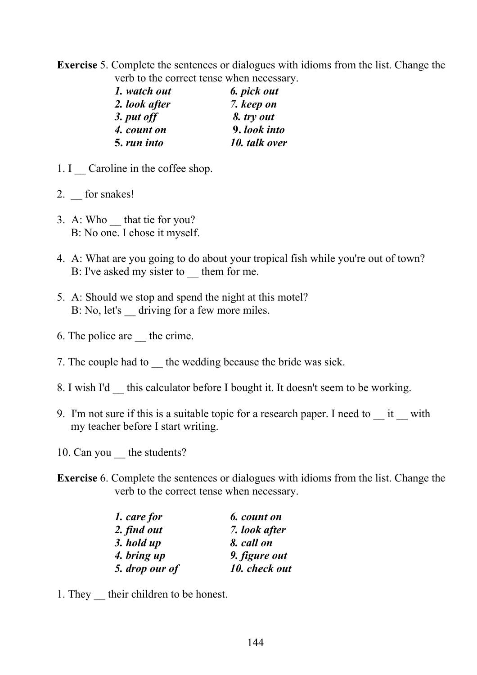**Exercise** 5. Complete the sentences or dialogues with idioms from the list. Change the verb to the correct tense when necessary.

| 6. pick out   |
|---------------|
| 7. keep on    |
| 8. try out    |
| 9. look into  |
| 10. talk over |
|               |

- 1. I Caroline in the coffee shop.
- 2. for snakes!
- 3. A: Who that tie for you? B: No one. I chose it myself.
- 4. A: What are you going to do about your tropical fish while you're out of town? B: I've asked my sister to them for me.
- 5. A: Should we stop and spend the night at this motel? B: No, let's driving for a few more miles.
- 6. The police are the crime.
- 7. The couple had to the wedding because the bride was sick.
- 8. I wish I'd \_\_ this calculator before I bought it. It doesn't seem to be working.
- 9. I'm not sure if this is a suitable topic for a research paper. I need to \_\_ it \_\_ with my teacher before I start writing.
- 10. Can you the students?
- **Exercise** 6. Complete the sentences or dialogues with idioms from the list. Change the verb to the correct tense when necessary.

| 1. care for    | 6. count on   |  |
|----------------|---------------|--|
| 2. find out    | 7. look after |  |
| 3. hold up     | 8. call on    |  |
| 4. bring up    | 9. figure out |  |
| 5. drop our of | 10. check out |  |

1. They their children to be honest.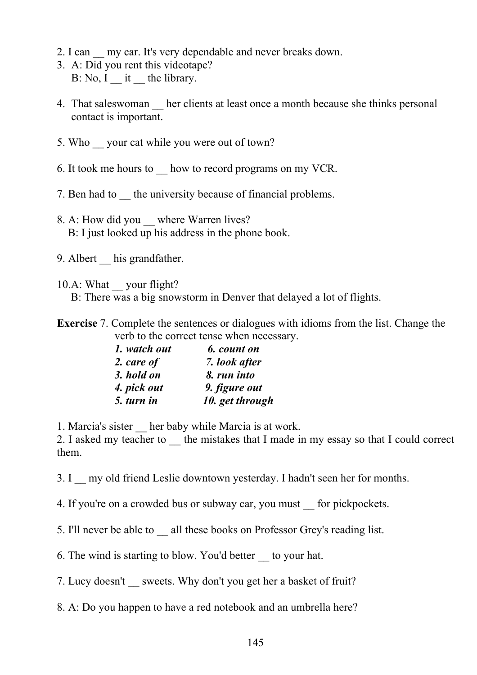- 2. I can my car. It's very dependable and never breaks down.
- 3. A: Did you rent this videotape?  $B: No, I$  it the library.
- 4. That saleswoman her clients at least once a month because she thinks personal contact is important.
- 5. Who \_\_ your cat while you were out of town?
- 6. It took me hours to \_\_ how to record programs on my VCR.
- 7. Ben had to the university because of financial problems.
- 8. A: How did you where Warren lives? B: I just looked up his address in the phone book.
- 9. Albert his grandfather.
- 10.A: What vour flight? B: There was a big snowstorm in Denver that delayed a lot of flights.
- **Exercise** 7. Complete the sentences or dialogues with idioms from the list. Change the verb to the correct tense when necessary.

| 1. watch out | 6. count on     |
|--------------|-----------------|
| 2. care of   | 7. look after   |
| 3. hold on   | 8. run into     |
| 4. pick out  | 9. figure out   |
| 5. turn in   | 10. get through |

1. Marcia's sister \_\_ her baby while Marcia is at work.

2. I asked my teacher to the mistakes that I made in my essay so that I could correct them.

3. I \_\_ my old friend Leslie downtown yesterday. I hadn't seen her for months.

4. If you're on a crowded bus or subway car, you must for pickpockets.

5. I'll never be able to \_\_ all these books on Professor Grey's reading list.

6. The wind is starting to blow. You'd better \_\_ to your hat.

7. Lucy doesn't sweets. Why don't you get her a basket of fruit?

8. A: Do you happen to have a red notebook and an umbrella here?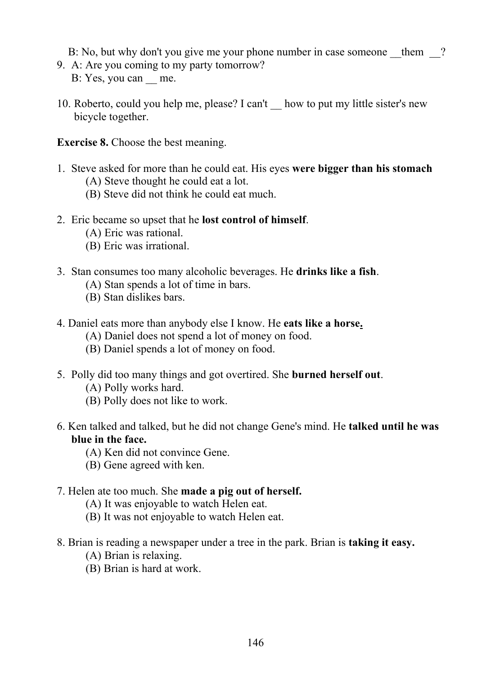B: No, but why don't you give me your phone number in case someone them ?

- 9. A: Are you coming to my party tomorrow? B: Yes, you can me.
- 10. Roberto, could you help me, please? I can't \_\_ how to put my little sister's new bicycle together.

**Exercise 8.** Choose the best meaning.

- 1. Steve asked for more than he could eat. His eyes **were bigger than his stomach**
	- (A) Steve thought he could eat a lot.
	- (B) Steve did not think he could eat much.
- 2. Eric became so upset that he **lost control of himself**.
	- (A) Eric was rational.
	- (B) Eric was irrational.
- 3. Stan consumes too many alcoholic beverages. He **drinks like a fish**.
	- (A) Stan spends a lot of time in bars.
	- (B) Stan dislikes bars.
- 4. Daniel eats more than anybody else I know. He **eats like a horse.**
	- (A) Daniel does not spend a lot of money on food.
	- (B) Daniel spends a lot of money on food.
- 5. Polly did too many things and got overtired. She **burned herself out**.
	- (A) Polly works hard.
	- (B) Polly does not like to work.
- 6. Ken talked and talked, but he did not change Gene's mind. He **talked until he was blue in the face.** 
	- (A) Ken did not convince Gene.
	- (B) Gene agreed with ken.

#### 7. Helen ate too much. She **made a pig out of herself.**

- (A) It was enjoyable to watch Helen eat.
- (B) It was not enjoyable to watch Helen eat.
- 8. Brian is reading a newspaper under a tree in the park. Brian is **taking it easy.** 
	- (A) Brian is relaxing.
	- (B) Brian is hard at work.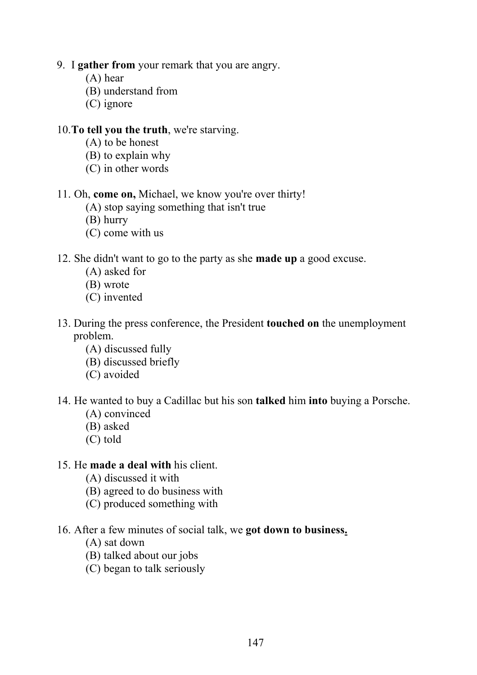- 9. I **gather from** your remark that you are angry.
	- (A) hear
	- (B) understand from
	- (C) ignore

#### 10.**To tell you the truth**, we're starving.

- (A) to be honest
- (B) to explain why
- (C) in other words

#### 11. Oh, **come on,** Michael, we know you're over thirty!

- (A) stop saying something that isn't true
- (B) hurry
- (C) come with us

#### 12. She didn't want to go to the party as she **made up** a good excuse.

- (A) asked for
- (B) wrote
- (C) invented
- 13. During the press conference, the President **touched on** the unemployment problem.
	- (A) discussed fully
	- (B) discussed briefly
	- (C) avoided

#### 14. He wanted to buy a Cadillac but his son **talked** him **into** buying a Porsche.

- (A) convinced
- (B) asked
- (C) told

#### 15. He **made a deal with** his client.

- (A) discussed it with
- (B) agreed to do business with
- (C) produced something with

### 16. After a few minutes of social talk, we **got down to business.**

- (A) sat down
- (B) talked about our jobs
- (C) began to talk seriously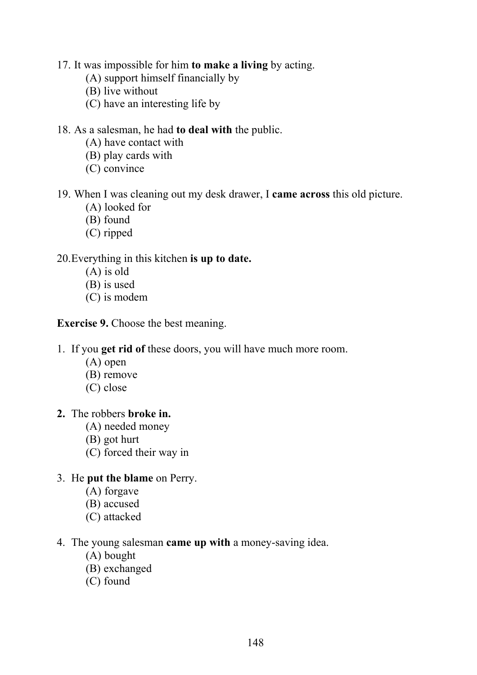17. It was impossible for him **to make a living** by acting.

- (A) support himself financially by
- (B) live without
- (C) have an interesting life by

#### 18. As a salesman, he had **to deal with** the public.

- (A) have contact with
- (B) play cards with
- (C) convince

#### 19. When I was cleaning out my desk drawer, I **came across** this old picture.

- (A) looked for
- (B) found
- (C) ripped

#### 20.Everything in this kitchen **is up to date.**

- (A) is old
- (B) is used
- (C) is modem

**Exercise 9.** Choose the best meaning.

1. If you **get rid of** these doors, you will have much more room.

- (A) open
- (B) remove
- (C) close
- **2.** The robbers **broke in.** 
	- (A) needed money
	- (B) got hurt
	- (C) forced their way in

#### 3. He **put the blame** on Perry.

- (A) forgave
- (B) accused
- (C) attacked
- 4. The young salesman **came up with** a money-saving idea.
	- (A) bought
	- (B) exchanged
	- (C) found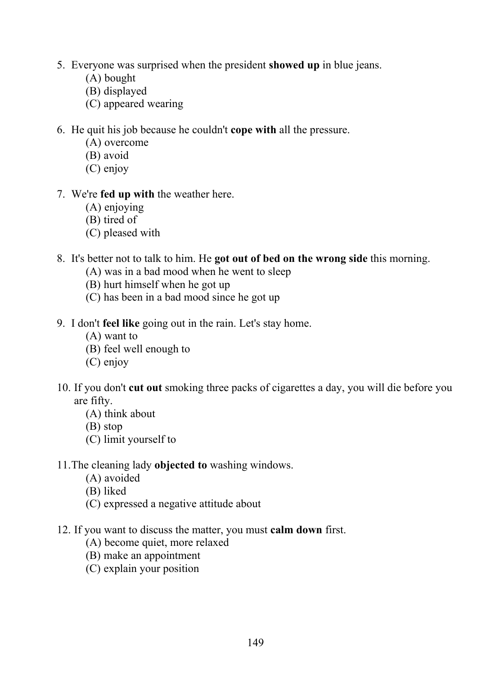- 5. Everyone was surprised when the president **showed up** in blue jeans.
	- (A) bought
	- (B) displayed
	- (C) appeared wearing
- 6. He quit his job because he couldn't **cope with** all the pressure.
	- (A) overcome
	- (B) avoid
	- (C) enjoy
- 7. We're **fed up with** the weather here.
	- (A) enjoying
	- (B) tired of
	- (C) pleased with
- 8. It's better not to talk to him. He **got out of bed on the wrong side** this morning.
	- (A) was in a bad mood when he went to sleep
	- (B) hurt himself when he got up
	- (C) has been in a bad mood since he got up
- 9. I don't **feel like** going out in the rain. Let's stay home.
	- (A) want to
	- (B) feel well enough to
	- (C) enjoy
- 10. If you don't **cut out** smoking three packs of cigarettes a day, you will die before you are fifty.
	- (A) think about
	- (B) stop
	- (C) limit yourself to
- 11.The cleaning lady **objected to** washing windows.
	- (A) avoided
	- (B) liked
	- (C) expressed a negative attitude about
- 12. If you want to discuss the matter, you must **calm down** first.
	- (A) become quiet, more relaxed
	- (B) make an appointment
	- (C) explain your position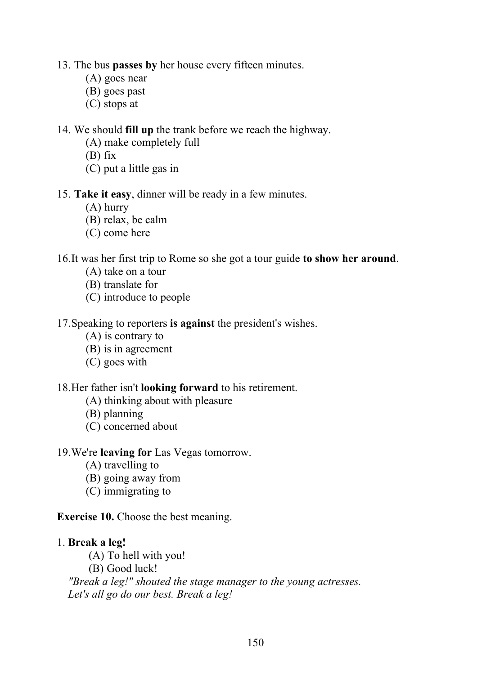- 13. The bus **passes by** her house every fifteen minutes.
	- (A) goes near
	- (B) goes past
	- (C) stops at

#### 14. We should **fill up** the trank before we reach the highway.

- (A) make completely full
- (B) fix
- (C) put a little gas in

#### 15. **Take it easy**, dinner will be ready in a few minutes.

- (A) hurry
- (B) relax, be calm
- (C) come here

#### 16.It was her first trip to Rome so she got a tour guide **to show her around**.

- (A) take on a tour
- (B) translate for
- (C) introduce to people

#### 17.Speaking to reporters **is against** the president's wishes.

- (A) is contrary to
- (B) is in agreement
- (C) goes with

#### 18.Her father isn't **looking forward** to his retirement.

- (A) thinking about with pleasure
- (B) planning
- (C) concerned about

#### 19.We're **leaving for** Las Vegas tomorrow.

- (A) travelling to
- (B) going away from
- (C) immigrating to

#### **Exercise 10.** Choose the best meaning.

#### 1. **Break a leg!**

- (A) To hell with you!
- (B) Good luck!

 *"Break a leg!" shouted the stage manager to the young actresses. Let's all go do our best. Break a leg!*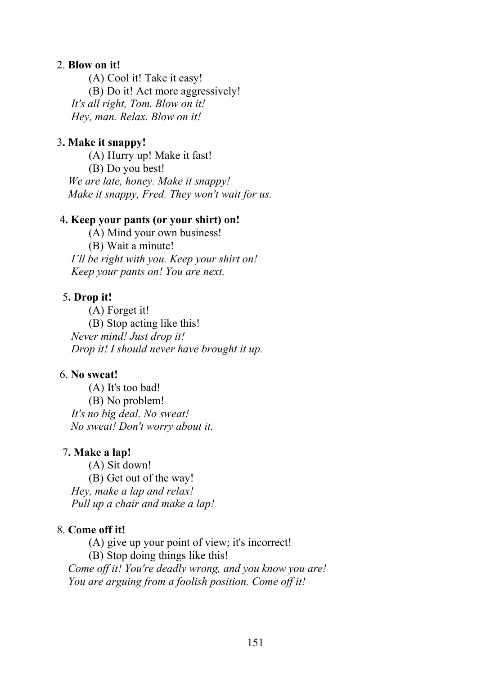#### 2. **Blow on it!**

(A) Cool it! Take it easy! (B) Do it! Act more aggressively! *It's all right, Tom. Blow on it! Hey, man. Relax. Blow on it!* 

#### 3**. Make it snappy!**

(A) Hurry up! Make it fast! (B) Do you best!  *We are late, honey. Make it snappy! Make it snappy, Fred. They won't wait for us.*

#### 4**. Keep your pants (or your shirt) on!**

(A) Mind your own business! (B) Wait a minute! *I'll be right with you. Keep your shirt on! Keep your pants on! You are next.*

#### 5**. Drop it!**

(A) Forget it! (B) Stop acting like this! *Never mind! Just drop it! Drop it! I should never have brought it up.*

#### 6. **No sweat!**

(A) It's too bad! (B) No problem! *It's no big deal. No sweat! No sweat! Don't worry about it.*

#### 7**. Make a lap!**

(A) Sit down! (B) Get out of the way! *Hey, make a lap and relax! Pull up a chair and make a lap!* 

#### 8. **Come off it!**

(A) give up your point of view; it's incorrect! (B) Stop doing things like this!  *Come off it! You're deadly wrong, and you know you are! You are arguing from a foolish position. Come off it!*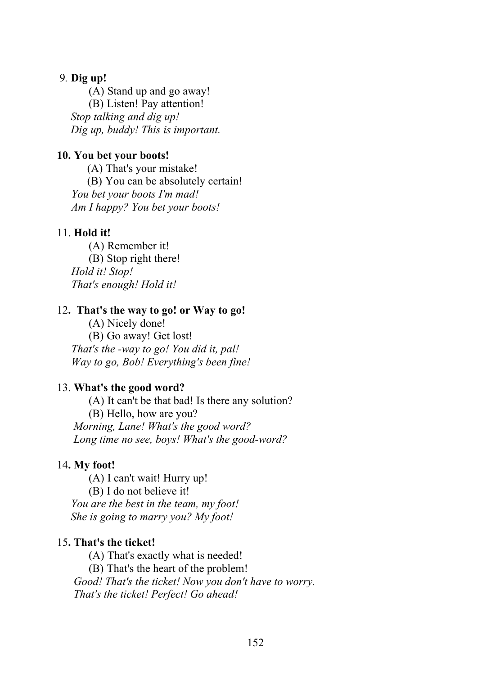#### 9*.* **Dig up!**

(A) Stand up and go away! (B) Listen! Pay attention!  *Stop talking and dig up! Dig up, buddy! This is important.* 

#### **10. You bet your boots!**

(A) That's your mistake! (B) You can be absolutely certain! *You bet your boots I'm mad! Am I happy? You bet your boots!*

#### 11. **Hold it!**

(A) Remember it! (B) Stop right there! *Hold it! Stop! That's enough! Hold it!*

#### 12**. That's the way to go! or Way to go!**

(A) Nicely done! (B) Go away! Get lost! *That's the -way to go! You did it, pal! Way to go, Bob! Everything's been fine!*

#### 13. **What's the good word?**

(A) It can't be that bad! Is there any solution? (B) Hello, how are you?  *Morning, Lane! What's the good word? Long time no see, boys! What's the good-word?*

#### 14**. My foot!**

(A) I can't wait! Hurry up! (B) I do not believe it!  *You are the best in the team, my foot! She is going to marry you? My foot!*

#### 15**. That's the ticket!**

(A) That's exactly what is needed!

(B) That's the heart of the problem!

 *Good! That's the ticket! Now you don't have to worry. That's the ticket! Perfect! Go ahead!*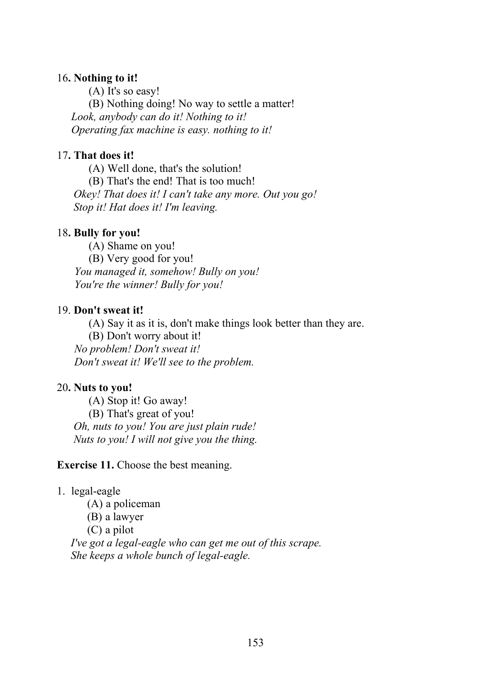#### 16**. Nothing to it!**

(A) It's so easy!

(B) Nothing doing! No way to settle a matter! *Look, anybody can do it! Nothing to it! Operating fax machine is easy. nothing to it!*

### 17**. That does it!**

(A) Well done, that's the solution! (B) That's the end! That is too much!

 *Okey! That does it! I can't take any more. Out you go! Stop it! Hat does it! I'm leaving.* 

# 18**. Bully for you!**

(A) Shame on you! (B) Very good for you! *You managed it, somehow! Bully on you! You're the winner! Bully for you!*

### 19. **Don't sweat it!**

(A) Say it as it is, don't make things look better than they are.

(B) Don't worry about it! *No problem! Don't sweat it! Don't sweat it! We'll see to the problem.*

# 20**. Nuts to you!**

(A) Stop it! Go away! (B) That's great of you!  *Oh, nuts to you! You are just plain rude! Nuts to you! I will not give you the thing.* 

**Exercise 11.** Choose the best meaning.

# 1. legal-eagle

(A) a policeman

(B) a lawyer

(C) a pilot

 *I've got a legal-eagle who can get me out of this scrape. She keeps a whole bunch of legal-eagle.*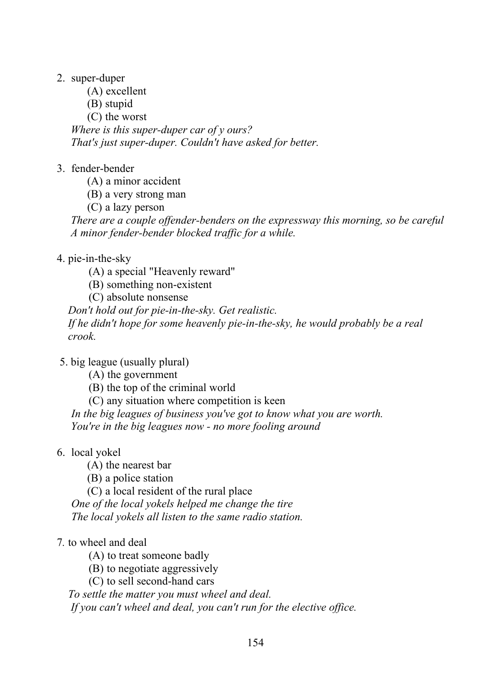- 2. super-duper
	- (A) excellent
	- (B) stupid
	- (C) the worst

 *Where is this super-duper car of у ours? That's just super-duper. Couldn't have asked for better.*

- 3. fender-bender
	- (A) a minor accident
	- (B) a very strong man
	- (C) a lazy person

 *There are a couple offender-benders on the expressway this morning, so be careful A minor fender-bender blocked traffic for a while.*

# 4. pie-in-the-sky

- (A) a special "Heavenly reward"
- (B) something non-existent
- (C) absolute nonsense

 *Don't hold out for pie-in-the-sky. Get realistic. If he didn't hope for some heavenly pie-in-the-sky, he would probably be a real crook.*

- 5. big league (usually plural)
	- (A) the government
	- (B) the top of the criminal world
	- (C) any situation where competition is keen

*In the big leagues of business you've got to know what you are worth. You're in the big leagues now - no more fooling around* 

- 6. local yokel
	- (A) the nearest bar
	- (B) a police station

(C) a local resident of the rural place *One of the local yokels helped me change the tire The local yokels all listen to the same radio station.*

### 7*.* to wheel and deal

(A) to treat someone badly

(B) to negotiate aggressively

(C) to sell second-hand cars

 *To settle the matter you must wheel and deal. If you can't wheel and deal, you can't run for the elective office.*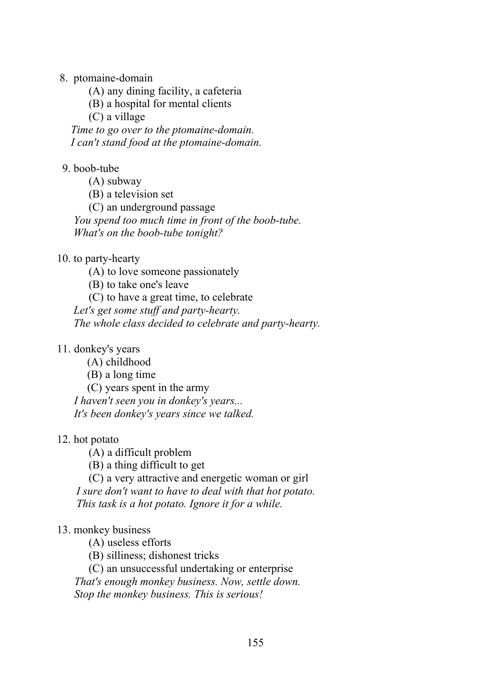8. ptomaine-domain

(A) any dining facility, a cafeteria

(B) a hospital for mental clients

(C) a village

 *Time to go over to the ptomaine-domain. I can't stand food at the ptomaine-domain.*

#### 9. boob-tube

(A) subway

(B) a television set

(C) an underground passage

 *You spend too much time in front of the boob-tube. What's on the boob-tube tonight?*

#### 10. to party-hearty

(A) to love someone passionately

(B) to take one's leave

(C) to have a great time, to celebrate

 *Let's get some stuff and party-hearty.*

 *The whole class decided to celebrate and party-hearty.* 

#### 11. donkey's years

(A) childhood

(B) a long time

(C) years spent in the army  *I haven't seen you in donkey's years...* 

 *It's been donkey's years since we talked.*

#### 12. hot potato

(A) a difficult problem

(B) a thing difficult to get

(C) a very attractive and energetic woman or girl

 *I sure don't want to have to deal with that hot potato. This task is a hot potato. Ignore it for a while.*

### 13. monkey business

(A) useless efforts

(B) silliness; dishonest tricks

(C) an unsuccessful undertaking or enterprise *That's enough monkey business. Now, settle down. Stop the monkey business. This is serious!*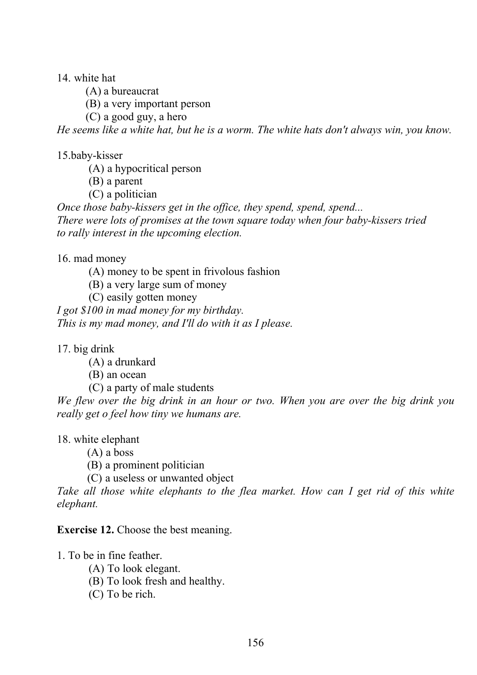14 white hat

(A) a bureaucrat

(B) a very important person

(C) a good guy, a hero

*He seems like a white hat, but he is a worm. The white hats don't always win, you know.*

15.baby-kisser

(A) a hypocritical person

(B) a parent

(C) a politician

*Once those baby-kissers get in the office, they spend, spend, spend... There were lots of promises at the town square today when four baby-kissers tried to rally interest in the upcoming election.*

16. mad money

(A) money to be spent in frivolous fashion

(B) a very large sum of money

(C) easily gotten money

*I got \$100 in mad money for my birthday. This is my mad money, and I'll do with it as I please.*

17. big drink

(A) a drunkard

(B) an ocean

(C) a party of male students

*We flew over the big drink in an hour or two. When you are over the big drink you really get о feel how tiny we humans are.* 

18. white elephant

(A) a boss

(B) a prominent politician

(C) a useless or unwanted object

Take all those white elephants to the flea market. How can I get rid of this white *elephant.*

**Exercise 12.** Choose the best meaning.

1. To be in fine feather.

- (A) To look elegant.
- (B) To look fresh and healthy.
- (C) To be rich.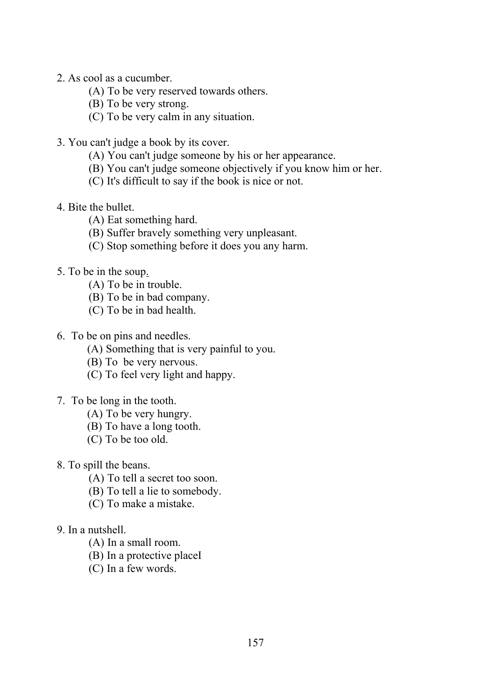- 2. As cool as a cucumber.
	- (A) To be very reserved towards others.
	- (B) To be very strong.
	- (C) To be very calm in any situation.
- 3. You can't judge a book by its cover.
	- (A) You can't judge someone by his or her appearance.
	- (B) You can't judge someone objectively if you know him or her.
	- (C) It's difficult to say if the book is nice or not.
- 4. Bite the bullet.
	- (A) Eat something hard.
	- (B) Suffer bravely something very unpleasant.
	- (C) Stop something before it does you any harm.
- 5. To be in the soup.
	- (A) To be in trouble.
	- (B) To be in bad company.
	- (C) To be in bad health.
- 6. To be on pins and needles.
	- (A) Something that is very painful to you.
	- (B) To be very nervous.
	- (C) To feel very light and happy.
- 7. To be long in the tooth.
	- (A) To be very hungry.
	- (B) To have a long tooth.
	- (C) To be too old.
- 8. To spill the beans.
	- (A) To tell a secret too soon.
	- (B) To tell a lie to somebody.
	- (C) To make a mistake.
- 9. In a nutshell.
	- (A) In a small room.
	- (B) In a protective placeI
	- (C) In a few words.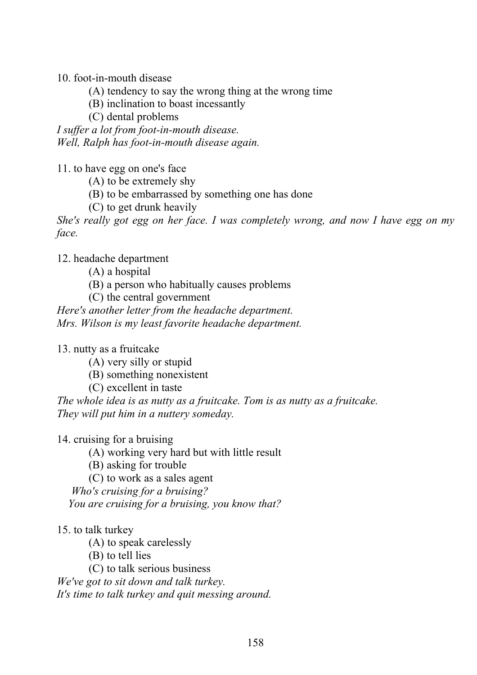10. foot-in-mouth disease

- (A) tendency to say the wrong thing at the wrong time
- (B) inclination to boast incessantly
- (C) dental problems

*I suffer a lot from foot-in-mouth disease. Well, Ralph has foot-in-mouth disease again.*

11. to have egg on one's face

(A) to be extremely shy

- (B) to be embarrassed by something one has done
- (C) to get drunk heavily

*She's really got egg on her face. I was completely wrong, and now I have egg on my face.*

12. headache department

- (A) a hospital
- (B) a person who habitually causes problems
- (C) the central government

*Here's another letter from the headache department. Mrs. Wilson is my least favorite headache department.* 

13. nutty as a fruitcake

- (A) very silly or stupid
- (B) something nonexistent
- (C) excellent in taste

*The whole idea is as nutty as a fruitcake. Tom is as nutty as a fruitcake. They will put him in a nuttery someday.* 

#### 14. cruising for a bruising

(A) working very hard but with little result

(B) asking for trouble

(C) to work as a sales agent

*Who's cruising for a bruising? You are cruising for a bruising, you know that?*

#### 15. to talk turkey

- (A) to speak carelessly
- (B) to tell lies

(C) to talk serious business

*We've got to sit down and talk turkey.*

*It's time to talk turkey and quit messing around.*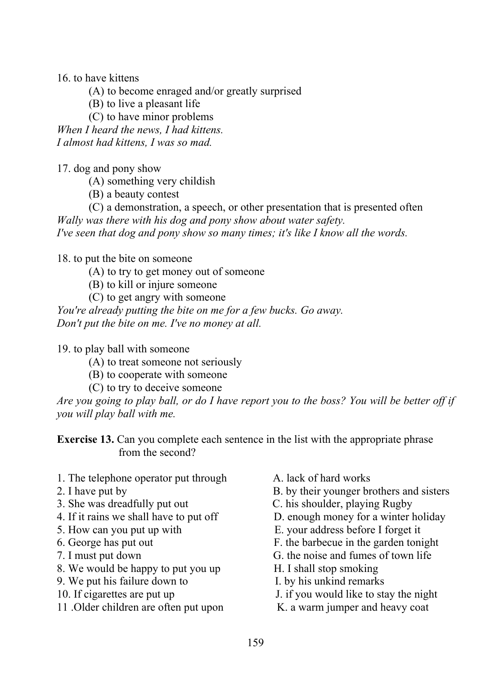16. to have kittens

(A) to become enraged and/or greatly surprised

(B) to live a pleasant life

(C) to have minor problems

*When I heard the news, I had kittens. I almost had kittens, I was so mad.*

17. dog and pony show

(A) something very childish

(B) a beauty contest

(C) a demonstration, a speech, or other presentation that is presented often *Wally was there with his dog and pony show about water safety. I've seen that dog and pony show so many times; it's like I know all the words.*

18. to put the bite on someone

(A) to try to get money out of someone

- (B) to kill or injure someone
- (C) to get angry with someone

*You're already putting the bite on me for a few bucks. Go away. Don't put the bite on me. I've no money at all.*

19. to play ball with someone

- (A) to treat someone not seriously
- (B) to cooperate with someone
- (C) to try to deceive someone

*Are you going to play ball, or do I have report you to the boss? You will be better off if you will play ball with me.*

**Exercise 13.** Can you complete each sentence in the list with the appropriate phrase from the second?

- 1. The telephone operator put through A. lack of hard works
- 
- 
- 
- 
- 
- 
- 8. We would be happy to put you up H. I shall stop smoking
- 9. We put his failure down to I. by his unkind remarks
- 
- 11. Older children are often put upon K. a warm jumper and heavy coat
- 
- 2. I have put by B. by their younger brothers and sisters
- 3. She was dreadfully put out C. his shoulder, playing Rugby
- 4. If it rains we shall have to put off D. enough money for a winter holiday
- 5. How can you put up with E. your address before I forget it
- 6. George has put out F. the barbecue in the garden tonight
- 7. I must put down G. the noise and fumes of town life
	-
	-
- 10. If cigarettes are put up J. if you would like to stay the night
	-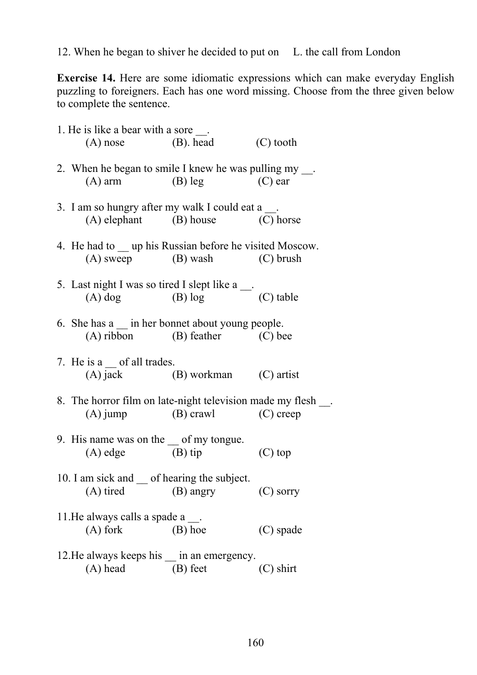12. When he began to shiver he decided to put on L. the call from London

**Exercise 14.** Here are some idiomatic expressions which can make everyday English puzzling to foreigners. Each has one word missing. Choose from the three given below to complete the sentence.

| 1. He is like a bear with a sore $\_\_$ .                                                            |            |             |
|------------------------------------------------------------------------------------------------------|------------|-------------|
| (A) nose (B). head                                                                                   |            | (C) tooth   |
| 2. When he began to smile I knew he was pulling my ___.<br>$(A)$ arm $(B)$ leg                       |            | $(C)$ ear   |
| 3. I am so hungry after my walk I could eat a ___.<br>(A) elephant (B) house (C) horse               |            |             |
| 4. He had to <u>up</u> his Russian before he visited Moscow.<br>(A) sweep (B) wash (C) brush         |            |             |
| 5. Last night I was so tired I slept like a ___.<br>(A) dog (B) log (C) table                        |            |             |
| 6. She has a $\equiv$ in her bonnet about young people.<br>(A) ribbon (B) feather (C) bee            |            |             |
| 7. He is a $\equiv$ of all trades.<br>(A) jack (B) workman (C) artist                                |            |             |
| 8. The horror film on late-night television made my flesh ___.<br>$(A)$ jump $(B)$ crawl $(C)$ creep |            |             |
| 9. His name was on the _ of my tongue.<br>$(A)$ edge $(B)$ tip                                       |            | $(C)$ top   |
| 10. I am sick and _ of hearing the subject.<br>(A) tired                                             | (B) angry  | $(C)$ sorry |
| 11. He always calls a spade $a$ __.<br>$(A)$ fork                                                    | (B) hoe    | (C) spade   |
| 12. He always keeps his __ in an emergency.<br>$(A)$ head                                            | $(B)$ feet | $(C)$ shirt |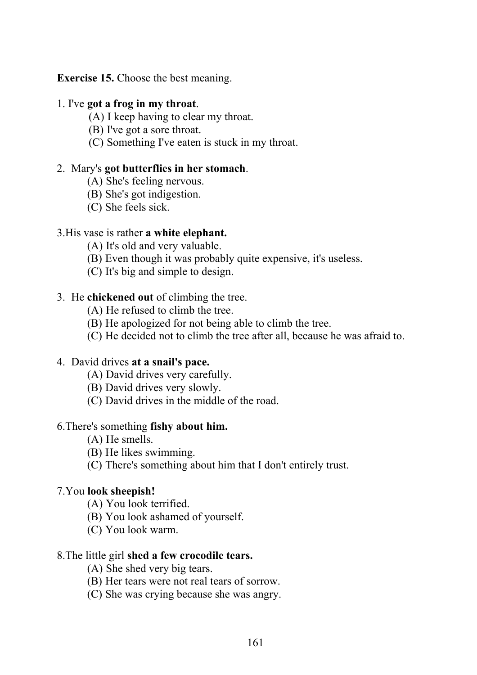**Exercise 15.** Choose the best meaning.

#### 1. I've **got a frog in my throat**.

- (A) I keep having to clear my throat.
- (B) I've got a sore throat.
- (C) Something I've eaten is stuck in my throat.

#### 2. Mary's **got butterflies in her stomach**.

- (A) She's feeling nervous.
- (B) She's got indigestion.
- (C) She feels sick.

#### 3.His vase is rather **a white elephant.**

- (A) It's old and very valuable.
- (B) Even though it was probably quite expensive, it's useless.
- (C) It's big and simple to design.

#### 3. He **chickened out** of climbing the tree.

- (A) He refused to climb the tree.
- (B) He apologized for not being able to climb the tree.
- (C) He decided not to climb the tree after all, because he was afraid to.

#### 4. David drives **at a snail's pace.**

- (A) David drives very carefully.
- (B) David drives very slowly.
- (C) David drives in the middle of the road.

#### 6.There's something **fishy about him.**

- (A) He smells.
- (B) He likes swimming.
- (C) There's something about him that I don't entirely trust.

#### 7.You **look sheepish!**

- (A) You look terrified.
- (B) You look ashamed of yourself.
- (C) You look warm.

#### 8.The little girl **shed a few crocodile tears.**

- (A) She shed very big tears.
- (B) Her tears were not real tears of sorrow.
- (C) She was crying because she was angry.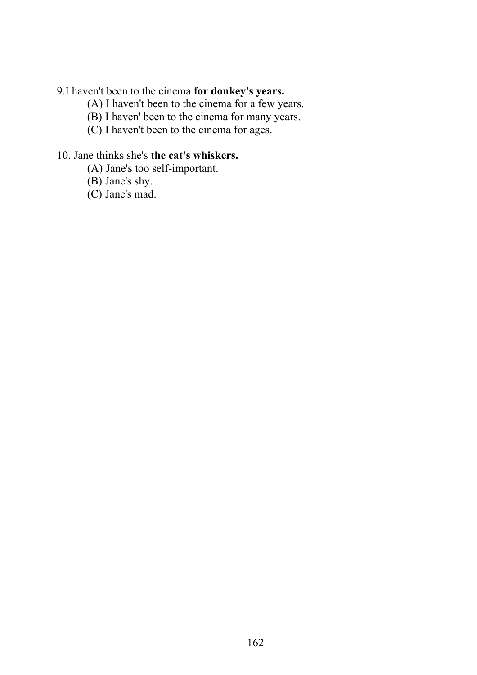#### 9.I haven't been to the cinema **for donkey's years.**

- (A) I haven't been to the cinema for a few years.
- (B) I haven' been to the cinema for many years.
- (C) I haven't been to the cinema for ages.

#### 10. Jane thinks she's **the cat's whiskers.**

- (A) Jane's too self-important.
- (B) Jane's shy.
- (C) Jane's mad.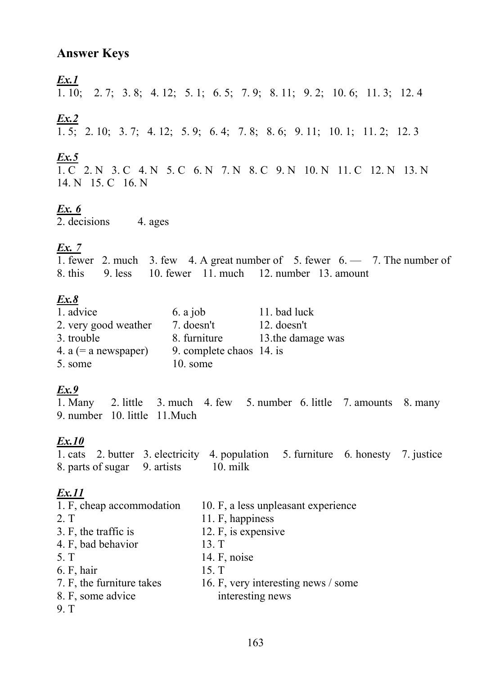# **Answer Keys**

 $Ex.1$ 

1. 10; 2. 7; 3. 8; 4. 12; 5. 1; 6. 5; 7. 9; 8. 11; 9. 2; 10. 6; 11. 3; 12. 4

# $\mathbf{Ex.2}$

 $\overline{1.5}$ ; 2. 10; 3. 7; 4. 12; 5. 9; 6. 4; 7. 8; 8. 6; 9. 11; 10. 1; 11. 2; 12. 3

 $\underline{\textbf{Ex.5}}$ <br>1. C 2. N 3. C 4. N 5. C 6. N 7. N 8. C 9. N 10. N 11. C 12. N 13. N

# $Ex. 6$

 $\overline{2}$ . decisions 4. ages

# Ex.  $7$

1. fewer 2. much 3. few 4. A great number of 5. fewer  $6.$  - 7. The number of 8. this 9. less 10. fewer 11. much 12. number 13. amount

# $Ex.8$

| 1. advice              | 6. a job                 | 11. bad luck      |
|------------------------|--------------------------|-------------------|
| 2. very good weather   | 7. doesn't               | $12.$ doesn't     |
| 3. trouble             | 8. furniture             | 13.the damage was |
| 4. $a (= a$ newspaper) | 9. complete chaos 14. is |                   |
| 5. some                | 10. some                 |                   |

# $Ex.9$

 $\overline{1. M}$ any 2. little 3. much 4. few 5. number 6. little 7. amounts 8. many 9. number 10. little 11. Much

# $Ex.10$

1. cats 2. butter 3. electricity 4. population 5. furniture 6. honesty 7. justice 8. parts of sugar 9. artists 10. milk

| 1. F, cheap accommodation | 10. F, a less unpleasant experience |
|---------------------------|-------------------------------------|
| 2 <sub>T</sub>            | 11. F, happiness                    |
| 3. F, the traffic is      | 12. F, is expensive                 |
| 4. F, bad behavior        | 13. T                               |
| 5. T                      | 14. $F$ , noise                     |
| 6. F, hair                | 15. T                               |
| 7. F, the furniture takes | 16. F, very interesting news / some |
| 8. F, some advice         | interesting news                    |
| 9 <sub>1</sub>            |                                     |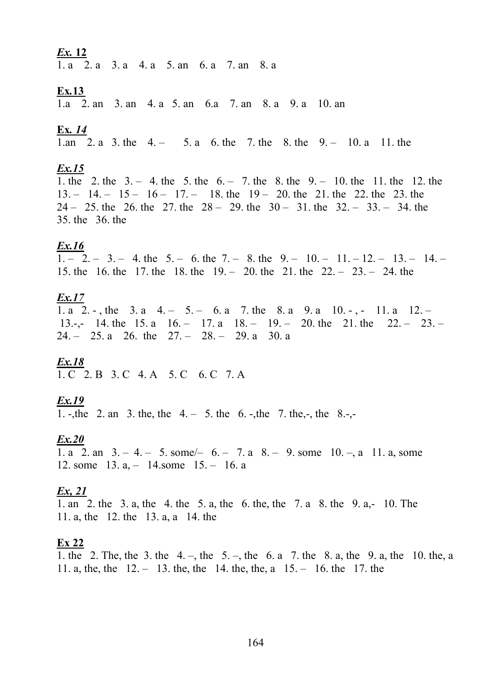1. a 2. a 3. a 4. a 5. an 6. a 7. an 8. a

#### **Ex.13**

1.a 2. an 3. an 4. a 5. an 6.a 7. an 8. a 9. a 10. an

#### Ex. 14

1.an 2. a 3. the  $4. - 5. a 6.$  the 7. the 8. the  $9. - 10. a 11.$  the

#### $Ex.15$

1. the 2. the  $3. - 4$  the  $5.$  the  $6. - 7$  the  $8.$  the  $9. - 10$  the 11. the 12. the  $13. - 14. - 15 - 16 - 17. - 18$ . the  $19 - 20$ . the 21. the 22. the 23. the  $24 - 25$  the 26 the 27 the  $28 - 29$  the  $30 - 31$  the  $32 - 33 - 34$  the 35. the 36. the

#### $Ex.16$

 $\overline{1. - 2. - 3. - 4.}$  the 5. - 6. the 7. - 8. the 9. - 10. - 11. -12. - 13. - 14. -15. the 16. the 17. the 18. the  $19. - 20$ . the  $21.$  the  $22. - 23. - 24$ . the

#### $Ex.17$

1. a 2. -, the 3. a 4. - 5. - 6. a 7. the 8. a 9. a 10. -, - 11. a 12. -13.-,- 14. the 15. a 16. - 17. a 18. - 19. - 20. the 21. the 22. - 23. - $24. - 25. a 26.$  the  $27. - 28. - 29. a 30. a$ 

# $Ex.18$

1. C 2. B 3. C 4. A 5. C 6. C 7. A

#### $Ex.19$

1. -, the 2. an 3. the, the  $4 - 5$  the  $6 - 1$ , the 7. the  $-5$ , the 8.-

#### $Ex.20$

1. a 2. an  $3 - 4 - 5$ . some  $- 6 - 7$ . a  $8 - 9$ . some  $10 - a$  11. a, some 12. some  $13. a, -14.$ some  $15. - 16. a$ 

### $\mathbf{Ex}$ , 21

1. an 2. the 3. a, the 4. the 5. a, the 6. the, the 7. a 8. the 9. a,-10. The 11. a, the 12. the 13. a, a 14. the

#### $Ex 22$

1. the 2. The, the 3. the 4. –, the 5. –, the 6. a 7. the 8. a, the 9. a, the 10. the, a 11. a, the, the  $12 - 13$ . the, the 14. the, the, a  $15 - 16$ . the 17. the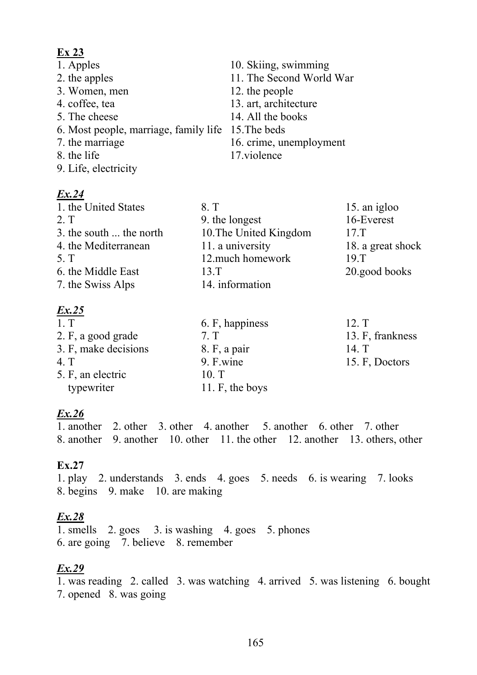#### **Ex 23**

| 1. Apples                                          | 10. Skiing, swimming     |
|----------------------------------------------------|--------------------------|
| 2. the apples                                      | 11. The Second World War |
| 3. Women, men                                      | 12. the people           |
| 4. coffee, tea                                     | 13. art, architecture    |
| 5. The cheese                                      | 14. All the books        |
| 6. Most people, marriage, family life 15. The beds |                          |
| 7. the marriage                                    | 16. crime, unemployment  |
| 8. the life                                        | 17.violence              |
| 9. Life, electricity                               |                          |

#### *Ex.24*

| 1. the United States    | 8. T                   | 15. an igloo      |
|-------------------------|------------------------|-------------------|
| 2. T                    | 9. the longest         | 16-Everest        |
| 3. the south  the north | 10. The United Kingdom | 17 <sub>T</sub>   |
| 4. the Mediterranean    | 11. a university       | 18. a great shock |
| 5. T                    | 12.much homework       | 19 <sub>T</sub>   |
| 6. the Middle East      | $13 \mathrm{T}$        | 20.good books     |
| 7. the Swiss Alps       | 14. information        |                   |
|                         |                        |                   |

### *Ex.25*

| 1. T                 | 6. F, happiness | 12. T            |
|----------------------|-----------------|------------------|
| 2. F, a good grade   | 7 <sub>T</sub>  | 13. F, frankness |
| 3. F, make decisions | 8. F, a pair    | 14. T            |
| 4. T                 | 9. F.wine       | 15. F, Doctors   |
| 5. F, an electric    | 10 <sub>T</sub> |                  |
| typewriter           | 11. F, the boys |                  |

# *Ex.26*

1. another 2. other 3. other 4. another 5. another 6. other 7. other 8. another 9. another 10. other 11. the other 12. another 13. others, other

### **Ex.27**

1. play 2. understands 3. ends 4. goes 5. needs 6. is wearing 7. looks 8. begins 9. make 10. are making

# *Ex.28*

1. smells 2. goes 3. is washing 4. goes 5. phones 6. are going 7. believe 8. remember

# *Ex.29*

1. was reading 2. called 3. was watching 4. arrived 5. was listening 6. bought 7. opened 8. was going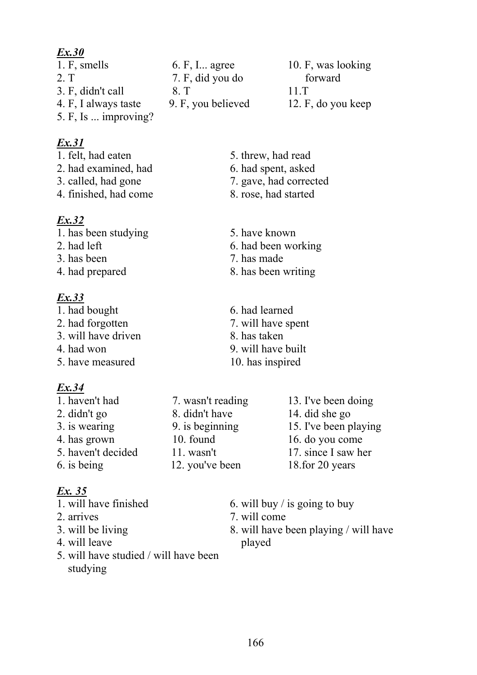2. T 2. T 7. F, did you do forward 3. F, didn't call 8. T 11.T 4. F, I always taste 9. F, you believed 12. F, do you keep 5. F, Is ... improving?

# *Ex.31*

- 
- 
- 
- 4. finished, had come 8. rose, had started

# *Ex.32*

- 1. has been studying 5. have known
- 
- 
- 

# *Ex.33*

- 1. had bought 6. had learned
- 3. will have driven 8. has taken
- 
- 5. have measured 10. has inspired

# *Ex.34*

- 1. haven't had 7. wasn't reading 13. I've been doing 2. didn't go 8. didn't have 14. did she go 3. is wearing 9. is beginning 15. I've been playing 4. has grown 10. found 16. do you come
- 

# *Ex. 35*

- 
- 
- 
- 4. will leave played
- 5. will have studied / will have been studying

1. F, smells 6. F, I... agree 10. F, was looking

- 1. felt, had eaten 5. threw, had read
- 2. had examined, had 6. had spent, asked
- 3. called, had gone 7. gave, had corrected
	-
	-
- 2. had left 6. had been working
- 3. has been 7. has made
- 4. had prepared 8. has been writing
- 2. had forgotten 7. will have spent
	-
- 4. had won 9. will have built
	-
- 5. haven't decided 11. wasn't 17. since I saw her 6. is being 12. you've been 18.for 20 years
- 1. will have finished 6. will buy / is going to buy
- 2. arrives 2. arrives 2. will come
- 3. will be living 8. will have been playing / will have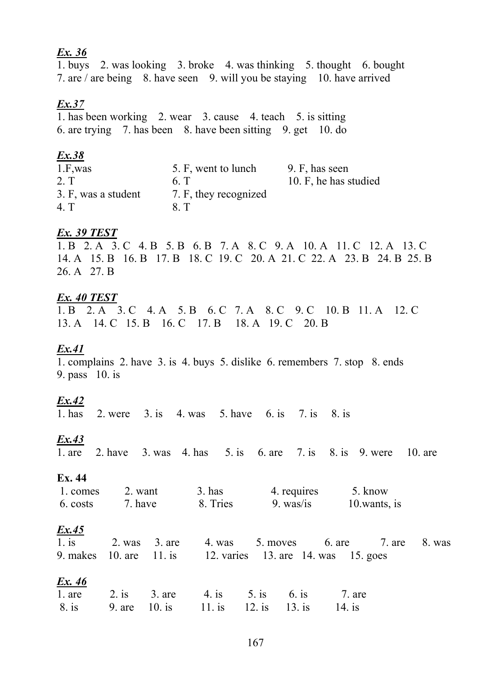1. buys 2. was looking 3. broke 4. was thinking 5. thought 6. bought 7. are / are being 8. have seen 9. will you be staying 10. have arrived

#### $Ex.37$

 $\overline{1.}$  has been working 2. wear 3. cause 4. teach 5. is sitting 6. are trying 7. has been 8. have been sitting 9. get 10. do

#### $Ex.38$

| $1.F$ , was         | 5. F, went to lunch   | 9. F, has seen        |
|---------------------|-----------------------|-----------------------|
| $2.\,T$             | 6 <sub>1</sub>        | 10. F, he has studied |
| 3. F, was a student | 7. F, they recognized |                       |
| 4. T                | 8. T                  |                       |

#### Ex. 39 TEST

1. B 2. A 3. C 4. B 5. B 6. B 7. A 8. C 9. A 10. A 11. C 12. A 13. C 14. A 15. B 16. B 17. B 18. C 19. C 20. A 21. C 22. A 23. B 24. B 25. B 26. A 27. B

#### Ex. 40 TEST

1. B 2. A 3. C 4. A 5. B 6. C 7. A 8. C 9. C 10. B 11. A 12. C 13. A 14. C 15. B 16. C 17. B 18. A 19. C 20. B

#### $Ex.41$

1. complains 2. have 3. is 4. buys 5. dislike 6. remembers 7. stop 8. ends 9. pass  $10$ . is

#### $Ex.42$

 $1.$  has 2. were 3. is 4. was 5. have 6. is 7. is 8. is

### $Ex.43$

2. have  $3. was$  4. has  $5. is$  6. are  $7. is$  8. is 9. were  $10.$  are  $1$  are

#### Ex. 44

| 1. comes | 2. want | $3.$ has | 4. requires | 5. know      |
|----------|---------|----------|-------------|--------------|
| 6. costs | 7. have | 8. Tries | 9. was/is   | 10 wants, is |

#### $Ex.45$

|  | 1. is 2. was 3. are 4. was 5. moves 6. are 7. are 8. was    |  |  |
|--|-------------------------------------------------------------|--|--|
|  | 9. makes 10. are 11. is 12. varies 13. are 14. was 15. goes |  |  |

|  | 1. are 2. is 3. are 4. is 5. is 6. is 7. are    |  |  |
|--|-------------------------------------------------|--|--|
|  | 8. is 9. are 10. is 11. is 12. is 13. is 14. is |  |  |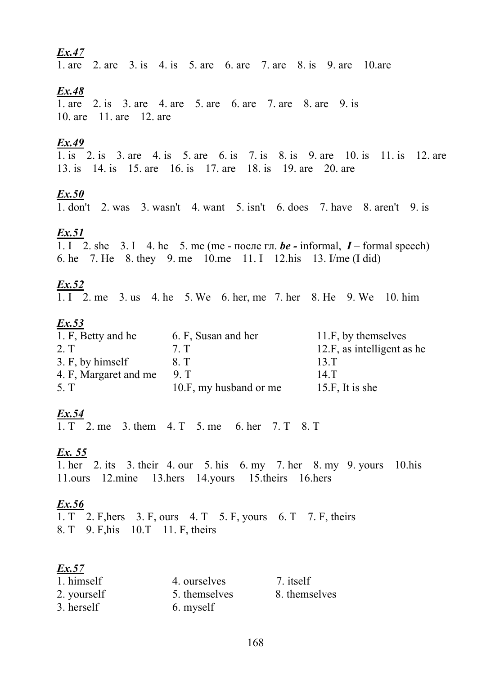1. are 2. are 3. is 4. is 5. are 6. are 7. are 8. is 9. are 10. are

#### $Ex.48$

1. are 2. is 3. are 4. are 5. are 6. are 7. are 8. are 9. is 10. are 11. are 12. are

#### $Ex.49$

1. is 2. is 3. are 4. is 5. are 6. is 7. is 8. is 9. are 10. is 11. is 12. are 13. is 14. is 15. are 16. is 17. are 18. is 19. are 20. are

#### $Ex.50$

1. don't 2. was 3. wasn't 4. want 5. isn't 6. does 7. have 8. aren't 9. is

#### $Ex.51$

1. I 2. she 3. I 4. he 5. me (me - после гл. be - informal, I - formal speech) 6. he 7. He 8. they 9. me 10. me 11. I 12. his 13. I/me (I did)

#### $Ex.52$

1. I 2. me 3. us 4. he 5. We 6. her, me 7. her 8. He 9. We 10. him

#### $Ex.53$

| 1. F, Betty and he    | 6. F, Susan and her    | 11.F, by themselves        |
|-----------------------|------------------------|----------------------------|
| 2. T                  | 7. T                   | 12.F, as intelligent as he |
| 3. F, by himself      | 8. T                   | 13 <sub>T</sub>            |
| 4. F, Margaret and me | 9 T                    | 14.T                       |
| 5. T                  | 10.F, my husband or me | 15.F, It is she            |

#### $Ex.54$

1.  $T$  2. me 3. them 4.  $T$  5. me 6. her 7.  $T$  8.  $T$ 

#### Ex. 55

1. her 2. its 3. their 4. our 5. his 6. my 7. her 8. my 9. yours 10. his 11.ours 12.mine 13.hers 14.yours 15.theirs 16.hers

#### $Ex.56$

1. T 2. F, hers 3. F, ours 4. T 5. F, yours 6. T 7. F, theirs 8. T 9. F, his 10. T 11. F, theirs

| 1. himself  | 4. ourselves  | 7. itself     |
|-------------|---------------|---------------|
| 2. yourself | 5. themselves | 8. themselves |
| 3. herself  | 6. myself     |               |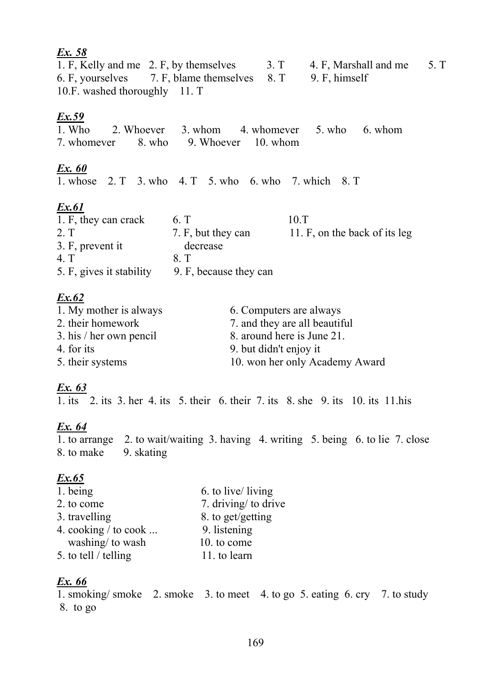# *Ex. 58* 1. F, Kelly and me 2. F, by themselves 3. T 4. F, Marshall and me 5. T 6. F, yourselves 7. F, blame themselves 8. T 9. F, himself 6. F, yourselves 7. F, blame themselves 8. T 9. F, himself 10.F. washed thoroughly 11. T *Ex.59* 1. Who 2. Whoever 3. whom 4. whomever 5. who 6. whom 7. whomever 8. who 9. Whoever 10. whom

# *Ex. 60*

1. whose 2. Т 3. who 4. Т 5. who 6. who 7. which 8. Т

# *Ex.61*

| 1. F, they can crack     | 6. T                   | 10.T                          |
|--------------------------|------------------------|-------------------------------|
| 2. T                     | 7. F, but they can     | 11. F, on the back of its leg |
| 3. F, prevent it         | decrease               |                               |
| 4 T                      | 8 T                    |                               |
| 5. F, gives it stability | 9. F, because they can |                               |

# *Ex.62*

| 1. My mother is always  | 6. Computers are always        |
|-------------------------|--------------------------------|
| 2. their homework       | 7. and they are all beautiful  |
| 3. his / her own pencil | 8. around here is June 21.     |
| 4. for its              | 9. but didn't enjoy it         |
| 5. their systems        | 10. won her only Academy Award |
|                         |                                |

# *Ex. 63*

 $\overline{1.}$  its  $\overline{2.}$  its  $\overline{3.}$  her  $\overline{4.}$  its  $\overline{5.}$  their  $\overline{6.}$  their  $\overline{7.}$  its  $\overline{8.}$  she  $\overline{9.}$  its  $\overline{10.}$  its  $\overline{11.}$  his

# *Ex. 64*

1. to arrange 2. to wait/waiting 3. having 4. writing 5. being 6. to lie 7. close 8. to make 9. skating

# *Ex.65*

| 1. being               | 6. to live/ living   |
|------------------------|----------------------|
| 2. to come             | 7. driving/ to drive |
| 3. travelling          | 8. to get/getting    |
| 4. cooking $/$ to cook | 9. listening         |
| washing/ to wash       | 10. to come          |
| 5. to tell / telling   | 11. to learn         |
|                        |                      |

# *Ex. 66*

1. smoking/ smoke 2. smoke 3. to meet 4. to go 5. eating 6. cry 7. to study 8. to go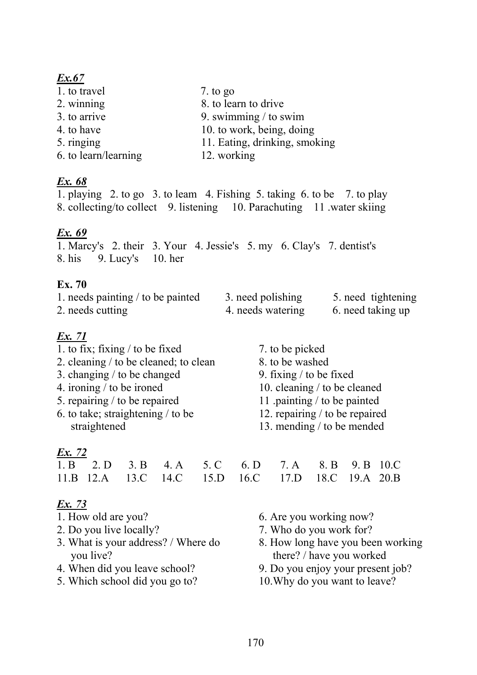1. to travel 7. to go 2. winning 8. to learn to drive 3. to arrive 9. swimming / to swim 4. to have 10. to work, being, doing 5. ringing 11. Eating, drinking, smoking 6. to learn/learning 12. working

# *Ex. 68*

1. playing 2. to go 3. to leam 4. Fishing 5. taking 6. to be 7. to play 8. collecting/to collect 9. listening 10. Parachuting 11 .water skiing

# *Ex. 69*

1. Marcy's 2. their 3. Your 4. Jessie's 5. my 6. Clay's 7. dentist's 8. his 9. Lucy's 10. her

### **Ex. 70**

| 1. needs painting $\ell$ to be painted | 3. need polishing | 5. need tightening |
|----------------------------------------|-------------------|--------------------|
| 2. needs cutting                       | 4. needs watering | 6. need taking up  |

# *Ex. 71*

- 1. to fix; fixing / to be fixed 7. to be picked
- 2. cleaning / to be cleaned; to clean 8. to be washed
- 3. changing / to be changed 9. fixing / to be fixed 4. ironing / to be ironed 10. cleaning / to be cl
- 
- 5. repairing / to be repaired 11 .painting / to be painted
- 6. to take; straightening / to be 12. repairing / to be repaired

# *Ex. 72*

|  |  | 1. B 2. D 3. B 4. A 5. C 6. D 7. A 8. B 9. B 10. C |  |  |  |
|--|--|----------------------------------------------------|--|--|--|
|  |  | 11.B 12.A 13.C 14.C 15.D 16.C 17.D 18.C 19.A 20.B  |  |  |  |

- 
- 
- you live? there? / have you worked
- 
- 5. Which school did you go to? 10.Why do you want to leave?
- 
- 
- 
- 10. cleaning  $/$  to be cleaned
- 
- 
- straightened 13. mending / to be mended

| $10.0$ $10.0$ $11.0$ $10.0$ $17.1$ $20.1$ |  |  |
|-------------------------------------------|--|--|
|                                           |  |  |
|                                           |  |  |
|                                           |  |  |
|                                           |  |  |

- 1. How old are you? 6. Are you working now?
- 2. Do you live locally? 2. Who do you work for?
- 3. What is your address? / Where do 8. How long have you been working
- 4. When did you leave school? 9. Do you enjoy your present job?
	-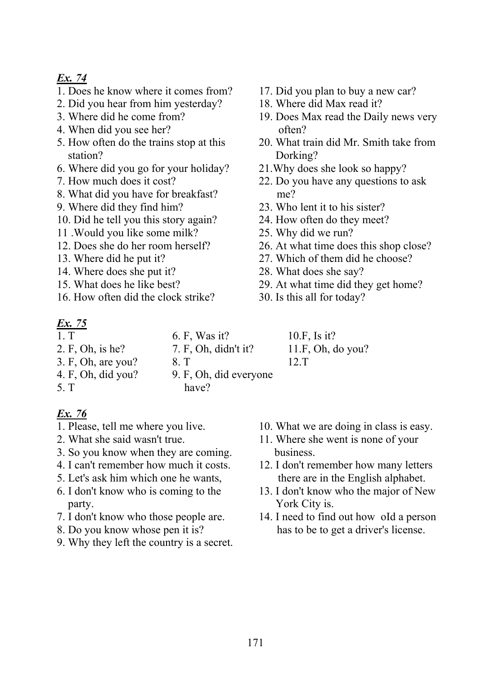- 1. Does he know where it comes from? 17. Did you plan to buy a new car?
- 2. Did you hear from him yesterday? 18. Where did Max read it?
- 
- 4. When did you see her? often?
- station? Dorking?
- 6. Where did you go for your holiday? 21.Why does she look so happy?
- 
- 8. What did you have for breakfast? me?
- 
- 10. Did he tell you this story again? 24. How often do they meet?
- 11 .Would you like some milk? 25. Why did we run?
- 
- 
- 14. Where does she put it? 28. What does she say?
- 
- 16. How often did the clock strike? 30. Is this all for today?

# $\frac{Ex. 75}{1. T}$

- -
- 
- 
- 
- 4. F, Oh, did you? 9. F, Oh, did everyone
- 5. T have?

- *Ex. 76*
- 
- 3. So you know when they are coming. business.
- 
- 
- party. York City is.
- 
- 
- 9. Why they left the country is a secret.
- 
- 
- 3. Where did he come from? 19. Does Max read the Daily news very
- 5. How often do the trains stop at this 20. What train did Mr. Smith take from
	-
- 7. How much does it cost? 22. Do you have any questions to ask
- 9. Where did they find him? 23. Who lent it to his sister?
	-
	-
- 12. Does she do her room herself? 26. At what time does this shop close?
- 13. Where did he put it? 27. Which of them did he choose?
	-
- 15. What does he like best? 29. At what time did they get home?
	-
	- 6. F, Was it? 10.F, Is it?
		-
		-
- 1. Please, tell me where you live. 10. What we are doing in class is easy.
- 2. What she said wasn't true. 11. Where she went is none of your
- 4. I can't remember how much it costs. 12. I don't remember how many letters 5. Let's ask him which one he wants, there are in the English alphabet.
- 6. I don't know who is coming to the 13. I don't know who the major of New
- 7. I don't know who those people are. 14. I need to find out how оId a person 8. Do you know whose pen it is? has to be to get a driver's license.
- 2. F, Oh, is he? 7. F, Oh, didn't it? 11.F, Oh, do you?
	-
- 3. F, Oh, are you? 8. T 12.T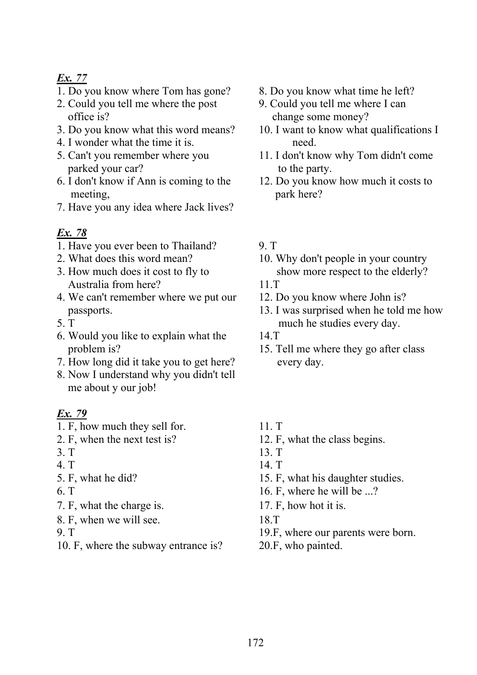- 1. Do you know where Tom has gone? 8. Do you know what time he left?
- 2. Could you tell me where the post 9. Could you tell me where I can office is? change some money?
- 3. Do you know what this word means? 10. I want to know what qualifications I
- 4. I wonder what the time it is. need.
- parked your car? to the party.
- 6. I don't know if Ann is coming to the 12. Do you know how much it costs to meeting, park here?
- 7. Have you any idea where Jack lives?

# *Ex. 78*

- 1. Have you ever been to Thailand? 9. T
- 
- Australia from here? 11.T
- 4. We can't remember where we put our 12. Do you know where John is?
- 
- 6. Would you like to explain what the 14.T
- 7. How long did it take you to get here? every day.
- 8. Now I understand why you didn't tell me about y our job!

- 1. F, how much they sell for. 11. T
- 
- 
- 
- 
- 
- 7. F, what the charge is. 17. F, how hot it is.
- 8. F, when we will see. 18.T
- 
- 10. F, where the subway entrance is? 20.F, who painted.
- 
- 
- 
- 5. Can't you remember where you 11. I don't know why Tom didn't come
	-

- 2. What does this word mean? 10. Why don't people in your country 3. How much does it cost to fly to show more respect to the elderly?
	-
	-
- passports. 13. I was surprised when he told me how 5. T much he studies every day.
	-
	- problem is? 15. Tell me where they go after class
		-
- 2. F, when the next test is? 12. F, what the class begins.
- 3. T 13. T
- 4. T 14. T
- 5. F, what he did? 15. F, what his daughter studies.
- 6. T  $16.$  F, where he will be ...?
	-
	-
- 9. T 19.F, where our parents were born.
	-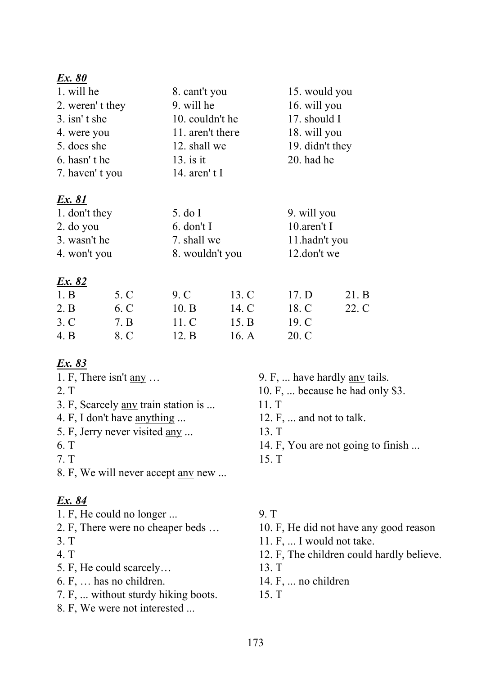| 1. will he              | 8. cant't you    | 15. would you   |
|-------------------------|------------------|-----------------|
| 2. weren't they         | 9. will he       | 16. will you    |
| $3. \text{ isn}'$ t she | 10. couldn't he  | 17. should I    |
| 4. were you             | 11. aren't there | 18. will you    |
| 5. does she             | 12. shall we     | 19. didn't they |
| 6. hasn't he            | $13.$ is it      | 20. had he      |
| 7. haven't you          | 14. aren't I     |                 |

# Ex. 81

| 1. don't they | 5. do I         | 9. will you   |
|---------------|-----------------|---------------|
| $2.$ do you   | $6.$ don't I    | 10. aren't I  |
| 3. wasn't he  | 7. shall we     | 11.hadn't you |
| 4. won't you  | 8. wouldn't you | 12.don't we   |

### Ex. 82

| 1. B | 5. C | 9. C  | 13. C   | 17. D | 21. B |
|------|------|-------|---------|-------|-------|
| 2. B | 6. C | 10. B | 14. C   | 18. C | 22. C |
| 3. C | 7. B | 11.C  | 15. B   | 19. C |       |
| 4. B | 8. C | 12. B | 16. $A$ | 20. C |       |

# Ex. 83

- 1. F, There isn't  $\frac{any}{...}$
- $2. T$
- 3. F, Scarcely any train station is ...
- 4. F, I don't have anything ...
- 5. F, Jerry never visited any ...
- 6. T
- $7. T$
- 8. F, We will never accept any new ...

# Ex. 84

- 1. F, He could no longer ...
- 2. F, There were no cheaper beds ...
- $3. T$
- 4. T
- 5. F, He could scarcely...
- 6. F, ... has no children.
- 7. F, ... without sturdy hiking boots.
- 8. F, We were not interested ...
- 9. F, ... have hardly <u>any</u> tails.
- 10. F, ... because he had only \$3.
- 11. T
- 12. F, ... and not to talk.
- 13. T
- 14. F, You are not going to finish ...
- 15. T

# 9. T

- 10. F, He did not have any good reason
- 11. F, ... I would not take.
- 12. F, The children could hardly believe.
- 13. T
- 14. F, ... no children
- 15. T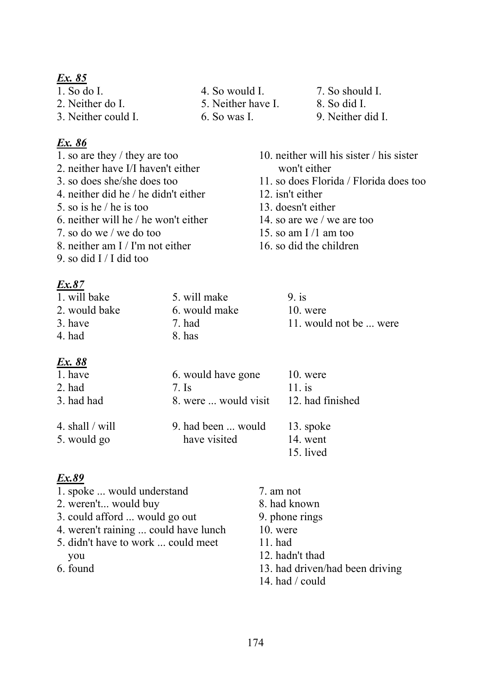- 
- 2. Neither do I. 5. Neither have I. 8. So did I.

3. Neither could I. 6. So was I. 9. Neither did I.

#### *Ex. 86*

- 
- 2. neither have I/I haven't either won't either
- 
- 4. neither did he / he didn't either 12. isn't either
- 5. so is he / he is too 13. doesn't either
- 6. neither will he / he won't either  $14.$  so are we / we are too
- 7. so do we / we do too  $15.$  so am I /1 am too
- 8. neither am I / I'm not either 16. so did the children
- 9. so did I / I did too

# *Ex.87*

#### 1. will bake 5. will make 9. is 2. would bake 6. would make 10. were 3. have 2. had 11. would not be ... were 4. had  $8.$  has

# *Ex. 88*

| 1. have           | 6. would have gone   | $10.$ were       |
|-------------------|----------------------|------------------|
| $2.$ had          | $7.$ Is              | $11.$ is         |
| 3. had had        | 8. were  would visit | 12. had finished |
| 4. shall $/$ will | 9. had been  would   | 13. spoke        |
| 5. would go       | have visited         | 14. went         |
|                   |                      | 15. lived        |

| 1. spoke  would understand           | 7. am not                       |
|--------------------------------------|---------------------------------|
| 2. weren't would buy                 | 8. had known                    |
| 3. could afford  would go out        | 9. phone rings                  |
| 4. weren't raining  could have lunch | $10.$ were                      |
| 5. didn't have to work  could meet   | $11.$ had                       |
| you                                  | 12. hadn't thad                 |
| 6. found                             | 13. had driven/had been driving |
|                                      | 14. had $\prime$ could          |
|                                      |                                 |

- 1. So do I. 4. So would I. 7. So should I.
	-
	-
- 1. so are they / they are too 10. neither will his sister / his sister 3. so does she/she does too 11. so does Florida / Florida does too
	-
	-
	-
	-
	-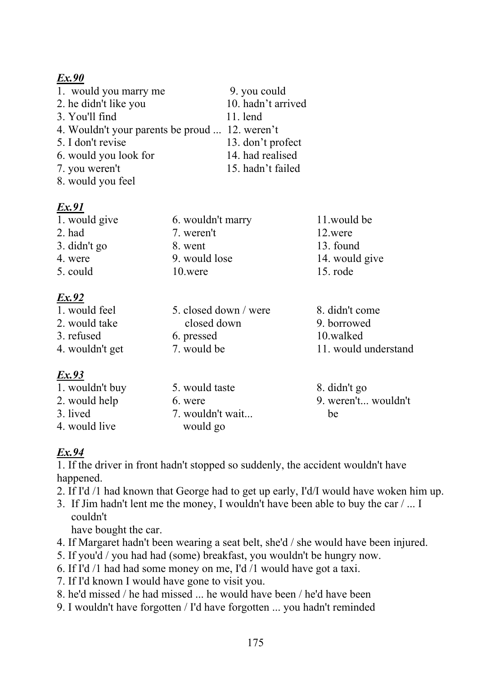| 1. would you marry me                          | 9. you could       |
|------------------------------------------------|--------------------|
| 2. he didn't like you                          | 10. hadn't arrived |
| 3. You'll find                                 | $11.$ lend         |
| 4. Wouldn't your parents be proud  12. weren't |                    |
| 5. I don't revise                              | 13. don't profect  |
| 6. would you look for                          | 14. had realised   |
| 7. you weren't                                 | 15. hadn't failed  |
| 8. would you feel                              |                    |

# *Ex.91*

| 1. would give | 6. wouldn't marry | 11.would be    |  |  |
|---------------|-------------------|----------------|--|--|
| $2.$ had      | 7. weren't        | 12.were        |  |  |
| 3. didn't go  | 8. went           | 13. found      |  |  |
| 4. were       | 9. would lose     | 14. would give |  |  |
| 5. could      | 10.were           | $15.$ rode     |  |  |
| Ex.92         |                   |                |  |  |

# *Ex.92*

| 1. would feel   | 5. closed down / were | 8. didn't come       |
|-----------------|-----------------------|----------------------|
| 2. would take   | closed down           | 9. borrowed          |
| 3. refused      | 6. pressed            | 10.walked            |
| 4. wouldn't get | 7. would be           | 11. would understand |
|                 |                       |                      |

# *Ex.93*

| 1. wouldn't buy | 5. would taste   | 8. didn't go        |
|-----------------|------------------|---------------------|
| 2. would help   | 6. were          | 9. weren't wouldn't |
| 3. lived        | 7. wouldn't wait | be                  |
| 4. would live   | would go         |                     |

# *Ex.94*

1. If the driver in front hadn't stopped so suddenly, the accident wouldn't have happened.

- 2. If I'd /1 had known that George had to get up early, I'd/I would have woken him up.
- 3. If Jim hadn't lent me the money, I wouldn't have been able to buy the car / ... I couldn't

have bought the car.

- 4. If Margaret hadn't been wearing a seat belt, she'd / she would have been injured.
- 5. If you'd / you had had (some) breakfast, you wouldn't be hungry now.
- 6. If I'd /1 had had some money on me, I'd /1 would have got a taxi.
- 7. If I'd known I would have gone to visit you.
- 8. he'd missed / he had missed ... he would have been / he'd have been
- 9. I wouldn't have forgotten / I'd have forgotten ... you hadn't reminded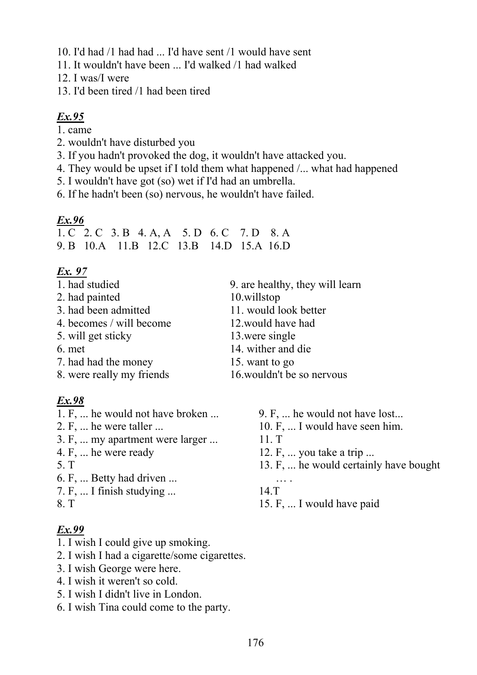- 10. I'd had /1 had had ... I'd have sent /1 would have sent
- 11. It wouldn't have been ... I'd walked /1 had walked
- 12. I was/I were
- 13. I'd been tired /1 had been tired

- 1. came
- 2. wouldn't have disturbed you
- 3. If you hadn't provoked the dog, it wouldn't have attacked you.
- 4. They would be upset if I told them what happened /... what had happened
- 5. I wouldn't have got (so) wet if I'd had an umbrella.
- 6. If he hadn't been (so) nervous, he wouldn't have failed.

# $Ex.96$

1. C 2. C 3. B 4. A A 5. D 6. C 7. D 8. A 9. B 10. A 11. B 12. C 13. B 14. D 15. A 16. D

# Ex. 97

- 1. had studied
- 2. had painted
- 3. had been admitted
- 4. becomes / will become
- 5. will get sticky
- 6. met
- 7. had had the money
- 8. were really my friends

# Ex.98

- 1. F, ... he would not have broken ...
- 2. F, ... he were taller ...
- 3. F, ... my apartment were larger ...
- 4. F, ... he were ready
- $5. T$
- 6. F. ... Betty had driven ...
- 7. F, ... I finish studying ...
- 8. T

- 1. I wish I could give up smoking.
- 2. I wish I had a cigarette/some cigarettes.
- 3. I wish George were here.
- 4. I wish it weren't so cold.
- 5. I wish I didn't live in London.
- 6. I wish Tina could come to the party.
- 9. are healthy, they will learn 10.willstop 11. would look better
- 12 would have had
- 13 were single
- 14. wither and die
- 15. want to go
- 16 wouldn't be so nervous
	- 9. F, ... he would not have lost...
	- 10. F, ... I would have seen him.
	- $11. T$
	- 12. F, ... you take a trip ...
	- 13. F, ... he would certainly have bought
	- $\overline{\mathbf{z}}$  $14.T$
	- 15. F, ... I would have paid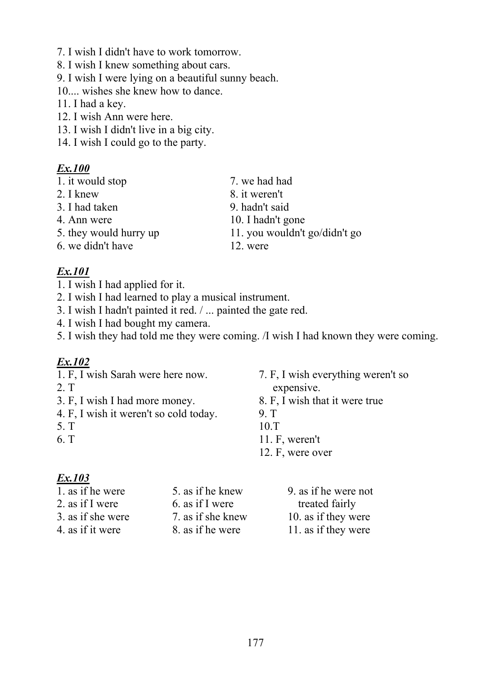- 7. I wish I didn't have to work tomorrow.
- 8. I wish I knew something about cars.
- 9. I wish I were lying on a beautiful sunny beach.
- 10.... wishes she knew how to dance.
- 11. I had a key.
- 12. I wish Ann were here.
- 13. I wish I didn't live in a big city.
- 14. I wish I could go to the party.

1. it would stop 7. we had had 2. I knew 8. it weren't 3. I had taken 9. hadn't said 4. Ann were 10. I hadn't gone 5. they would hurry up 11. you wouldn't go/didn't go 6. we didn't have 12. were

# *Ex.101*

- 1. I wish I had applied for it.
- 2. I wish I had learned to play a musical instrument.
- 3. I wish I hadn't painted it red. / ... painted the gate red.
- 4. I wish I had bought my camera.
- 5. I wish they had told me they were coming. /I wish I had known they were coming.

# *Ex.102*

- 
- 
- 3. F, I wish I had more money. 8. F, I wish that it were true
- 4. F, I wish it weren't so cold today. 9. T
- 
- 
- 1. F, I wish Sarah were here now. 7. F, I wish everything weren't so 2. T expensive.
	-
	-
- 5. T 10.T
- 6. T 11. F, weren't
	- 12. F, were over

 $\frac{Ex.103}{1.8}$  if he were 1. as if he were 5. as if he knew 9. as if he were not 2. as if I were  $\begin{array}{ccc} 6. & \text{as if I were} \\ 2. & \text{at if I were} \end{array}$ 3. as if she were 7. as if she knew 10. as if they were 4. as if it were 8. as if he were 11. as if they were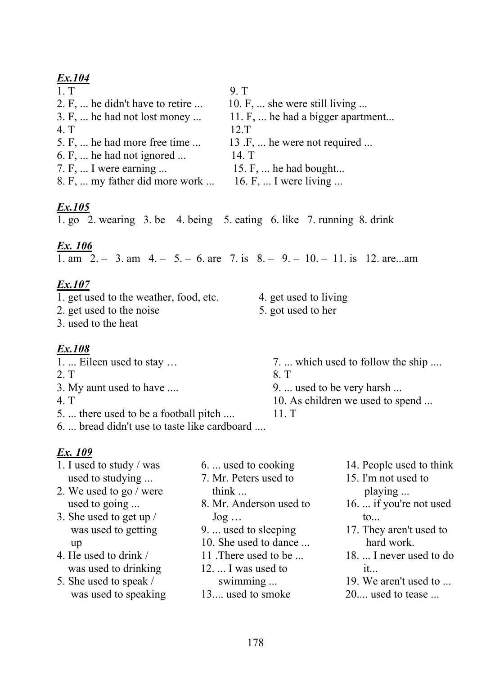| 1. T                                          | 9 T                                                                    |
|-----------------------------------------------|------------------------------------------------------------------------|
| 2. F,  he didn't have to retire               | 10. F,  she were still living                                          |
| $3. F, \ldots$ he had not lost money $\ldots$ | 11. F,  he had a bigger apartment                                      |
| 4. T                                          | $12 \mathrm{T}$                                                        |
| 5. F,  he had more free time                  | 13 $\cdot$ F, $\cdot\cdot\cdot$ he were not required $\cdot\cdot\cdot$ |
| $6. F, \ldots$ he had not ignored $\ldots$    | 14. T                                                                  |
| $7. F, \ldots$ I were earning                 | 15. F,  he had bought                                                  |
| 8. F,  my father did more work                | 16. F, $\dots$ I were living $\dots$                                   |
|                                               |                                                                        |

# *Ex.105*

1. go 2. wearing 3. be 4. being 5. eating 6. like 7. running 8. drink

# *Ex. 106*

1. am 2. – 3. am 4. – 5. – 6. are 7. is 8. – 9. – 10. – 11. is 12. are...am

# *Ex.107*

| 1. get used to the weather, food, etc. | 4. get used to living |
|----------------------------------------|-----------------------|
|----------------------------------------|-----------------------|

- 2. get used to the noise 5. got used to her
- 3. used to the heat

# *Ex.108*

| 1.  Eileen used to stay                      | 7.  which used to follow the ship        |
|----------------------------------------------|------------------------------------------|
| 2. T                                         | 8. T                                     |
| 3. My aunt used to have                      | 9. $\dots$ used to be very harsh $\dots$ |
| 4 <sub>1</sub>                               | 10. As children we used to spend         |
| 5.  there used to be a football pitch        | $11.$ T                                  |
| 6.  bread didn't use to taste like cardboard |                                          |

- 1. I used to study / was  $\qquad 6. \dots$  used to cooking  $\qquad 14.$  People used to think used to studying ... 7. Mr. Peters used to 15. I'm not used to 2. We used to go / were think ... playing ... used to going ... 8. Mr. Anderson used to 16. ... if you're not used 3. She used to get up / Jog ... to... was used to getting 9. ... used to sleeping 17. They aren't used to up 10. She used to dance ... hard work. 4. He used to drink / 11. There used to be ... 18. ... I never used to do was used to drinking 12. ... I was used to it... 5. She used to speak / swimming ... 19. We aren't used to ...
	- was used to speaking 13.... used to smoke 20.... used to tease ...
- 
- 
- 
- 
- 
- 
-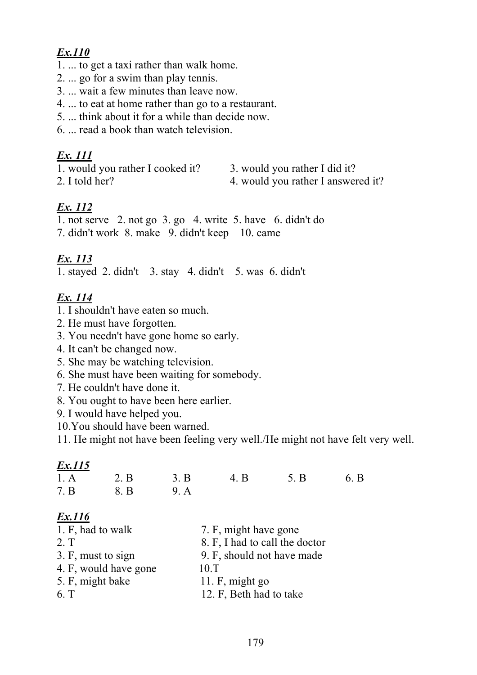- 1. ... to get a taxi rather than walk home.
- 2. ... go for a swim than play tennis.
- 3. ... wait a few minutes than leave now.
- 4. ... to eat at home rather than go to a restaurant.
- 5. ... think about it for a while than decide now.
- 6. ... read a book than watch television.

#### *Ex. 111*

- 1. would you rather I cooked it? 3. would you rather I did it?
- 
- 
- 2. I told her? 4. would you rather I answered it?

# *Ex. 112*

1. not serve 2. not go 3. go 4. write 5. have 6. didn't do 7. didn't work 8. make 9. didn't keep 10. came

# *Ex. 113*

1. stayed 2. didn't 3. stay 4. didn't 5. was 6. didn't

# *Ex. 114*

- 1. I shouldn't have eaten so much.
- 2. He must have forgotten.
- 3. You needn't have gone home so early.
- 4. It can't be changed now.
- 5. She may be watching television.
- 6. She must have been waiting for somebody.
- 7. He couldn't have done it.
- 8. You ought to have been here earlier.
- 9. I would have helped you.
- 10.You should have been warned.

11. He might not have been feeling very well./He might not have felt very well.

# *Ex.115* 1. A 2. B 3. B 4. B 5. B 6. B 7. B 8. B 9. A *Ex.116* 1. F, had to walk 7. F, might have gone 2. T 8. F, I had to call the doctor 3. F, must to sign 9. F, should not have made 4. F, would have gone 10.T 5. F, might bake 11. F, might go 6. T 12. F, Beth had to take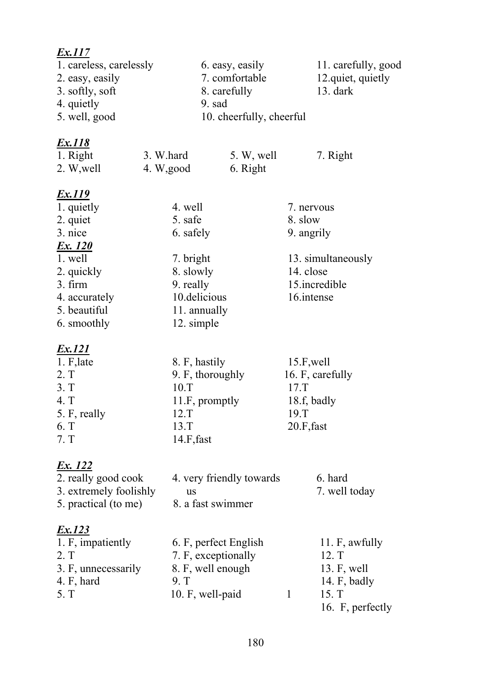| <u>Ex.117</u><br>1. careless, carelessly<br>2. easy, easily<br>3. softly, soft<br>4. quietly<br>5. well, good                                       |                                                                                                                      | 6. easy, easily<br>7. comfortable<br>8. carefully<br>9. sad<br>10. cheerfully, cheerful |                                                                | 11. carefully, good<br>12.quiet, quietly<br>$13.$ dark                                 |  |
|-----------------------------------------------------------------------------------------------------------------------------------------------------|----------------------------------------------------------------------------------------------------------------------|-----------------------------------------------------------------------------------------|----------------------------------------------------------------|----------------------------------------------------------------------------------------|--|
| <u>Ex.118</u><br>1. Right<br>2. W, well                                                                                                             | 3. W.hard<br>4. W, good                                                                                              | 5. W, well<br>6. Right                                                                  |                                                                | 7. Right                                                                               |  |
| <u>Ex.119</u><br>1. quietly<br>2. quiet<br>3. nice<br>Ex. 120<br>1. well<br>2. quickly<br>$3.$ firm<br>4. accurately<br>5. beautiful<br>6. smoothly | 4. well<br>5. safe<br>6. safely<br>7. bright<br>8. slowly<br>9. really<br>10.delicious<br>11. annually<br>12. simple |                                                                                         | 7. nervous<br>8. slow<br>9. angrily<br>14. close<br>16.intense | 13. simultaneously<br>15.incredible                                                    |  |
| Ex.121<br>$1. F$ , late<br>2. T<br>3. T<br>4. T<br>5. F, really<br>6. T<br>7. T                                                                     | 8. F, hastily<br>10.T<br>11.F, promptly<br>12.T<br>13.T<br>$14.F$ , fast                                             | 9. F, thoroughly                                                                        | $15.F$ , well<br>17.T<br>18.f, badly<br>19.T<br>$20.F$ , fast  | 16. F, carefully                                                                       |  |
| <u>Ex. 122</u><br>2. really good cook<br>3. extremely foolishly<br>5. practical (to me)                                                             | <b>us</b>                                                                                                            | 4. very friendly towards<br>8. a fast swimmer                                           |                                                                | 6. hard<br>7. well today                                                               |  |
| <u>Ex.123</u><br>1. F, impatiently<br>2. T<br>3. F, unnecessarily<br>4. $F$ , hard<br>9. T<br>5. T                                                  |                                                                                                                      | 6. F, perfect English<br>7. F, exceptionally<br>8. F, well enough<br>10. F, well-paid   | $\mathbf{1}$                                                   | 11. F, awfully<br>12. T<br>13. F, well<br>14. $F$ , badly<br>15. T<br>16. F, perfectly |  |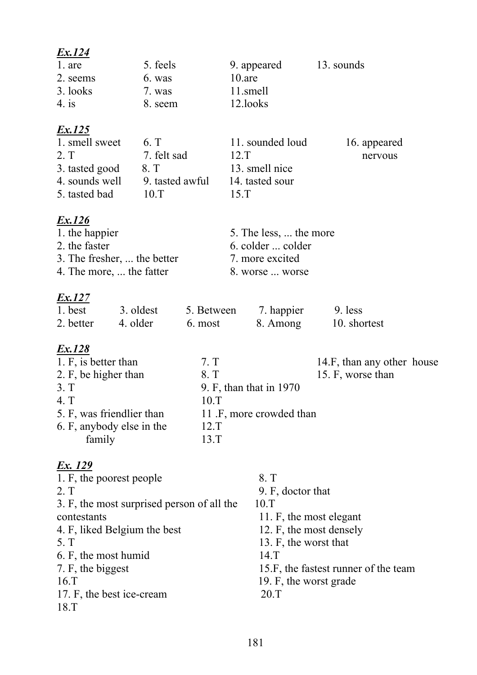| <u>Ex.124</u>                              |                 |            |                          |                                      |  |
|--------------------------------------------|-----------------|------------|--------------------------|--------------------------------------|--|
| 1. are                                     | 5. feels        |            | 9. appeared              | 13. sounds                           |  |
| 2. seems                                   | 6. was          |            | $10$ .are                |                                      |  |
| 3. looks                                   | 7. was          | 11.smell   |                          |                                      |  |
| $4.$ is                                    | 8. seem         | 12.looks   |                          |                                      |  |
|                                            |                 |            |                          |                                      |  |
| <u>Ex.125</u>                              |                 |            |                          |                                      |  |
| 1. smell sweet                             | 6. T            |            | 11. sounded loud         | 16. appeared                         |  |
| 2. T                                       | 7. felt sad     | 12.T       |                          | nervous                              |  |
| 3. tasted good                             | 8. T            |            | 13. smell nice           |                                      |  |
| 4. sounds well                             | 9. tasted awful |            | 14. tasted sour          |                                      |  |
| 5. tasted bad                              | 10.T            | $15.$ T    |                          |                                      |  |
|                                            |                 |            |                          |                                      |  |
| <u>Ex.126</u>                              |                 |            |                          |                                      |  |
| 1. the happier                             |                 |            | 5. The less,  the more   |                                      |  |
| 2. the faster                              |                 |            | 6. colder  colder        |                                      |  |
| 3. The fresher,  the better                |                 |            | 7. more excited          |                                      |  |
| 4. The more,  the fatter                   |                 |            | 8. worse  worse          |                                      |  |
|                                            |                 |            |                          |                                      |  |
| <u>Ex.127</u>                              |                 |            |                          |                                      |  |
| 3. oldest<br>1. best                       |                 | 5. Between | 7. happier               | 9. less                              |  |
| 4. older<br>2. better                      | 6. most         |            | 8. Among                 | 10. shortest                         |  |
|                                            |                 |            |                          |                                      |  |
| <u>Ex.128</u>                              |                 |            |                          |                                      |  |
| 1. F, is better than                       |                 | 7. T       |                          | 14.F, than any other house           |  |
| 2. F, be higher than                       |                 | 8. T       |                          | 15. F, worse than                    |  |
| 3. T                                       |                 |            | 9. F, than that in 1970  |                                      |  |
| 4. T                                       |                 | 10.T       |                          |                                      |  |
| 5. F, was friendlier than                  |                 |            | 11 .F, more crowded than |                                      |  |
| 6. F, anybody else in the                  |                 | 12.T       |                          |                                      |  |
| family                                     |                 | 13.T       |                          |                                      |  |
|                                            |                 |            |                          |                                      |  |
| <u>Ex. 129</u>                             |                 |            |                          |                                      |  |
| 1. F, the poorest people                   |                 |            | 8. T                     |                                      |  |
| 2. T                                       |                 |            | 9. F, doctor that        |                                      |  |
| 3. F, the most surprised person of all the |                 |            | 10.T                     |                                      |  |
| contestants                                |                 |            | 11. F, the most elegant  |                                      |  |
| 4. F, liked Belgium the best               |                 |            | 12. F, the most densely  |                                      |  |
| 5. T                                       |                 |            | 13. F, the worst that    |                                      |  |
| 6. F, the most humid                       |                 |            | $14.$ T                  |                                      |  |
| 7. F, the biggest                          |                 |            |                          | 15.F, the fastest runner of the team |  |
| $16.$ T                                    |                 |            | 19. F, the worst grade   |                                      |  |
| 17. F, the best ice-cream                  |                 |            | 20.T                     |                                      |  |
| 18.T                                       |                 |            |                          |                                      |  |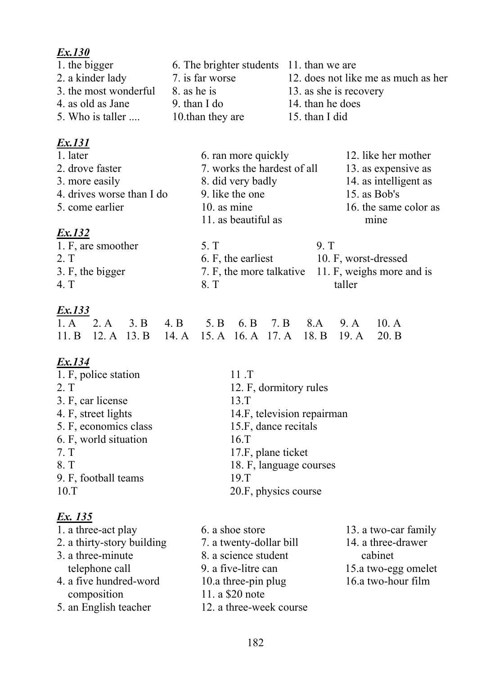| 1. the bigger         | 6. The brighter students 11. than we are |                                     |
|-----------------------|------------------------------------------|-------------------------------------|
| 2. a kinder lady      | 7. is far worse                          | 12. does not like me as much as her |
| 3. the most wonderful | 8. as he is                              | 13. as she is recovery              |
| 4. as old as Jane     | 9. than I do                             | 14. than he does                    |
| 5. Who is taller      | 10. than they are                        | 15. than I did                      |
|                       |                                          |                                     |

# *Ex.131*

| 1. later                  | 6. ran more quickly                         | 12. like her mother   |
|---------------------------|---------------------------------------------|-----------------------|
| 2. drove faster           | 7. works the hardest of all                 | 13. as expensive as   |
| 3. more easily            | 8. did very badly                           | 14. as intelligent as |
| 4. drives worse than I do | 9. like the one                             | 15. as Bob's          |
| 5. come earlier           | $10.$ as mine                               | 16. the same color as |
|                           | 11. as beautiful as                         | mine                  |
| Ex.132                    |                                             |                       |
| 1. F, are smoother        | 5. T                                        | 9 <sub>T</sub>        |
| $\mathbf{\uparrow}$       | $\angle$ $\Gamma$ and $\Gamma$ and $\Gamma$ | $10 F$ and $1000 F$   |

| 2. T             | 6. F, the earliest | 10. F, worst-dressed                               |
|------------------|--------------------|----------------------------------------------------|
| 3. F, the bigger |                    | 7. F, the more talkative 11. F, weighs more and is |
| 4 T              | -8 T               | taller                                             |

# *Ex.133*

|  | 1. A 2. A 3. B 4. B 5. B 6. B 7. B 8. A 9. A 10. A          |  |  |  |
|--|-------------------------------------------------------------|--|--|--|
|  | 11. B 12. A 13. B 14. A 15. A 16. A 17. A 18. B 19. A 20. B |  |  |  |

# *Ex.134*

| 1. F, police station  | $11$ T                     |
|-----------------------|----------------------------|
| 2. T                  | 12. F, dormitory rules     |
| 3. F, car license     | 13.T                       |
| 4. F, street lights   | 14.F, television repairman |
| 5. F, economics class | 15.F, dance recitals       |
| 6. F, world situation | $16.$ T                    |
| 7. T                  | 17.F, plane ticket         |
| 8. T                  | 18. F, language courses    |
| 9. F, football teams  | $19.$ T                    |
| 10.T                  | 20.F, physics course       |
|                       |                            |

| 6. a shoe store         | 13. a two-car family |
|-------------------------|----------------------|
| 7. a twenty-dollar bill | 14. a three-drawer   |
| 8. a science student    | cabinet              |
| 9. a five-litre can     | 15.a two-egg omelet  |
| 10.a three-pin plug     | 16.a two-hour film   |
| 11. a \$20 note         |                      |
| 12. a three-week course |                      |
|                         |                      |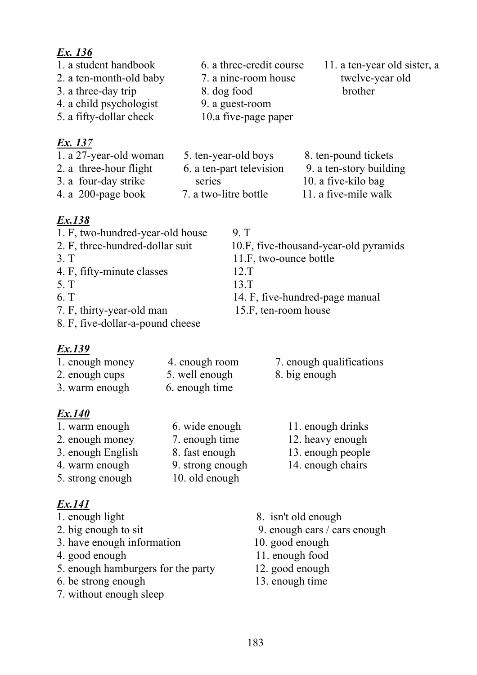- 
- 2. a ten-month-old baby 7. a nine-room house twelve-year old
- 3. a three-day trip 8. dog food brother
- 4. a child psychologist 9. a guest-room
- 5. a fifty-dollar check 10.a five-page paper

# *Ex. 137*

- -
	-
	-
- 1. a student handbook 6. a three-credit course 11. a ten-year old sister, a
- 1. a 27-year-old woman 5. ten-year-old boys 8. ten-pound tickets 2. a three-hour flight 6. a ten-part television 9. a ten-story building 3. a four-day strike series 10. a five-kilo bag 4. a 200-page book 7. a two-litre bottle 11. a five-mile walk

# *Ex.138*

- 1. F, two-hundred-year-old house 9. T 2. F, three-hundred-dollar suit 10.F, five-thousand-year-old pyramids 3. T 11.F, two-ounce bottle 4. F, fifty-minute classes 12.T 5. T 13.T 6. T 14. F, five-hundred-page manual 7. F, thirty-year-old man 15.F, ten-room house
- 8. F, five-dollar-a-pound cheese

# *Ex.139*

| 1. enough money | 4. enough room |
|-----------------|----------------|
| 2. enough cups  | 5. well enough |
| 3. warm enough  | 6. enough time |

# *Ex.140*

1. warm enough 6. wide enough 11. enough drinks 2. enough money 7. enough time 12. heavy enough 3. enough English 8. fast enough 13. enough people 4. warm enough 9. strong enough 14. enough chairs 5. strong enough 10. old enough

- 
- 
- 3. have enough information 10. good enough<br>4. good enough 11. enough food
- 
- 5. enough hamburgers for the party 12. good enough
- 6. be strong enough 13. enough time
- 7. without enough sleep
- 1. enough light 8. isn't old enough
- 2. big enough to sit 9. enough cars / cars enough
	-
	- 11. enough food
	-
	-
- 7. enough qualifications
- 8. big enough
	- -
		-
		-
		-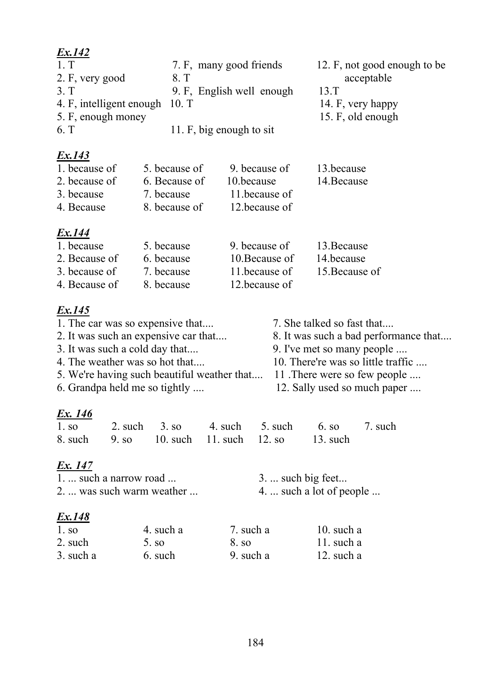| Ex.142                         |                           |                              |
|--------------------------------|---------------------------|------------------------------|
| 1 <sub>T</sub>                 | 7. F, many good friends   | 12. F, not good enough to be |
| 2. F, very good                | 8T                        | acceptable                   |
| 3T                             | 9. F, English well enough | 13 <sub>T</sub>              |
| 4. F, intelligent enough 10. T |                           | 14. F, very happy            |
| 5. F, enough money             |                           | 15. F, old enough            |
| 6. T                           | 11. F, big enough to sit  |                              |
|                                |                           |                              |

| 1. because of | 5. because of | 9. because of | 13.because  |
|---------------|---------------|---------------|-------------|
| 2. because of | 6. Because of | 10.because    | 14. Because |
| 3. because    | 7. because    | 11 because of |             |
| 4. Because    | 8. because of | 12 because of |             |
|               |               |               |             |

# *Ex.144*

| 1. because    | 5. because | 9. because of  | 13. Because    |
|---------------|------------|----------------|----------------|
| 2. Because of | 6. because | 10. Because of | 14.because     |
| 3. because of | 7. because | 11 because of  | 15. Because of |
| 4. Because of | 8. because | 12 because of  |                |

# *Ex.145*

| 1. The car was so expensive that            |                   |            |            |                              | 7. She talked so fast that            |         |  |
|---------------------------------------------|-------------------|------------|------------|------------------------------|---------------------------------------|---------|--|
| 2. It was such an expensive car that        |                   |            |            |                              | 8. It was such a bad performance that |         |  |
| 3. It was such a cold day that              |                   |            |            |                              | 9. I've met so many people            |         |  |
| 4. The weather was so hot that              |                   |            |            |                              | 10. There're was so little traffic    |         |  |
| 5. We're having such beautiful weather that |                   |            |            | 11. There were so few people |                                       |         |  |
| 6. Grandpa held me so tightly               |                   |            |            | 12. Sally used so much paper |                                       |         |  |
| Ex. 146                                     |                   |            |            |                              |                                       |         |  |
| 1.50                                        | 2. such           | 3.50       | 4. such    | 5. such                      | 6. so                                 | 7. such |  |
| 8. such                                     | 9. s <sub>0</sub> | $10.$ such | $11.$ such | 12. s <sub>0</sub>           | $13.$ such                            |         |  |

# *Ex. 147*

| $1. \dots$ such a narrow road $\dots$ | $3. \dots$ such big feet                |
|---------------------------------------|-----------------------------------------|
| 2.  was such warm weather             | 4. $\dots$ such a lot of people $\dots$ |
|                                       |                                         |

| 1.50      | 4. such a | 7. such a | 10. such a |
|-----------|-----------|-----------|------------|
| 2. such   | 5.80      | 8. so     | 11. such a |
| 3. such a | 6. such   | 9. such a | 12. such a |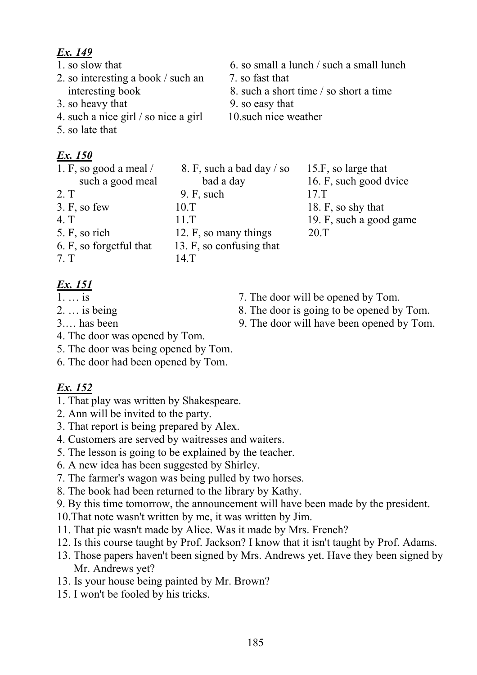- 
- 2. so interesting a book / such an 7. so fast that
- 3. so heavy that 9. so easy that
- 4. such a nice girl / so nice a girl 10. such nice weather
- 5. so late that

# *Ex. 150*

1. F, so good a meal / 8. F, such a bad day / so 15.F, so large that such a good meal bad a day 16. F, such good dvice 2. T 9. F, such 17.T 3. F, so few 10.T 18. F, so shy that 4. T 11.T 11.T 19. F, such a good game 5. F, so rich 12. F, so many things 20.T 6. F, so forgetful that  $13.$  F, so confusing that 7. T 14.T

# *Ex. 151*

- 
- 
- 
- 4. The door was opened by Tom.
- 5. The door was being opened by Tom.
- 6. The door had been opened by Tom.

- 1. That play was written by Shakespeare.
- 2. Ann will be invited to the party.
- 3. That report is being prepared by Alex.
- 4. Customers are served by waitresses and waiters.
- 5. The lesson is going to be explained by the teacher.
- 6. A new idea has been suggested by Shirley.
- 7. The farmer's wagon was being pulled by two horses.
- 8. The book had been returned to the library by Kathy.
- 9. By this time tomorrow, the announcement will have been made by the president.
- 10.That note wasn't written by me, it was written by Jim.
- 11. That pie wasn't made by Alice. Was it made by Mrs. French?
- 12. Is this course taught by Prof. Jackson? I know that it isn't taught by Prof. Adams.
- 13. Those papers haven't been signed by Mrs. Andrews yet. Have they been signed by Mr. Andrews yet?
- 13. Is your house being painted by Mr. Brown?
- 15. I won't be fooled by his tricks.
- 1. so slow that 6. so small a lunch / such a small lunch
	-
	- interesting book 8. such a short time / so short a time
		-
		-

- 1. ... is 7. The door will be opened by Tom.
- 2. ... is being 8. The door is going to be opened by Tom.
- 3.… has been 9. The door will have been opened by Tom.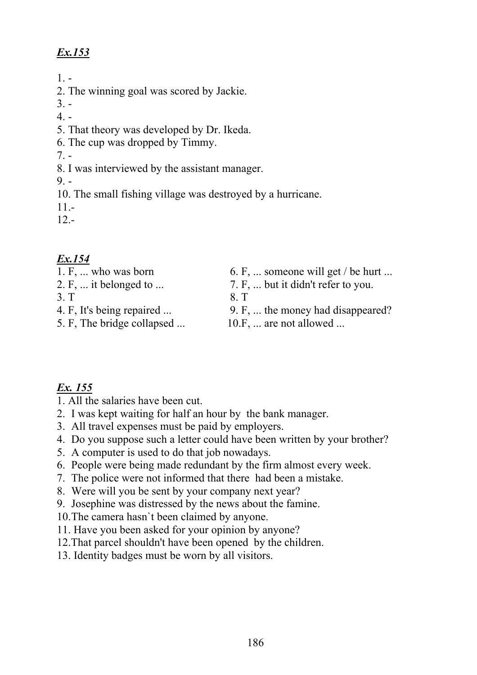$1. -$ 

2. The winning goal was scored by Jackie.

3. -

 $4. -$ 

- 5. That theory was developed by Dr. Ikeda.
- 6. The cup was dropped by Timmy.

 $7. -$ 

8. I was interviewed by the assistant manager.

 $9. -$ 

10. The small fishing village was destroyed by a hurricane.

11.-

12.-

# *Ex.154*

- 
- 
- 3. T 8. T
- 
- 5. F, The bridge collapsed ... 10.F, ... are not allowed ...
- 1. F, ... who was born 6. F, ... someone will get / be hurt ...
- 2. F, ... it belonged to ... 7. F, ... but it didn't refer to you.

- 4. F, It's being repaired ... 9. F, ... the money had disappeared?
	-

- 1. All the salaries have been cut.
- 2. I was kept waiting for half an hour by the bank manager.
- 3. All travel expenses must be paid by employers.
- 4. Do you suppose such a letter could have been written by your brother?
- 5. A computer is used to do that job nowadays.
- 6. People were being made redundant by the firm almost every week.
- 7. The police were not informed that there had been a mistake.
- 8. Were will you be sent by your company next year?
- 9. Josephine was distressed by the news about the famine.
- 10.The camera hasn`t been claimed by anyone.
- 11. Have you been asked for your opinion by anyone?
- 12.That parcel shouldn't have been opened by the children.
- 13. Identity badges must be worn by all visitors.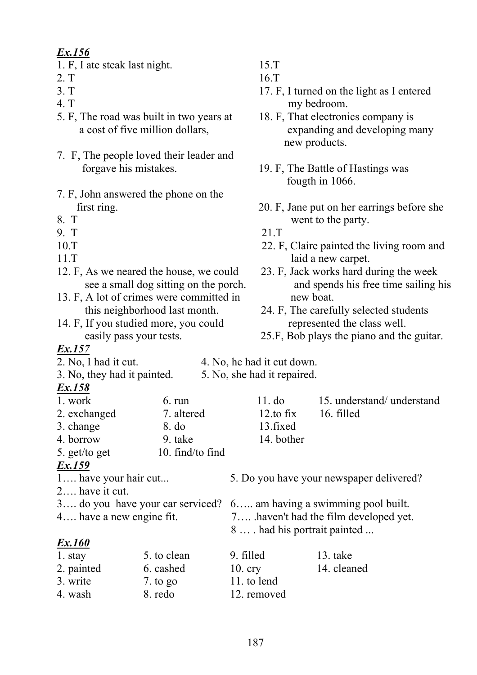- 1. F, I ate steak last night.15.T
- 
- 
- 
- 5. F, The road was built in two years at 18. F, That electronics company is
- 7. F, The people loved their leader and forgave his mistakes. 19. F, The Battle of Hastings was
- 7. F, John answered the phone on the
- 
- 
- 
- 
- 12. F, As we neared the house, we could 23. F, Jack works hard during the week
- 13. F, A lot of crimes were committed in new boat.
- 14. F, If you studied more, you could represented the class well.

#### *Ex.157*

- 
- 
- *Ex.158*
- 2. exchanged 7. altered  $3.$  change  $8.$  do 4. borrow 9. take 14. bother
- 5. get/to get 10. find/to find

- *Ex.159*<br>1.... have your hair cut...
- 2…. have it cut.
- 
- 

#### *Ex.160*

| 1. stay    | 5. to clean | 9. filled   | $13.$ take  |
|------------|-------------|-------------|-------------|
| 2. painted | 6. cashed   | $10.$ cry   | 14. cleaned |
| 3. write   | 7. to go    | 11. to lend |             |
| 4. wash    | 8. redo     | 12. removed |             |

- 
- 2. Т 16.Т
- 3. T 17. F, I turned on the light as I entered 4. T my bedroom.
	- a cost of five million dollars, expanding and developing many new products.
		- fougth in 1066.
- first ring. 20. F, Jane put on her earrings before she 8. T went to the party.
- 9. T 21.T
- 10.T 22. F, Claire painted the living room and 11.T laid a new carpet.
	- see a small dog sitting on the porch. and spends his free time sailing his
	- this neighborhood last month. 24. F, The carefully selected students
	- easily pass your tests. 25.F, Bob plays the piano and the guitar.

2. No, I had it cut. 4. No, he had it cut down.

#### 3. No, they had it painted. 5. No, she had it repaired.

| 1. work          | $6. \text{run}$ | 11. do      | 15. understand/ understand |
|------------------|-----------------|-------------|----------------------------|
| 2. exchanged     | 7. altered      | 12.to fix   | 16. filled                 |
| 3. change        | 8. do           | 13. fixed   |                            |
| $\Lambda$ horrow | $Q$ take        | $14$ hother |                            |

- 5. Do you have your newspaper delivered?
- 3…. do you have your car serviced? 6….. am having a swimming pool built.
- 4…. have a new engine fit. 7…. .haven't had the film developed yet.
	- 8 … . had his portrait painted ...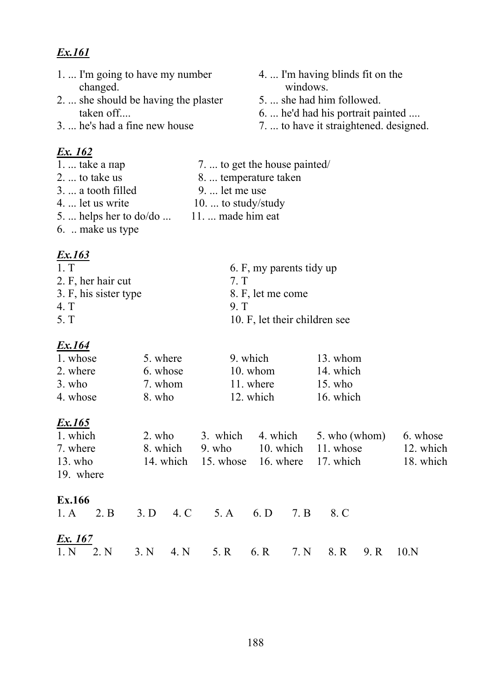- 1. ... I'm going to have my number changed.
- 2. ... she should be having the plaster taken off....
- 3. ... he's had a fine new house

#### <u>Ex. 162</u>

- 1. ... take a nap 7. ... to get the house painted/ 8. ... temperature taken  $2. \ldots$  to take us
- $3.$   $\ldots$  a tooth filled 9. ... let me use
- 10. ... to study/study 4. ... let us write
- 5. ... helps her to do/do ...
- 6. .. make us type

### Ex.163

 $1<sub>T</sub>$ 6. F, my parents tidy up 2. F, her hair cut  $7<sub>T</sub>$ 3. F, his sister type 8. F, let me come 4. T  $9<sub>1</sub>$ 5. T 10. F, let their children see

 $11 \dots$  made him eat

#### Ex.164

| 1. whose | 5. where | 9. which   | 13. whom  |
|----------|----------|------------|-----------|
| 2. where | 6. whose | $10.$ whom | 14. which |
| $3.$ who | 7. whom  | 11. where  | $15.$ who |
| 4. whose | 8. who   | 12. which  | 16. which |

#### Ex.165

1. which  $2.$  who 3. which 4. which 5. who (whom) 6. whose 7 where 8. which  $9$  who  $10$  which 11 whose 12. which  $13.$  who 14 which 15. whose 16 where 17. which 18. which 19 where

#### Ex 166

|                | 1. A 2. B 3. D 4. C 5. A 6. D 7. B 8. C            |  |  |  |  |
|----------------|----------------------------------------------------|--|--|--|--|
| <u>Ex. 167</u> |                                                    |  |  |  |  |
|                | 1. N 2. N 3. N 4. N 5. R 6. R 7. N 8. R 9. R 10. N |  |  |  |  |

- 4. ... I'm having blinds fit on the windows.
- 5. ... she had him followed.
- 6. ... he'd had his portrait painted ....
- 7. ... to have it straightened. designed.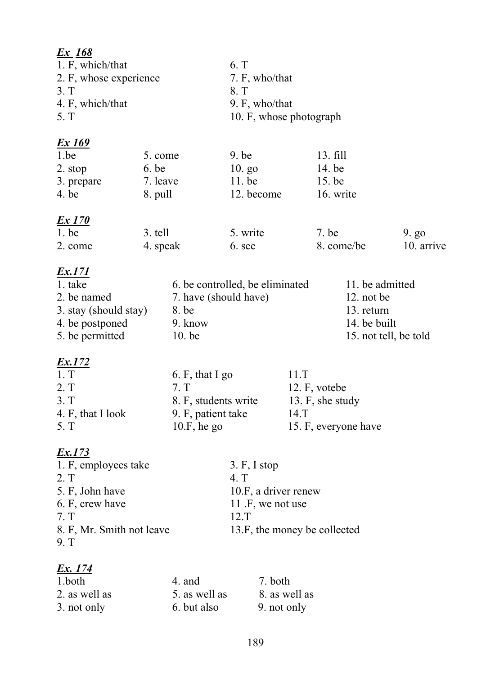| <u>Ex 168</u><br>1. F, which/that<br>2. F, whose experience<br>3. T<br>4. F, which/that<br>5. T                                  |                                         |                                                                                         | 6. T<br>7. F, who/that<br>8. T<br>9. F, who/that<br>10. F, whose photograph                                          |                                          |                                             |                                 |                        |
|----------------------------------------------------------------------------------------------------------------------------------|-----------------------------------------|-----------------------------------------------------------------------------------------|----------------------------------------------------------------------------------------------------------------------|------------------------------------------|---------------------------------------------|---------------------------------|------------------------|
| <u>Ex 169</u><br>1.be<br>2. stop<br>3. prepare<br>4. be                                                                          | 5. come<br>6. be<br>7. leave<br>8. pull |                                                                                         | $9.$ be<br>$10.$ go<br>$11.$ be<br>12. become                                                                        |                                          | $13.$ fill<br>14. be<br>15. be<br>16. write |                                 |                        |
| <u>Ex 170</u><br>$1.$ be<br>2. come                                                                                              | 3. tell<br>4. speak                     |                                                                                         | 5. write<br>6. see                                                                                                   |                                          | 7. be<br>8. come/be                         |                                 | $9. g_0$<br>10. arrive |
| <u>Ex.171</u><br>1. take<br>2. be named<br>3. stay (should stay)<br>4. be postponed<br>5. be permitted<br>Ex.172                 |                                         | 7. have (should have)<br>8. be<br>9. know<br>$10.$ be                                   | 6. be controlled, be eliminated                                                                                      |                                          | $12.$ not be<br>13. return                  | 11. be admitted<br>14. be built | 15. not tell, be told  |
| 1. T<br>2. T<br>3. T<br>4. F, that I look<br>5. T                                                                                |                                         | 6. F, that I go<br>7. T<br>8. F, students write<br>9. F, patient take<br>$10.F$ , he go |                                                                                                                      | 11.T<br>12. F, votebe<br>$14.\mathrm{T}$ | 13. F, she study<br>15. F, everyone have    |                                 |                        |
| <u>Ex.173</u><br>1. F, employees take<br>2. T<br>5. F, John have<br>6. F, crew have<br>7. T<br>8. F, Mr. Smith not leave<br>9. T |                                         |                                                                                         | 3. F, I stop<br>4. T<br>10.F, a driver renew<br>11 $\mathbf{F}$ , we not use<br>12.T<br>13.F, the money be collected |                                          |                                             |                                 |                        |
| <u>Ex. 174</u>                                                                                                                   |                                         |                                                                                         |                                                                                                                      |                                          |                                             |                                 |                        |

| 1.both        | 4. and        | 7. both       |
|---------------|---------------|---------------|
| 2. as well as | 5. as well as | 8. as well as |
| 3. not only   | 6. but also   | 9. not only   |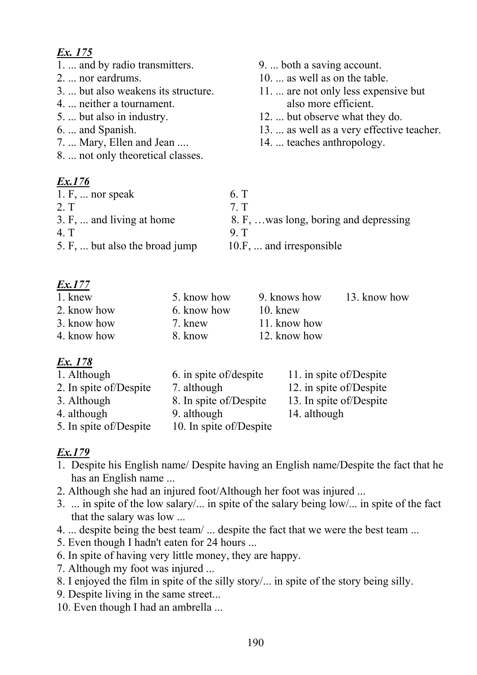- 1. ... and by radio transmitters. 9. ... both a saving account.
- 
- 
- 4. ... neither a tournament. also more efficient.
- 
- 
- 7. ... Mary, Ellen and Jean .... 14. ... teaches anthropology.
- 8. ... not only theoretical classes.

# *Ex.176*

- 
- 2. ... nor eardrums. 10. ... as well as on the table.
- 3. ... but also weakens its structure. 11. ... are not only less expensive but
- 5. ... but also in industry. 12. ... but observe what they do.
- 6. ... and Spanish. 13. ... as well as a very effective teacher.
	-
- 1. F, ... nor speak 6. T 2. T  $7. T$ 3. F, ... and living at home 8. F, ... was long, boring and depressing 4. T 9. T 5. F, ... but also the broad jump 10.F, ... and irresponsible

### *Ex.177*

| 1. knew     | 5. know how | 9. knows how | 13. know how |
|-------------|-------------|--------------|--------------|
| 2. know how | 6. know how | 10. knew     |              |
| 3. know how | 7. knew     | 11. know how |              |
| 4. know how | 8. know     | 12. know how |              |

# *Ex. 178*

| 1. Although            | 6. in spite of/despite  | 11. in spite of/Despite |
|------------------------|-------------------------|-------------------------|
| 2. In spite of/Despite | 7. although             | 12. in spite of/Despite |
| 3. Although            | 8. In spite of/Despite  | 13. In spite of/Despite |
| 4. although            | 9. although             | 14. although            |
| 5. In spite of/Despite | 10. In spite of/Despite |                         |

- 1. Despite his English name/ Despite having an English name/Despite the fact that he has an English name ...
- 2. Although she had an injured foot/Although her foot was injured ...
- 3. ... in spite of the low salary/... in spite of the salary being low/... in spite of the fact that the salary was low ...
- 4. ... despite being the best team/ ... despite the fact that we were the best team ...
- 5. Even though I hadn't eaten for 24 hours ...
- 6. In spite of having very little money, they are happy.
- 7. Although my foot was injured ...
- 8. I enjoyed the film in spite of the silly story/... in spite of the story being silly.
- 9. Despite living in the same street...
- 10. Even though I had an ambrella ...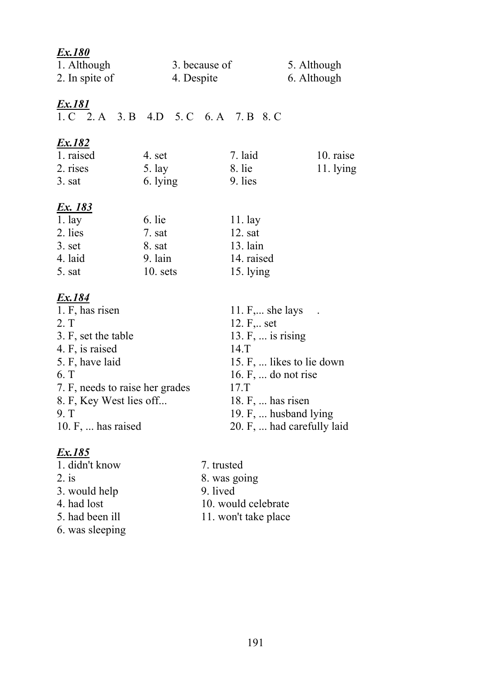| <u>Ex.180</u><br>1. Although<br>2. In spite of                                                                                                                                                               | 3. because of<br>4. Despite                           |                                                                                                                                                                     | 5. Although<br>6. Although                              |
|--------------------------------------------------------------------------------------------------------------------------------------------------------------------------------------------------------------|-------------------------------------------------------|---------------------------------------------------------------------------------------------------------------------------------------------------------------------|---------------------------------------------------------|
| <u>Ex.181</u>                                                                                                                                                                                                | 1. C 2. A 3. B 4. D 5. C 6. A 7. B 8. C               |                                                                                                                                                                     |                                                         |
| <u>Ex.182</u><br>1. raised<br>2. rises<br>$3. s$ at                                                                                                                                                          | 4. set<br>$5.$ lay<br>6. lying                        | 7. laid<br>8. lie<br>9. lies                                                                                                                                        | 10. raise<br>$11.1$ lying                               |
| <u>Ex. 183</u><br>1.1ay<br>2. lies<br>$3.$ set<br>4. laid<br>5. sat                                                                                                                                          | 6. lie<br>7. sat<br>8. sat<br>$9.$ lain<br>$10.$ sets | 11.1ay<br>12. sat<br>$13.$ lain<br>14. raised<br>15. lying                                                                                                          |                                                         |
| <u>Ex.184</u><br>1. F, has risen<br>2. T<br>3. F, set the table<br>4. F, is raised<br>5. F, have laid<br>6. T<br>7. F, needs to raise her grades<br>8. F, Key West lies off<br>9. T<br>10. $F$ ,  has raised |                                                       | 11. $F, \ldots$ she lays<br>12. F, set<br>13. $F, \ldots$ is rising<br>14.T<br>16. F,  do not rise<br>$17.$ T<br>18. $F, \ldots$ has risen<br>19. F,  husband lying | 15. F,  likes to lie down<br>20. F,  had carefully laid |

| 1. didn't know  |  |
|-----------------|--|
| $2.$ is         |  |
| 3. would help   |  |
| 4. had lost     |  |
| 5. had been ill |  |
| 6. was sleeping |  |
|                 |  |

7. trusted

- 8. was going
- 9. lived
- 10. would celebrate
- 11. won't take place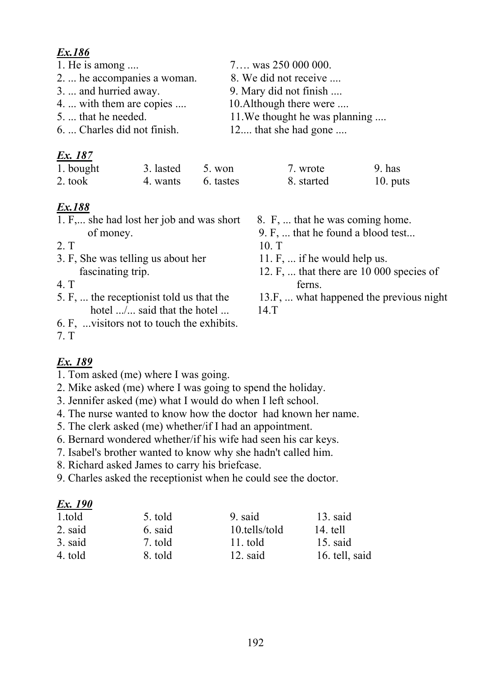- 
- 2. ... he accompanies a woman. 8. We did not receive ....
- 
- 4. ... with them are copies .... 10.Although there were ....
- 
- 6. ... Charles did not finish. 12.... that she had gone ....

# *Ex. 187*

| 1. bought | 3. lasted | 5. won    | 7. wrote   | 9. has   |
|-----------|-----------|-----------|------------|----------|
| 2. took   | 4. wants  | 6. tastes | 8. started | 10. puts |

# *Ex.188*

- 1. F,... she had lost her job and was short 8. F, ... that he was coming home.
- 
- 3. F, She was telling us about her 11. F, ... if he would help us.
- 
- hotel .../... said that the hotel ... 14.T
- 6. F, ...visitors not to touch the exhibits.
- 7. T

# *Ex. 189*

- 1. Tom asked (me) where I was going.
- 2. Mike asked (me) where I was going to spend the holiday.
- 3. Jennifer asked (me) what I would do when I left school.
- 4. The nurse wanted to know how the doctor had known her name.
- 5. The clerk asked (me) whether/if I had an appointment.
- 6. Bernard wondered whether/if his wife had seen his car keys.
- 7. Isabel's brother wanted to know why she hadn't called him.
- 8. Richard asked James to carry his briefcase.
- 9. Charles asked the receptionist when he could see the doctor.

# *Ex. 190*

| 1.told  | 5. told | 9. said       | $13.$ said     |
|---------|---------|---------------|----------------|
| 2. said | 6. said | 10.tells/told | 14. tell       |
| 3. said | 7. told | 11. told      | $15.$ said     |
| 4. told | 8. told | $12.$ said    | 16. tell, said |

#### 1. He is among .... 7.... was 250 000 000.

- 
- 3. ... and hurried away. 9. Mary did not finish ....
	-
- 5. ... that he needed. 11. We thought he was planning ....
	-

| 7. wrote   | $9.$ has   |
|------------|------------|
| 8. started | $10.$ puts |

- 
- of money. 9. F, ... that he found a blood test...
- 2. Т 10. Т
	-
- fascinating trip. 12. F, ... that there are 10 000 species of 4. T ferns.
- 5. F, ... the receptionist told us that the 13.F, ... what happened the previous night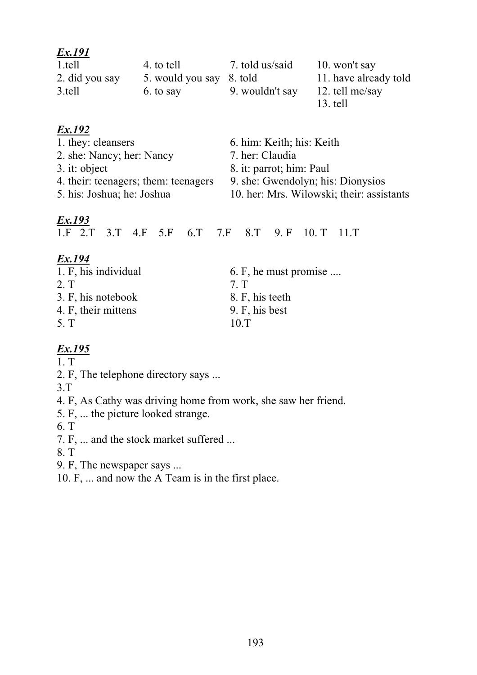| <u>Ex.191</u>  |                          |                 |                       |
|----------------|--------------------------|-----------------|-----------------------|
| 1.tell         | 4. to tell               | 7. told us/said | 10. won't say         |
| 2. did you say | 5. would you say 8. told |                 | 11. have already told |
| 3.tell         | 6. to say                | 9. wouldn't say | 12. tell me/say       |
|                |                          |                 | 13. tell              |

| 1. they: cleansers                   |  |  |  |  | 6. him: Keith; his: Keith |                                           |  |                                               |  |  |
|--------------------------------------|--|--|--|--|---------------------------|-------------------------------------------|--|-----------------------------------------------|--|--|
| 2. she: Nancy; her: Nancy            |  |  |  |  |                           | 7. her: Claudia                           |  |                                               |  |  |
| $3.$ it: object                      |  |  |  |  | 8. it: parrot; him: Paul  |                                           |  |                                               |  |  |
| 4. their: teenagers; them: teenagers |  |  |  |  |                           | 9. she: Gwendolyn; his: Dionysios         |  |                                               |  |  |
| 5. his: Joshua; he: Joshua           |  |  |  |  |                           | 10. her: Mrs. Wilowski; their: assistants |  |                                               |  |  |
| Ex.193                               |  |  |  |  |                           |                                           |  | 1.F 2.T 3.T 4.F 5.F 6.T 7.F 8.T 9.F 10.T 11.T |  |  |

| ٠ |  |  |
|---|--|--|

| 1. F, his individual | 6. F, he must promise $\ldots$ |
|----------------------|--------------------------------|
| 2. T                 | 7 T                            |
| 3. F, his notebook   | 8. F, his teeth                |
| 4. F, their mittens  | 9. F, his best                 |
| 5. T                 | 10T                            |

# *Ex.195*

1. T

2. F, The telephone directory says ...

3.T

4. F, As Cathy was driving home from work, she saw her friend.

5. F, ... the picture looked strange.

6. T

7. F, ... and the stock market suffered ...

8. T

9. F, The newspaper says ...

10. F, ... and now the A Team is in the first place.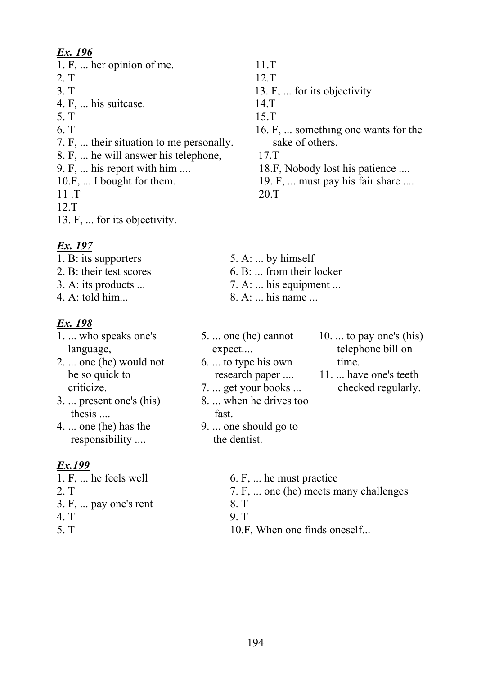- 1. F, ... her opinion of me. 11.T
- 
- 
- 4. F, ... his suitcase. 14.T
- 5. Т 15.Т
- 
- 7. F, ... their situation to me personally. sake of others.
- 8. F, ... he will answer his telephone, 17.T
- 
- 
- 11 .T 20.T
- 12.T
- 13. F, ... for its objectivity.

# *Ex. 197*

- 1. B: its supporters 5. A: ... by himself
- 
- 
- 

# *Ex. 198*

- 1. ... who speaks one's 5. ... one (he) cannot 10. ... to pay one's (his)
- 2. ... one (he) would not 6. ... to type his own time. be so quick to research paper .... 11. ... have one's teeth
- thesis .... fast.
- responsibility .... the dentist.

# *Ex.199*

- 
- 
- $3. F, \ldots$  pay one's rent  $8. T$
- 4. T 9. T
- 
- 
- 2. T 12.T
- 3. T 13. F, ... for its objectivity.
	-
	-
- 6. T 16. F, ... something one wants for the
	-
- 9. F, ... his report with him .... 18.F, Nobody lost his patience ....
- 10.F, ... I bought for them. 19. F, ... must pay his fair share ....
	-
- 2. B: their test scores 6. B: ... from their locker
- 3. A: its products  $\ldots$  7. A:  $\ldots$  his equipment  $\ldots$
- 4. A: told him... 8. A: ... his name ...

# language, expect.... expect.... telephone bill on

- 
- criticize. 7. ... get your books ... checked regularly.
- 3. ... present one's (his) 8. ... when he drives too
- 4. ... one (he) has the 9. ... one should go to
	-
- 1. F,  $\dots$  he feels well  $\qquad 6.$  F,  $\dots$  he must practice
- 2. T 7. F, ... one (he) meets many challenges
	-
	-
- 5. T 10.F, When one finds oneself...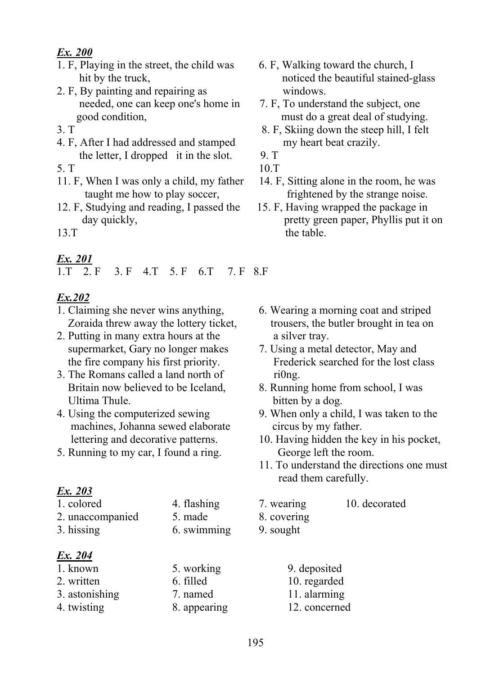- 1. F, Playing in the street, the child was 6. F, Walking toward the church, I
- 2. F, By painting and repairing as windows. needed, one can keep one's home in 7. F, To understand the subject, one
- 
- 4. F, After I had addressed and stamped my heart beat crazily. the letter, I dropped it in the slot.  $9. T$
- 5. T 10.T
- 11. F, When I was only a child, my father 14. F, Sitting alone in the room, he was
- 12. F, Studying and reading, I passed the 15. F, Having wrapped the package in
- 

### *Ex. 201*

#### 1.T 2. F 3. F 4.T 5. F 6.T 7. F 8.F

#### *Ex.202*

- 1. Claiming she never wins anything, 6. Wearing a morning coat and striped
- 2. Putting in many extra hours at the a silver tray. supermarket, Gary no longer makes 7. Using a metal detector, May and
- 3. The Romans called a land north of ri0ng.<br>Britain now believed to be Iceland, 8. Running Ultima Thule. bitten by a dog.
- machines, Johanna sewed elaborate circus by my father.
- 5. Running to my car, I found a ring. George left the room.

- 
- 2. unaccompanied 5. made 8. covering
- 

| Ex. 204        |           |
|----------------|-----------|
| 1. known       | 5. work   |
| 2. written     | 6. filled |
| 3. astonishing | 7. name   |
| 4. twisting    | 8. appea  |

- hit by the truck, noticed the beautiful stained-glass
- good condition, must do a great deal of studying.
- 3. T 8. F, Skiing down the steep hill, I felt
	-
	-
	- taught me how to play soccer, frightened by the strange noise.
- day quickly, **pretty** green paper, Phyllis put it on 13.T the table.
	- Zoraida threw away the lottery ticket, trousers, the butler brought in tea on
	- the fire company his first priority. Frederick searched for the lost class
		- 8. Running home from school, I was
- 4. Using the computerized sewing 9. When only a child, I was taken to the
	- lettering and decorative patterns. 10. Having hidden the key in his pocket,
		- 11. To understand the directions one must read them carefully.
- 1. colored 4. flashing 7. wearing 10. decorated
	-
- 3. hissing 6. swimming 9. sought
	- ing 9. deposited
		- 10. regarded
	- 3. astronomic 11. alarming
	- aring 12. concerned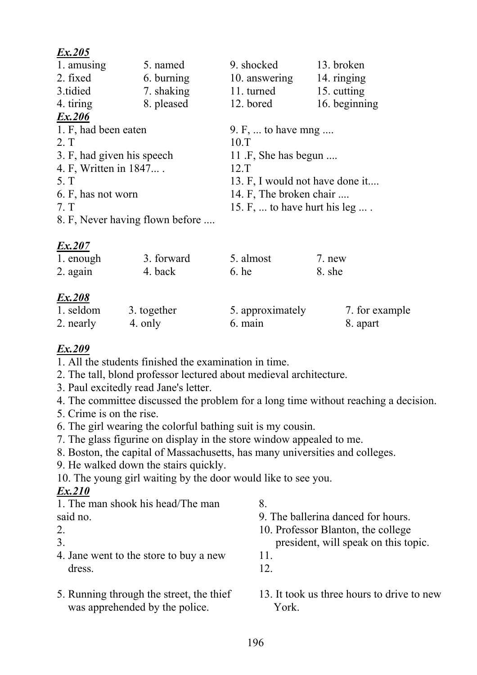| 1. amusing                      | 5. named   | 9. shocked                      | 13. broken    |  |
|---------------------------------|------------|---------------------------------|---------------|--|
| 2. fixed                        | 6. burning | 10. answering                   | 14. ringing   |  |
| 3.tidied                        | 7. shaking | 11. turned                      | 15. cutting   |  |
| 4. tiring                       | 8. pleased | 12. bored                       | 16. beginning |  |
| Ex.206                          |            |                                 |               |  |
| 1. F, had been eaten            |            | 9. F,  to have mng              |               |  |
| 2. T                            |            | 10.T                            |               |  |
| 3. F, had given his speech      |            | 11 .F, She has begun            |               |  |
| 4. F, Written in 1847           |            | 12.T                            |               |  |
| 5. T                            |            | 13. F, I would not have done it |               |  |
| 6. F, has not worn              |            | 14. F, The broken chair         |               |  |
| 7. T                            |            | 15. F,  to have hurt his leg  . |               |  |
| 8. F, Never having flown before |            |                                 |               |  |

### *Ex.207*

| 1. enough | 3. forward  | 5. almost        | 7. new         |
|-----------|-------------|------------------|----------------|
| 2. again  | 4. back     | $6.$ he          | 8. she         |
| Ex.208    |             |                  |                |
| 1. seldom | 3. together | 5. approximately | 7. for example |
| 2. nearly | 4. only     | 6. main          | 8. apart       |

#### *Ex.209*

1. All the students finished the examination in time.

- 2. The tall, blond professor lectured about medieval architecture.
- 3. Paul excitedly read Jane's letter.
- 4. The committee discussed the problem for a long time without reaching a decision.
- 5. Crime is on the rise.
- 6. The girl wearing the colorful bathing suit is my cousin.
- 7. The glass figurine on display in the store window appealed to me.
- 8. Boston, the capital of Massachusetts, has many universities and colleges.
- 9. He walked down the stairs quickly.
- 10. The young girl waiting by the door would like to see you.

# *Ex.210*

1. The man shook his head/The man 8.

- 
- 
- 
- 4. Jane went to the store to buy a new 11. dress. 12.
- was apprehended by the police. York.
- 
- said no. 2012 12:33 and no. 2013 12:33 and no. 2013 12:34 and 2013 12:34 and 2013 12:34 and 2013 12:34 and 2013 12:34 and 2013 12:34 and 2013 12:34 and 2013 12:34 and 2013 12:34 and 2013 12:34 and 2013 12:34 and 2013 12:34
- 2. 10. Professor Blanton, the college
- 3. president, will speak on this topic.
	-
	-
- 5. Running through the street, the thief 13. It took us three hours to drive to new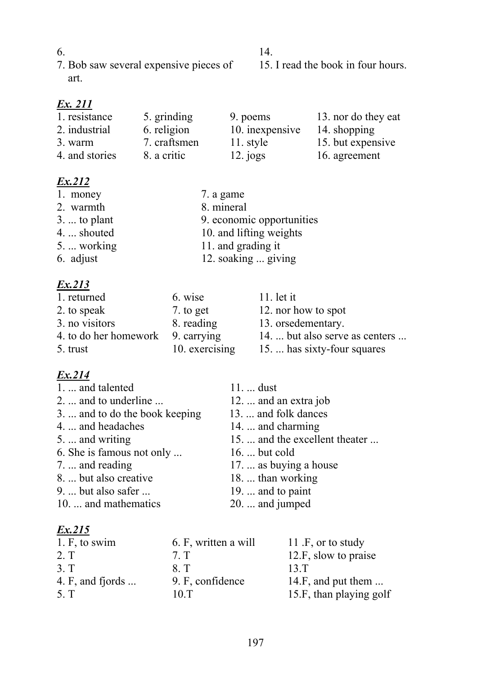$6.$  14. 7. Bob saw several expensive pieces of 15. I read the book in four hours. art.

# *Ex. 211*

| 1. resistance  | 5. grinding  | 9. poems        | 13. nor do they eat |
|----------------|--------------|-----------------|---------------------|
| 2. industrial  | 6. religion  | 10. inexpensive | 14. shopping        |
| 3. warm        | 7. craftsmen | 11. style       | 15. but expensive   |
| 4. and stories | 8. a critic  | $12.$ jogs      | 16. agreement       |

# *Ex.212*

| 1. money             | 7. a game                 |
|----------------------|---------------------------|
| 2. warmth            | 8. mineral                |
| $3. \ldots$ to plant | 9. economic opportunities |
| 4.  shouted          | 10. and lifting weights   |
| 5.  working          | 11. and grading it        |
| 6. adjust            | 12. soaking  giving       |
|                      |                           |

# *Ex.213*

| 1. returned                       | 6. wise        | $11.$ let it                   |
|-----------------------------------|----------------|--------------------------------|
| 2. to speak                       | 7. to get      | 12. nor how to spot            |
| 3. no visitors                    | 8. reading     | 13. orsedementary.             |
| 4. to do her homework 9. carrying |                | 14.  but also serve as centers |
| 5. trust                          | 10. exercising | 15.  has sixty-four squares    |

# *Ex.214*

| 1.  and talented               | $11$ dust                      |
|--------------------------------|--------------------------------|
| 2.  and to underline           | 12.  and an extra job          |
| 3.  and to do the book keeping | 13.  and folk dances           |
| 4.  and headaches              | 14.  and charming              |
| 5.  and writing                | 15.  and the excellent theater |
| 6. She is famous not only      | 16. $\dots$ but cold           |
| 7.  and reading                | 17.  as buying a house         |
| 8.  but also creative          | 18.  than working              |
| 9.  but also safer             | $19. \ldots$ and to paint      |
| 10.  and mathematics           | 20.  and jumped                |

| 1. F, to swim            | 6. F, written a will | 11 .F, or to study          |
|--------------------------|----------------------|-----------------------------|
| 2. T                     | 7 <sub>T</sub>       | 12.F, slow to praise        |
| 3. T                     | 8 <sub>1</sub>       | 13.T                        |
| 4. F, and fjords $\dots$ | 9. F, confidence     | 14.F, and put them $\ldots$ |
| 5. T                     | 10.T                 | 15.F, than playing golf     |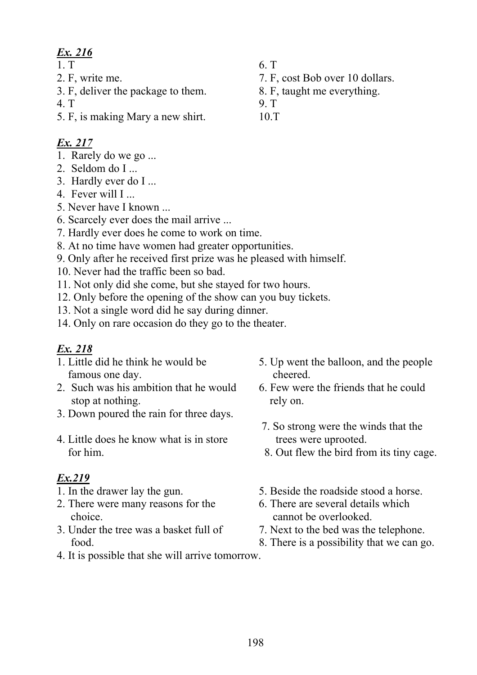- 
- 3. F, deliver the package to them. 8. F, taught me everything.
- 4. T 9. T
- 5. F, is making Mary a new shirt. 10.T

# *Ex. 217*

- 1. Rarely do we go ...
- 2. Seldom do I ...
- 3. Hardly ever do I ...
- 4. Fever will I ...
- 5. Never have I known ...
- 6. Scarcely ever does the mail arrive ...
- 7. Hardly ever does he come to work on time.
- 8. At no time have women had greater opportunities.
- 9. Only after he received first prize was he pleased with himself.
- 10. Never had the traffic been so bad.
- 11. Not only did she come, but she stayed for two hours.
- 12. Only before the opening of the show can you buy tickets.
- 13. Not a single word did he say during dinner.
- 14. Only on rare occasion do they go to the theater.

# *Ex. 218*

- famous one day. cheered.
- 2. Such was his ambition that he would 6. Few were the friends that he could stop at nothing. The rely on.
- 3. Down poured the rain for three days.
- 4. Little does he know what is in store trees were uprooted.

- 
- 2. There were many reasons for the 6. There are several details which choice. choice cannot be overlooked.
- 3. Under the tree was a basket full of 7. Next to the bed was the telephone.
- 1. Little did he think he would be 5. Up went the balloon, and the people
	-
	- 7. So strong were the winds that the
	- for him. 8. Out flew the bird from its tiny cage.
- 1. In the drawer lay the gun. 5. Beside the roadside stood a horse.
	-
	-
	- food. 8. There is a possibility that we can go.
- 4. It is possible that she will arrive tomorrow.
- 1. T 6. T
- 2. F, write me. 2. F, cost Bob over 10 dollars.
	-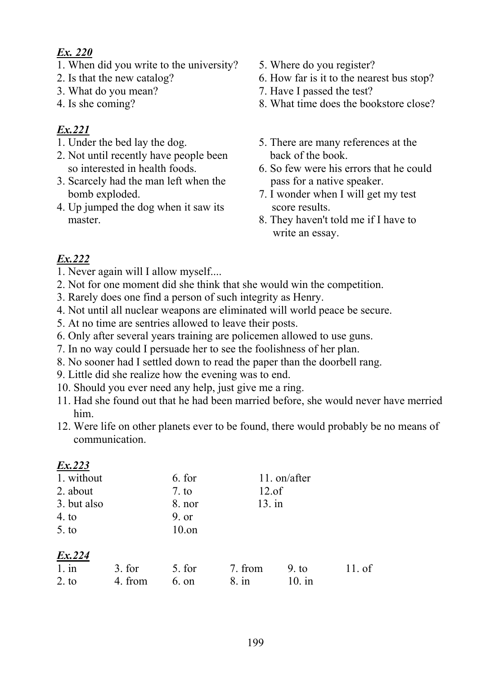- 1. When did you write to the university? 5. Where do you register?
- 
- 
- 

# *Ex.221*

- 
- 2. Not until recently have people been back of the book.
- 3. Scarcely had the man left when the pass for a native speaker. bomb exploded. 2. I wonder when I will get my test
- 4. Up jumped the dog when it saw its score results.
- 
- 2. Is that the new catalog? 6. How far is it to the nearest bus stop?
- 3. What do you mean? 7. Have I passed the test?
- 4. Is she coming? 8. What time does the bookstore close?
- 1. Under the bed lay the dog. 5. There are many references at the
	- so interested in health foods. 6. So few were his errors that he could
		-
	- master. 8. They haven't told me if I have to write an essay.

- 1. Never again will I allow myself....
- 2. Not for one moment did she think that she would win the competition.
- 3. Rarely does one find a person of such integrity as Henry.
- 4. Not until all nuclear weapons are eliminated will world peace be secure.
- 5. At no time are sentries allowed to leave their posts.
- 6. Only after several years training are policemen allowed to use guns.
- 7. In no way could I persuade her to see the foolishness of her plan.
- 8. No sooner had I settled down to read the paper than the doorbell rang.
- 9. Little did she realize how the evening was to end.
- 10. Should you ever need any help, just give me a ring.
- 11. Had she found out that he had been married before, she would never have merried him.
- 12. Were life on other planets ever to be found, there would probably be no means of communication.

| Ex.223      |         |          |          |              |          |
|-------------|---------|----------|----------|--------------|----------|
| 1. without  |         | 6. for   |          | 11. on/after |          |
| 2. about    |         | 7. to    | $12.$ of |              |          |
| 3. but also |         | $8.$ nor | $13.$ in |              |          |
| 4. to       |         | 9. or    |          |              |          |
| 5. to       |         | $10.$ on |          |              |          |
| Ex.224      |         |          |          |              |          |
| $1.$ in     | 3. for  | 5. for   | 7. from  | 9. to        | $11.$ of |
| 2. to       | 4. from | $6.$ on  | $8.$ in  | $10.$ in     |          |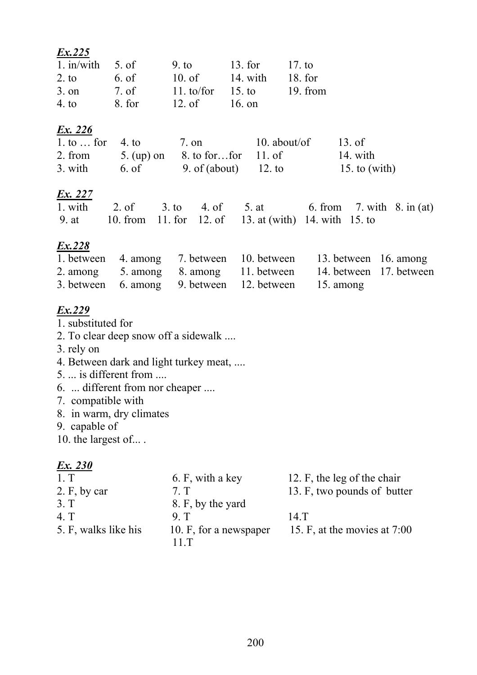| $1.$ in/with     | 5. of   | 9. t <sub>0</sub> | $13.$ for          | 17. to     |
|------------------|---------|-------------------|--------------------|------------|
| 2. to            | 6. of   | $10.$ of          | 14. with           | 18. for    |
| $3.$ on          | $7.$ of | 11. to/for        | 15. t <sub>o</sub> | $19.$ from |
| 4.1 <sub>o</sub> | 8. for  | $12.$ of          | 16. on             |            |

#### *Ex. 226*

| 1. to  for 4. to | 7. on                           | $10.$ about/of | 13. of          |
|------------------|---------------------------------|----------------|-----------------|
| 2. from          | 5. (up) on 8. to for for 11. of |                | 14. with        |
| 3. with          | 6. of 9. of (about) 12. to      |                | 15. to $(with)$ |

#### *Ex. 227*

|  |  | 1. with 2. of 3. to 4. of 5. at 6. from 7. with 8. in (at)  |  |  |
|--|--|-------------------------------------------------------------|--|--|
|  |  | 9. at 10. from 11. for 12. of 13. at (with) 14. with 15. to |  |  |

# *Ex.228*

|  |                                                      | 1. between 4. among 7. between 10. between 13. between 16. among |  |
|--|------------------------------------------------------|------------------------------------------------------------------|--|
|  |                                                      | 2. among 5. among 8. among 11. between 14. between 17. between   |  |
|  | 3. between 6. among 9. between 12. between 15. among |                                                                  |  |

### *Ex.229*

- 1. substituted for
- 2. To clear deep snow off a sidewalk ....
- 3. rely on
- 4. Between dark and light turkey meat, ....
- 5. ... is different from ....
- 6. ... different from nor cheaper ....
- 7. compatible with
- 8. in warm, dry climates
- 9. capable of
- 10. the largest of... .

| 1. T                 | 6. F, with a key       | 12. F, the leg of the chair  |
|----------------------|------------------------|------------------------------|
| 2. F, by car         | 7 <sub>1</sub>         | 13. F, two pounds of butter  |
| 3. T                 | 8. F, by the yard      |                              |
| 4 <sub>1</sub>       | 9 T                    | 14 <sub>T</sub>              |
| 5. F, walks like his | 10. F, for a newspaper | 15. F, at the movies at 7:00 |
|                      | 11T                    |                              |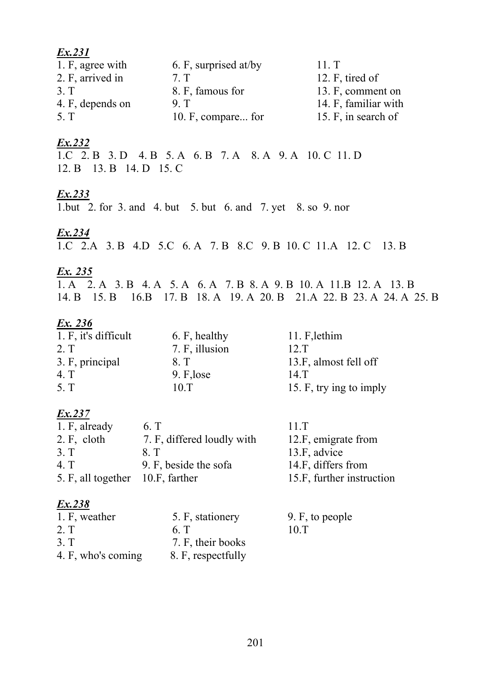| Ex.231           |                       |                      |
|------------------|-----------------------|----------------------|
| 1. F, agree with | 6. F, surprised at/by | 11. T                |
| 2. F, arrived in | 7 <sub>T</sub>        | 12. F, tired of      |
| 3 <sub>T</sub>   | 8. F, famous for      | 13. F, comment on    |
| 4. F, depends on | 9 <sub>T</sub>        | 14. F, familiar with |
| 5. T             | 10. F, compare for    | 15. F, in search of  |

1.C 2. B 3. D 4. B 5. A 6. B 7. A 8. A 9. A 10. C 11. D 12. B 13. B 14. D 15. C

# Ex.233

1.but 2. for 3. and 4. but 5. but 6. and 7. yet 8. so 9. nor

# Ex.234

1.C 2.A 3.B 4.D 5.C 6.A 7.B 8.C 9.B 10.C 11.A 12.C 13.B

### Ex. 235

1. A 2. A 3. B 4. A 5. A 6. A 7. B 8. A 9. B 10. A 11. B 12. A 13. B 14. B 15. B 16. B 17. B 18. A 19. A 20. B 21. A 22. B 23. A 24. A 25. B

# Ex. 236

| 1. F, it's difficult | 6. F, healthy  | 11. F, lethim           |
|----------------------|----------------|-------------------------|
| 2. T                 | 7. F, illusion | 12.T                    |
| 3. F, principal      | 8. T           | 13.F, almost fell off   |
| 4 <sub>T</sub>       | 9. F, lose     | $14.$ T                 |
| 5. T                 | 10 T           | 15. F, try ing to imply |

# Ex.237

| 1. F, already                    | 6. T                       | 11 T                      |
|----------------------------------|----------------------------|---------------------------|
| 2. F, cloth                      | 7. F, differed loudly with | 12.F, emigrate from       |
| 3. T                             | 8 T                        | 13.F, advice              |
| 4. T                             | 9. F, beside the sofa      | 14.F, differs from        |
| 5. F, all together 10.F, farther |                            | 15.F, further instruction |
|                                  |                            |                           |

| 1. F, weather      | 5. F, stationery   | 9. F, to people |
|--------------------|--------------------|-----------------|
| 2. T               | 6 T                | 10.T            |
| 3. T               | 7. F, their books  |                 |
| 4. F, who's coming | 8. F, respectfully |                 |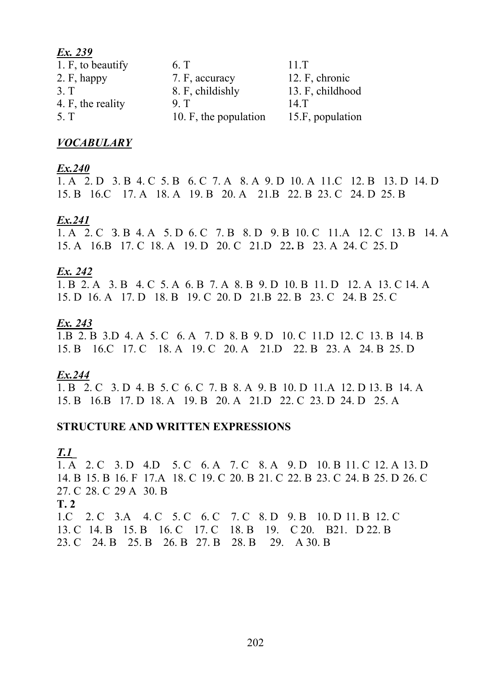| Ex. 239           |                       |                  |
|-------------------|-----------------------|------------------|
| 1. F, to beautify | 6. T                  | 11.T             |
| $2. F,$ happy     | 7. F, accuracy        | 12. F, chronic   |
| 3 <sub>T</sub>    | 8. F, childishly      | 13. F, childhood |
| 4. F, the reality | 9 <sub>T</sub>        | 14 <sub>T</sub>  |
| 5. T              | 10. F, the population | 15.F, population |

#### **VOCABULARY**

#### $Ex.240$

1. A 2. D 3. B 4. C 5. B 6. C 7. A 8. A 9. D 10. A 11. C 12. B 13. D 14. D 15. B 16. C 17. A 18. A 19. B 20. A 21. B 22. B 23. C 24. D 25. B

#### $Ex.241$

1. A 2. C 3. B 4. A 5. D 6. C 7. B 8. D 9. B 10. C 11. A 12. C 13. B 14. A 15. A 16. B 17. C 18. A 19. D 20. C 21. D 22. B 23. A 24. C 25. D

#### Ex. 242

1. B 2. A 3. B 4. C 5. A 6. B 7. A 8. B 9. D 10. B 11. D 12. A 13. C 14. A 15. D 16. A 17. D 18. B 19. C 20. D 21. B 22. B 23. C 24. B 25. C

#### Ex. 243

1.B 2. B 3.D 4. A 5. C 6. A 7. D 8. B 9. D 10. C 11.D 12. C 13. B 14. B 15. B 16. C 17. C 18. A 19. C 20. A 21. D 22. B 23. A 24. B 25. D

#### Ex.244

1. B 2. C 3. D 4. B 5. C 6. C 7. B 8. A 9. B 10. D 11. A 12. D 13. B 14. A 15. B 16. B 17. D 18. A 19. B 20. A 21. D 22. C 23. D 24. D 25. A

#### **STRUCTURE AND WRITTEN EXPRESSIONS**

#### <u>T.1</u>

1. A 2. C 3. D 4. D 5. C 6. A 7. C 8. A 9. D 10. B 11. C 12. A 13. D 14, B 15, B 16, F 17, A 18, C 19, C 20, B 21, C 22, B 23, C 24, B 25, D 26, C 27. C 28. C 29 A 30. B  $T<sub>2</sub>$ 1.C 2. C 3.A 4. C 5. C 6. C 7. C 8. D 9. B 10. D 11. B 12. C 13. C 14. B 15. B 16. C 17. C 18. B 19. C 20. B21. D 22. B 23. C 24. B 25. B 26. B 27. B 28. B 29. A 30. B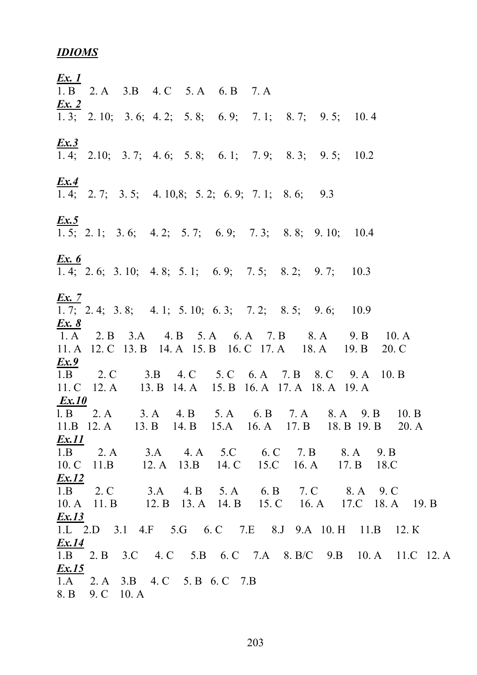#### **IDIOMS**

<u>Ex. 1</u>  $\overline{1.B}$  2. A 3. B 4. C 5. A 6. B 7. A  $\mathbf{Ex.}2$  $\overline{1, 3}$ ; 2. 10; 3. 6; 4. 2; 5. 8; 6. 9; 7. 1; 8. 7; 9. 5; 10. 4  $Ex.3$ 1. 4; 2.10; 3. 7; 4. 6; 5. 8; 6. 1; 7. 9; 8. 3; 9. 5; 10.2  $Ex.4$ 1. 4; 2. 7; 3. 5; 4. 10,8; 5. 2; 6. 9; 7. 1; 8. 6; 9.3 **Ex.5**<br>1. 5; 2. 1; 3. 6; 4. 2; 5. 7; 6. 9; 7. 3; 8. 8; 9. 10; 10.4  $Ex.6$ 1. 4; 2. 6; 3. 10; 4. 8; 5. 1; 6. 9; 7. 5;  $8.2$ ;  $9.7:$ 10.3  $\mathbf{Ex}$  7  $\overline{1, 7}$ ; 2. 4; 3. 8; 4. 1; 5. 10; 6. 3; 7. 2; 8. 5; 9. 6; 10.9  $Ex. 8$  $1. A$ 2. B 3.A 4. B 5. A 6. A 7. B 8. A 9. B  $10. A$ 11. A 12. C 13. B 14. A 15. B 16. C 17. A 18. A  $19. B$ 20. C  $Ex.9$  $1.B$ 2. C  $3.B$ 4. C 5. C 6. A 7. B 8. C  $9. A$  $10. B$  $11.C$  $12. A$ 13. B 14. A 15. B 16. A 17. A 18. A 19. A  $Ex.10$ 7. A  $1. B \t 2. A$  $3. A$ 4. B  $5. A$ 6. B 8. A 9. B 10. B  $11.B$  12. A 13. B  $14. B$  $15.A$  $16. A$  $17. B$ 18. B 19. B  $20.A$  $Ex.11$  $3.A$   $4.A$   $5.C$   $6.C$  $2. A$ 7. B  $1.B$ 8. A 9. B  $14. C$  15.C  $16. A$  $10. C$  $12. A$   $13.B$  $11.B$  $17. B$ 18.C  $Ex.12$  $5. A \t 6. B$  $2. C$  $3.A$ 4. B 7. C 8. A 9. C  $1.B$ 16. A 17.C 18. A  $10. A$  11. B 12. B 13. A 14. B 15. C 19. B  $Ex.13$ 1.L 2.D 3.1 4.F 5.G 6.C 7.E 8.J 9.A 10.H 11.B  $12. K$  $Ex.14$ 3.C 4. C 5.B 6. C 7.A 8. B/C 9.B  $2. B$  $1.B$ 10. A 11.C 12. A  $Ex.15$ 2. A 3. B 4. C 5. B 6. C 7. B  $1.A$ 8. B 9. C 10. A